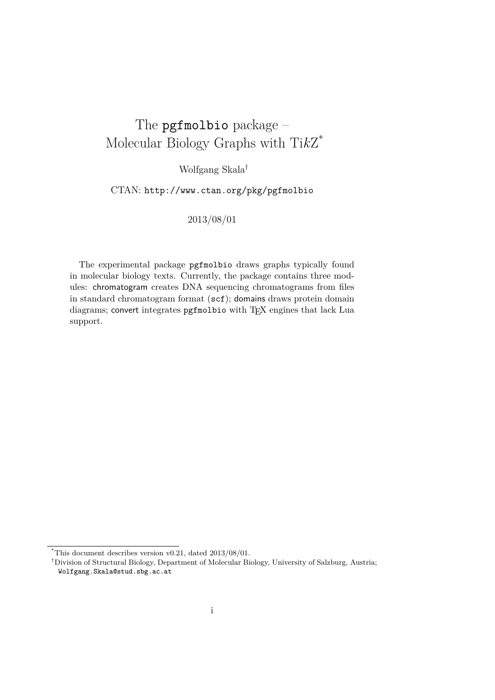# The pgfmolbio package – Molecular Biology Graphs with Ti*k*Z \*

Wolfgang Skala†

CTAN: <http://www.ctan.org/pkg/pgfmolbio>

2013/08/01

The experimental package pgfmolbio draws graphs typically found in molecular biology texts. Currently, the package contains three modules: chromatogram creates DNA sequencing chromatograms from files in standard chromatogram format (scf); domains draws protein domain diagrams; convert integrates pgfmolbio with TEX engines that lack Lua support.

 $*$ This document describes version v0.21, dated  $2013/08/01$ .

<sup>†</sup>Division of Structural Biology, Department of Molecular Biology, University of Salzburg, Austria; Wolfgang.Skala@stud.sbg.ac.at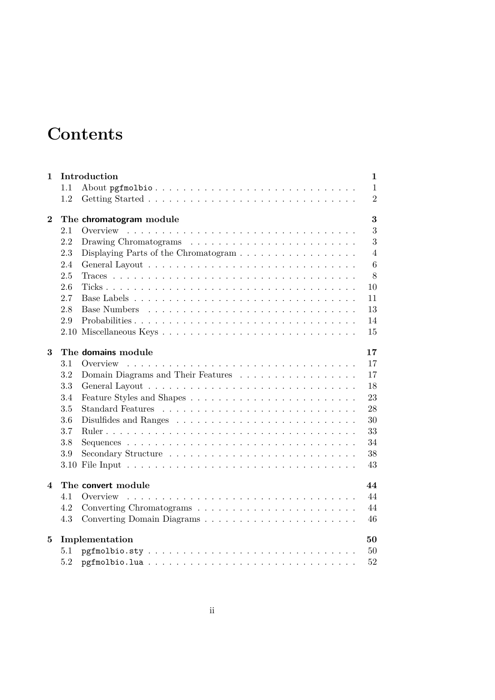# **Contents**

|                         |     | Introduction                                                              | 1               |
|-------------------------|-----|---------------------------------------------------------------------------|-----------------|
|                         | 1.1 |                                                                           | $\mathbf{1}$    |
|                         | 1.2 |                                                                           | $\overline{2}$  |
| $\bf{2}$                |     | The chromatogram module                                                   | 3               |
|                         | 2.1 |                                                                           | 3               |
|                         | 2.2 |                                                                           | 3               |
|                         | 2.3 | Displaying Parts of the Chromatogram $\ldots \ldots \ldots \ldots \ldots$ | $\overline{4}$  |
|                         | 2.4 |                                                                           | $6\phantom{.}6$ |
|                         | 2.5 |                                                                           | 8               |
|                         | 2.6 |                                                                           | 10              |
|                         | 2.7 |                                                                           | 11              |
|                         | 2.8 | <b>Base Numbers</b>                                                       | 13              |
|                         | 2.9 | Probabilities                                                             | 14              |
|                         |     |                                                                           | 15              |
| 3                       |     | The domains module                                                        | 17              |
|                         | 3.1 | Overview                                                                  | 17              |
|                         | 3.2 | Domain Diagrams and Their Features                                        | 17              |
|                         | 3.3 |                                                                           | 18              |
|                         | 3.4 |                                                                           | 23              |
|                         | 3.5 |                                                                           | 28              |
|                         | 3.6 |                                                                           | 30              |
|                         | 3.7 |                                                                           | 33              |
|                         | 3.8 |                                                                           | 34              |
|                         | 3.9 |                                                                           | 38              |
|                         |     |                                                                           | 43              |
|                         |     |                                                                           |                 |
| $\overline{\mathbf{4}}$ |     | The convert module                                                        | 44              |
|                         | 4.1 | Overview                                                                  | 44              |
|                         | 4.2 |                                                                           | 44              |
|                         | 4.3 | Converting Domain Diagrams                                                | 46              |
| $\bf{5}$                |     |                                                                           | 50              |
|                         | 5.1 | Implementation                                                            | 50              |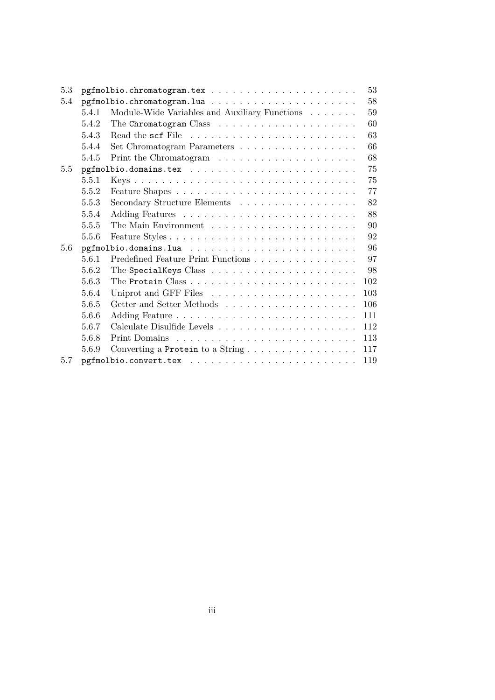| 5.3 |       |                                                                          | 53  |
|-----|-------|--------------------------------------------------------------------------|-----|
| 5.4 |       |                                                                          | 58  |
|     | 5.4.1 | Module-Wide Variables and Auxiliary Functions $\hfill\ldots\ldots\ldots$ | 59  |
|     | 5.4.2 |                                                                          | 60  |
|     | 5.4.3 |                                                                          | 63  |
|     | 5.4.4 | Set Chromatogram Parameters                                              | 66  |
|     | 5.4.5 |                                                                          | 68  |
| 5.5 |       |                                                                          | 75  |
|     | 5.5.1 |                                                                          | 75  |
|     | 5.5.2 |                                                                          | 77  |
|     | 5.5.3 | Secondary Structure Elements                                             | 82  |
|     | 5.5.4 |                                                                          | 88  |
|     | 5.5.5 |                                                                          | 90  |
|     | 5.5.6 |                                                                          | 92  |
| 5.6 |       |                                                                          | 96  |
|     | 5.6.1 | Predefined Feature Print Functions                                       | 97  |
|     | 5.6.2 |                                                                          | -98 |
|     | 5.6.3 |                                                                          | 102 |
|     | 5.6.4 |                                                                          | 103 |
|     | 5.6.5 |                                                                          | 106 |
|     | 5.6.6 |                                                                          | 111 |
|     | 5.6.7 |                                                                          | 112 |
|     | 5.6.8 |                                                                          | 113 |
|     | 5.6.9 |                                                                          | 117 |
| 5.7 |       |                                                                          | 119 |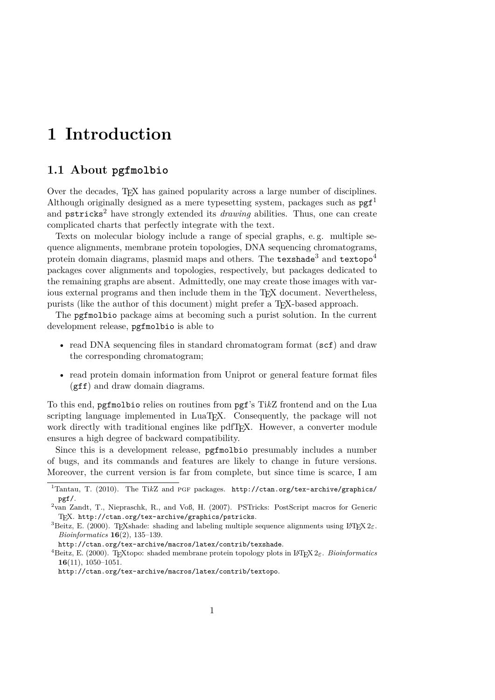# <span id="page-3-0"></span>**1 Introduction**

### <span id="page-3-1"></span>**1.1 About pgfmolbio**

Over the decades, TEX has gained popularity across a large number of disciplines. Although originally designed as a mere typesetting system, packages such as  $p\text{g}f^1$  $p\text{g}f^1$ and pstricks<sup>[2](#page-3-3)</sup> have strongly extended its *drawing* abilities. Thus, one can create complicated charts that perfectly integrate with the text.

Texts on molecular biology include a range of special graphs, e. g. multiple sequence alignments, membrane protein topologies, DNA sequencing chromatograms, protein domain diagrams, plasmid maps and others. The texshade<sup>[3](#page-3-4)</sup> and textopo<sup>[4](#page-3-5)</sup> packages cover alignments and topologies, respectively, but packages dedicated to the remaining graphs are absent. Admittedly, one may create those images with various external programs and then include them in the T<sub>EX</sub> document. Nevertheless, purists (like the author of this document) might prefer a T<sub>E</sub>X-based approach.

The pgfmolbio package aims at becoming such a purist solution. In the current development release, pgfmolbio is able to

- read DNA sequencing files in standard chromatogram format (scf) and draw the corresponding chromatogram;
- read protein domain information from Uniprot or general feature format files (gff) and draw domain diagrams.

To this end, pgfmolbio relies on routines from pgf's Ti*k*Z frontend and on the Lua scripting language implemented in LuaT<sub>EX</sub>. Consequently, the package will not work directly with traditional engines like pdfT<sub>E</sub>X. However, a converter module ensures a high degree of backward compatibility.

Since this is a development release, pgfmolbio presumably includes a number of bugs, and its commands and features are likely to change in future versions. Moreover, the current version is far from complete, but since time is scarce, I am

<span id="page-3-2"></span><sup>&</sup>lt;sup>1</sup>Tantau, T. (2010). The TikZ and PGF packages. [http://ctan.org/tex-archive/graphics/](http://ctan.org/tex-archive/graphics/pgf/) [pgf/](http://ctan.org/tex-archive/graphics/pgf/).

<span id="page-3-3"></span><sup>2</sup> van Zandt, T., Niepraschk, R., and Voß, H. (2007). PSTricks: PostScript macros for Generic TEX. <http://ctan.org/tex-archive/graphics/pstricks>.

<span id="page-3-4"></span><sup>&</sup>lt;sup>3</sup>Beitz, E. (2000). TEXshade: shading and labeling multiple sequence alignments using LATEX  $2\varepsilon$ . *Bioinformatics* **16**(2), 135–139.

<http://ctan.org/tex-archive/macros/latex/contrib/texshade>.

<span id="page-3-5"></span><sup>&</sup>lt;sup>4</sup>Beitz, E. (2000). TEXtopo: shaded membrane protein topology plots in L<sup>AT</sup>EX 2ε. *Bioinformatics* **16**(11), 1050–1051.

<http://ctan.org/tex-archive/macros/latex/contrib/textopo>.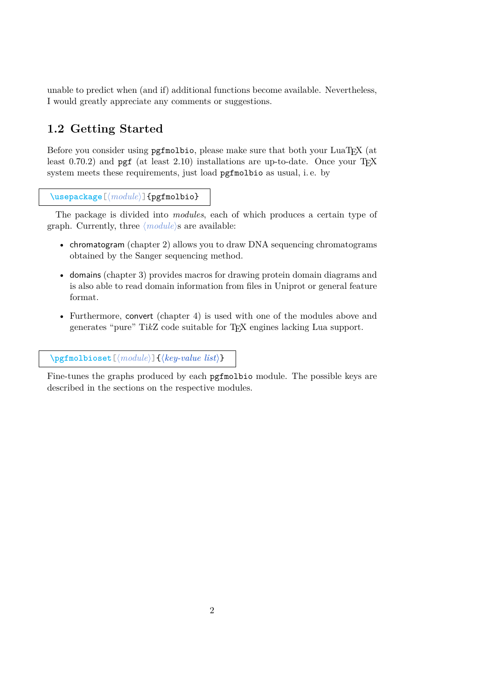unable to predict when (and if) additional functions become available. Nevertheless, I would greatly appreciate any comments or suggestions.

# <span id="page-4-0"></span>**1.2 Getting Started**

Before you consider using pgfmolbio, please make sure that both your LuaT<sub>EX</sub> (at least  $0.70.2$ ) and pgf (at least  $2.10$ ) installations are up-to-date. Once your T<sub>E</sub>X system meets these requirements, just load pgfmolbio as usual, i. e. by

```
\usepackage<sup>[(module)]{pgfmolbio}</sup>
```
The package is divided into *modules*, each of which produces a certain type of graph. Currently, three  $\langle module \rangle$ s are available:

- chromatogram (chapter [2\)](#page-5-0) allows you to draw DNA sequencing chromatograms obtained by the Sanger sequencing method.
- domains (chapter [3\)](#page-19-0) provides macros for drawing protein domain diagrams and is also able to read domain information from files in Uniprot or general feature format.
- Furthermore, convert (chapter [4\)](#page-46-0) is used with one of the modules above and generates "pure" Ti*k*Z code suitable for TEX engines lacking Lua support.

[\pgfmolbioset](#page-52-2)[ $\{module\}$ ]{ $\{key-value\ list\}$ }

Fine-tunes the graphs produced by each pgfmolbio module. The possible keys are described in the sections on the respective modules.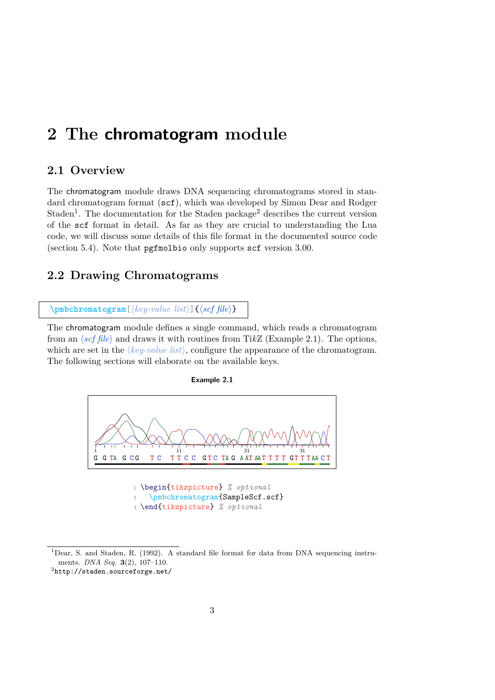# <span id="page-5-0"></span>**2 The chromatogram module**

### <span id="page-5-1"></span>**2.1 Overview**

The chromatogram module draws DNA sequencing chromatograms stored in standard chromatogram format (scf), which was developed by Simon Dear and Rodger Staden<sup>[1](#page-5-3)</sup>. The documentation for the Staden package<sup>[2](#page-5-4)</sup> describes the current version of the scf format in detail. As far as they are crucial to understanding the Lua code, we will discuss some details of this file format in the documented source code (section [5.4\)](#page-60-0). Note that pgfmolbio only supports scf version 3.00.

### <span id="page-5-2"></span>**2.2 Drawing Chromatograms**

 $\Phi$  [\pmbchromatogram](#page-59-0)<sup>[</sup> $\{key-value\ list\}$ ]  $\{scf\ file\}$ 

The chromatogram module defines a single command, which reads a chromatogram from an  $\langle \text{scf file} \rangle$  and draws it with routines from TikZ (Example [2.1\)](#page-5-5). The options, which are set in the  $\langle key-value\ list \rangle$ , configure the appearance of the chromatogram. The following sections will elaborate on the available keys.

<span id="page-5-5"></span>

**Example 2.1**

<span id="page-5-3"></span><sup>1</sup>Dear, S. and Staden, R. (1992). A standard file format for data from DNA sequencing instruments. *DNA Seq.* **3**(2), 107–110.

<span id="page-5-4"></span> $^{2}$ <http://staden.sourceforge.net/>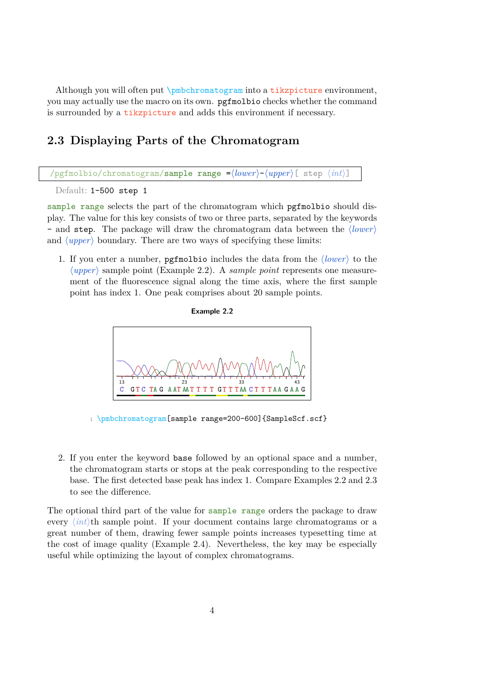Although you will often put \pmbchromatogram into a tikzpicture environment, you may actually use the macro on its own. pgfmolbio checks whether the command is surrounded by a tikzpicture and adds this environment if necessary.

## <span id="page-6-0"></span>**2.3 Displaying Parts of the Chromatogram**

/pgfmolbio/chromatogram/sample range = $\langle lower\rangle$ - $\langle upper\rangle$ [ step  $\langle int\rangle$ ]

Default: 1-500 step 1

sample range selects the part of the chromatogram which pgfmolbio should display. The value for this key consists of two or three parts, separated by the keywords - and step. The package will draw the chromatogram data between the  $\langle lower \rangle$ and  $\langle upper \rangle$  boundary. There are two ways of specifying these limits:

<span id="page-6-1"></span>1. If you enter a number, pgfmolbio includes the data from the  $\langle lower \rangle$  to the  $\langle upper \rangle$  sample point (Example [2.2\)](#page-6-1). A *sample point* represents one measurement of the fluorescence signal along the time axis, where the first sample point has index 1. One peak comprises about 20 sample points.





1 \pmbchromatogram[sample range=200-600]{SampleScf.scf}

2. If you enter the keyword base followed by an optional space and a number, the chromatogram starts or stops at the peak corresponding to the respective base. The first detected base peak has index 1. Compare Examples [2.2](#page-6-1) and [2.3](#page-7-0) to see the difference.

The optional third part of the value for sample range orders the package to draw every  $\langle int \rangle$ th sample point. If your document contains large chromatograms or a great number of them, drawing fewer sample points increases typesetting time at the cost of image quality (Example [2.4\)](#page-7-1). Nevertheless, the key may be especially useful while optimizing the layout of complex chromatograms.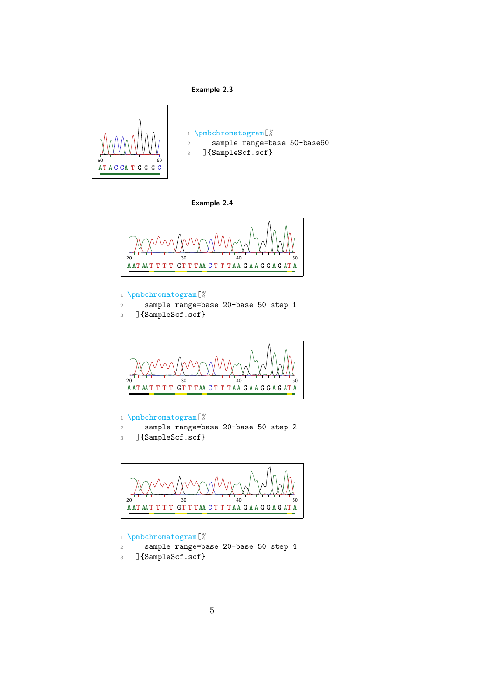### **Example 2.3**

<span id="page-7-0"></span>

 \pmbchromatogram[*%* sample range=base 50-base60 ]{SampleScf.scf}

#### **Example 2.4**

<span id="page-7-1"></span>

### \pmbchromatogram[*%*

- sample range=base 20-base 50 step 1
- ]{SampleScf.scf}



#### \pmbchromatogram[*%*

- sample range=base 20-base 50 step 2
- ]{SampleScf.scf}



- \pmbchromatogram[*%*
- sample range=base 20-base 50 step 4
- ]{SampleScf.scf}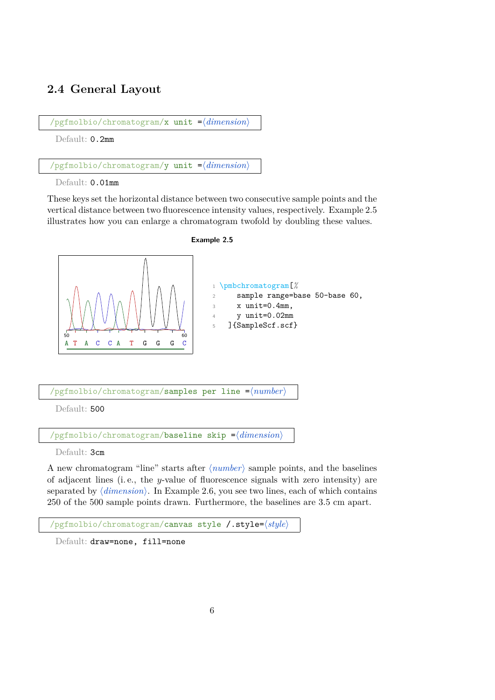# <span id="page-8-0"></span>**2.4 General Layout**

/pgfmolbio/chromatogram/x unit =\*dimension*}

Default: 0.2mm

 $\gamma$ pgfmolbio/chromatogram/y unit = $\langle$ *dimension*)

Default:  $0.01$ mm

These keys set the horizontal distance between two consecutive sample points and the vertical distance between two fluorescence intensity values, respectively. Example [2.5](#page-8-1) illustrates how you can enlarge a chromatogram twofold by doubling these values.



<span id="page-8-1"></span>

/pgfmolbio/chromatogram/samples per line = $\langle number\rangle$ 

Default: 500

 $\alpha$ ) /pgfmolbio/chromatogram/**baseline skip**  $=$  $\langle$  *dimension*)

Default: 3cm

A new chromatogram "line" starts after  $\langle number \rangle$  sample points, and the baselines of adjacent lines (i. e., the y-value of fluorescence signals with zero intensity) are separated by  $\langle dimension \rangle$ . In Example [2.6,](#page-9-0) you see two lines, each of which contains 250 of the 500 sample points drawn. Furthermore, the baselines are 3.5 cm apart.

/pgfmolbio/chromatogram/canvas style /.style= $\langle style\rangle$ 

Default: draw=none, fill=none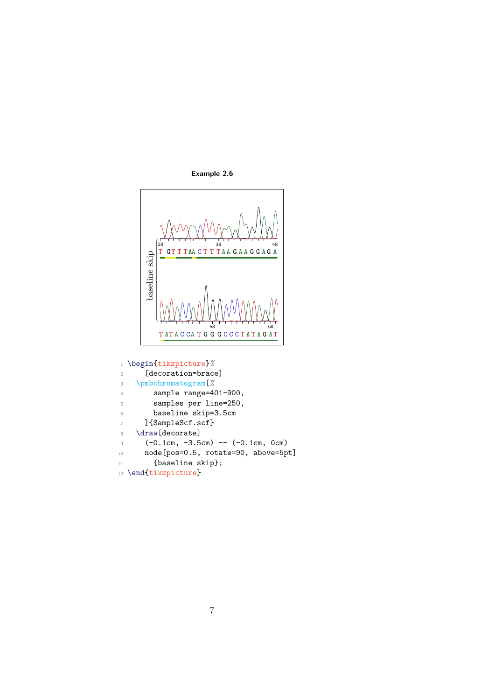

<span id="page-9-0"></span>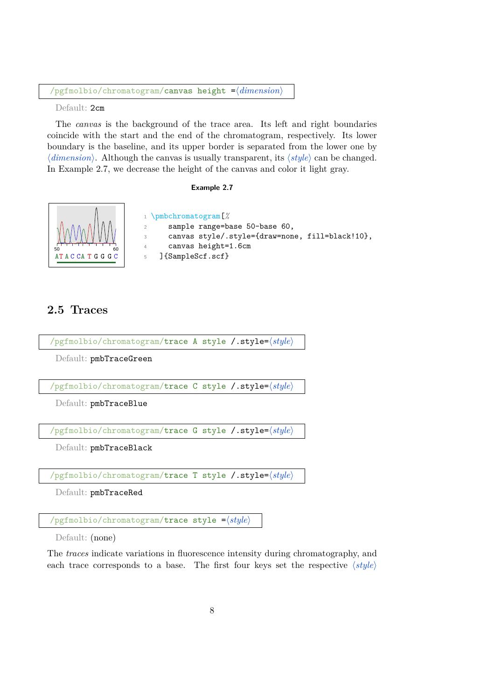$\alpha$ ) /pgfmolbio/chromatogram/canvas height  $=\alpha$ *dimension*)

Default: 2cm

The *canvas* is the background of the trace area. Its left and right boundaries coincide with the start and the end of the chromatogram, respectively. Its lower boundary is the baseline, and its upper border is separated from the lower one by  $\langle dimension \rangle$ . Although the canvas is usually transparent, its  $\langle style \rangle$  can be changed. In Example [2.7,](#page-10-1) we decrease the height of the canvas and color it light gray.

### **Example 2.7**

<span id="page-10-1"></span>

## <span id="page-10-0"></span>**2.5 Traces**

/pgfmolbio/chromatogram/trace A style /.style= $\langle style\rangle$ 

Default: pmbTraceGreen

/pgfmolbio/chromatogram/trace C style /.style= $\langle style\rangle$ 

Default: pmbTraceBlue

/pgfmolbio/chromatogram/trace G style /.style=h*style*i

Default: pmbTraceBlack

 $\sqrt{\text{pgfmolbio}/\text{chromatogram}/\text{trace}}$  T style  $\sqrt{\text{.style}}/\text{gfty}/\text{c}$ 

Default: pmbTraceRed

/pgfmolbio/chromatogram/trace style = $\langle style \rangle$ 

Default: (none)

The *traces* indicate variations in fluorescence intensity during chromatography, and each trace corresponds to a base. The first four keys set the respective  $\langle style \rangle$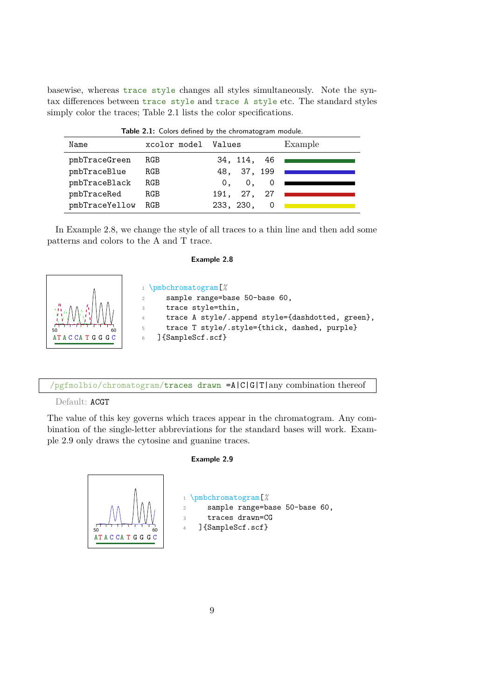basewise, whereas trace style changes all styles simultaneously. Note the syntax differences between trace style and trace A style etc. The standard styles simply color the traces; Table [2.1](#page-11-0) lists the color specifications.

<span id="page-11-0"></span>

| <b>Table 2.1:</b> Colors defined by the chromatogram module. |              |                                  |         |
|--------------------------------------------------------------|--------------|----------------------------------|---------|
| Name                                                         | xcolor model | Values                           | Example |
| pmbTraceGreen                                                | RGB          | 34, 114, 46                      |         |
| pmbTraceBlue                                                 | RGB          | 48, 37, 199                      |         |
| pmbTraceBlack                                                | RGB          | $\mathbf{0}$ ,<br>0 <sub>1</sub> |         |
| pmbTraceRed                                                  | RGB          | 191, 27, 27                      |         |
| pmbTraceYellow                                               | RGB          | 233, 230,                        |         |

**Table 2.1:** Colors defined by the chromatogram module.

<span id="page-11-1"></span>In Example [2.8,](#page-11-1) we change the style of all traces to a thin line and then add some patterns and colors to the A and T trace.

#### **Example 2.8**



/pgfmolbio/chromatogram/traces drawn =A|C|G|T|any combination thereof

### Default: ACGT

The value of this key governs which traces appear in the chromatogram. Any combination of the single-letter abbreviations for the standard bases will work. Example [2.9](#page-11-2) only draws the cytosine and guanine traces.

#### **Example 2.9**

<span id="page-11-2"></span>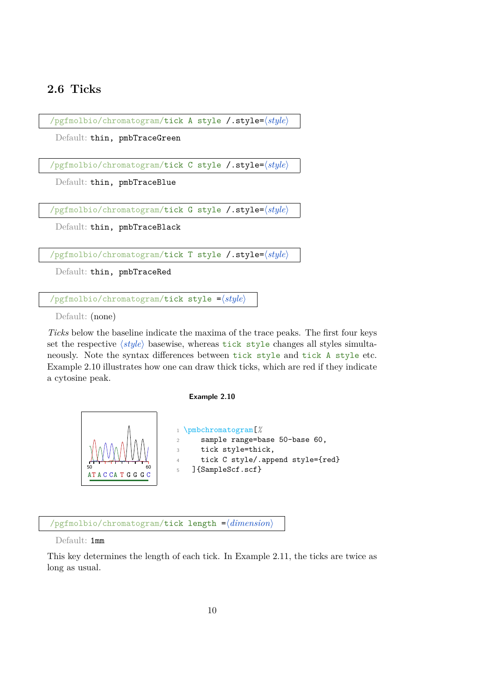### <span id="page-12-0"></span>**2.6 Ticks**

/pgfmolbio/chromatogram/tick A style /.style= $\langle style\rangle$ 

Default: thin, pmbTraceGreen

/pgfmolbio/chromatogram/tick C style /.style= $\langle style \rangle$ 

Default: thin, pmbTraceBlue

/pgfmolbio/chromatogram/tick G style /.style=h*style*i

Default: thin, pmbTraceBlack

/pgfmolbio/chromatogram/tick T style /.style= $\langle style \rangle$ 

Default: thin, pmbTraceRed

 $\gamma$ pgfmolbio/chromatogram/tick style = $\langle style \rangle$ 

Default: (none)

*Ticks* below the baseline indicate the maxima of the trace peaks. The first four keys set the respective (style) basewise, whereas tick style changes all styles simultaneously. Note the syntax differences between tick style and tick A style etc. Example [2.10](#page-12-1) illustrates how one can draw thick ticks, which are red if they indicate a cytosine peak.

### **Example 2.10**

<span id="page-12-1"></span>

/pgfmolbio/chromatogram/tick length = $\langle$ *dimension*)

Default: 1mm

This key determines the length of each tick. In Example [2.11,](#page-13-1) the ticks are twice as long as usual.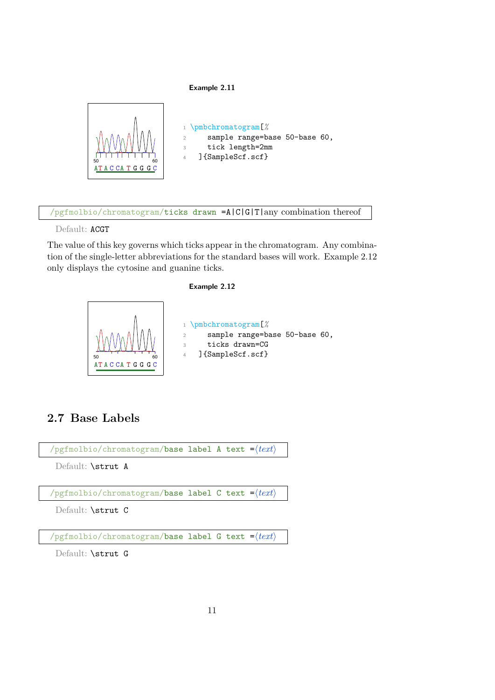### **Example 2.11**

<span id="page-13-1"></span>

/pgfmolbio/chromatogram/ticks drawn =A|C|G|T|any combination thereof

Default: ACGT

The value of this key governs which ticks appear in the chromatogram. Any combination of the single-letter abbreviations for the standard bases will work. Example [2.12](#page-13-2) only displays the cytosine and guanine ticks.

### **Example 2.12**

<span id="page-13-2"></span>

## <span id="page-13-0"></span>**2.7 Base Labels**

/pgfmolbio/chromatogram/base label A text  $=$  $\langle text \rangle$ 

Default: \strut A

 $\gamma$ pgfmolbio/chromatogram/base label C text = $\langle \text{text} \rangle$ 

Default: \strut C

 $\sqrt{p}$ gfmolbio/chromatogram/**base label G text =** $\langle \text{text} \rangle$ 

Default: \strut G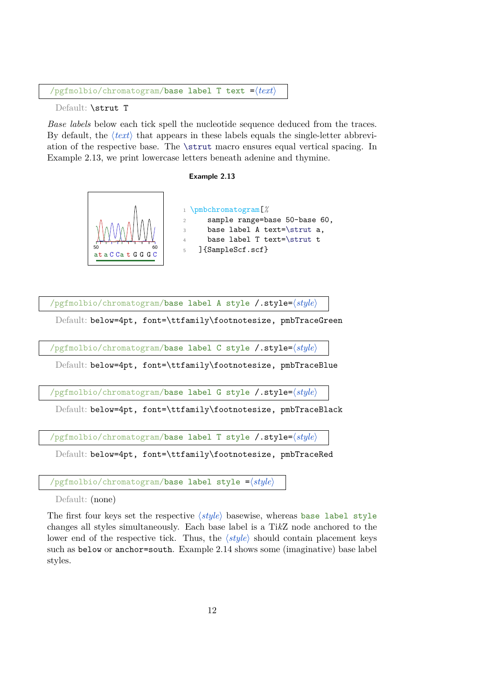$\sqrt{p}$ gfmolbio/chromatogram/base label T text = $\sqrt{text}$ 

Default: \strut T

*Base labels* below each tick spell the nucleotide sequence deduced from the traces. By default, the  $\langle text \rangle$  that appears in these labels equals the single-letter abbreviation of the respective base. The \strut macro ensures equal vertical spacing. In Example [2.13,](#page-14-0) we print lowercase letters beneath adenine and thymine.

#### **Example 2.13**

<span id="page-14-0"></span>

/pgfmolbio/chromatogram/**base label A style /.style=** $\langle style\rangle$ 

Default: below=4pt, font=\ttfamily\footnotesize, pmbTraceGreen

/pgfmolbio/chromatogram/base label C style /.style= $\langle style \rangle$ 

Default: below=4pt, font=\ttfamily\footnotesize, pmbTraceBlue

/pgfmolbio/chromatogram/base label G style /.style= $\langle style\rangle$ 

Default: below=4pt, font=\ttfamily\footnotesize, pmbTraceBlack

/pgfmolbio/chromatogram/base label T style /.style=h*style*i

Default: below=4pt, font=\ttfamily\footnotesize, pmbTraceRed

 $\gamma$ pgfmolbio/chromatogram/base label style = $\langle style \rangle$ 

Default: (none)

The first four keys set the respective  $\langle style\rangle$  basewise, whereas base label style changes all styles simultaneously. Each base label is a Ti*k*Z node anchored to the lower end of the respective tick. Thus, the  $\langle style\rangle$  should contain placement keys such as below or anchor=south. Example [2.14](#page-15-1) shows some (imaginative) base label styles.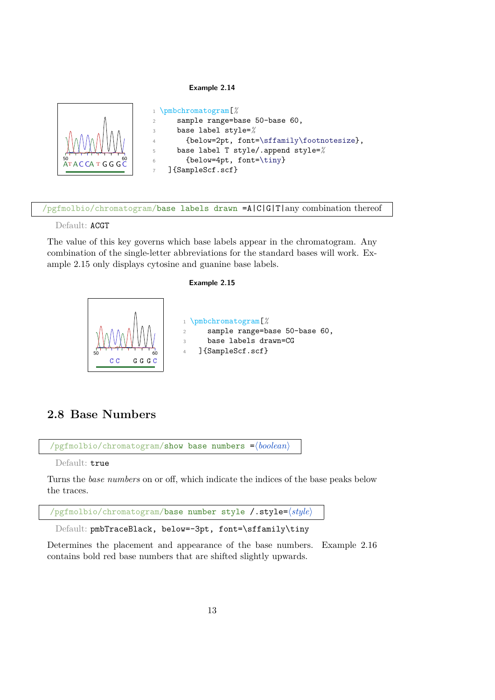#### **Example 2.14**

<span id="page-15-1"></span>

/pgfmolbio/chromatogram/base labels drawn =A|C|G|T|any combination thereof

Default: ACGT

The value of this key governs which base labels appear in the chromatogram. Any combination of the single-letter abbreviations for the standard bases will work. Example [2.15](#page-15-2) only displays cytosine and guanine base labels.

#### **Example 2.15**

<span id="page-15-2"></span>

# <span id="page-15-0"></span>**2.8 Base Numbers**

/pgfmolbio/chromatogram/show base numbers = $\langle boolean \rangle$ 

Default: true

Turns the *base numbers* on or off, which indicate the indices of the base peaks below the traces.

/pgfmolbio/chromatogram/base number style /.style= $\langle style\rangle$ 

Default: pmbTraceBlack, below=-3pt, font=\sffamily\tiny

Determines the placement and appearance of the base numbers. Example [2.16](#page-16-1) contains bold red base numbers that are shifted slightly upwards.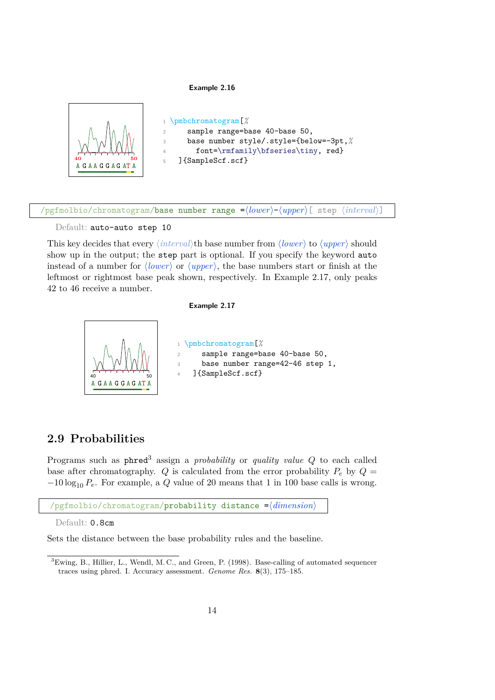#### **Example 2.16**

<span id="page-16-1"></span>

 $\#$ pgfmolbio/chromatogram/**base number range =** $\langle lower\rangle$ - $\langle upper\rangle$ [ step  $\langle interval\rangle$ ]

#### Default: auto-auto step 10

This key decides that every  $\langle interval \rangle$ th base number from  $\langle lower \rangle$  to  $\langle upper \rangle$  should show up in the output; the step part is optional. If you specify the keyword auto instead of a number for  $\langle lower \rangle$  or  $\langle upper \rangle$ , the base numbers start or finish at the leftmost or rightmost base peak shown, respectively. In Example [2.17,](#page-16-2) only peaks 42 to 46 receive a number.

#### **Example 2.17**

<span id="page-16-2"></span>

### <span id="page-16-0"></span>**2.9 Probabilities**

Programs such as phred[3](#page-16-3) assign a *probability* or *quality value* Q to each called base after chromatography. Q is calculated from the error probability  $P_e$  by  $Q =$  $-10 \log_{10} P_e$ . For example, a Q value of 20 means that 1 in 100 base calls is wrong.

```
/pgfmolbio/chromatogram/probability distance = \langle dimension)
```
Default: 0.8cm

Sets the distance between the base probability rules and the baseline.

<span id="page-16-3"></span><sup>3</sup>Ewing, B., Hillier, L., Wendl, M. C., and Green, P. (1998). Base-calling of automated sequencer traces using phred. I. Accuracy assessment. *Genome Res.* **8**(3), 175–185.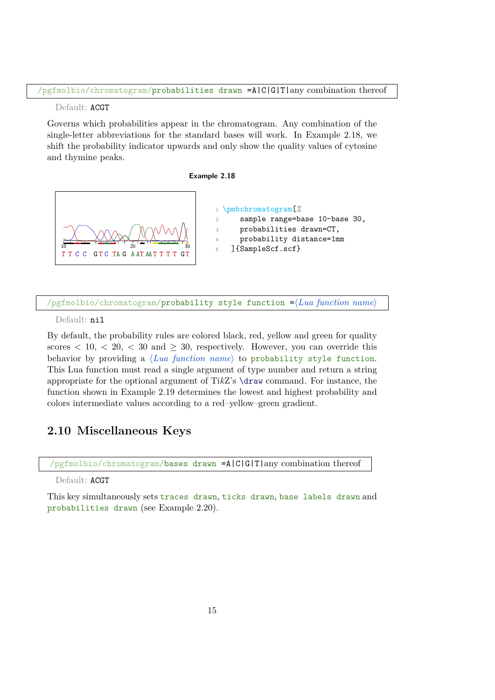#### Default: ACGT

Governs which probabilities appear in the chromatogram. Any combination of the single-letter abbreviations for the standard bases will work. In Example [2.18,](#page-17-1) we shift the probability indicator upwards and only show the quality values of cytosine and thymine peaks.

#### **Example 2.18**

<span id="page-17-1"></span>



 $\gamma$ pgfmolbio/chromatogram/probability style function  $=\langle{Lu}$  function name

Default: nil

By default, the probability rules are colored black, red, yellow and green for quality scores  $\langle 10, \langle 20, \langle 30 \rangle$  and  $\langle 30, \rangle$  respectively. However, you can override this behavior by providing a *(Lua function name)* to probability style function. This Lua function must read a single argument of type number and return a string appropriate for the optional argument of Ti*k*Z's \draw command. For instance, the function shown in Example [2.19](#page-18-0) determines the lowest and highest probability and colors intermediate values according to a red–yellow–green gradient.

# <span id="page-17-0"></span>**2.10 Miscellaneous Keys**

/pgfmolbio/chromatogram/bases drawn =A|C|G|T|any combination thereof

Default: ACGT

This key simultaneously sets traces drawn, ticks drawn, base labels drawn and probabilities drawn (see Example [2.20\)](#page-18-1).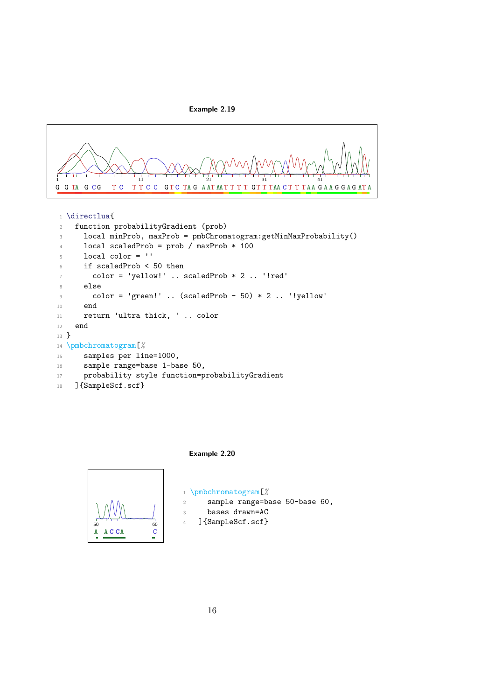

<span id="page-18-0"></span>

1 \directlua{

```
2 function probabilityGradient (prob)
3 local minProb, maxProb = pmbChromatogram:getMinMaxProbability()
4 local scaledProb = prob / maxProb * 100
5 local color = \cdot6 if scaledProb < 50 then
7 \qquad \qquad \text{color} = \text{ 'yellow!'} \quad \text{. scaledProb } * 2 \quad \text{. 'lred'}8 else
9 color = 'green!' .. (scaledProb - 50) * 2 .. '!yellow'
10 end
11 return 'ultra thick, ' .. color
12 end
13 }
14 \pmbchromatogram[%
15 samples per line=1000,
16 sample range=base 1-base 50,
17 probability style function=probabilityGradient
18 ]{SampleScf.scf}
```


<span id="page-18-1"></span>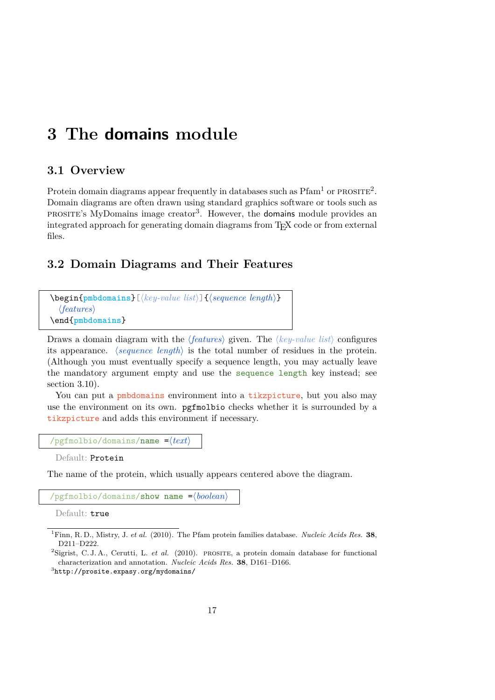# <span id="page-19-0"></span>**3 The domains module**

### <span id="page-19-1"></span>**3.1 Overview**

Protein domain diagrams appear frequently in databases such as  $Pfam<sup>1</sup>$  $Pfam<sup>1</sup>$  $Pfam<sup>1</sup>$  or  $PROSTFE<sup>2</sup>$  $PROSTFE<sup>2</sup>$  $PROSTFE<sup>2</sup>$ . Domain diagrams are often drawn using standard graphics software or tools such as PROSITE's MyDomains image creator<sup>[3](#page-19-5)</sup>. However, the domains module provides an integrated approach for generating domain diagrams from T<sub>EX</sub> code or from external files.

### <span id="page-19-2"></span>**3.2 Domain Diagrams and Their Features**

| $\begin{equation*} \begin{bmatrix} \text{pmbdomains} \end{bmatrix} \begin{bmatrix} \text{key-value list} \end{bmatrix} \begin{bmatrix} \text{sequence length} \end{bmatrix} \end{equation*}$ |  |
|----------------------------------------------------------------------------------------------------------------------------------------------------------------------------------------------|--|
| $\langle features \rangle$                                                                                                                                                                   |  |
| $\end{math}$                                                                                                                                                                                 |  |

Draws a domain diagram with the  $\langle features \rangle$  given. The  $\langle key-value \; list \rangle$  configures its appearance.  $\langle \text{sequence length} \rangle$  is the total number of residues in the protein. (Although you must eventually specify a sequence length, you may actually leave the mandatory argument empty and use the sequence length key instead; see section [3.10\)](#page-45-0).

You can put a pmbdomains environment into a tikzpicture, but you also may use the environment on its own. pgfmolbio checks whether it is surrounded by a tikzpicture and adds this environment if necessary.

```
\gammapgfmolbio/domains/name =\langle text \rangle
```

```
Default: Protein
```
The name of the protein, which usually appears centered above the diagram.

 $\gamma$ pgfmolbio/domains/show name = $\langle boolean \rangle$ 

Default: true

<span id="page-19-5"></span> ${}^{3}$ <http://prosite.expasy.org/mydomains/>

<span id="page-19-3"></span><sup>1</sup>Finn, R. D., Mistry, J. *et al.* (2010). The Pfam protein families database. *Nucleic Acids Res.* **38**, D211–D222.

<span id="page-19-4"></span><sup>&</sup>lt;sup>2</sup>Sigrist, C. J. A., Cerutti, L. *et al.* (2010). PROSITE, a protein domain database for functional characterization and annotation. *Nucleic Acids Res.* **38**, D161–D166.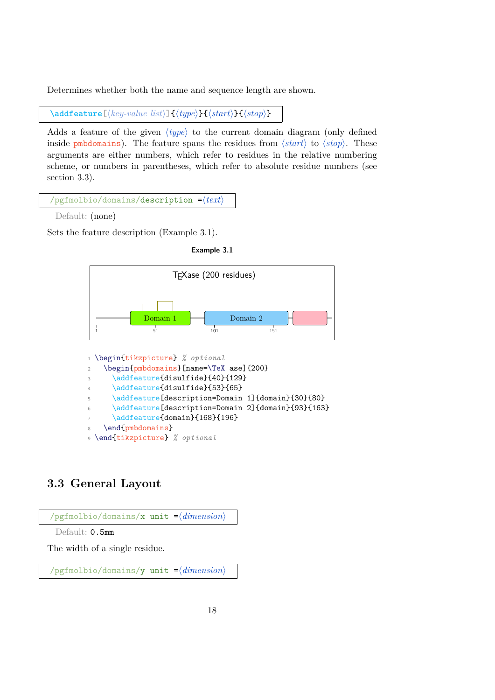Determines whether both the name and sequence length are shown.

 $\{addfeature[\langle key-value\ list\rangle]\{\langle type\rangle\}\{\langle start\rangle\}\{\langle stop\rangle\}$ 

Adds a feature of the given  $\langle type \rangle$  to the current domain diagram (only defined inside pmbdomains). The feature spans the residues from  $\langle start \rangle$  to  $\langle stop \rangle$ . These arguments are either numbers, which refer to residues in the relative numbering scheme, or numbers in parentheses, which refer to absolute residue numbers (see section [3.3\)](#page-20-0).

| $\gamma$ pgfmolbio/domains/description = $\langle text \rangle$ |  |
|-----------------------------------------------------------------|--|
|-----------------------------------------------------------------|--|

Default: (none)

<span id="page-20-1"></span>Sets the feature description (Example [3.1\)](#page-20-1).

| Example 3.1 |  |  |
|-------------|--|--|
|-------------|--|--|



| $\mathcal{A}$ | \addfeature{disulfide}{53}{65}                     |
|---------------|----------------------------------------------------|
| $5 -$         | \addfeature[description=Domain 1]{domain}{30}{80}  |
| 6             | \addfeature[description=Domain 2]{domain}{93}{163} |
| $7^{\circ}$   | \addfeature{domain}{168}{196}                      |
|               | 8 \end{pmbdomains}                                 |

#### <sup>9</sup> \end{tikzpicture} *% optional*

# <span id="page-20-0"></span>**3.3 General Layout**

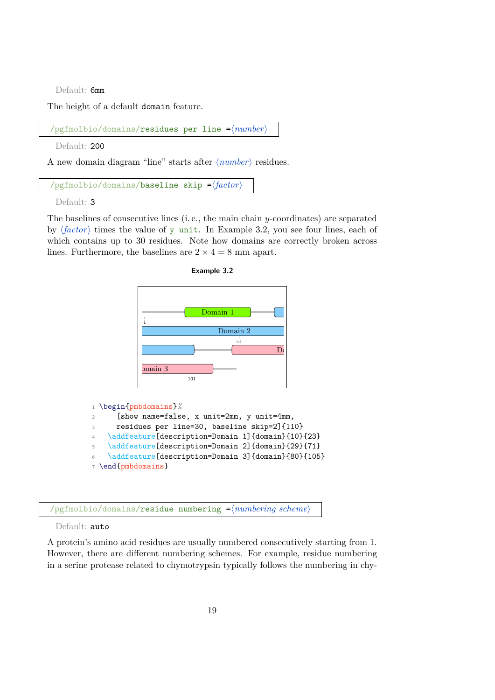Default: 6mm

The height of a default domain feature.

 $\gamma$ pgfmolbio/domains/residues per line = $\langle number \rangle$ 

Default: 200

A new domain diagram "line" starts after  $\langle number \rangle$  residues.

/pgfmolbio/domains/baseline skip = $\langle factor \rangle$ 

<sup>1</sup> \begin{pmbdomains}*%*

<sup>7</sup> \end{pmbdomains}

Default: 3

The baselines of consecutive lines (i. e., the main chain y-coordinates) are separated by  $\langle factor \rangle$  times the value of y unit. In Example [3.2,](#page-21-0) you see four lines, each of which contains up to 30 residues. Note how domains are correctly broken across lines. Furthermore, the baselines are  $2 \times 4 = 8$  mm apart.

<span id="page-21-0"></span>



 $\text{pgrmolbio}/\text{domains}/\text{residue numbering }=\text{pumpering scheme}$ 

<sup>2</sup> [show name=false, x unit=2mm, y unit=4mm,

<sup>3</sup> residues per line=30, baseline skip=2]{110} \addfeature[description=Domain 1]{domain}{10}{23} 5 \addfeature[description=Domain 2]{domain}{29}{71} <sup>6</sup> \addfeature[description=Domain 3]{domain}{80}{105}

Default: auto

A protein's amino acid residues are usually numbered consecutively starting from 1. However, there are different numbering schemes. For example, residue numbering in a serine protease related to chymotrypsin typically follows the numbering in chy-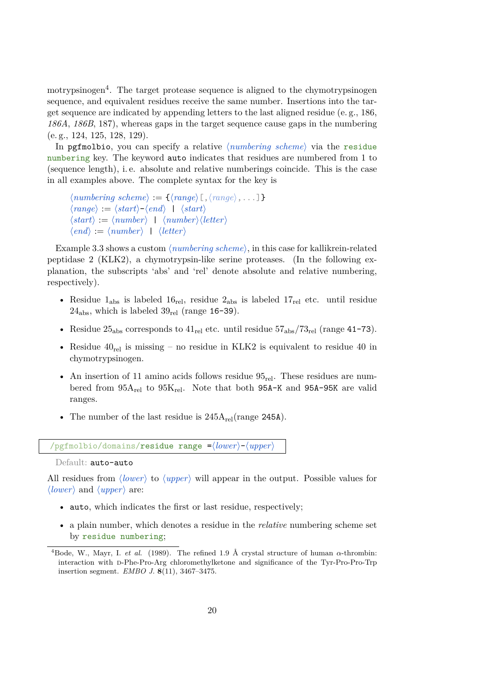motrypsinogen<sup>[4](#page-22-0)</sup>. The target protease sequence is aligned to the chymotrypsinogen sequence, and equivalent residues receive the same number. Insertions into the target sequence are indicated by appending letters to the last aligned residue (e. g., 186, *186A*, *186B*, 187), whereas gaps in the target sequence cause gaps in the numbering (e. g., 124, 125, 128, 129).

In pgfmolbio, you can specify a relative  $\langle \textit{numbering scheme} \rangle$  via the residue numbering key. The keyword auto indicates that residues are numbered from 1 to (sequence length), i. e. absolute and relative numberings coincide. This is the case in all examples above. The complete syntax for the key is

```
\langle \textit{numbering scheme} \rangle := \{ \langle \textit{range} \rangle | \langle \textit{range} \rangle, \ldots \} \}\langle range \rangle := \langle start \rangle - \langle end \rangle + \langle start \rangle\langle start \rangle := \langle number \rangle + \langle number \rangle \langle letter \rangle\langle end \rangle := \langle number \rangle | \langle letter \rangle
```
Example [3.3](#page-23-0) shows a custom  $\langle \textit{numbering scheme} \rangle$ , in this case for kallikrein-related peptidase 2 (KLK2), a chymotrypsin-like serine proteases. (In the following explanation, the subscripts 'abs' and 'rel' denote absolute and relative numbering, respectively).

- Residue  $1_{\text{abs}}$  is labeled  $16_{\text{rel}}$ , residue  $2_{\text{abs}}$  is labeled  $17_{\text{rel}}$  etc. until residue  $24<sub>abs</sub>$ , which is labeled  $39<sub>rel</sub>$  (range 16-39).
- Residue  $25_{\rm abs}$  corresponds to  $41_{\rm rel}$  etc. until residue  $57_{\rm abs}/73_{\rm rel}$  (range 41-73).
- Residue  $40_{rel}$  is missing no residue in KLK2 is equivalent to residue 40 in chymotrypsinogen.
- An insertion of 11 amino acids follows residue  $95_{\text{rel}}$ . These residues are numbered from  $95A_{rel}$  to  $95K_{rel}$ . Note that both  $95A-K$  and  $95A-95K$  are valid ranges.
- The number of the last residue is  $245A_{rel}(range 245A)$ .

 $\gamma$ pgfmolbio/domains/residue range = $\langle lower \rangle$ - $\langle upper \rangle$ 

Default: auto-auto

All residues from *(lower)* to *(upper)* will appear in the output. Possible values for  $\langle lower\rangle$  and  $\langle upper\rangle$  are:

- auto, which indicates the first or last residue, respectively;
- a plain number, which denotes a residue in the *relative* numbering scheme set by residue numbering;

<span id="page-22-0"></span><sup>&</sup>lt;sup>4</sup>Bode, W., Mayr, I. *et al.* (1989). The refined 1.9 Å crystal structure of human  $\alpha$ -thrombin: interaction with d-Phe-Pro-Arg chloromethylketone and significance of the Tyr-Pro-Pro-Trp insertion segment. *EMBO J.* **8**(11), 3467–3475.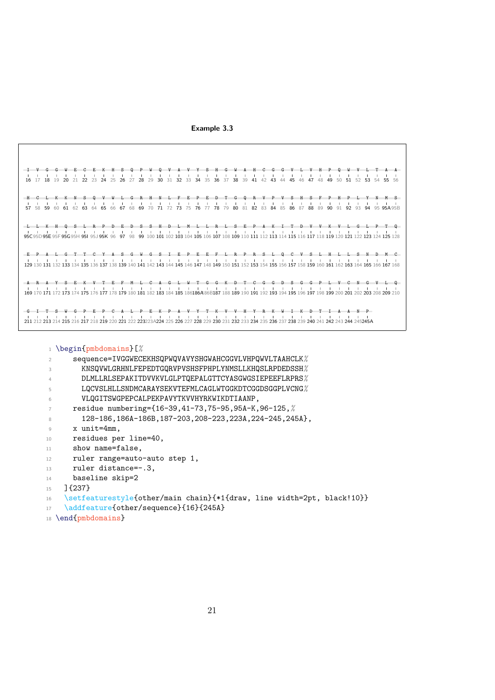<span id="page-23-0"></span>**Example 3.3**

<sup>1</sup> \begin{pmbdomains}[*%*

```
2 sequence=IVGGWECEKHSQPWQVAVYSHGWAHCGGVLVHPQWVLTAAHCLK%
3 KNSQVWLGRHNLFEPEDTGQRVPVSHSFPHPLYNMSLLKHQSLRPDEDSSH%
4 DLMLLRLSEPAKITDVVKVLGLPTQEPALGTTCYASGWGSIEPEEFLRPRS%
5 LQCVSLHLLSNDMCARAYSEKVTEFMLCAGLWTGGKDTCGGDSGGPLVCNG%
6 VLQGITSWGPEPCALPEKPAVYTKVVHYRKWIKDTIAANP,
7 residue numbering={16-39,41-73,75-95,95A-K,96-125,%
8 128-186,186A-186B,187-203,208-223,223A,224-245,245A},
9 x unit=4mm,
10 residues per line=40,
11 show name=false,
12 ruler range=auto-auto step 1,
13 ruler distance=-.3,
14 baseline skip=2
```
<sup>15</sup> ]{237}

```
16 \setfeaturestyle{other/main chain}{*1{draw, line width=2pt, black!10}}
```

```
17 \addfeature{other/sequence}{16}{245A}
```

```
18 \end{pmbdomains}
```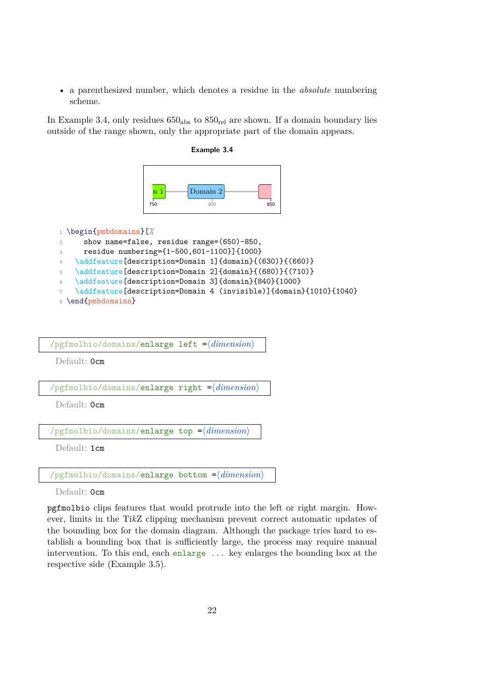• a parenthesized number, which denotes a residue in the *absolute* numbering scheme.

<span id="page-24-0"></span>In Example [3.4,](#page-24-0) only residues  $650<sub>abs</sub>$  to  $850<sub>rel</sub>$  are shown. If a domain boundary lies outside of the range shown, only the appropriate part of the domain appears.

**Example 3.4**



```
1 \begin{pmbdomains}[%
2 show name=false, residue range=(650)-850,
3 residue numbering={1-500,601-1100}]{1000}
4 \addfeature[description=Domain 1]{domain}{(630)}{(660)}
5 \addfeature[description=Domain 2]{domain}{(680)}{(710)}
6 \addfeature[description=Domain 3]{domain}{840}{1000}
   \addfeature[description=Domain 4 (invisible)]{domain}{1010}{1040}
8 \end{pmbdomains}
```

| /pgfmolbio/domains/enlarge left $=\langle dimension \rangle$     |
|------------------------------------------------------------------|
| Default: Ocm                                                     |
|                                                                  |
| /pgfmolbio/domains/enlarge right $=$ $\langle dimension \rangle$ |
| Default: Ocm                                                     |
|                                                                  |
| /pgfmolbio/domains/enlarge top $=\langle dimension \rangle$      |
| Default: 1cm                                                     |

 $\gamma$ pgfmolbio/domains/enlarge bottom = $\langle$ *dimension*)

Default: Ocm

pgfmolbio clips features that would protrude into the left or right margin. However, limits in the Ti*k*Z clipping mechanism prevent correct automatic updates of the bounding box for the domain diagram. Although the package tries hard to establish a bounding box that is sufficiently large, the process may require manual intervention. To this end, each enlarge ... key enlarges the bounding box at the respective side (Example [3.5\)](#page-25-1).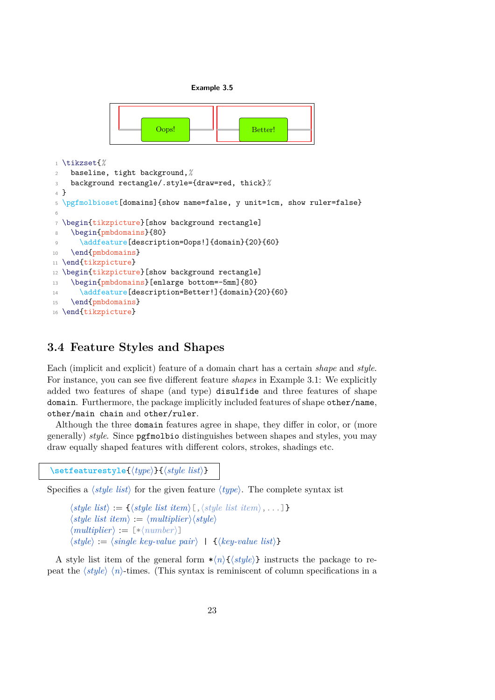**Example 3.5**

<span id="page-25-1"></span>

## <span id="page-25-0"></span>**3.4 Feature Styles and Shapes**

Each (implicit and explicit) feature of a domain chart has a certain *shape* and *style*. For instance, you can see five different feature *shapes* in Example [3.1:](#page-20-1) We explicitly added two features of shape (and type) disulfide and three features of shape domain. Furthermore, the package implicitly included features of shape other/name, other/main chain and other/ruler.

Although the three domain features agree in shape, they differ in color, or (more generally) *style*. Since pgfmolbio distinguishes between shapes and styles, you may draw equally shaped features with different colors, strokes, shadings etc.

 $\setminus$ setfeaturestyle $\{ \langle type \rangle\}$  $\{ \langle style \; list \rangle\}$ 

Specifies a  $\langle style\; list \rangle$  for the given feature  $\langle type \rangle$ . The complete syntax ist

```
\langle style\; list \rangle := \{\langle style\; list \rangle, \langle style\; list \; item \rangle, \ldots] \}\langle style| \text{ist} ifem\rangle := \langle multiplier \rangle \langle style| \rangle\langle multiplier \rangle := [\ast \langle number \rangle]\langle style\rangle := \langle single\ key-value\ pair\rangle + \{\langle key-value\ list\rangle\}
```
A style list item of the general form  $\star\langle n\rangle\{\langle style\rangle\}$  instructs the package to repeat the  $\langle style\rangle \langle n \rangle$ -times. (This syntax is reminiscent of column specifications in a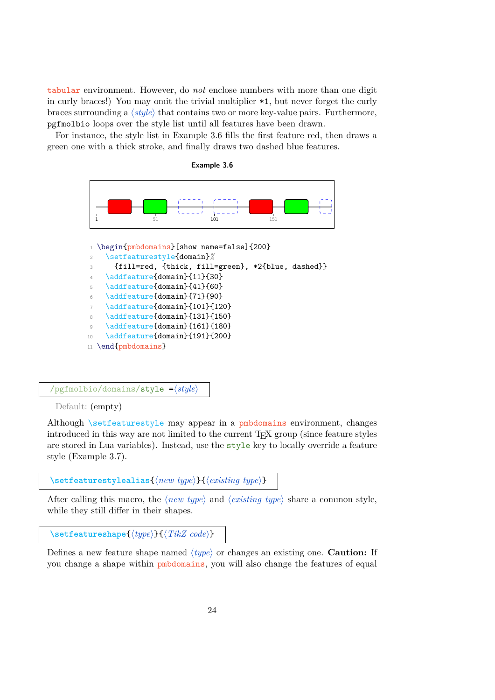tabular environment. However, do *not* enclose numbers with more than one digit in curly braces!) You may omit the trivial multiplier \*1, but never forget the curly braces surrounding a  $\langle style \rangle$  that contains two or more key-value pairs. Furthermore, pgfmolbio loops over the style list until all features have been drawn.

<span id="page-26-0"></span>For instance, the style list in Example [3.6](#page-26-0) fills the first feature red, then draws a green one with a thick stroke, and finally draws two dashed blue features.





#### $\gamma$ pgfmolbio/domains/style = $\langle style \rangle$

Default: (empty)

Although \setfeaturestyle may appear in a pmbdomains environment, changes introduced in this way are not limited to the current TEX group (since feature styles are stored in Lua variables). Instead, use the style key to locally override a feature style (Example [3.7\)](#page-27-0).

[\setfeaturestylealias](#page-80-0){\*new type*}}{\\text{*existing type*}}

After calling this macro, the  $\langle new\ type\rangle$  and  $\langle existing\ type\rangle$  share a common style, while they still differ in their shapes.

[\setfeatureshape](#page-79-1){ $\langle type \rangle$ }{ $\langle TikZ \ code \rangle$ }

Defines a new feature shape named h*type*i or changes an existing one. **Caution:** If you change a shape within pmbdomains, you will also change the features of equal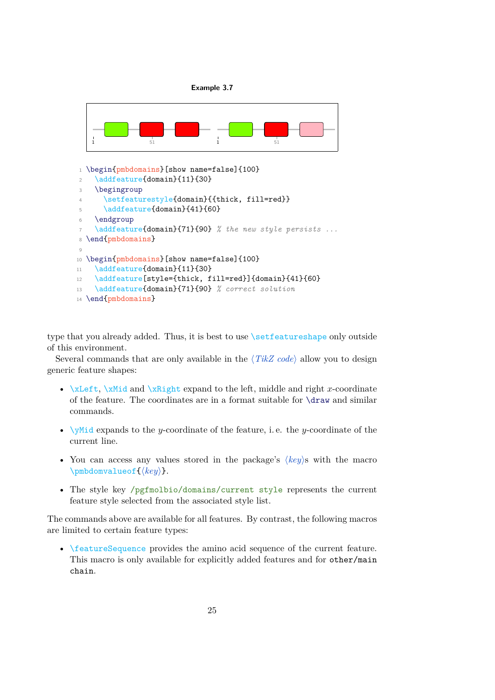

<span id="page-27-0"></span>

type that you already added. Thus, it is best to use *\setfeatureshape* only outside of this environment.

Several commands that are only available in the  $\langle TikZ \text{ code} \rangle$  allow you to design generic feature shapes:

- $xLeft, \xMid and \xRight expand to the left, middle and right x-coordinate$ of the feature. The coordinates are in a format suitable for \draw and similar commands.
- $\sqrt{yM}$ id expands to the y-coordinate of the feature, i.e. the y-coordinate of the current line.
- You can access any values stored in the package's  $\langle key \rangle$ s with the macro \pmbdomvalueof{ $\langle key \rangle$  }.
- The style key /pgfmolbio/domains/current style represents the current feature style selected from the associated style list.

The commands above are available for all features. By contrast, the following macros are limited to certain feature types:

• \featureSequence provides the amino acid sequence of the current feature. This macro is only available for explicitly added features and for other/main chain.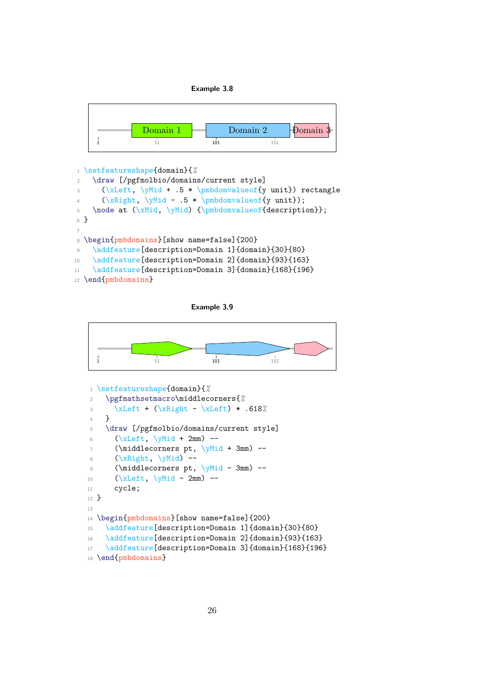**Example 3.8**

<span id="page-28-0"></span>

```
1 \setfeatureshape{domain}{%
2 \draw [/pgfmolbio/domains/current style]
3 (\xLeft, \yMid + .5 * \pmbdomvalueof{y unit}) rectangle
4 (\xRight, \yMid - .5 * \pmb{d} must);5 \node at (\xMid, \yMid) {\pmbdomvalueof{description}};
6 }
7
8 \begin{pmbdomains}[show name=false]{200}
9 \addfeature[description=Domain 1]{domain}{30}{80}
10 \addfeature[description=Domain 2]{domain}{93}{163}
11 \addfeature[description=Domain 3]{domain}{168}{196}
12 \end{pmbdomains}
```
**Example 3.9**

<span id="page-28-1"></span>

```
1 \setfeatureshape{domain}{%
2 \pgfmathsetmacro\middlecorners{%
3 \xLeft + (\xRight - \xLeft) * .618%
4 }
5 \draw [/pgfmolbio/domains/current style]
6 (\xLeft, \ymid + 2mm) --
7 (\middlecorners pt, \yMid + 3mm) --
8 (\xkif) -\infty9 (\middlecorners pt, \yMid - 3mm) --
10 (\xLeft, \forall \text{Mid} - 2mm) --
11 cycle;
12 }
13
14 \begin{pmbdomains}[show name=false]{200}
15 \addfeature[description=Domain 1]{domain}{30}{80}
16 \addfeature[description=Domain 2]{domain}{93}{163}
17 \addfeature[description=Domain 3]{domain}{168}{196}
18 \end{pmbdomains}
```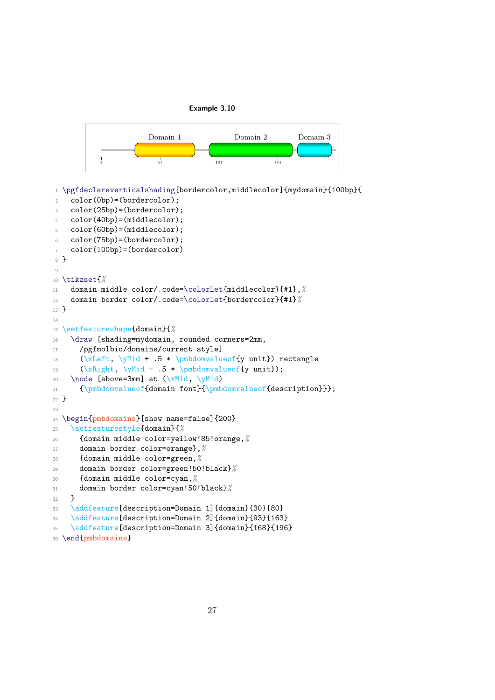

<span id="page-29-0"></span>

```
1 \pgfdeclareverticalshading[bordercolor,middlecolor]{mydomain}{100bp}{
    color(0bp)=(bordercolor);
3 color(25bp)=(bordercolor);
4 color(40bp)=(middlecolor);
5 color(60bp)=(middlecolor);
6 color(75bp)=(bordercolor);
7 color(100bp)=(bordercolor)
8 }
9
10 \tikzset{%
11 domain middle color/.code=\colorlet{middlecolor}{#1},%
12 domain border color/.code=\colorlet{bordercolor}{#1}%
13 }
14
15 \setfeatureshape{domain}{%
16 \draw [shading=mydomain, rounded corners=2mm,
17 /pgfmolbio/domains/current style]
18 (\xLeft, \yMid + .5 * \pmbdomvalueof{y unit}) rectangle
19 (\xRight, \yMid - .5 * \pmbdomvalueof{y unit});
20 \node [above=3mm] at (\xMid, \yMid)21 {\pmbdomvalueof{domain font}{\pmbdomvalueof{description}}};
22 }
2324 \begin{pmbdomains}[show name=false]{200}
25 \setfeaturestyle{domain}{%
26 {domain middle color=yellow!85!orange,%
27 domain border color=orange},%
28 {domain middle color=green,%
29 domain border color=green!50!black}%
30 {domain middle color=cyan,%
31 domain border color=cyan!50!black}%
32 \quad \lambda33 \addfeature[description=Domain 1]{domain}{30}{80}
34 \addfeature[description=Domain 2]{domain}{93}{163}
35 \addfeature[description=Domain 3]{domain}{168}{196}
36 \end{pmbdomains}
```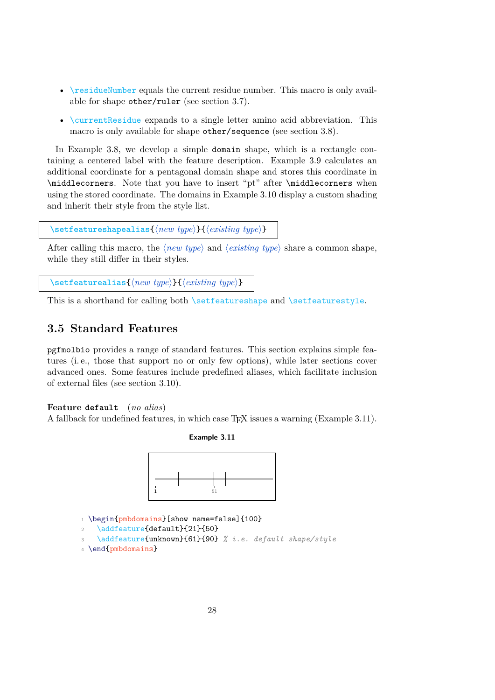- \residueNumber equals the current residue number. This macro is only available for shape other/ruler (see section [3.7\)](#page-35-0).
- \currentResidue expands to a single letter amino acid abbreviation. This macro is only available for shape other/sequence (see section [3.8\)](#page-36-0).

In Example [3.8,](#page-28-0) we develop a simple domain shape, which is a rectangle containing a centered label with the feature description. Example [3.9](#page-28-1) calculates an additional coordinate for a pentagonal domain shape and stores this coordinate in \middlecorners. Note that you have to insert "pt" after \middlecorners when using the stored coordinate. The domains in Example [3.10](#page-29-0) display a custom shading and inherit their style from the style list.

```
\setfeatureshapealias{\new type}}{\\existing type}}
```
After calling this macro, the  $\langle new\ type\rangle$  and  $\langle existing\ type\rangle$  share a common shape, while they still differ in their styles.

```
\setminussetfeaturealias\{(new type)}\{(existing type)}
```
This is a shorthand for calling both \setfeatureshape and \setfeaturestyle.

### <span id="page-30-0"></span>**3.5 Standard Features**

pgfmolbio provides a range of standard features. This section explains simple features (i. e., those that support no or only few options), while later sections cover advanced ones. Some features include predefined aliases, which facilitate inclusion of external files (see section [3.10\)](#page-45-0).

### **Feature default** (*no alias*)

<span id="page-30-1"></span>A fallback for undefined features, in which case TEX issues a warning (Example [3.11\)](#page-30-1).

**Example 3.11**



1 \begin{pmbdomains}[show name=false]{100}

```
\addfeature{default}{21}{50}
```

```
3 \addfeature{unknown}{61}{90} % i.e. default shape/style
```

```
4 \end{pmbdomains}
```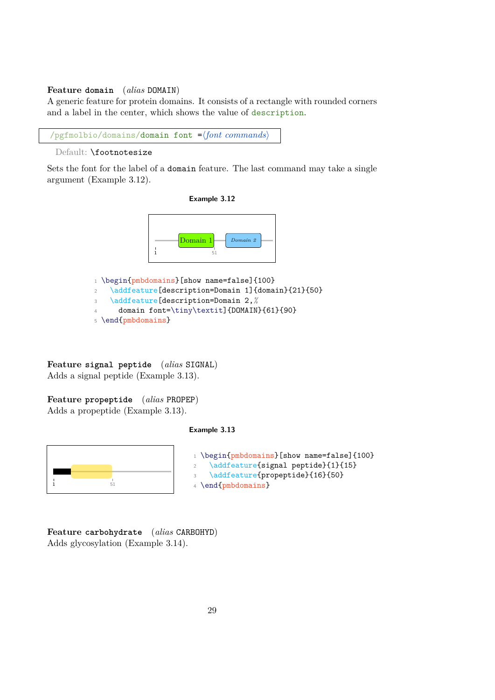#### **Feature domain** (*alias* DOMAIN)

A generic feature for protein domains. It consists of a rectangle with rounded corners and a label in the center, which shows the value of description.

/pgfmolbio/domains/domain font =\font commands\

```
Default: \footnotesize
```
<span id="page-31-0"></span>Sets the font for the label of a domain feature. The last command may take a single argument (Example [3.12\)](#page-31-0).





1 \begin{pmbdomains}[show name=false]{100} 2 \addfeature[description=Domain 1]{domain}{21}{50} <sup>3</sup> \addfeature[description=Domain 2,*%* domain font=\tiny\textit]{DOMAIN}{61}{90} <sup>5</sup> \end{pmbdomains}

**Feature signal peptide** (*alias* SIGNAL) Adds a signal peptide (Example [3.13\)](#page-31-1).

<span id="page-31-1"></span>**Feature propeptide** (*alias* PROPEP) Adds a propeptide (Example [3.13\)](#page-31-1).

#### **Example 3.13**



 $_1$  \begin{pmbdomains}[show name=false]{100} 2 \addfeature{signal peptide}{1}{15} 3 \addfeature{propeptide}{16}{50} <sup>4</sup> \end{pmbdomains}

**Feature carbohydrate** (*alias* CARBOHYD) Adds glycosylation (Example [3.14\)](#page-32-1).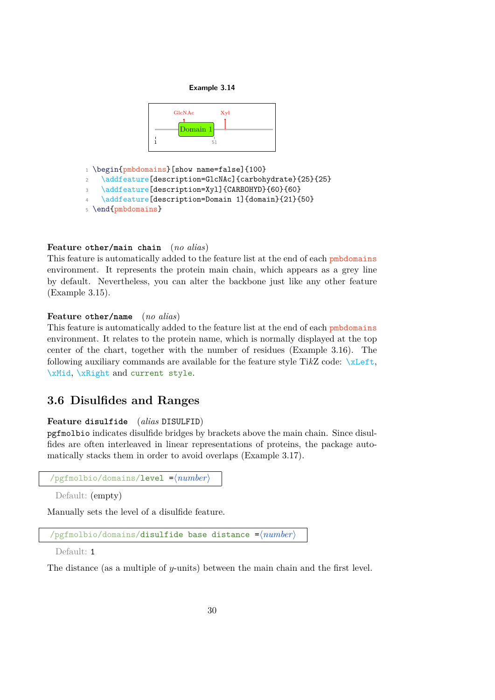

<span id="page-32-1"></span>

1 \begin{pmbdomains}[show name=false]{100}

```
\addfeature[description=GlcNAc]{carbohydrate}{25}{25}
```
- 3 \addfeature[description=Xyl]{CARBOHYD}{60}{60}
- \addfeature[description=Domain 1]{domain}{21}{50}
- <sup>5</sup> \end{pmbdomains}

### **Feature other/main chain** (*no alias*)

This feature is automatically added to the feature list at the end of each pmbdomains environment. It represents the protein main chain, which appears as a grey line by default. Nevertheless, you can alter the backbone just like any other feature (Example [3.15\)](#page-33-0).

### **Feature other/name** (*no alias*)

This feature is automatically added to the feature list at the end of each pmbdomains environment. It relates to the protein name, which is normally displayed at the top center of the chart, together with the number of residues (Example [3.16\)](#page-33-1). The following auxiliary commands are available for the feature style Ti*k*Z code: \xLeft, \xMid, \xRight and current style.

### <span id="page-32-0"></span>**3.6 Disulfides and Ranges**

### **Feature disulfide** (*alias* DISULFID)

pgfmolbio indicates disulfide bridges by brackets above the main chain. Since disulfides are often interleaved in linear representations of proteins, the package automatically stacks them in order to avoid overlaps (Example [3.17\)](#page-34-0).

```
/pgfmolbio/domains/level =\langle number \rangle
```
Default: (empty)

Manually sets the level of a disulfide feature.

```
/pgfmolbio/domains/disulfide base distance = \langle number \rangle
```
Default: 1

The distance (as a multiple of y-units) between the main chain and the first level.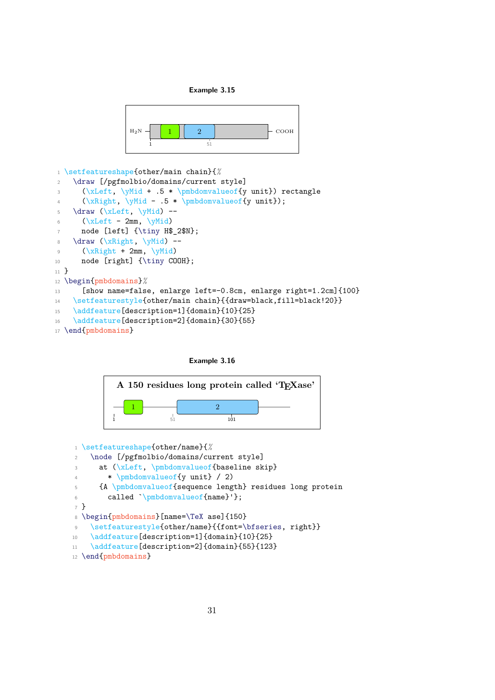

<span id="page-33-0"></span>

```
1 \setfeatureshape{other/main chain}{%
2 \draw [/pgfmolbio/domains/current style]
3 (\xLeft, \yMid + .5 * \pmbdomvalueof{y unit}) rectangle
4 (\xRight, \yMid - .5 * \pmbdomvalueof{y unit});
5 \draw (\xLeft, \yMid) --
6 (\chiLeft - 2mm, \gammaMid)
      node [left] {\tiny H$_2$N};
8 \dagger (xRight, \yMid) --
9 (\xrightarrow{kRight + 2mm, \yMid})10 node [right] {\tiny COOH};
11 }
12 \begin{pmbdomains}%
13 [show name=false, enlarge left=-0.8cm, enlarge right=1.2cm]{100}
14 \setfeaturestyle{other/main chain}{{draw=black,fill=black!20}}
15 \addfeature[description=1]{domain}{10}{25}
16 \addfeature[description=2]{domain}{30}{55}
17 \end{pmbdomains}
```


<span id="page-33-1"></span>

```
1 \setfeatureshape{other/name}{%
2 \node [/pgfmolbio/domains/current style]
3 at (\xLeft, \phi) at \left( \frac{\alpha}{\alpha} \right)4 * \pmbdomvalueof{y unit} / 2)
5 {A \pmbdomvalueof{sequence length} residues long protein
6 called `\pmbdomvalueof{name}'};
7 }
8 \begin{pmbdomains}[name=\TeX ase]{150}
9 \setfeaturestyle{other/name}{{font=\bfseries, right}}
10 \addfeature[description=1]{domain}{10}{25}
11 \addfeature[description=2]{domain}{55}{123}
12 \end{pmbdomains}
```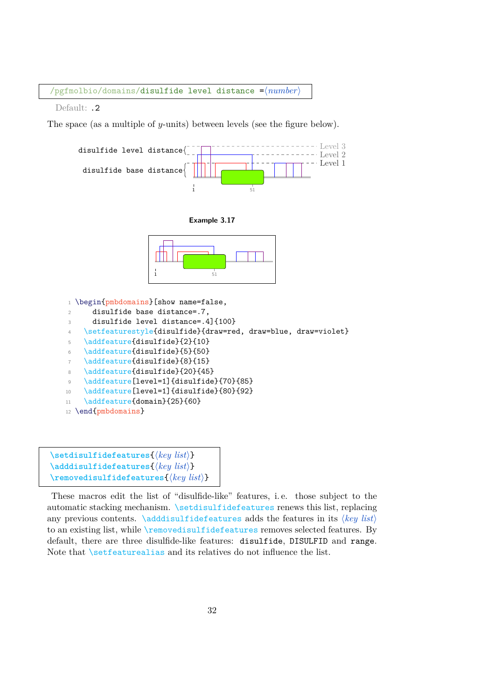$\sqrt{p}$ gfmolbio/domains/disulfide level distance = $\sqrt{n}$ umber)

Default: .2

The space (as a multiple of y-units) between levels (see the figure below).

<span id="page-34-0"></span>

- 10 \addfeature[level=1]{disulfide}{80}{92}
- 11 \addfeature{domain}{25}{60}

```
12 \end{pmbdomains}
```

```
\setminussetdisulfidefeatures\{\langle key\ list \rangle\}\Diamondadddisulfidefeatures\{ \langle key \; list \rangle \}\text{reproved} is \text{uIf} \text{idef} \text{exists} \{ \langle key \text{ list} \rangle \}
```
These macros edit the list of "disulfide-like" features, i. e. those subject to the automatic stacking mechanism. \setdisulfidefeatures renews this list, replacing any previous contents.  $\addi$  sulfidefeatures adds the features in its  $\langle key \; list \rangle$ to an existing list, while \removedisulfidefeatures removes selected features. By default, there are three disulfide-like features: disulfide, DISULFID and range. Note that *setfeaturealias* and its relatives do not influence the list.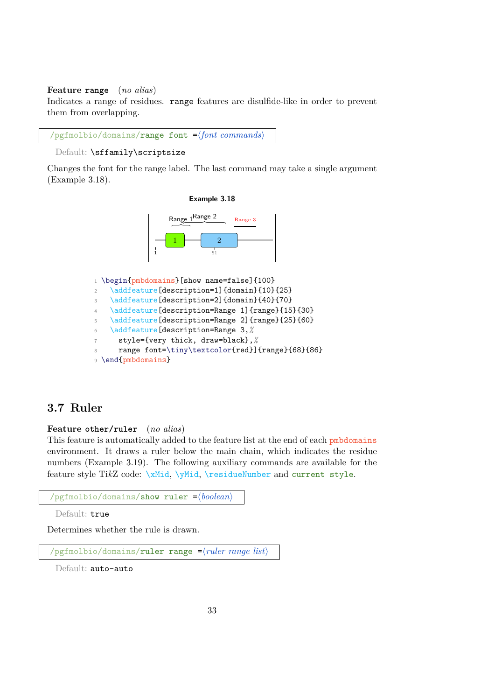#### **Feature range** (*no alias*)

Indicates a range of residues. range features are disulfide-like in order to prevent them from overlapping.

```
\gammapgfmolbio/domains/range font =\{font\ common\}
```

```
Default: \sffamily\scriptsize
```
<span id="page-35-1"></span>Changes the font for the range label. The last command may take a single argument (Example [3.18\)](#page-35-1).





1 \begin{pmbdomains}[show name=false]{100} 2 \addfeature[description=1]{domain}{10}{25} \addfeature[description=2]{domain}{40}{70} \addfeature[description=Range 1]{range}{15}{30} 5 \addfeature[description=Range 2]{range}{25}{60} \addfeature[description=Range 3,*%* style={very thick, draw=black},*%* range font=\tiny\textcolor{red}]{range}{68}{86} \end{pmbdomains}

## <span id="page-35-0"></span>**3.7 Ruler**

#### **Feature other/ruler** (*no alias*)

This feature is automatically added to the feature list at the end of each pmbdomains environment. It draws a ruler below the main chain, which indicates the residue numbers (Example [3.19\)](#page-37-0). The following auxiliary commands are available for the feature style TikZ code: \xMid, \yMid, \residueNumber and current style.

```
\gammapgfmolbio/domains/show ruler =\langle boolean \rangle
```
Default: true

Determines whether the rule is drawn.

 $\gamma$ pgfmolbio/domains/ruler range = $\langle \text{ruler range } \text{list} \rangle$ 

Default: auto-auto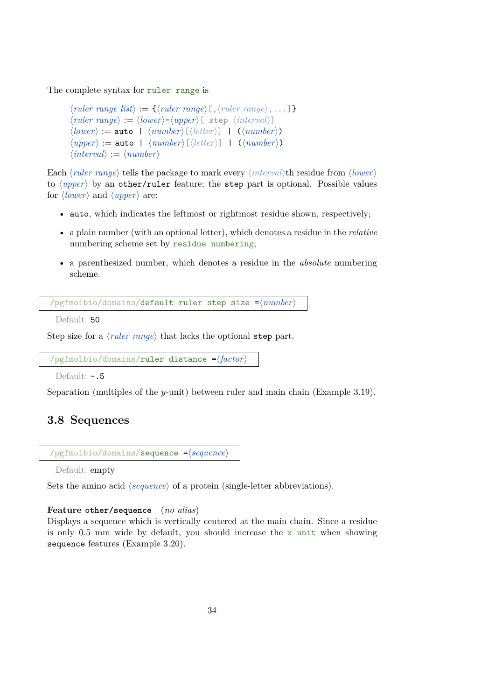The complete syntax for ruler range is

```
\langle \textit{ruler range list} \rangle := \{ \langle \textit{ruler range} \rangle \, [\,,\, \langle \textit{ruler range} \rangle \,,\ldots] \}\langle ruler range\rangle := \langle lower\rangle - \langle upper\rangle [ step \langle interval\rangle]
\langle lower \rangle := \texttt{auto} \mid \langle number \rangle[\langle letter \rangle] \mid (\langle number \rangle)\langle upper \rangle := \text{auto } | \langle number \rangle[\langle letter \rangle] | \langle (number \rangle)\langle interval \rangle := \langle number \rangle
```
Each  $\langle ruler\ range\rangle$  tells the package to mark every  $\langle interval\rangle$ th residue from  $\langle lower\rangle$ to  $\langle upper \rangle$  by an other/ruler feature; the step part is optional. Possible values for  $\langle lower \rangle$  and  $\langle upper \rangle$  are:

- auto, which indicates the leftmost or rightmost residue shown, respectively;
- a plain number (with an optional letter), which denotes a residue in the *relative* numbering scheme set by residue numbering;
- a parenthesized number, which denotes a residue in the *absolute* numbering scheme.

 $\sqrt{p}$ gfmolbio/domains/default ruler step size = $\sqrt{number}$ 

Default: 50

Step size for a  $\langle ruler\ range\rangle$  that lacks the optional step part.

```
/pgfmolbio/domains/ruler distance =\langle factor \rangle
```
Default: -.5

Separation (multiples of the y-unit) between ruler and main chain (Example [3.19\)](#page-37-0).

# **3.8 Sequences**

```
/pgfmolbio/domains/sequence = \langle sequence\rangle
```
Default: empty

Sets the amino acid *(sequence)* of a protein (single-letter abbreviations).

## **Feature other/sequence** (*no alias*)

Displays a sequence which is vertically centered at the main chain. Since a residue is only 0.5 mm wide by default, you should increase the x unit when showing sequence features (Example [3.20\)](#page-37-1).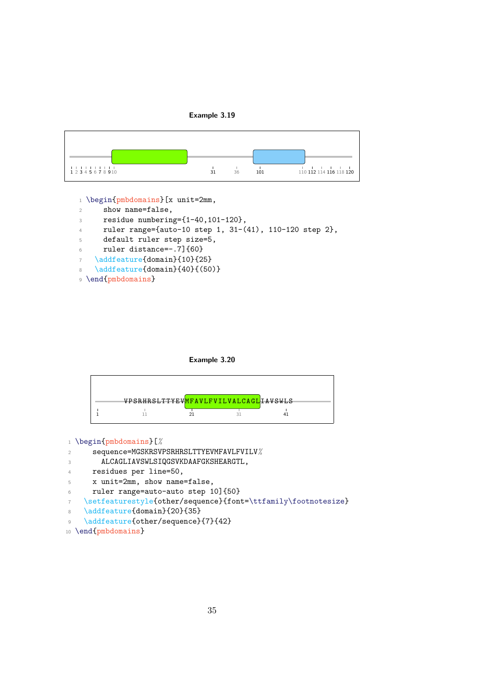

<span id="page-37-0"></span>

1 \begin{pmbdomains}[x unit=2mm,

- <sup>2</sup> show name=false,
- <sup>3</sup> residue numbering={1-40,101-120},
- <sup>4</sup> ruler range={auto-10 step 1, 31-(41), 110-120 step 2},
- <sup>5</sup> default ruler step size=5,
- <sup>6</sup> ruler distance=-.7]{60}
- 7 \addfeature{domain}{10}{25}
- 8 \addfeature{domain}{40}{(50)}
- <sup>9</sup> \end{pmbdomains}



<span id="page-37-1"></span>

<sup>1</sup> \begin{pmbdomains}[*%*

- <sup>2</sup> sequence=MGSKRSVPSRHRSLTTYEVMFAVLFVILV*%*
- 3 ALCAGLIAVSWLSIQGSVKDAAFGKSHEARGTL,
- <sup>4</sup> residues per line=50,
- <sup>5</sup> x unit=2mm, show name=false,
- <sup>6</sup> ruler range=auto-auto step 10]{50}
- <sup>7</sup> \setfeaturestyle{other/sequence}{font=\ttfamily\footnotesize}
- 8 \addfeature{domain}{20}{35}
- 9 \addfeature{other/sequence}{7}{42}

```
10 \end{pmbdomains}
```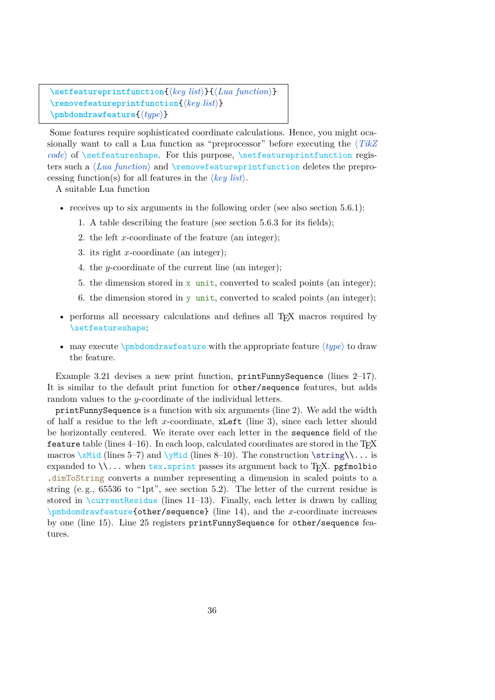```
\setfeatureprintfunction{(key list)}{(Lua function)}
\removefeatureprintfunction{\langle key\ list \rangle}
\pmbdomdrawfeature{\langle \text{type} \rangle}
```
Some features require sophisticated coordinate calculations. Hence, you might ocasionally want to call a Lua function as "preprocessor" before executing the  $\langle TikZ \rangle$ *code*) of \setfeatureshape. For this purpose, \setfeatureprintfunction registers such a  $\langle Luafunction \rangle$  and  $\Upsilon$  remove feature printfunction deletes the preprocessing function(s) for all features in the  $\langle key \; list \rangle$ .

A suitable Lua function

- receives up to six arguments in the following order (see also section  $5.6.1$ ):
	- 1. A table describing the feature (see section [5.6.3](#page-104-0) for its fields);
	- 2. the left x-coordinate of the feature (an integer);
	- 3. its right x-coordinate (an integer);
	- 4. the y-coordinate of the current line (an integer);
	- 5. the dimension stored in x unit, converted to scaled points (an integer);
	- 6. the dimension stored in y unit, converted to scaled points (an integer);
- performs all necessary calculations and defines all T<sub>EX</sub> macros required by \setfeatureshape;
- may execute  $\mathcal{u}$  and  $\mathcal{u}$  is drawn  $\mathcal{u}$  to drawn  $\mathcal{u}$  to drawn  $\mathcal{u}$  to drawn  $\mathcal{u}$ the feature.

Example [3.21](#page-39-0) devises a new print function, printFunnySequence (lines 2–17). It is similar to the default print function for other/sequence features, but adds random values to the y-coordinate of the individual letters.

printFunnySequence is a function with six arguments (line 2). We add the width of half a residue to the left x-coordinate,  $xLeft$  (line 3), since each letter should be horizontally centered. We iterate over each letter in the sequence field of the feature table (lines  $4-16$ ). In each loop, calculated coordinates are stored in the T<sub>E</sub>X macros  $xMid$  (lines 5–7) and  $yMid$  (lines 8–10). The construction  $\strut \text{string} \ldots$  is expanded to  $\lambda$ ... when tex.sprint passes its argument back to T<sub>E</sub>X. pgfmolbio .dimToString converts a number representing a dimension in scaled points to a string (e. g., 65536 to "1pt", see section [5.2\)](#page-54-0). The letter of the current residue is stored in  $\text{currentResidue}$  (lines 11–13). Finally, each letter is drawn by calling \pmbdomdrawfeature{other/sequence} (line 14), and the x-coordinate increases by one (line 15). Line 25 registers printFunnySequence for other/sequence features.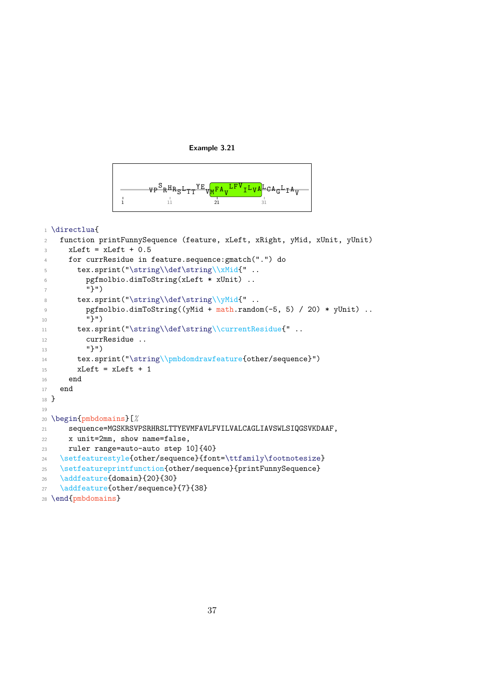

<span id="page-39-0"></span>

```
1 \directlua{
2 function printFunnySequence (feature, xLeft, xRight, yMid, xUnit, yUnit)
xLeft = xLeft + 0.54 for currResidue in feature.sequence:gmatch(".") do
5 tex.sprint("\string\\def\string\\xMid{" ..
6 pgfmolbio.dimToString(xLeft * xUnit) ..
7 "}")
8 tex.sprint("\string\\def\string\\yMid{" ..
9 pgfmolbio.dimToString((yMid + math.random(-5, 5) / 20) * yUnit) ..
10 "}")
11 tex.sprint("\string\\def\string\\currentResidue{" ..
12 currResidue ..
13 "}")
14 tex.sprint("\string\\pmbdomdrawfeature{other/sequence}")
15 xLeft = xLeft + 1
16 end
17 end
18 }
19
20 \begin{pmbdomains}[%
21 sequence=MGSKRSVPSRHRSLTTYEVMFAVLFVILVALCAGLIAVSWLSIQGSVKDAAF,
22 x unit=2mm, show name=false,
23 ruler range=auto-auto step 10]{40}
24 \verb|\setfeatures| of other/sequence} {font=\tt{family} footnotesize}25 \setfeatureprintfunction{other/sequence}{printFunnySequence}
26 \addfeature{domain}{20}{30}
27 \addfeature{other/sequence}{7}{38}
28 \end{pmbdomains}
```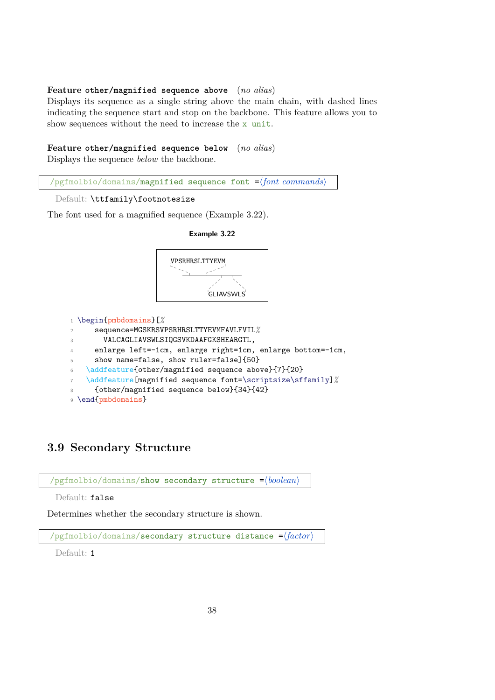### **Feature other/magnified sequence above** (*no alias*)

Displays its sequence as a single string above the main chain, with dashed lines indicating the sequence start and stop on the backbone. This feature allows you to show sequences without the need to increase the  $x$  unit.

### **Feature other/magnified sequence below** (*no alias*)

Displays the sequence *below* the backbone.



Default: \ttfamily\footnotesize

The font used for a magnified sequence (Example [3.22\)](#page-40-0).

<span id="page-40-0"></span>

# **3.9 Secondary Structure**



Determines whether the secondary structure is shown.

 $\gamma$ pgfmolbio/domains/**secondary structure distance =** $\langle factor \rangle$ 

Default: 1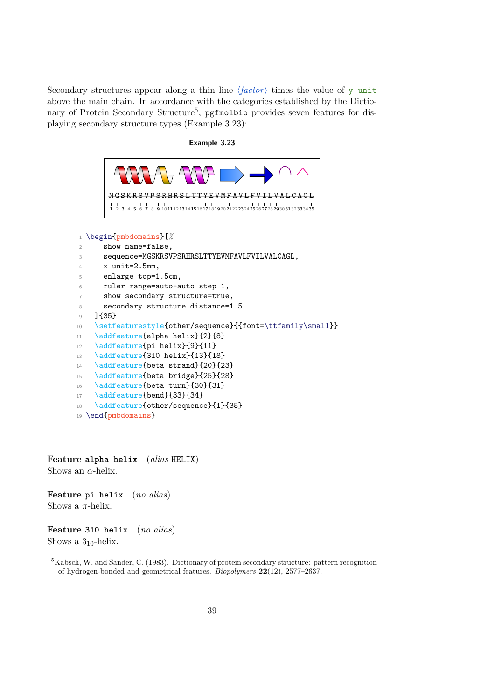Secondary structures appear along a thin line  $\langle factor \rangle$  times the value of y unit above the main chain. In accordance with the categories established by the Dictio-nary of Protein Secondary Structure<sup>[5](#page-41-0)</sup>, pgfmolbio provides seven features for displaying secondary structure types (Example [3.23\)](#page-41-1):

#### **Example 3.23**

```
P S R H R S L T T Y E V M F A V L F V I L V A L C A G L
       1 2 3 4 5 6 7 8 9 1011121314151617181920212223242526272829303132333435
1 \begin{pmbdomains}[%
2 show name=false,
3 sequence=MGSKRSVPSRHRSLTTYEVMFAVLFVILVALCAGL,
4 \times unit=2.5mm,
5 enlarge top=1.5cm,
6 ruler range=auto-auto step 1,
7 show secondary structure=true,
8 secondary structure distance=1.5
9 ]{35}
10 \setfeaturestyle{other/sequence}{{font=\ttfamily\small}}
11 \addfeature{alpha helix}{2}{8}
12 \addfeature{pi helix}{9}{11}
13 \ddfeature{310 helix}{13}{18}
14 \addfeature{beta strand}{20}{23}
15 \addfeature{beta bridge}{25}{28}
16 \addfeature{beta turn}{30}{31}
17 \addfeature{bend}{33}{34}
18 \addfeature{other/sequence}{1}{35}
19 \end{pmbdomains}
```
**Feature alpha helix** (*alias* HELIX) Shows an  $\alpha$ -helix.

**Feature pi helix** (*no alias*) Shows a  $\pi$ -helix.

**Feature 310 helix** (*no alias*) Shows a  $3_{10}$ -helix.

<span id="page-41-0"></span><sup>5</sup>Kabsch, W. and Sander, C. (1983). Dictionary of protein secondary structure: pattern recognition of hydrogen-bonded and geometrical features. *Biopolymers* **22**(12), 2577–2637.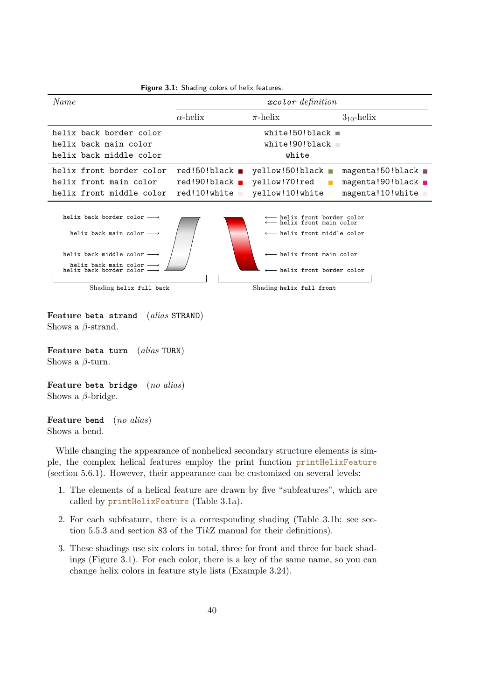<span id="page-42-0"></span>

| <b>Figure 3.1:</b> Shading colors of helix features.                                                                                                                                                                                                                                                                                                                                                                                                                               |                                                                                |                                                                        |                                                                           |  |
|------------------------------------------------------------------------------------------------------------------------------------------------------------------------------------------------------------------------------------------------------------------------------------------------------------------------------------------------------------------------------------------------------------------------------------------------------------------------------------|--------------------------------------------------------------------------------|------------------------------------------------------------------------|---------------------------------------------------------------------------|--|
| Name                                                                                                                                                                                                                                                                                                                                                                                                                                                                               | $x$ color definition                                                           |                                                                        |                                                                           |  |
|                                                                                                                                                                                                                                                                                                                                                                                                                                                                                    | $\alpha$ -helix                                                                | $\pi$ -helix                                                           | $3_{10}$ -helix                                                           |  |
| helix back border color<br>helix back main color<br>helix back middle color                                                                                                                                                                                                                                                                                                                                                                                                        |                                                                                | white!50!black $\blacksquare$<br>white!90!black<br>white               |                                                                           |  |
| helix front border color<br>helix front main color<br>helix front middle color                                                                                                                                                                                                                                                                                                                                                                                                     | $red!50!black$ $\blacksquare$<br>$red!90!black$ $\blacksquare$<br>red!10!white | yellow! $50!$ black $\blacksquare$<br>yellow!70!red<br>yellow!10!white | $magenta!50!black$ $\blacksquare$<br>magenta!90!black<br>magenta!10!white |  |
| helix back border color $\longrightarrow$<br>$\longleftarrow$ helix front border color<br>$\longleftarrow$ helix front main color<br>helix back main color $\longrightarrow$<br>$\longleftarrow$ helix front middle color<br>$\longleftarrow$ helix front main color<br>helix back middle color $\longrightarrow$<br>helix back main color $\longrightarrow$<br>helix back border color $\longrightarrow$<br>$\longleftarrow$ helix front border color<br>Shading helix full front |                                                                                |                                                                        |                                                                           |  |
| Shading helix full back                                                                                                                                                                                                                                                                                                                                                                                                                                                            |                                                                                |                                                                        |                                                                           |  |

**Feature beta strand** (*alias* STRAND) Shows a  $\beta$ -strand.

**Feature beta turn** (*alias* TURN) Shows a  $\beta$ -turn.

**Feature beta bridge** (*no alias*) Shows a  $\beta$ -bridge.

**Feature bend** (*no alias*) Shows a bend.

While changing the appearance of nonhelical secondary structure elements is simple, the complex helical features employ the print function printHelixFeature (section [5.6.1\)](#page-99-0). However, their appearance can be customized on several levels:

- 1. The elements of a helical feature are drawn by five "subfeatures", which are called by printHelixFeature (Table [3.1a](#page-43-0)).
- 2. For each subfeature, there is a corresponding shading (Table [3.1b](#page-43-0); see section [5.5.3](#page-84-0) and section 83 of the Ti*k*Z manual for their definitions).
- 3. These shadings use six colors in total, three for front and three for back shadings (Figure [3.1\)](#page-42-0). For each color, there is a key of the same name, so you can change helix colors in feature style lists (Example [3.24\)](#page-43-1).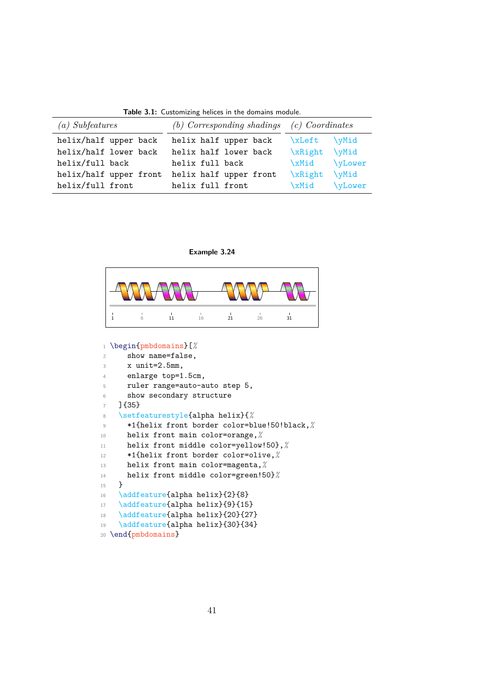**Table 3.1:** Customizing helices in the domains module.

<span id="page-43-0"></span>

| (a) Subfeatures        | (b) Corresponding shadings $(c)$ Coordinates |                          |  |
|------------------------|----------------------------------------------|--------------------------|--|
| helix/half upper back  | helix half upper back                        | xLeft<br><b>\vMid</b>    |  |
| helix/half lower back  | helix half lower back                        | xRight<br><b>\yMid</b>   |  |
| helix/full back        | helix full back                              | <b>\yLower</b><br>xMid   |  |
| helix/half upper front | helix half upper front                       | \xRight<br>$\forall$ Mid |  |
| helix/full front       | helix full front                             | <b>\yLower</b><br>\xMid  |  |

**Example 3.24**

<span id="page-43-1"></span>

|  | 16 | 21 | 26 | 31 |
|--|----|----|----|----|

\begin{pmbdomains}[*%*

| $\overline{2}$ | show name=false,                            |
|----------------|---------------------------------------------|
| 3              | $x$ unit=2.5mm,                             |
| $\overline{4}$ | enlarge top=1.5cm,                          |
| 5              | ruler range=auto-auto step 5,               |
| 6              | show secondary structure                    |
| $\overline{7}$ | $]$ {35}                                    |
| 8              | \setfeaturestyle{alpha helix}{%             |
| $\overline{9}$ | *1{helix front border color=blue!50!black,% |
| 10             | helix front main color=orange, %            |
| 11             | helix front middle color=yellow!50}, %      |
| 12             | *1{helix front border color=olive,%         |
| 13             | helix front main color=magenta, %           |
| 14             | helix front middle color=green!50}%         |
| 15             | $\mathbf{r}$                                |
| 16             | \addfeature{alpha helix}{2}{8}              |
| 17             | \addfeature{alpha helix}{9}{15}             |
| 18             | \addfeature{alpha helix}{20}{27}            |
| 19             | \addfeature{alpha helix}{30}{34}            |
|                | 20 \end{pmbdomains}                         |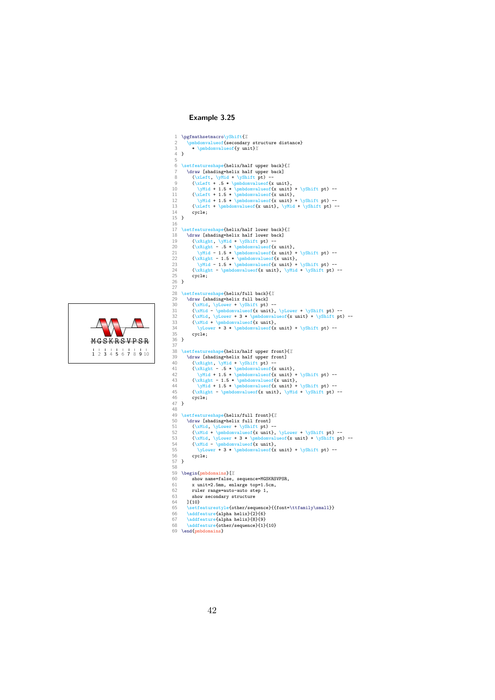## **Example 3.25**

```
M G S K R S V P S R1 2 3 4 5 6 7 8 9 10
```

```
1 \pgfmathsetmacro\yShift{%<br>2 \pmbdomvalueof{secondary structure distance}
   3 * \pmbdomvalueof{y unit}%
       \mathbf{a}5
       6 \setfeatureshape{helix/half upper back}{%
 \label{lem:main} $$7 \dave [shading=helix half upper back] $$9 \(\xleft\, \y\ni + \ybin{pt} -\sinh\, \y \right + 1.5 * \phi \or \x \in \mathbb{F} \to -\infty \left( \frac{t + 1.5 * \phi \or \x \in \mathbb{F} \to -\infty \left( \frac{t + 1.5 * \phi \arctan\, \y \in \mathbb{F} \to -\infty \left( \frac{t + 1.5 * \phi \arctan\, \y \in t \right \} \right)} -\left( \frac{t + \phi \arctan\, \y \in t \right \} \right) -\left( \frac{t + 1cycle;
\frac{14}{15} }
 16
17 \setfeatureshape{helix/half lower back}{%
18 \draw [shading=helix half lower back]<br>19 (\xRight, \yMid + \yShift pt) --
 (\xRight, \yMid + \yShift pt) --<br>
(\xRight - .5 * \pmbdomvalueof{x unit},<br>
21 (\xRight - 1.5 * \pmbdomvalueof{x unit} + \yShift pt) --<br>
22 (\xRight - 1.5 * \pmbdomvalueof{x unit} + \yShift pt) --<br>
23 (\yHid - 1.5 * \pmbdom
25 cycle;
 26 }
27
28 \setfeatureshape{helix/full back}{%
 \label{lem:main} $$ 29 \darehasing-helix full back] -- $$ 30 \(\xMid - \ylower + \yShift pt) -- $$ 31 \(\xMid - \yabove f 3 * \pmbdownvalue of x unit) + \yShift pt) -- $$ 32 \(\xMid + \yabove f 3 * \pmbdownvalue of x unit) + \yShift pt) -- $$ 33 \(\xMid + \pmbdownvalue of x unit) + \yShift pt) -- $$ 34 \ylower + 3 * \pmbdownvalue of x unit) + \yShift pt) -- $$36 }
 37
38 \setfeatureshape{helix/half upper front}{%
39 \ \text{[shading-helix] with upper front}<br>40 \ (\\text{shaf} \text{while } \text{upger front}]40 (\xRight, \yMid + \yShift pt) --<br>41 (\xRight - .5 * \pmbdomvalueof{x unit},<br>42 (\xRight - 1.5 * \pmbdomvalueof{x unit} + \yShift pt) --<br>43 (\xRight - 1.5 * \pmbdomvalueof{x unit} + \yShift pt) --<br>45 (\xRight - \pmbdomva
46 cycle;
47 }
48
49 \setfeatureshape{helix/full front}{%
 50 \draw [shading=helix full front]<br>
1 (xMid \ \ptowr + \yshift pt) --<br>
52 (\xMid \ \pmbdomvalue<br>
of \x unit}, \yLower + \yShift pt) --<br>
53 (\xMid \ \yLower + 3 * \pmbdomvalue<br>
of x unit} + \yShift pt) --<br>
55 \ \cMid - \p
57 }
58
 59 \begin{pmbdomains}[%<br>60 show name=false, sequence=MGSKRSVPSR,
61 x unit=2.5mm, enlarge top=1.5cm,
62 ruler range=auto-auto step 1,<br>63 show secondary structure
63 show secondary structure<br>64 ]{10}
64 ] {10}
 65 \setfeaturestyle{other/sequence}{{font=\ttfamily\small}}
66 \addfeature{alpha helix}{2}{6}
 67 \addfeature{alpha helix}{8}{9}<br>68 \addfeature{other/sequence}{1}{10}
69 \end{pmbdomains}
```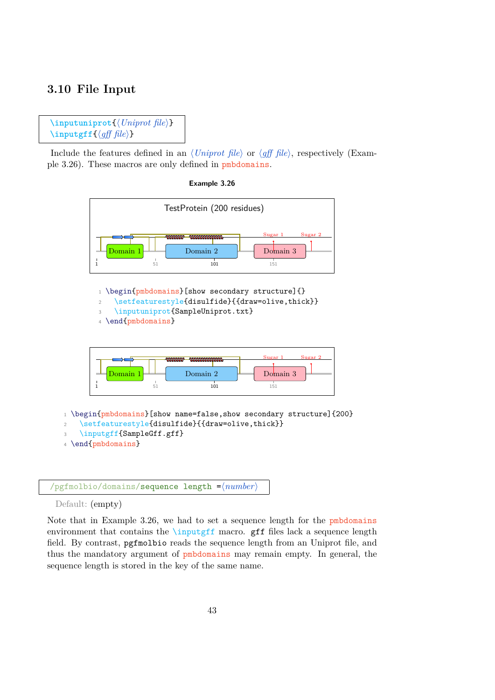# **3.10 File Input**

```
\infty\inputuniprot\{ \text{Uniprot file} \}\infty\inputgff{\dippy{df} file}}
```
Include the features defined in an  $\langle Uniform\ file\rangle$  or  $\langle \textit{aff}\ file\rangle$ , respectively (Example [3.26\)](#page-45-0). These macros are only defined in pmbdomains.

**Example 3.26**

<span id="page-45-0"></span>



Default: (empty)

Note that in Example [3.26,](#page-45-0) we had to set a sequence length for the pmbdomains environment that contains the \inputgff macro. gff files lack a sequence length field. By contrast, pgfmolbio reads the sequence length from an Uniprot file, and thus the mandatory argument of pmbdomains may remain empty. In general, the sequence length is stored in the key of the same name.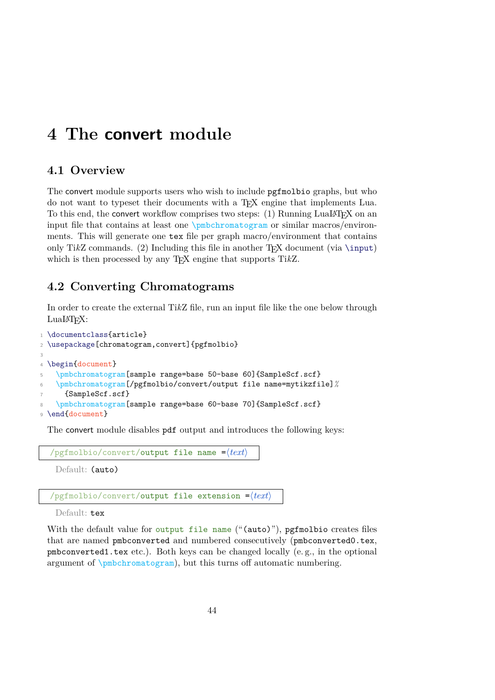# **4 The convert module**

# **4.1 Overview**

The convert module supports users who wish to include pgfmolbio graphs, but who do not want to typeset their documents with a TEX engine that implements Lua. To this end, the convert workflow comprises two steps:  $(1)$  Running LualAT<sub>F</sub>X on an input file that contains at least one \pmbchromatogram or similar macros/environments. This will generate one tex file per graph macro/environment that contains only TikZ commands. (2) Including this file in another  $T_FX$  document (via \input) which is then processed by any T<sub>E</sub>X engine that supports TikZ.

# <span id="page-46-0"></span>**4.2 Converting Chromatograms**

In order to create the external Ti*k*Z file, run an input file like the one below through LuaL<sup>AT</sup>FX:

```
1 \documentclass{article}
2 \usepackage[chromatogram,convert]{pgfmolbio}
3
4 \begin{document}
5 \pmbchromatogram[sample range=base 50-base 60]{SampleScf.scf}
6 \pmbchromatogram[/pgfmolbio/convert/output file name=mytikzfile]%
     7 {SampleScf.scf}
   \pmbchromatogram[sample range=base 60-base 70]{SampleScf.scf}
9 \end{document}
```
The convert module disables pdf output and introduces the following keys:

```
\sqrt{p}gfmolbio/convert/output file name =\langle text \rangleDefault: (auto)
```
/pgfmolbio/convert/output file extension = $\langle text \rangle$ 

Default: tex

With the default value for output file name ("(auto)"), pgfmolbio creates files that are named pmbconverted and numbered consecutively (pmbconverted0.tex, pmbconverted1.tex etc.). Both keys can be changed locally (e. g., in the optional argument of \pmbchromatogram), but this turns off automatic numbering.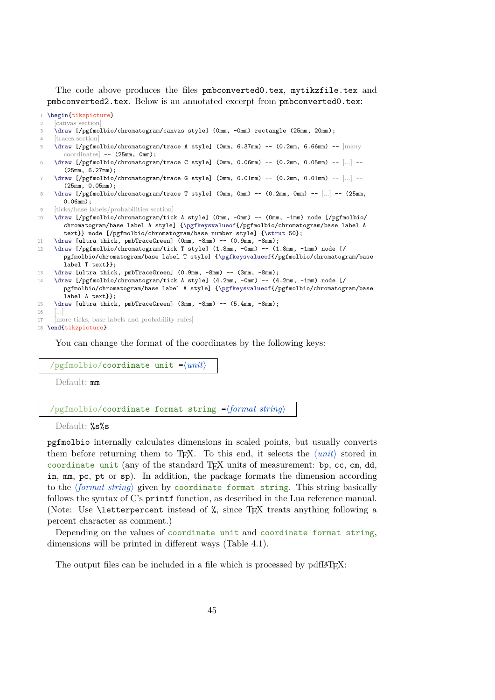The code above produces the files pmbconverted0.tex, mytikzfile.tex and pmbconverted2.tex. Below is an annotated excerpt from pmbconverted0.tex:

```
1 \begin{tikzpicture}
     [canvas section]
3 \draw [/pgfmolbio/chromatogram/canvas style] (0mm, -0mm) rectangle (25mm, 20mm);
4 [traces section]
     5 \draw [/pgfmolbio/chromatogram/trace A style] (0mm, 6.37mm) -- (0.2mm, 6.66mm) -- [many
       \text{coordinates} -- (25 \text{mm}, 0 \text{mm});
6 \draw [/pgfmolbio/chromatogram/trace C style] (0mm, 0.06mm) -- (0.2mm, 0.05mm) -- [...] --
       (25mm, 6.27mm);
     \draw [/pgfmolbio/chromatogram/trace G style] (0mm, 0.01mm) -- (0.2mm, 0.01mm) -- [...] --
       (25mm, 0.05mm);
8 \draw [/pgfmolbio/chromatogram/trace T style] (0mm, 0mm) -- (0.2mm, 0mm) -- [...] -- (25mm,
       0.06mm);
     [{\rm ticks}/{\rm base} labels/probabilities section]
10 \draw [/pgfmolbio/chromatogram/tick A style] (0mm, -0mm) -- (0mm, -1mm) node [/pgfmolbio/
       chromatogram/base label A style] {\pgfkeysvalueof{/pgfmolbio/chromatogram/base label A
       text}} node [/pgfmolbio/chromatogram/base number style] {\strut 50};
11 \draw [ultra thick, pmbTraceGreen] (0mm, -8mm) -- (0.9mm, -8mm);
12 \draw [/pgfmolbio/chromatogram/tick T style] (1.8mm, -0mm) -- (1.8mm, -1mm) node [/
       pgfmolbio/chromatogram/base label T style] {\pgfkeysvalueof{/pgfmolbio/chromatogram/base
       label T text}};
13 \draw [ultra thick, pmbTraceGreen] (0.9mm, -8mm) -- (3mm, -8mm);
14 \draw [/pgfmolbio/chromatogram/tick A style] (4.2mm, -0mm) -- (4.2mm, -1mm) node [/
       pgfmolbio/chromatogram/base label A style] {\pgfkeysvalueof{/pgfmolbio/chromatogram/base
       label A text}};
15 \draw [ultra thick, pmbTraceGreen] (3mm, -8mm) -- (5.4mm, -8mm);
16 [...]
17 [more ticks, base labels and probability rules]
18 \end{tikzpicture}
```
You can change the format of the coordinates by the following keys:

 $\gamma$ pgfmolbio/**coordinate unit =** $\langle \textit{unit} \rangle$ 

Default: mm

#### $\gamma$ pgfmolbio/coordinate format string = $\langle format\ string\rangle$

Default: %s%s

pgfmolbio internally calculates dimensions in scaled points, but usually converts them before returning them to T<sub>E</sub>X. To this end, it selects the  $\langle unit \rangle$  stored in coordinate unit (any of the standard TEX units of measurement: bp, cc, cm, dd, in, mm, pc, pt or sp). In addition, the package formats the dimension according to the *(format string*) given by coordinate format string. This string basically follows the syntax of C's printf function, as described in the Lua reference manual. (Note: Use \letterpercent instead of %, since TEX treats anything following a percent character as comment.)

Depending on the values of coordinate unit and coordinate format string, dimensions will be printed in different ways (Table [4.1\)](#page-48-0).

The output files can be included in a file which is processed by pdfl $\mathbb{F}$ T<sub>EX</sub>: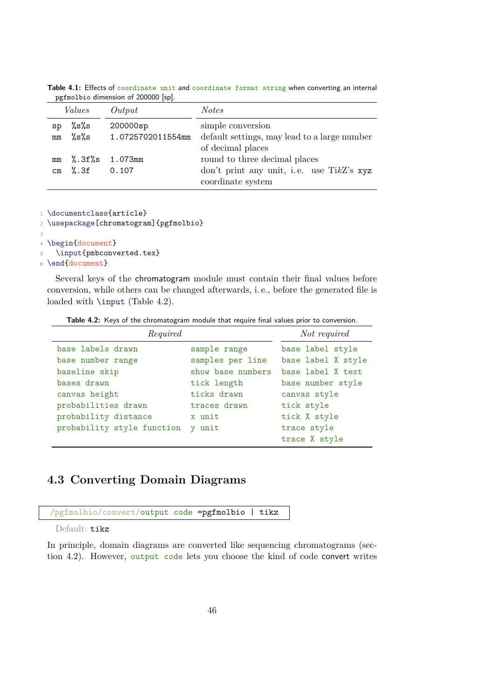|               | Values       | Output                           | <i>Notes</i>                                                       |
|---------------|--------------|----------------------------------|--------------------------------------------------------------------|
| sp<br>mm      | %ຮ%ຮ<br>%ຮ%ຮ | $200000$ sp<br>1.0725702011554mm | simple conversion<br>default settings, may lead to a large number  |
|               |              |                                  | of decimal places                                                  |
| mm            | %.3f%s       | 1.073mm                          | round to three decimal places                                      |
| $\texttt{cm}$ | %.3f         | 0.107                            | don't print any unit, i.e. use Ti $kZ$ 's xyz<br>coordinate system |

<span id="page-48-0"></span>**Table 4.1:** Effects of coordinate unit and coordinate format string when converting an internal pgfmolbio dimension of 200000 [sp].

<sup>1</sup> \documentclass{article}

<sup>2</sup> \usepackage[chromatogram]{pgfmolbio}

```
3
4 \begin{document}
5 \input{pmbconverted.tex}
```
<sup>6</sup> \end{document}

Several keys of the chromatogram module must contain their final values before conversion, while others can be changed afterwards, i. e., before the generated file is loaded with **\input** (Table [4.2\)](#page-48-1).

**Table 4.2:** Keys of the chromatogram module that require final values prior to conversion.

<span id="page-48-1"></span>

| Required                   | Not required      |                    |
|----------------------------|-------------------|--------------------|
| base labels drawn          | sample range      | base label style   |
| base number range          | samples per line  | base label X style |
| baseline skip              | show base numbers | base label X text  |
| bases drawn                | tick length       | base number style  |
| canvas height              | ticks drawn       | canvas style       |
| probabilities drawn        | traces drawn      | tick style         |
| probability distance       | x unit            | tick X style       |
| probability style function | y unit            | trace style        |
|                            |                   | trace X style      |

# **4.3 Converting Domain Diagrams**

```
/pgfmolbio/convert/output code =pgfmolbio | tikz
```
Default: tikz

In principle, domain diagrams are converted like sequencing chromatograms (section [4.2\)](#page-46-0). However, output code lets you choose the kind of code convert writes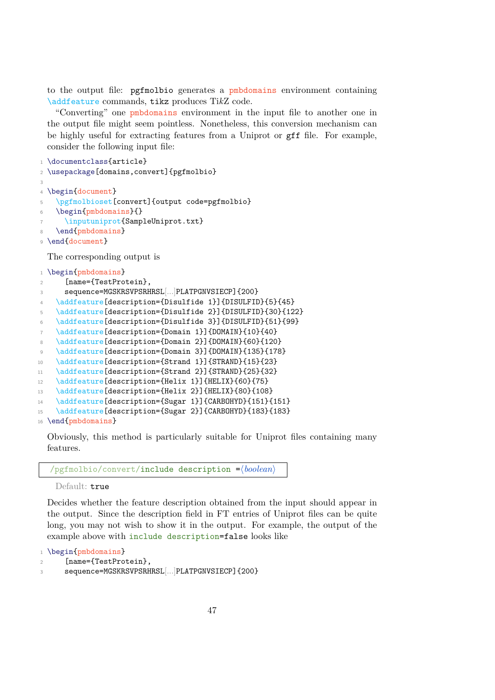to the output file: pgfmolbio generates a pmbdomains environment containing \addfeature commands, tikz produces Ti*k*Z code.

"Converting" one pmbdomains environment in the input file to another one in the output file might seem pointless. Nonetheless, this conversion mechanism can be highly useful for extracting features from a Uniprot or gff file. For example, consider the following input file:

```
1 \documentclass{article}
2 \usepackage[domains,convert]{pgfmolbio}
3
4 \begin{document}
5 \pgfmolbioset[convert]{output code=pgfmolbio}
    \begin{pmbdomains}{}
     \inputuniprot{SampleUniprot.txt}
   \end{pmbdomains}
9 \end{document}
 The corresponding output is
1 \begin{pmbdomains}
```
2 [name={TestProtein}. <sup>3</sup> sequence=MGSKRSVPSRHRSL[...]PLATPGNVSIECP]{200} 4 \addfeature[description={Disulfide 1}]{DISULFID}{5}{45} 5 \addfeature[description={Disulfide 2}]{DISULFID}{30}{122} <sup>6</sup> \addfeature[description={Disulfide 3}]{DISULFID}{51}{99}

```
7 \addfeature[description={Domain 1}]{DOMAIN}{10}{40}
```

```
8 \addfeature[description={Domain 2}]{DOMAIN}{60}{120}
```
- 9 \addfeature[description={Domain 3}]{DOMAIN}{135}{178}
- 10 \addfeature[description={Strand 1}]{STRAND}{15}{23}
- 11 \addfeature[description={Strand 2}]{STRAND}{25}{32}
- 12 \addfeature[description={Helix 1}]{HELIX}{60}{75}
- 13 \addfeature[description={Helix 2}]{HELIX}{80}{108}

```
14 \addfeature[description={Sugar 1}]{CARBOHYD}{151}{151}
```

```
15 \addfeature[description={Sugar 2}]{CARBOHYD}{183}{183}
```
16 \end{pmbdomains}

Obviously, this method is particularly suitable for Uniprot files containing many features.

#### /pgfmolbio/convert/include description = $\langle boolean \rangle$

Default: true

Decides whether the feature description obtained from the input should appear in the output. Since the description field in FT entries of Uniprot files can be quite long, you may not wish to show it in the output. For example, the output of the example above with include description=false looks like

```
1 \begin{pmbdomains}
```

```
2 [name={TestProtein},
```

```
3 sequence=MGSKRSVPSRHRSL[...]PLATPGNVSIECP]{200}
```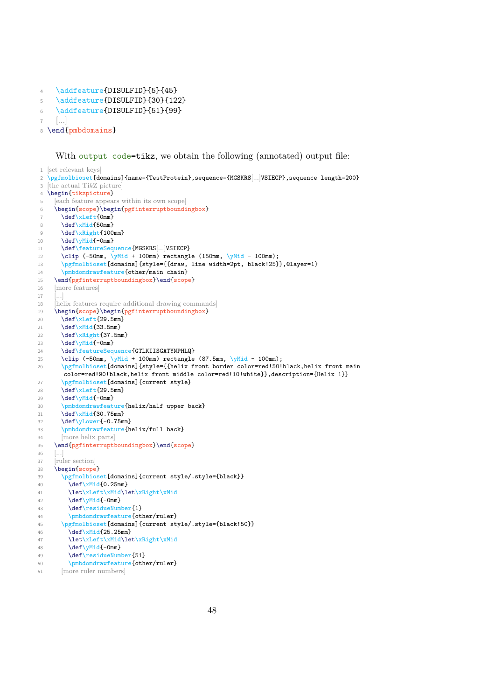```
4 \addfeature{DISULFID}{5}{45}
5 \addfeature{DISULFID}{30}{122}
6 \addfeature{DISULFID}{51}{99}
    \lceil \dots \rceil8 \end{pmbdomains}
```
#### With output code=tikz, we obtain the following (annotated) output file:

```
1 [set relevant keys]
2 \pgfmolbioset[domains]{name={TestProtein},sequence={MGSKRS[...]VSIECP},sequence length=200}
3 [the actual TikZ picture]
4 \begin{tikzpicture}
5 [each feature appears within its own scope]
6 \begin{scope}\begin{pgfinterruptboundingbox}
      \def\xLeft{0mm}
8 \det\ xMid {50mm}
9 \det\{xRight\{100mm\}}10 \det\{\text{-0mm}\}11 \def\featureSequence{MGSKRS[...]VSIECP}
12 \clip (-50mm, \gamma + 100mm) rectangle (150mm, \gammaMid - 100mm);
13 \pgfmolbioset[domains]{style={{draw, line width=2pt, black!25}},@layer=1}
14 \pmbdomdrawfeature{other/main chain}
15 \end{pgfinterruptboundingbox}\end{scope}
16 [more features]
17 \\ 18[helix features require additional drawing commands]
19 \begin{scope}\begin{pgfinterruptboundingbox}
20 \def\xLeft{29.5mm}
21 \det\{xMid}33.5mm22 \def\{\xi}{37.5mm}23 \det\yMid-0mm}
24 \textcolor{blue}{\textbf{def} \textbf{S} \textbf{equence} } \textbf{\textbf{GTL}\textbf{XIISGATY} \textbf{NPHLQ} }25 \clip (-50mm, \gamma + 100mm) rectangle (87.5mm, \gamma + 100mm);
26 \pgfmolbioset[domains]{style={{helix front border color=red!50!black,helix front main
       color=red!90!black,helix front middle color=red!10!white}},description={Helix 1}}
27 \pgfmolbioset[domains]{current style}
28 \text{left}\left\{29.5mm\right\}29 \def\yMid{-0mm}
30 \pmbdomdrawfeature{helix/half upper back}
31 \det\{xMid}{30.75mm}32 \def\yLower{-0.75mm}
33 \pmbdomdrawfeature{helix/full back}
34 [more helix parts]
35 \end{pgfinterruptboundingbox}\end{scope}
36 \left[ \ldots \right]37 [ruler section]
38 \begin{scope}
39 \pgfmolbioset[domains]{current style/.style={black}}
40 \def\xMid{0.25mm}
41 \let\xLeft\xMid\let\xRight\xMid
42 \det\yMid-0mm}
43 \def\residueNumber{1}
44 \pmbdomdrawfeature{other/ruler}
45 \pgfmolbioset[domains]{current style/.style={black!50}}
46 \det\{xMid{25.25mm}\}47 \let\xLeft\xMid\let\xRight\xMid
48 \def\yMid{-0mm}
49 \def\residueNumber{51}
50 \pmbdomdrawfeature{other/ruler}
51 [more ruler numbers]
```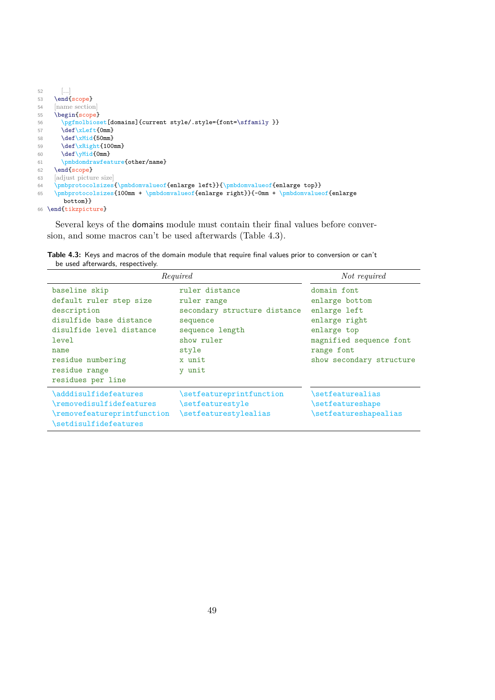```
52 [...]
53 \end{scope}
54 [name section]
55 \begin{scope}
56 \pgfmolbioset[domains]{current style/.style={font=\sffamily }}
57 \def\xLeft{0mm}
58 \def\{\xMid{50mm}}59 \def\xRight{100mm}<br>60 \def\yMid{0mm}\def\yMid{Omm}61 \pmbdomdrawfeature{other/name}
62 \end{scope}<br>63 [adjust pictu
         [adjust picture size]
\label{thm:main} $$64 \pmb{\roto}colsizes{\pmbdomvalue} = \gamma \left\{\pmb{\on}z\right\} \right\leq \gamma \left\{\nabla\left(\frac{1}{\alpha}\right)}{ \sum\left(\frac{1}{\alpha}\right)}{ \sum\left(\frac{1}{\alpha}\right)}{ \sum\left(\frac{1}{\alpha}\right)}{ \sum\left(\frac{1}{\alpha}\right)}{ \sum\left(\frac{1}{\alpha}\right)}{ \sum\left(\frac{1}{\alpha}\right)}{ \sum\left(\frac{1}{\alpha}\right)}{ \sum\left(\frac{1}{\alpha}\right)}{ \sum\left(\frac{1}{\alpha}\right)}{ \sum\left(\frac{1}{\alpha}\right)}65 \pmbprotocolsizes{100mm + \pmbdomvalueof{enlarge right}}{-0mm + \pmbdomvalueof{enlarge
              bottom}}
66 \end{tikzpicture}
```
Several keys of the domains module must contain their final values before conversion, and some macros can't be used afterwards (Table [4.3\)](#page-51-0).

<span id="page-51-0"></span>**Table 4.3:** Keys and macros of the domain module that require final values prior to conversion or can't be used afterwards, respectively.

| Required                                                                                                                                                                                   |                                                                                                                                         | Not required                                                                                                                                       |
|--------------------------------------------------------------------------------------------------------------------------------------------------------------------------------------------|-----------------------------------------------------------------------------------------------------------------------------------------|----------------------------------------------------------------------------------------------------------------------------------------------------|
| baseline skip<br>default ruler step size<br>description<br>disulfide base distance<br>disulfide level distance<br>level<br>name<br>residue numbering<br>residue range<br>residues per line | ruler distance<br>ruler range<br>secondary structure distance<br>sequence<br>sequence length<br>show ruler<br>style<br>x unit<br>y unit | domain font<br>enlarge bottom<br>enlarge left<br>enlarge right<br>enlarge top<br>magnified sequence font<br>range font<br>show secondary structure |
| \adddisulfidefeatures<br>\removedisulfidefeatures<br>\removefeatureprintfunction<br>\setdisulfidefeatures                                                                                  | \setfeatureprintfunction<br>\setfeaturestyle<br>\setfeaturestylealias                                                                   | \setfeaturealias<br>\setfeatureshape<br>\setfeatureshapealias                                                                                      |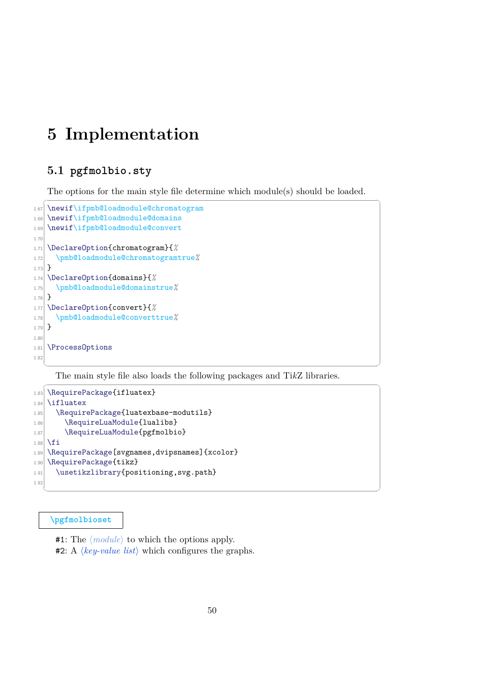# **5 Implementation**

# **5.1 pgfmolbio.sty**

The options for the main style file determine which module(s) should be loaded.

```
\overline{\phantom{a}} \overline{\phantom{a}} \overline{\phantom{a}} \overline{\phantom{a}} \overline{\phantom{a}} \overline{\phantom{a}} \overline{\phantom{a}} \overline{\phantom{a}} \overline{\phantom{a}} \overline{\phantom{a}} \overline{\phantom{a}} \overline{\phantom{a}} \overline{\phantom{a}} \overline{\phantom{a}} \overline{\phantom{a}} \overline{\phantom{a}} \overline{\phantom{a}} \overline{\phantom{a}} \overline{\1.67 \newif\ifpmb@loadmodule@chromatogram
1.68 \newif\ifpmb@loadmodule@domains
1.69 \newif\ifpmb@loadmodule@convert
1.70
1.71 \DeclareOption{chromatogram}{%
1.72 \pmb@loadmodule@chromatogramtrue%
1.73}
1.74 \DeclareOption{domains}{%
1.75 \pmb@loadmodule@domainstrue%
1.76 }
1.77 \DeclareOption{convert}{%
1.78 \pmb@loadmodule@converttrue%
1.79 }
1.80
1.81 \ProcessOptions
1.82
    ✝ ✆
```
The main style file also loads the following packages and Ti*k*Z libraries.

 $\sqrt{1 - \frac{1}{2}}$ 

✝ ✆

```
1.83 \RequirePackage{ifluatex}
1.84 \ifluatex
1.85 \RequirePackage{luatexbase-modutils}
1.86 \RequireLuaModule{lualibs}
1.87 \RequireLuaModule{pgfmolbio}
1.88 \fi
1.89 \RequirePackage[svgnames,dvipsnames] {xcolor}
1.90 \RequirePackage{tikz}
1.91 \usetikzlibrary{positioning, svg.path}
1.92
```
#### **[\pgfmolbioset](#page-4-0)**

#1: The  $\langle module \rangle$  to which the options apply.

**#2:** A  $\langle key-value \; list \rangle$  which configures the graphs.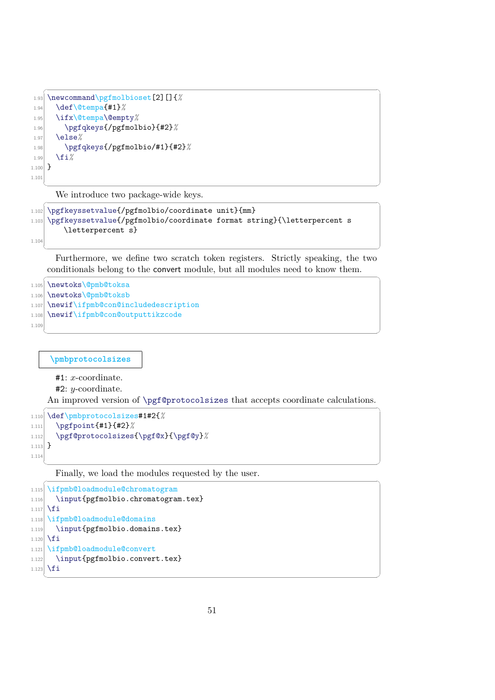```
✞ ☎
1.93 \newcommand\pgfmolbioset[2][]{%
1.94 \def\@tempa{#1}%
1.95 \ifx\@tempa\@empty%
1.96 \pgfqkeys{/pgfmolbio}{#2}%
1.97 \else%
1.98 \pgfqkeys{/pgfmolbio/#1}{#2}%
1.99 \fi%
1.100}
1.101
```
We introduce two package-wide keys. ✞ ☎

```
1.102 \pgfkeyssetvalue{/pgfmolbio/coordinate unit}{mm}
1.103 \pgfkeyssetvalue{/pgfmolbio/coordinate format string}{\letterpercent s
       \letterpercent s}
```
1.104

✝ ✆ Furthermore, we define two scratch token registers. Strictly speaking, the two conditionals belong to the convert module, but all modules need to know them.  $\overline{a}$   $\overline{a}$   $\overline{a}$   $\overline{a}$   $\overline{a}$   $\overline{a}$   $\overline{a}$   $\overline{a}$   $\overline{a}$   $\overline{a}$   $\overline{a}$   $\overline{a}$   $\overline{a}$   $\overline{a}$   $\overline{a}$   $\overline{a}$   $\overline{a}$   $\overline{a}$   $\overline{a}$   $\overline{a}$   $\overline{a}$   $\overline{a}$   $\overline{a}$   $\overline{a}$   $\overline{$ 

✝ ✆

```
1.105 \newtoks\@pmb@toksa
1.106 \newtoks\@pmb@toksb
```
- 1.107 \newif\ifpmb@con@includedescription
- 1.108 \newif\ifpmb@con@outputtikzcode
- 1.109  $\overline{\phantom{a}}$   $\overline{\phantom{a}}$   $\overline{\phantom{a}}$   $\overline{\phantom{a}}$   $\overline{\phantom{a}}$   $\overline{\phantom{a}}$   $\overline{\phantom{a}}$   $\overline{\phantom{a}}$   $\overline{\phantom{a}}$   $\overline{\phantom{a}}$   $\overline{\phantom{a}}$   $\overline{\phantom{a}}$   $\overline{\phantom{a}}$   $\overline{\phantom{a}}$   $\overline{\phantom{a}}$   $\overline{\phantom{a}}$   $\overline{\phantom{a}}$   $\overline{\phantom{a}}$   $\overline{\$

**\pmbprotocolsizes**

#1: x-coordinate.

 $#2: y$ -coordinate.

An improved version of \pgf@protocolsizes that accepts coordinate calculations.  $\overline{1}$   $\overline{1}$   $\overline{1}$   $\overline{1}$   $\overline{1}$   $\overline{1}$   $\overline{1}$   $\overline{1}$   $\overline{1}$   $\overline{1}$   $\overline{1}$   $\overline{1}$   $\overline{1}$   $\overline{1}$   $\overline{1}$   $\overline{1}$   $\overline{1}$   $\overline{1}$   $\overline{1}$   $\overline{1}$   $\overline{1}$   $\overline{1}$   $\overline{1}$   $\overline{1}$   $\overline{$ 

```
1.110 \def\pmbprotocolsizes#1#2{%
1.111 \pgfpoint{#1}{#2}%
1.112 \pgf@protocolsizes{\pgf@x}{\pgf@y}%
1.113}
1.114
```
✝ ✆ Finally, we load the modules requested by the user.  $\ddotsc$ 

```
1.115 \ifpmb@loadmodule@chromatogram
1.116 \input{pgfmolbio.chromatogram.tex}
1117 \fi
1.118 \ifpmb@loadmodule@domains
1.119 \input{pgfmolbio.domains.tex}
1.120 \fi
1.121 \ifpmb@loadmodule@convert
1.122 \input{pgfmolbio.convert.tex}
1.123 \fi
  ✝ ✆
```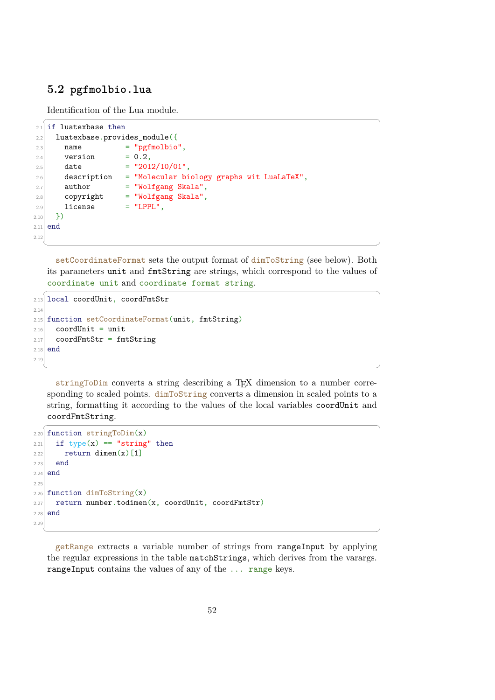# <span id="page-54-0"></span>**5.2 pgfmolbio.lua**

Identification of the Lua module.

```
_{2.1} if luatexbase then
2.2 luatexbase.provides_module({}2.3 name = "pgfmolbio",
2.4 version = 0.2,
2.5 date = "2012/10/01",
2.6 description = "Molecular biology graphs wit LuaLaTeX",
2.7 author = "Wolfgang Skala",
2.8 copyright = "Wolfgang Skala",
2.9 license = "LPPL",
2.10 })
2.11 end
2.12
```
setCoordinateFormat sets the output format of dimToString (see below). Both its parameters unit and fmtString are strings, which correspond to the values of coordinate unit and coordinate format string.

 $\overline{\phantom{a}}$   $\overline{\phantom{a}}$   $\overline{\phantom{a}}$   $\overline{\phantom{a}}$   $\overline{\phantom{a}}$   $\overline{\phantom{a}}$   $\overline{\phantom{a}}$   $\overline{\phantom{a}}$   $\overline{\phantom{a}}$   $\overline{\phantom{a}}$   $\overline{\phantom{a}}$   $\overline{\phantom{a}}$   $\overline{\phantom{a}}$   $\overline{\phantom{a}}$   $\overline{\phantom{a}}$   $\overline{\phantom{a}}$   $\overline{\phantom{a}}$   $\overline{\phantom{a}}$   $\overline{\$ 

 $\sqrt{2}$   $\sqrt{2}$   $\sqrt{2}$   $\sqrt{2}$   $\sqrt{2}$   $\sqrt{2}$   $\sqrt{2}$   $\sqrt{2}$   $\sqrt{2}$   $\sqrt{2}$   $\sqrt{2}$   $\sqrt{2}$   $\sqrt{2}$   $\sqrt{2}$   $\sqrt{2}$   $\sqrt{2}$   $\sqrt{2}$   $\sqrt{2}$   $\sqrt{2}$   $\sqrt{2}$   $\sqrt{2}$   $\sqrt{2}$   $\sqrt{2}$   $\sqrt{2}$   $\sqrt{2}$   $\sqrt{2}$   $\sqrt{2}$   $\sqrt{2$ 

```
\overline{a} \overline{a} \overline{a} \overline{a} \overline{a} \overline{a} \overline{a} \overline{a} \overline{a} \overline{a} \overline{a} \overline{a} \overline{a} \overline{a} \overline{a} \overline{a} \overline{a} \overline{a} \overline{a} \overline{a} \overline{a} \overline{a} \overline{a} \overline{a} \overline{2.13 local coordUnit, coordFmtStr
2.142.15 function setCoordinateFormat(unit, fmtString)
2.16 coordUnit = unit
2.17 coordFmtStr = fmtString
2.18 end
2.19
```
stringToDim converts a string describing a TEX dimension to a number corresponding to scaled points. dimToString converts a dimension in scaled points to a string, formatting it according to the values of the local variables coordUnit and coordFmtString.

✝ ✆

```
\sqrt{2} \sqrt{2} \sqrt{2} \sqrt{2} \sqrt{2} \sqrt{2} \sqrt{2} \sqrt{2} \sqrt{2} \sqrt{2} \sqrt{2} \sqrt{2} \sqrt{2} \sqrt{2} \sqrt{2} \sqrt{2} \sqrt{2} \sqrt{2} \sqrt{2} \sqrt{2} \sqrt{2} \sqrt{2} \sqrt{2} \sqrt{2} \sqrt{2} \sqrt{2} \sqrt{2} \sqrt{22.20 function stringToDim(x)2.21 if type(x) == "string" then2.22 return dimen(x)[1]
2.23 end
2.24 end
2.25
2.26 function dimToString(x)2.27 return number.todimen(x, coordUnit, coordFmtStr)
2.28 end
2.29
```
getRange extracts a variable number of strings from rangeInput by applying the regular expressions in the table matchStrings, which derives from the varargs. rangeInput contains the values of any of the ... range keys.

✝ ✆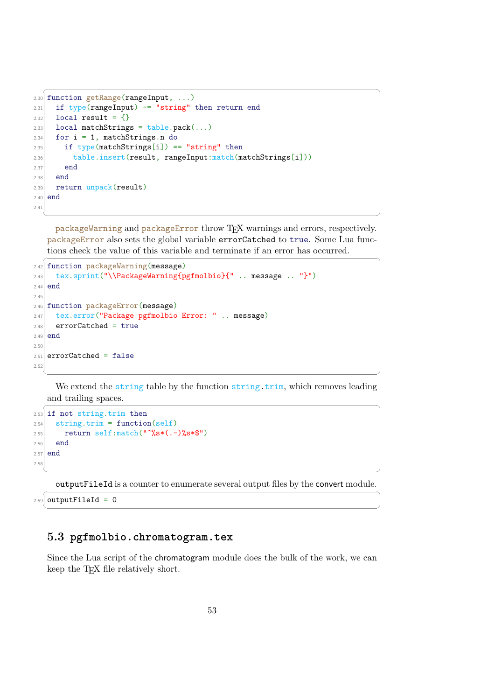```
2.30 function getRange(rangeInput, \ldots)
2.31 if type(rangeInput) \sim= "string" then return end
2.32 local result = {}
2.33 local matchStrings = table.pack(...)2.34 for i = 1, matchStrings.n do
2.35 if type(matchStrings[i]) == "string" then
2.36 table.insert(result, rangeInput:match(matchStrings[i]))
2.37 end
2.38 end
2.39 return unpack(result)
2.40 end
2.41
```
packageWarning and packageError throw TEX warnings and errors, respectively. packageError also sets the global variable errorCatched to true. Some Lua functions check the value of this variable and terminate if an error has occurred.

✝ ✆

✞ ☎

```
2.42 function packageWarning(message)
2.43 tex.sprint("\\PackageWarning{pgfmolbio}{" .. message .. "}")
2.44 end
2.45
2.46 function packageError(message)
2.47 tex.error("Package pgfmolbio Error: " .. message)
2.48 errorCatched = true
2.49 end
2.502.51 errorCatched = false
2.52
```
We extend the string table by the function string.trim, which removes leading and trailing spaces.

 $\overline{\phantom{a}}$   $\overline{\phantom{a}}$   $\overline{\phantom{a}}$   $\overline{\phantom{a}}$   $\overline{\phantom{a}}$   $\overline{\phantom{a}}$   $\overline{\phantom{a}}$   $\overline{\phantom{a}}$   $\overline{\phantom{a}}$   $\overline{\phantom{a}}$   $\overline{\phantom{a}}$   $\overline{\phantom{a}}$   $\overline{\phantom{a}}$   $\overline{\phantom{a}}$   $\overline{\phantom{a}}$   $\overline{\phantom{a}}$   $\overline{\phantom{a}}$   $\overline{\phantom{a}}$   $\overline{\$ 

```
2.53 if not string.trim then
2.54 string.trim = function(self)
2.55 return self:match("^%s*(.-)%s*$")
2.56 end
2.57 end
2.58
```
✝ ✆ outputFileId is a counter to enumerate several output files by the convert module.

 $2.59$  outputFileId = 0 ✝ ✆

# **5.3 pgfmolbio.chromatogram.tex**

Since the Lua script of the chromatogram module does the bulk of the work, we can keep the T<sub>E</sub>X file relatively short.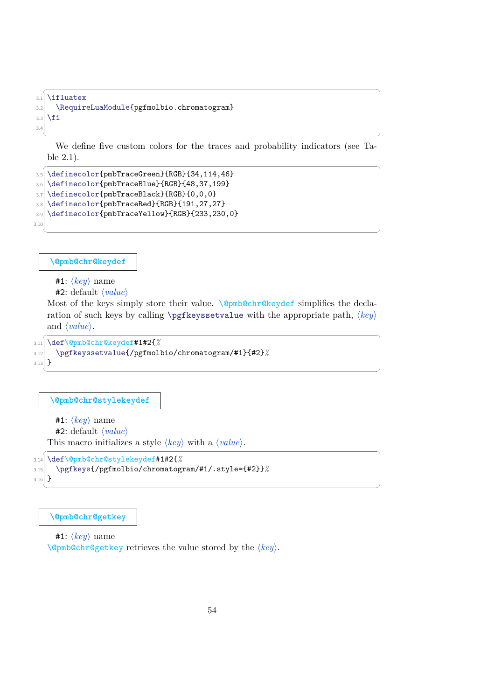```
3.1 \ifluatex
3.2 \RequireLuaModule{pgfmolbio.chromatogram}
3.3 \fi
3.4
```
✝ ✆ We define five custom colors for the traces and probability indicators (see Table [2.1\)](#page-11-0).

✝ ✆

✞ ☎

```
\overline{a} \overline{a} \overline{a} \overline{a} \overline{a} \overline{a} \overline{a} \overline{a} \overline{a} \overline{a} \overline{a} \overline{a} \overline{a} \overline{a} \overline{a} \overline{a} \overline{a} \overline{a} \overline{a} \overline{a} \overline{a} \overline{a} \overline{a} \overline{a} \overline{3.5 \definecolor{pmbTraceGreen}{RGB}{34,114,46}
 3.6 \definecolor{pmbTraceBlue}{RGB}{48,37,199}
 3.7 \definecolor{pmbTraceBlack}{RGB}{0,0,0}
 3.8 \definecolor{pmbTraceRed}{RGB}{191,27,27}
 3.9 \definecolor{pmbTraceYellow}{RGB}{233,230,0}
3.10
```
**\@pmb@chr@keydef**

 $#1: \langle key \rangle$  name

 $#2$ : default  $\langle value \rangle$ 

Most of the keys simply store their value. \@pmb@chr@keydef simplifies the declaration of such keys by calling \pgfkeyssetvalue with the appropriate path,  $\langle key \rangle$ and  $\langle value \rangle$ .  $\overline{a}$   $\overline{a}$   $\overline{a}$   $\overline{a}$   $\overline{a}$   $\overline{a}$   $\overline{a}$   $\overline{a}$   $\overline{a}$   $\overline{a}$   $\overline{a}$   $\overline{a}$   $\overline{a}$   $\overline{a}$   $\overline{a}$   $\overline{a}$   $\overline{a}$   $\overline{a}$   $\overline{a}$   $\overline{a}$   $\overline{a}$   $\overline{a}$   $\overline{a}$   $\overline{a}$   $\overline{$ 

✝ ✆

✝ ✆

```
3.11 \def\@pmb@chr@keydef#1#2{%
3.12 \pgfkeyssetvalue{/pgfmolbio/chromatogram/#1}{#2}%
3.13}
```

```
\@pmb@chr@stylekeydef
```

```
#1: \langle key \rangle name
   #2: default \langle value \rangleThis macro initializes a style \langle key \rangle with a \langle value \rangle.
```

```
\sqrt{2} \sqrt{2} \sqrt{2} \sqrt{2} \sqrt{2} \sqrt{2} \sqrt{2} \sqrt{2} \sqrt{2} \sqrt{2} \sqrt{2} \sqrt{2} \sqrt{2} \sqrt{2} \sqrt{2} \sqrt{2} \sqrt{2} \sqrt{2} \sqrt{2} \sqrt{2} \sqrt{2} \sqrt{2} \sqrt{2} \sqrt{2} \sqrt{2} \sqrt{2} \sqrt{2} \sqrt{23.14 \def\@pmb@chr@stylekeydef#1#2{%
3.15 \pgfkeys{/pgfmolbio/chromatogram/#1/.style={#2}}%
3.16}
```
**\@pmb@chr@getkey**

 $#1: \langle key \rangle$  name

 $\Omega$ pmb@chr@getkey retrieves the value stored by the  $\langle key \rangle$ .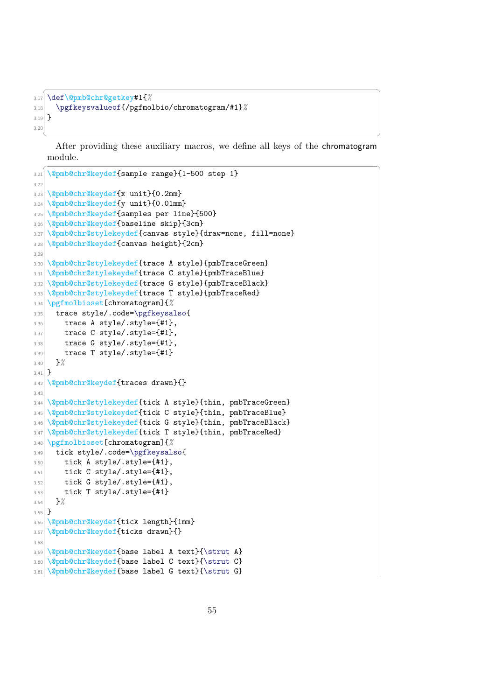```
✞ ☎
3.17 \def\@pmb@chr@getkey#1{%
3.18 \pgfkeysvalueof{/pgfmolbio/chromatogram/#1}%
3.10 }
3.20
```
✝ ✆ After providing these auxiliary macros, we define all keys of the chromatogram module.

```
✞ ☎
3.21 \@pmb@chr@keydef{sample range}{1-500 step 1}
3.22
3.23 \@pmb@chr@keydef{x unit}{0.2mm}
3.24 \@pmb@chr@keydef{y unit}{0.01mm}
3.25 \@pmb@chr@keydef{samples per line}{500}
3.26 \@pmb@chr@keydef{baseline skip}{3cm}
3.27 \@pmb@chr@stylekeydef{canvas style}{draw=none, fill=none}
3.28 \@pmb@chr@keydef{canvas height}{2cm}
3.29
3.30 \@pmb@chr@stylekeydef{trace A style}{pmbTraceGreen}
3.31 \@pmb@chr@stylekeydef{trace C style}{pmbTraceBlue}
3.32 \@pmb@chr@stylekeydef{trace G style}{pmbTraceBlack}
3.33 \@pmb@chr@stylekeydef{trace T style}{pmbTraceRed}
3.34 \pgfmolbioset[chromatogram]{%
3.35 trace style/.code=\pgfkeysalso{
3.36 trace A style/.style={#1},
3.37 trace C style/.style={41},
3.38 trace G style/.style={41},
3.39 trace T style/.style={#1}
3.40 }%
3.41 }
3.42 \@pmb@chr@keydef{traces drawn}{}
3.433.44 \@pmb@chr@stylekeydef{tick A style}{thin, pmbTraceGreen}
3.45 \@pmb@chr@stylekeydef{tick C style}{thin, pmbTraceBlue}
3.46 \@pmb@chr@stylekeydef{tick G style}{thin, pmbTraceBlack}
3.47 \@pmb@chr@stylekeydef{tick T style}{thin, pmbTraceRed}
3.48 \pgfmolbioset[chromatogram]{%
3.49 tick style/.code=\pgfkeysalso{
3.50 tick A style/.style={#1},
3.51 tick C style/.style={#1},
3.52 tick G style/.style={41},
3.53 tick T style/.style={41}3.54 }%
3.55 }
3.56 \@pmb@chr@keydef{tick length}{1mm}
3.57 \@pmb@chr@keydef{ticks drawn}{}
3.58
3.59 \@pmb@chr@keydef{base label A text}{\strut A}
3.60 \@pmb@chr@keydef{base label C text}{\strut C}
3.61 \@pmb@chr@keydef{base label G text}{\strut G}
```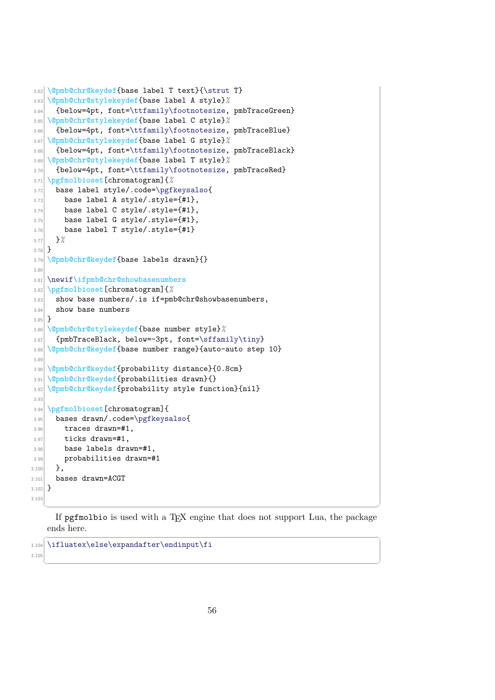```
3.62 \@pmb@chr@keydef{base label T text}{\strut T}
3.63 \@pmb@chr@stylekeydef{base label A style}%
3.64 {below=4pt, font=\ttfamily\footnotesize, pmbTraceGreen}
3.65 \@pmb@chr@stylekeydef{base label C style}%
3.66 {below=4pt, font=\ttfamily\footnotesize, pmbTraceBlue}
3.67 \@pmb@chr@stylekeydef{base label G style}%
3.68 {below=4pt, font=\ttfamily\footnotesize, pmbTraceBlack}
3.69 \@pmb@chr@stylekeydef{base label T style}%
3.70 {below=4pt, font=\ttfamily\footnotesize, pmbTraceRed}
3.71 \pgfmolbioset[chromatogram]{%
3.72 base label style/.code=\pgfkeysalso{
3.73 base label A style/.style={#1},
3.74 base label C style/.style={#1},
3.75 base label G style/.style={#1},
3.76 base label T style/.style={#1}
3.77 }%
3.78 }
3.79 \@pmb@chr@keydef{base labels drawn}{}
3.80
3.81 \newif\ifpmb@chr@showbasenumbers
3.82 \pgfmolbioset[chromatogram]{%
3.83 show base numbers/.is if=pmb@chr@showbasenumbers,
3.84 show base numbers
3.85 }
3.86 \@pmb@chr@stylekeydef{base number style}%
3.87 {pmbTraceBlack, below=-3pt, font=\sffamily\tiny}
3.88 \@pmb@chr@keydef{base number range}{auto-auto step 10}
3.89
3.90 \@pmb@chr@keydef{probability distance}{0.8cm}
3.91 \@pmb@chr@keydef{probabilities drawn}{}
3.92 \@pmb@chr@keydef{probability style function}{nil}
3.93
3.94 \pgfmolbioset[chromatogram]{
3.95 bases drawn/.code=\pgfkeysalso{
3.96 traces drawn=#1,
3.97 ticks drawn=#1,
3.98 base labels drawn=#1,
3.99 probabilities drawn=#1
3.100 },
3.101 bases drawn=ACGT
3.102 }
3.103
   ✝ ✆
```
If pgfmolbio is used with a TEX engine that does not support Lua, the package ends here.  $\sqrt{2}$   $\sqrt{2}$   $\sqrt{2}$   $\sqrt{2}$   $\sqrt{2}$   $\sqrt{2}$   $\sqrt{2}$   $\sqrt{2}$   $\sqrt{2}$   $\sqrt{2}$   $\sqrt{2}$   $\sqrt{2}$   $\sqrt{2}$   $\sqrt{2}$   $\sqrt{2}$   $\sqrt{2}$   $\sqrt{2}$   $\sqrt{2}$   $\sqrt{2}$   $\sqrt{2}$   $\sqrt{2}$   $\sqrt{2}$   $\sqrt{2}$   $\sqrt{2}$   $\sqrt{2}$   $\sqrt{2}$   $\sqrt{2}$   $\sqrt{2$ 

✝ ✆

```
3.104 \ifluatex\else\expandafter\endinput\fi
```
3.105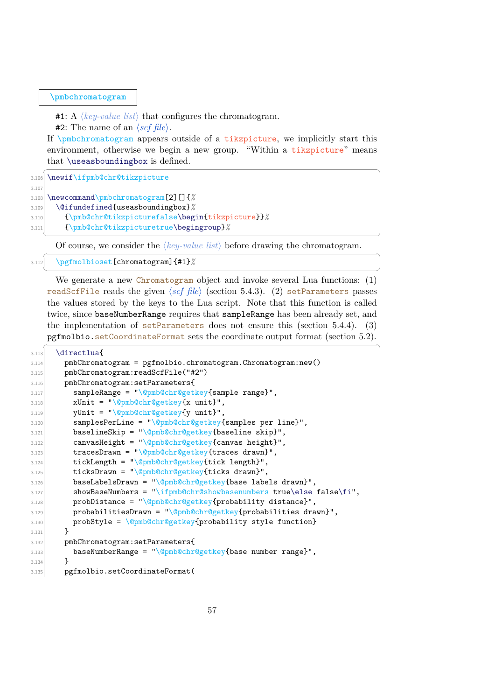#### **[\pmbchromatogram](#page-5-0)**

#1: A  $\langle key-value \; list \rangle$  that configures the chromatogram.

**#2:** The name of an  $\langle \mathit{scf file} \rangle$ .

If  $\phi$  is a time appears outside of a tikzpicture, we implicitly start this environment, otherwise we begin a new group. "Within a tikzpicture" means that \useasboundingbox is defined. ✞ ☎

3.106 \newif\ifpmb@chr@tikzpicture 3.107

3.108 \newcommand\pmbchromatogram[2][]{*%*

3.109 \@ifundefined{useasboundingbox}*%*

```
3.110 {\pmb@chr@tikzpicturefalse\begin{tikzpicture}}%
```

```
3.111 {\pmb@chr@tikzpicturetrue\begingroup}%
```
Of course, we consider the  $\langle key-value \; list \rangle$  before drawing the chromatogram.  $\sqrt{2}$   $\sqrt{2}$   $\sqrt{2}$   $\sqrt{2}$   $\sqrt{2}$   $\sqrt{2}$   $\sqrt{2}$   $\sqrt{2}$   $\sqrt{2}$   $\sqrt{2}$   $\sqrt{2}$   $\sqrt{2}$   $\sqrt{2}$   $\sqrt{2}$   $\sqrt{2}$   $\sqrt{2}$   $\sqrt{2}$   $\sqrt{2}$   $\sqrt{2}$   $\sqrt{2}$   $\sqrt{2}$   $\sqrt{2}$   $\sqrt{2}$   $\sqrt{2}$   $\sqrt{2}$   $\sqrt{2}$   $\sqrt{2}$   $\sqrt{2$ 

✝ ✆

✝ ✆

```
3.112 \pgfmolbioset[chromatogram]{#1}%
```
We generate a new Chromatogram object and invoke several Lua functions: (1) readScfFile reads the given (set file) (section [5.4.3\)](#page-65-0). (2) setParameters passes the values stored by the keys to the Lua script. Note that this function is called twice, since baseNumberRange requires that sampleRange has been already set, and the implementation of setParameters does not ensure this (section [5.4.4\)](#page-68-0). (3) pgfmolbio.setCoordinateFormat sets the coordinate output format (section [5.2\)](#page-54-0).  $\overline{\phantom{a}}$   $\overline{\phantom{a}}$   $\overline{\phantom{a}}$   $\overline{\phantom{a}}$   $\overline{\phantom{a}}$   $\overline{\phantom{a}}$   $\overline{\phantom{a}}$   $\overline{\phantom{a}}$   $\overline{\phantom{a}}$   $\overline{\phantom{a}}$   $\overline{\phantom{a}}$   $\overline{\phantom{a}}$   $\overline{\phantom{a}}$   $\overline{\phantom{a}}$   $\overline{\phantom{a}}$   $\overline{\phantom{a}}$   $\overline{\phantom{a}}$   $\overline{\phantom{a}}$   $\overline{\$ 

 $3.113$  \directlua{

```
3.114 pmbChromatogram = pgfmolbio.chromatogram.Chromatogram:new()
3.115 pmbChromatogram:readScfFile("#2")
3.116 pmbChromatogram:setParameters{
3.117 sampleRange = "\@pmb@chr@getkey{sample range}",
3.118 xUnit = "\\@pmb@chr@getkey{x unit}",3.119 yUnit = "\@pmb@chr@getkey{y unit}",
3.120 samplesPerLine = "\@pmb@chr@getkey{samples per line}",
3.121 baselineSkip = "\@pmb@chr@getkey{baseline skip}",
3.122 canvasHeight = "\@pmb@chr@getkey{canvas height}",
3.123 \vert tracesDrawn = "\@pmb@chr@getkey{traces drawn}",
3.124 tickLength = "\@pmb@chr@getkey{tick length}",
3.125 ticksDrawn = "\@pmb@chr@getkey{ticks drawn}",
3.126 baseLabelsDrawn = "\@pmb@chr@getkey{base labels drawn}",
3.127 showBaseNumbers = "\ifpmb@chr@showbasenumbers true\else false\fi",
3.128 probDistance = "\@pmb@chr@getkey{probability distance}",
3.129 probabilitiesDrawn = "\@pmb@chr@getkey{probabilities drawn}",
3.130 probStyle = \@pmb@chr@getkey{probability style function}
3.131 }
3.132 pmbChromatogram:setParameters{
3.133 baseNumberRange = "\@pmb@chr@getkey{base number range}",
3.134 }
3.135 pgfmolbio.setCoordinateFormat(
```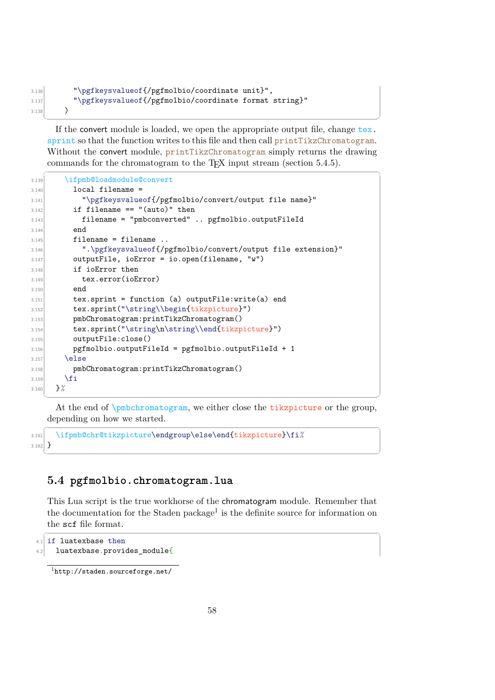```
3.136 "\pgfkeysvalueof{/pgfmolbio/coordinate unit}",
3.137 "\pgfkeysvalueof{/pgfmolbio/coordinate format string}"
3.138 )
        \overline{\phantom{a}} \overline{\phantom{a}} \overline{\phantom{a}} \overline{\phantom{a}} \overline{\phantom{a}} \overline{\phantom{a}} \overline{\phantom{a}} \overline{\phantom{a}} \overline{\phantom{a}} \overline{\phantom{a}} \overline{\phantom{a}} \overline{\phantom{a}} \overline{\phantom{a}} \overline{\phantom{a}} \overline{\phantom{a}} \overline{\phantom{a}} \overline{\phantom{a}} \overline{\phantom{a}} \overline{\
```
If the convert module is loaded, we open the appropriate output file, change tex. sprint so that the function writes to this file and then call printTikzChromatogram. Without the convert module, printTikzChromatogram simply returns the drawing commands for the chromatogram to the T<sub>E</sub>X input stream (section [5.4.5\)](#page-70-0).  $\sqrt{1 - \frac{1}{2}}$ 

```
3.139 \ifpmb@loadmodule@convert
3.140 local filename =
3.141 "\pgfkeysvalueof{/pgfmolbio/convert/output file name}"
3.142 if filename == "(auto)" then
3.143 filename = "pmbconverted" .. pgfmolbio.outputFileId
3.144 end
3.145 filename = filename ..
3.146 ".\pgfkeysvalueof{/pgfmolbio/convert/output file extension}"
3.147 outputFile, ioError = io.open(filename, "w")
3.148 if ioError then
3.149 tex.error(ioError)
3.150 end
3.151 tex.sprint = function (a) outputFile:write(a) end
3.152 tex.sprint("\string\\begin{tikzpicture}")
3.153 pmbChromatogram:printTikzChromatogram()
3.154 tex.sprint("\string\n\string\\end{tikzpicture}")
3.155 outputFile:close()
3.156 pgfmolbio.outputFileId = pgfmolbio.outputFileId + 1
3.157 \else
3.158 pmbChromatogram:printTikzChromatogram()
3.159 \fi
3.160 }%
```
✝ ✆ At the end of \pmbchromatogram, we either close the tikzpicture or the group, depending on how we started.

 $\sqrt{2}$   $\sqrt{2}$   $\sqrt{2}$   $\sqrt{2}$   $\sqrt{2}$   $\sqrt{2}$   $\sqrt{2}$   $\sqrt{2}$   $\sqrt{2}$   $\sqrt{2}$   $\sqrt{2}$   $\sqrt{2}$   $\sqrt{2}$   $\sqrt{2}$   $\sqrt{2}$   $\sqrt{2}$   $\sqrt{2}$   $\sqrt{2}$   $\sqrt{2}$   $\sqrt{2}$   $\sqrt{2}$   $\sqrt{2}$   $\sqrt{2}$   $\sqrt{2}$   $\sqrt{2}$   $\sqrt{2}$   $\sqrt{2}$   $\sqrt{2$ 3.161 \ifpmb@chr@tikzpicture\endgroup\else\end{tikzpicture}\fi*%*  $3.162$ } ✝ ✆

# **5.4 pgfmolbio.chromatogram.lua**

This Lua script is the true workhorse of the chromatogram module. Remember that the documentation for the Staden package<sup>[1](#page-60-0)</sup> is the definite source for information on the scf file format.

```
✞ ☎
4.1 if luatexbase then
|4.2| luatexbase.provides module{
```

```
1
http://staden.sourceforge.net/
```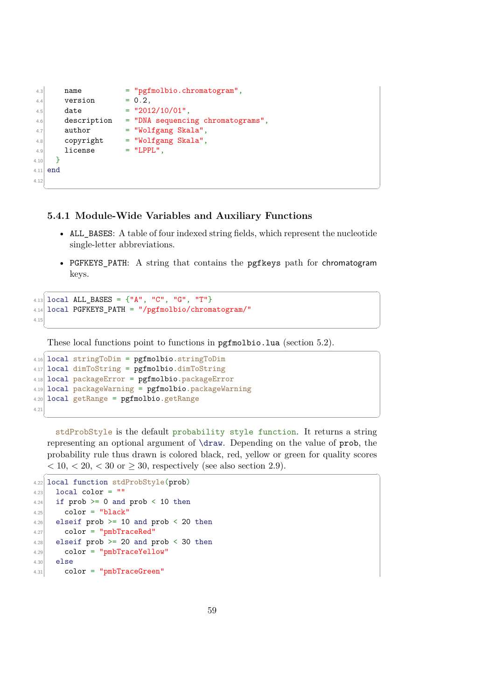```
4.3 name = "pgfmolbio.chromatogram",
4.4 version = 0.2.
4.5 date = "2012/10/01",
4.6 description = "DNA sequencing chromatograms",
4.7 author = "Wolfgang Skala",
4.8 copyright = "Wolfgang Skala",
4.9 license = "LPPL",
4.10 }
4.11 end
4.12
```
## **5.4.1 Module-Wide Variables and Auxiliary Functions**

• ALL BASES: A table of four indexed string fields, which represent the nucleotide single-letter abbreviations.

✝ ✆

• PGFKEYS\_PATH: A string that contains the pgfkeys path for chromatogram keys.

✝ ✆

 $\overline{a}$   $\overline{a}$   $\overline{a}$   $\overline{a}$   $\overline{a}$   $\overline{a}$   $\overline{a}$   $\overline{a}$   $\overline{a}$   $\overline{a}$   $\overline{a}$   $\overline{a}$   $\overline{a}$   $\overline{a}$   $\overline{a}$   $\overline{a}$   $\overline{a}$   $\overline{a}$   $\overline{a}$   $\overline{a}$   $\overline{a}$   $\overline{a}$   $\overline{a}$   $\overline{a}$   $\overline{$ 

```
\sqrt{2} \sqrt{2} \sqrt{2} \sqrt{2} \sqrt{2} \sqrt{2} \sqrt{2} \sqrt{2} \sqrt{2} \sqrt{2} \sqrt{2} \sqrt{2} \sqrt{2} \sqrt{2} \sqrt{2} \sqrt{2} \sqrt{2} \sqrt{2} \sqrt{2} \sqrt{2} \sqrt{2} \sqrt{2} \sqrt{2} \sqrt{2} \sqrt{2} \sqrt{2} \sqrt{2} \sqrt{24.13 local ALL_BASES = {"A", "C", "G", "T"}
4.14 local PGFKEYS_PATH = "/pgfmolbio/chromatogram/"
4.15
```
These local functions point to functions in pgfmolbio.lua (section [5.2\)](#page-54-0).

```
4.16 local stringToDim = pgfmolbio.stringToDim
4.17 local dimToString = pgfmolbio.dimToString
4.18 local packageError = pgfmolbio.packageError
4.19 local packageWarning = pgfmolbio.packageWarning
4.20 local getRange = pgfmolbio.getRange
4.21
```
stdProbStyle is the default probability style function. It returns a string representing an optional argument of \draw. Depending on the value of prob, the probability rule thus drawn is colored black, red, yellow or green for quality scores  $< 10, < 20, < 30$  or  $\geq 30$ , respectively (see also section [2.9\)](#page-16-0).  $\overline{a}$   $\overline{a}$   $\overline{a}$   $\overline{a}$   $\overline{a}$   $\overline{a}$   $\overline{a}$   $\overline{a}$   $\overline{a}$   $\overline{a}$   $\overline{a}$   $\overline{a}$   $\overline{a}$   $\overline{a}$   $\overline{a}$   $\overline{a}$   $\overline{a}$   $\overline{a}$   $\overline{a}$   $\overline{a}$   $\overline{a}$   $\overline{a}$   $\overline{a}$   $\overline{a}$   $\overline{$ 

✝ ✆

```
4.22 local function stdProbStyle(prob)
4.23 local color = ""
4.24 if prob >= 0 and prob < 10 then
4.25 color = "black"
4.26 elseif prob >= 10 and prob < 20 then
4.27 color = "pmbTraceRed"
4.28 elseif prob > = 20 and prob < 30 then
4.29 color = "pmbTraceYellow"
4.30 else
|4.31| color = "pmbTraceGreen"
```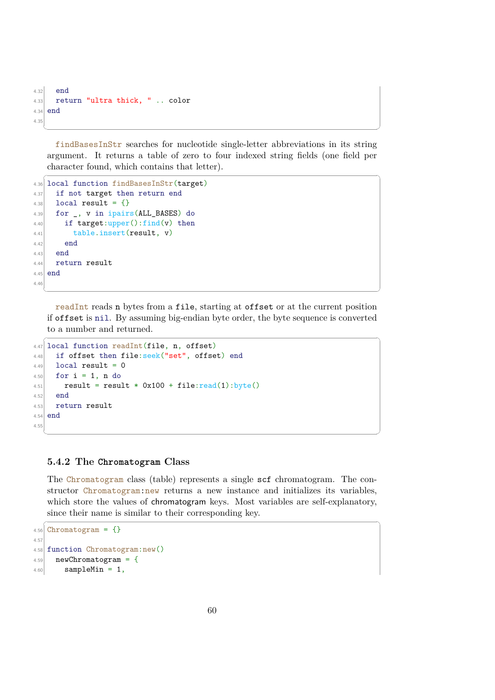```
4.32 end
4.33 return "ultra thick, " .. color
4.34 end
4.35
 ✝ ✆
```
findBasesInStr searches for nucleotide single-letter abbreviations in its string argument. It returns a table of zero to four indexed string fields (one field per character found, which contains that letter).

 $\overline{a}$   $\overline{a}$   $\overline{a}$   $\overline{a}$   $\overline{a}$   $\overline{a}$   $\overline{a}$   $\overline{a}$   $\overline{a}$   $\overline{a}$   $\overline{a}$   $\overline{a}$   $\overline{a}$   $\overline{a}$   $\overline{a}$   $\overline{a}$   $\overline{a}$   $\overline{a}$   $\overline{a}$   $\overline{a}$   $\overline{a}$   $\overline{a}$   $\overline{a}$   $\overline{a}$   $\overline{$ 

```
4.36 local function findBasesInStr(target)
4.37 if not target then return end
4.38 local result = \{\}4.39 for _, v in ipairs(ALL_BASES) do
4.40 if target:upper():find(v) then
|4.41| table.insert(result, v)
4.42 end
4.43 end
4.44 return result
4.45 end
4.46
```
readInt reads n bytes from a file, starting at offset or at the current position if offset is nil. By assuming big-endian byte order, the byte sequence is converted to a number and returned.  $\sqrt{2}$   $\sqrt{2}$   $\sqrt{2}$   $\sqrt{2}$   $\sqrt{2}$   $\sqrt{2}$   $\sqrt{2}$   $\sqrt{2}$   $\sqrt{2}$   $\sqrt{2}$   $\sqrt{2}$   $\sqrt{2}$   $\sqrt{2}$   $\sqrt{2}$   $\sqrt{2}$   $\sqrt{2}$   $\sqrt{2}$   $\sqrt{2}$   $\sqrt{2}$   $\sqrt{2}$   $\sqrt{2}$   $\sqrt{2}$   $\sqrt{2}$   $\sqrt{2}$   $\sqrt{2}$   $\sqrt{2}$   $\sqrt{2}$   $\sqrt{2$ 

✝ ✆

```
4.47 local function readInt(file, n, offset)
4.48 if offset then file:seek("set", offset) end
4.49 local result = 0
4.50 for i = 1, n do
4.51 result = result * 0x100 + file: read(1): byte()4.52 end
4.53 return result
4.54 end
4.55
```
## **5.4.2 The Chromatogram Class**

The Chromatogram class (table) represents a single scf chromatogram. The constructor Chromatogram:new returns a new instance and initializes its variables, which store the values of chromatogram keys. Most variables are self-explanatory, since their name is similar to their corresponding key.  $\sqrt{2}$   $\sqrt{2}$   $\sqrt{2}$   $\sqrt{2}$   $\sqrt{2}$   $\sqrt{2}$   $\sqrt{2}$   $\sqrt{2}$   $\sqrt{2}$   $\sqrt{2}$   $\sqrt{2}$   $\sqrt{2}$   $\sqrt{2}$   $\sqrt{2}$   $\sqrt{2}$   $\sqrt{2}$   $\sqrt{2}$   $\sqrt{2}$   $\sqrt{2}$   $\sqrt{2}$   $\sqrt{2}$   $\sqrt{2}$   $\sqrt{2}$   $\sqrt{2}$   $\sqrt{2}$   $\sqrt{2}$   $\sqrt{2}$   $\sqrt{2$ 

✝ ✆

```
4.56 Chromatogram = \{\}4.57
4.58 function Chromatogram:new()
4.59 newChromatogram = \{4.60 sampleMin = 1,
```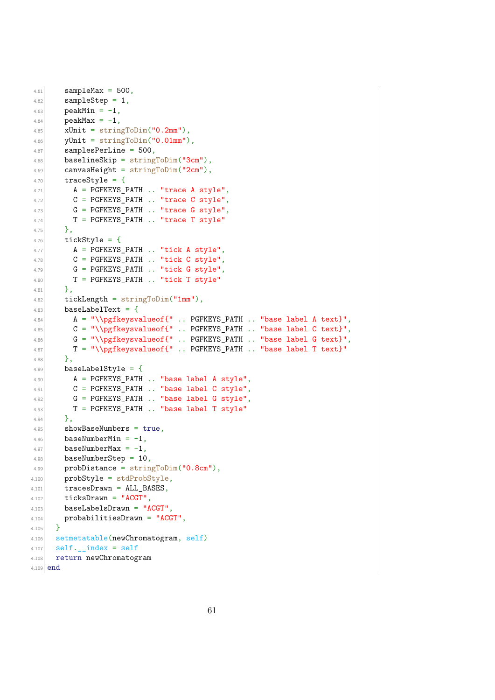```
4.61 sampleMax = 500,
4.62 sampleStep = 1,
4.63 peakMin = -1,
4.64 peakMax = -1,
4.65 xUnit = stringToDim("0.2mm"),
4.66 yUnit = stringToDim("0.01mm"),
4.67 samplesPerLine = 500,
4.68 baselineSkip = stringToDim("3cm"),
4.69 canvasHeight = stringToDim("2cm"),
4.70 traceStyle = {
4.71 A = PGFKEYS_PATH .. "trace A style",
4.72 C = PGFKEYS_PATH .. "trace C style",
4.73 G = PGFKEYS_PATH .. "trace G style",
4.74 T = PGFKEYS_PATH .. "trace T style"
4.75 },
4.76 tickskip = 4.764.77 A = PGFKEYS_PATH .. "tick A style",
4.78 C = PGFKEYS_PATH .. "tick C style",
4.79 G = PGFKEYS_PATH .. "tick G style",
4.80 T = PGFKEYS PATH .. "tick T style"
4.81 \uparrow,
4.82 tickLength = stringToDim("1mm"),
4.83 baseLabelText = {
4.84 A = "\\pgfkeysvalueof{" . PGFKEYS_PATH .. "base label A text}",
4.85 C = "\\pffkeysvalueof{" . . PGFKEYS_PATH . . "base label C text}<sup>1</sup>",4.86 G = "\\pgfkeysvalueof{" .. PGFKEYS_PATH .. "base label G text}",
4.87 T = "\\pgfkeysvalueof{" .. PGFKEYS_PATH .. "base label T text}"
4.88 },
4.89 baseLabelStyle = {
4.90 A = PGFKEYS_PATH .. "base label A style",
4.91 C = PGFKEYS_PATH .. "base label C style",
4.92 G = PGFKEYS_PATH .. "base label G style",
4.93 T = PGFKEYS_PATH .. "base label T style"
4.94 \Big\},
4.95 \vert showBaseNumbers = true,
4.96 baseNumberMin = -1,
4.97 baseNumberMax = -1,
4.98 baseNumberStep = 10,
4.99 probDistance = stringToDim("0.8cm"),
4.100 probStyle = stdProbStyle,
4.101 tracesDrawn = ALL BASES,
4.102 ticksDrawn = "ACGT",
4.103 baseLabelsDrawn = "ACGT",
4.104 probabilitiesDrawn = "ACGT",
4.105 }
4.106 setmetatable(newChromatogram, self)
4.107 self. index = self
4.108 return newChromatogram
4.109 end
```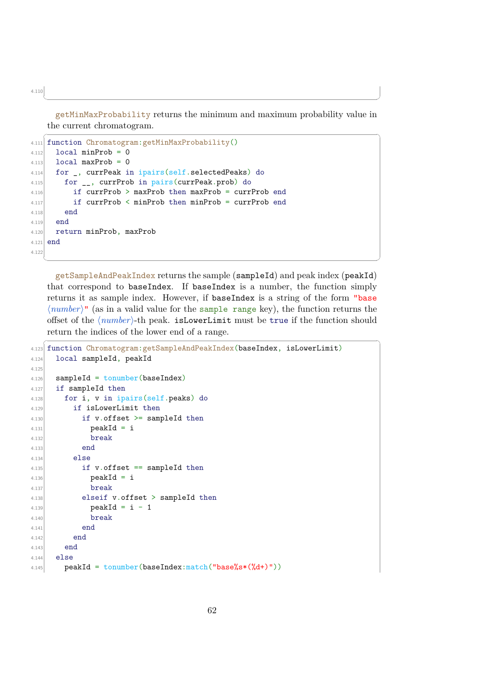getMinMaxProbability returns the minimum and maximum probability value in the current chromatogram.

✝ ✆

```
\sqrt{2} \sqrt{2} \sqrt{2} \sqrt{2} \sqrt{2} \sqrt{2} \sqrt{2} \sqrt{2} \sqrt{2} \sqrt{2} \sqrt{2} \sqrt{2} \sqrt{2} \sqrt{2} \sqrt{2} \sqrt{2} \sqrt{2} \sqrt{2} \sqrt{2} \sqrt{2} \sqrt{2} \sqrt{2} \sqrt{2} \sqrt{2} \sqrt{2} \sqrt{2} \sqrt{2} \sqrt{24.111 function Chromatogram:getMinMaxProbability()
4112 local minProb = 0
4.113 local maxProb = 0
4.114 for _, currPeak in ipairs(self.selectedPeaks) do
4.115 for __, currProb in pairs(currPeak.prob) do
4.116 if currProb > maxProb then maxProb = currProb end
4.117 if currProb < minProb then minProb = currProb end
4.118 end
4.119 end
4.120 return minProb, maxProb
4.121 end
4.122
```
getSampleAndPeakIndex returns the sample (sampleId) and peak index (peakId) that correspond to baseIndex. If baseIndex is a number, the function simply returns it as sample index. However, if baseIndex is a string of the form "base  $\langle number \rangle$ <sup>"</sup> (as in a valid value for the sample range key), the function returns the offset of the  $\langle number\rangle$ -th peak. isLowerLimit must be true if the function should return the indices of the lower end of a range.

✝ ✆

```
\sqrt{1 - \frac{1}{2}}4.123 function Chromatogram:getSampleAndPeakIndex(baseIndex, isLowerLimit)
4.124 local sampleId, peakId
4.125
4.126 sampleId = tonumber(baseIndex)
4.127 if sampleId then
4.128 for i, v in ipairs (self.peaks) do
4.129 if isLowerLimit then
4.130 if v.offset \geq sampled then4.131 peakId = i
4.132 break
4.133 end
4.134 else
4.135 if v.offset == sampled then4.136 peakId = i
4.137 break
4.138 elseif v.offset > sampleId then
4.139 peakId = i - 1
4.140 break
4.141 end
4.142 end
4.143 end
4.144 else
4.145 peakId = tonumber(baseIndex:match("base%s*(%d+)"))
```
62

4.110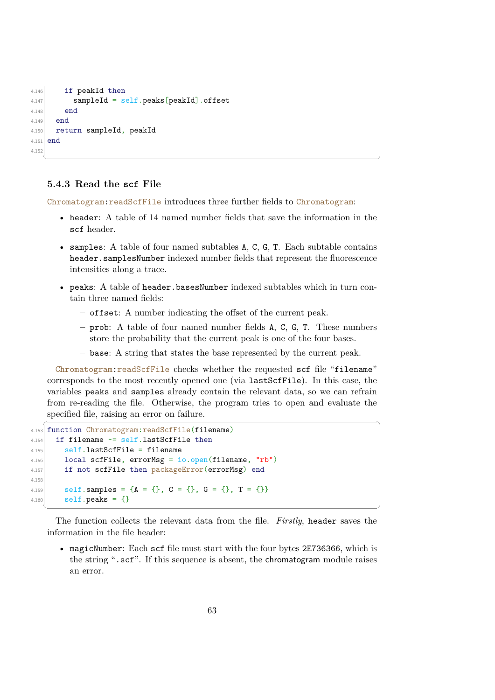```
4.146 if peakId then
4.147 sampleId = self.peaks[peakId].offset
4.148 end
4.149 end
4.150 return sampleId, peakId
4.151 end
4.152
  ✝ ✆
```
## <span id="page-65-0"></span>**5.4.3 Read the scf File**

Chromatogram:readScfFile introduces three further fields to Chromatogram:

- header: A table of 14 named number fields that save the information in the scf header.
- samples: A table of four named subtables A, C, G, T. Each subtable contains header.samplesNumber indexed number fields that represent the fluorescence intensities along a trace.
- peaks: A table of header.basesNumber indexed subtables which in turn contain three named fields:
	- **–** offset: A number indicating the offset of the current peak.
	- **–** prob: A table of four named number fields A, C, G, T. These numbers store the probability that the current peak is one of the four bases.
	- **–** base: A string that states the base represented by the current peak.

Chromatogram:readScfFile checks whether the requested scf file "filename" corresponds to the most recently opened one (via lastScfFile). In this case, the variables peaks and samples already contain the relevant data, so we can refrain from re-reading the file. Otherwise, the program tries to open and evaluate the specified file, raising an error on failure.  $\left( \begin{array}{ccc} \bullet & \bullet & \bullet & \bullet \\ \bullet & \bullet & \bullet & \bullet \end{array} \right)$ 

```
4.153 function Chromatogram:readScfFile(filename)
4.154 if filename \sim self.lastScfFile then
4.155 self.lastScfFile = filename
4.156 local scfFile, errorMsg = io.open(filename, "rb")4.157 if not scfFile then packageError(errorMsg) end
4.158
4.159 self.samples = \{A = \{\}, C = \{\}, G = \{\}, T = \{\}\}4.160 self. peaks = \{\}
```
The function collects the relevant data from the file. *Firstly*, header saves the information in the file header:

✝ ✆

• magicNumber: Each scf file must start with the four bytes 2E736366, which is the string ".scf". If this sequence is absent, the chromatogram module raises an error.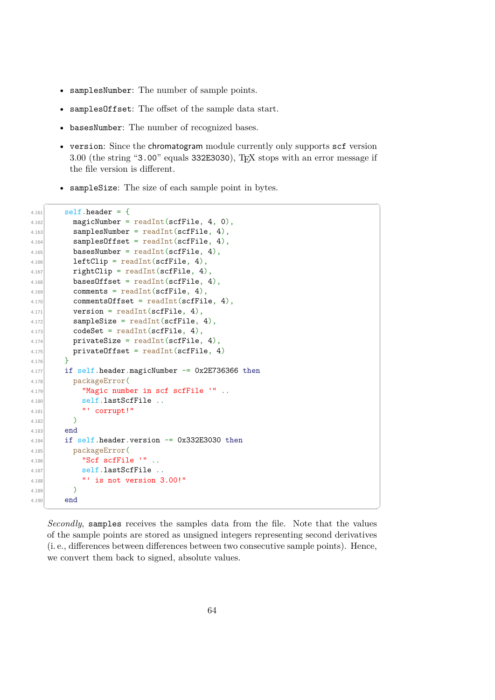- samplesNumber: The number of sample points.
- samplesOffset: The offset of the sample data start.
- basesNumber: The number of recognized bases.
- version: Since the chromatogram module currently only supports scf version 3.00 (the string "3.00" equals 332E3030), TEX stops with an error message if the file version is different.
- sampleSize: The size of each sample point in bytes.

```
\sqrt{2} \sqrt{2} \sqrt{2} \sqrt{2} \sqrt{2} \sqrt{2} \sqrt{2} \sqrt{2} \sqrt{2} \sqrt{2} \sqrt{2} \sqrt{2} \sqrt{2} \sqrt{2} \sqrt{2} \sqrt{2} \sqrt{2} \sqrt{2} \sqrt{2} \sqrt{2} \sqrt{2} \sqrt{2} \sqrt{2} \sqrt{2} \sqrt{2} \sqrt{2} \sqrt{2} \sqrt{24.161 self.header = {
4.162 magicNumber = readInt(scfFile, 4, 0),
4.163 samplesNumber = readInt(scfFile, 4),
4.164 \sim samplesOffset = readInt(scfFile, 4),
4.165 basesNumber = readInt(scfFile, 4),
4.166 leftClip = readInt(scfFile, 4),
4.167 rightClip = readInt(scfFile, 4),
4.168 basesOffset = readInt(scfFile, 4),
4.169 comments = readInt(scfFile, 4),
4.170 commentsOffset = readInt(scfFile, 4),
4.171 version = readInt(scfFile, 4),
4.172 sampleSize = readInt(scfFile, 4),
4.173 codeSet = readInt(scfFile, 4),
4.174 privateSize = readInt(scfFile, 4)
4.175 privateOffset = readInt(scfFile, 4)
4.176 }
4.177 if self.header.magicNumber \sim = 0x2E736366 then
4.178 packageError(
4.179 "Magic number in scf scfFile '" ..
4.180 self.lastScfFile ..
4.181 "' corrupt!"
4.182 )4.183 end
4.184 if self.header.version \sim = 0x332E3030 then
4.185 packageError(
4.186 "Scf scfFile '"..
4.187 self.lastScfFile ..
4.188 "' is not version 3.00!"
4.189 )4.190 end
   ✝ ✆
```
*Secondly*, samples receives the samples data from the file. Note that the values of the sample points are stored as unsigned integers representing second derivatives (i. e., differences between differences between two consecutive sample points). Hence, we convert them back to signed, absolute values.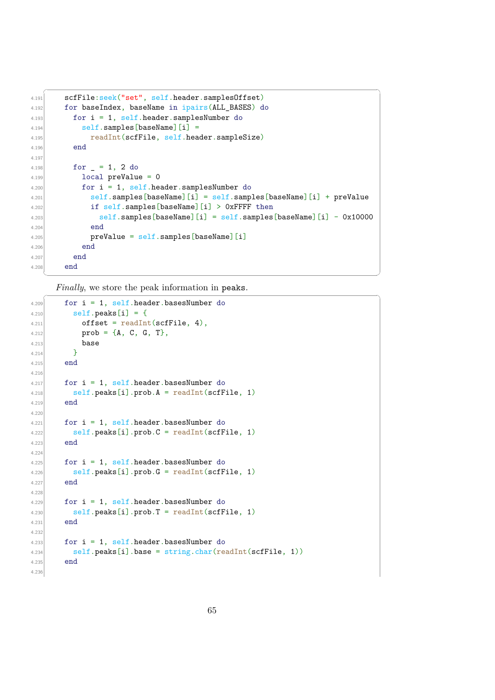```
✞ ☎
4.191 scfFile: seek("set", self.header.samplesOffset)
4.192 for baseIndex, baseName in ipairs(ALL BASES) do
4.193 for i = 1, self.header.samplesNumber do
4.194 self.samples[baseName][i] =
4.195 readInt(scfFile, self.header.sampleSize)
4.196 end
4.197
4.198 for = 1, 2 do
4.199 local preValue = 0
4.200 for i = 1, self.header.samplesNumber do
4.201 self.samples[baseName][i] = self.samples[baseName][i] + preValue
4.202 if self.samples[baseName][i] > OxFFFF then
4.203 self.samples[baseName][i] = self.samples[baseName][i] - 0x10000
4.204 end
4.205 preValue = self.samples[baseName][i]
4.206 end
4.207 end
4.208 end
```
✝ ✆

*Finally*, we store the peak information in peaks.

```
4.209 for i = 1, self.header.basesNumber do
4.210 self.peaks[i] = {
4.211 offset = readInt(scfFile, 4),4.212 prob = {A, C, G, T},
4.213 base
4.214 }
4.215 end
4.216
4.217 for i = 1, self.header.basesNumber do
4.218 \vert self.peaks[i].prob.A = readInt(scfFile, 1)
4.219 end
4.224.221 for i = 1, self.header.basesNumber do
4.222 self.peaks[i].prob.C = \text{readInt}(\text{scffile}, 1)4.223 end
4.22
4.225 for i = 1, self.header.basesNumber do
4.226 self.peaks[i].prob.G = \text{readInt}(\text{scffile}, 1)4.227 end
4.22
4.229 for i = 1, self.header.basesNumber do
4.230 self.peaks[i].prob.T = readInt(scfFile, 1)4.231 end
4.23
4.233 for i = 1, self.header.basesNumber do
4.234 self.peaks[i].base = string.char(readInt(scfFile, 1))
4.235 end
4.236
```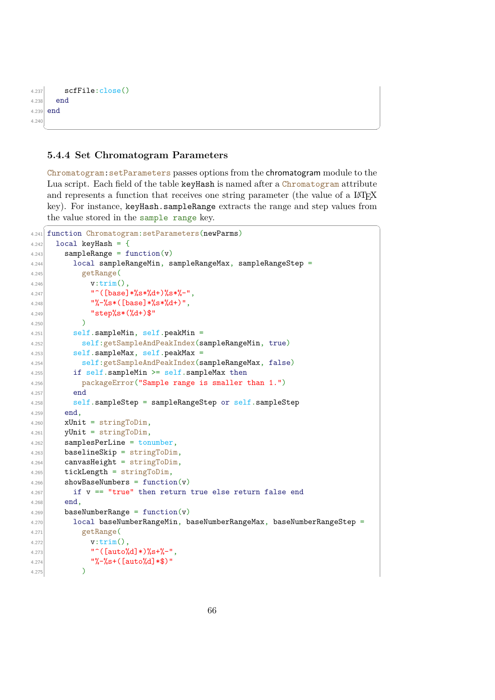```
4.237 scfFile:close()
4.238 end
4.239 end
4.24✝ ✆
```
### <span id="page-68-0"></span>**5.4.4 Set Chromatogram Parameters**

Chromatogram:setParameters passes options from the chromatogram module to the Lua script. Each field of the table keyHash is named after a Chromatogram attribute and represents a function that receives one string parameter (the value of a LAT<sub>EX</sub> key). For instance, keyHash.sampleRange extracts the range and step values from the value stored in the sample range key. ✞ ☎

```
4.241 function Chromatogram:setParameters(newParms)
4.242 local keyHash = {
4.243 sampleRange = function(v)
4.244 local sampleRangeMin, sampleRangeMax, sampleRangeStep =
4.245 getRange(
4.246 v:trim(),
4.247 \vert " ([base]*%s*%d+)%s*%-",
^{4.248} "%-%s*([base]*%s*%d+)",
4.249 "step%s*(%d+)$"
4.250 )4.251 self.sampleMin, self.peakMin =
4.252 self:getSampleAndPeakIndex(sampleRangeMin, true)
4.253 self.sampleMax, self.peakMax =
4.254 self:getSampleAndPeakIndex(sampleRangeMax, false)
4.255 if self.sampleMin \geq self.sampleMax then4.256 packageError("Sample range is smaller than 1.")
4.257 end
4.258 self.sampleStep = sampleRangeStep or self.sampleStep
4.259 end,
4.260 xUnit = stringToDim,4.261 yUnit = stringToDim,
4.262 samplesPerLine = tonumber,
4.263 baselineSkip = stringToDim,
4.264 canvasHeight = stringToDim,
4.265 tickLength = stringToDim,
4.266 showBaseNumbers = function(v)4.267 if v = "true" then return true else return false end
4.268 end,
4.269 baseNumberRange = function(v)4.270 local baseNumberRangeMin, baseNumberRangeMax, baseNumberRangeStep =
4.271 getRange(
v: \text{trim}(),
4.273 \sim " ([auto%d]*)%s+%-",
^{4.274} "%-%s+([auto%d]*$)"
4.275 )
```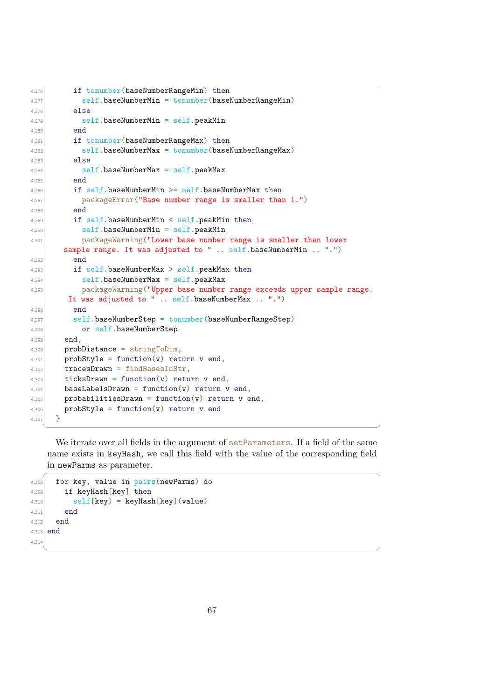```
4.276 if tonumber(baseNumberRangeMin) then
4.277 self.baseNumberMin = tonumber(baseNumberRangeMin)
4.278 else
4.279 self.baseNumberMin = self.peakMin
4.280 end
4.281 if tonumber(baseNumberRangeMax) then
4.282 self.baseNumberMax = tonumber(baseNumberRangeMax)
4.283 else
4.284 self.baseNumberMax = self.peakMax
4.285 end
4.286 if self.baseNumberMin >= self.baseNumberMax then
4.287 packageError("Base number range is smaller than 1.")
4.288 end
4.289 if self.baseNumberMin < self.peakMin then
4.290 self.baseNumberMin = self.peakMin
4.291 packageWarning("Lower base number range is smaller than lower
       sample range. It was adjusted to " .. self.baseNumberMin .. ".")
4.292 end
4.293 if self.baseNumberMax > self.peakMax then
4.294 self.baseNumberMax = self.peakMax
4.295 packageWarning("Upper base number range exceeds upper sample range.
       It was adjusted to " .. self.baseNumberMax .. ".")
4.296 end
4.297 self.baseNumberStep = tonumber(baseNumberRangeStep)
4.298 or self.baseNumberStep
4.299 end,
4.300 probDistance = stringToDim,
4.301 probStyle = function(v) return v end,
4.302 tracesDrawn = findBasesInStr,
4.303 ticksDrawn = function(v) return v end,
4.304 baseLabelsDrawn = function(v) return v end,
4.305 probabilitiesDrawn = function(v) return v end,
4.306 probStyle = function(v) return v end
4.307 }
```
We iterate over all fields in the argument of setParameters. If a field of the same name exists in keyHash, we call this field with the value of the corresponding field in newParms as parameter.  $\sqrt{2}$   $\sqrt{2}$   $\sqrt{2}$   $\sqrt{2}$   $\sqrt{2}$   $\sqrt{2}$   $\sqrt{2}$   $\sqrt{2}$   $\sqrt{2}$   $\sqrt{2}$   $\sqrt{2}$   $\sqrt{2}$   $\sqrt{2}$   $\sqrt{2}$   $\sqrt{2}$   $\sqrt{2}$   $\sqrt{2}$   $\sqrt{2}$   $\sqrt{2}$   $\sqrt{2}$   $\sqrt{2}$   $\sqrt{2}$   $\sqrt{2}$   $\sqrt{2}$   $\sqrt{2}$   $\sqrt{2}$   $\sqrt{2}$   $\sqrt{2$ 

✝ ✆

```
4.308 for key, value in pairs (newParms) do
4.309 if keyHash[key] then
4.310 self [key] = keyHash [key] (value)
4.311 end
4.312 end
4.313 end
4.314
```
✝ ✆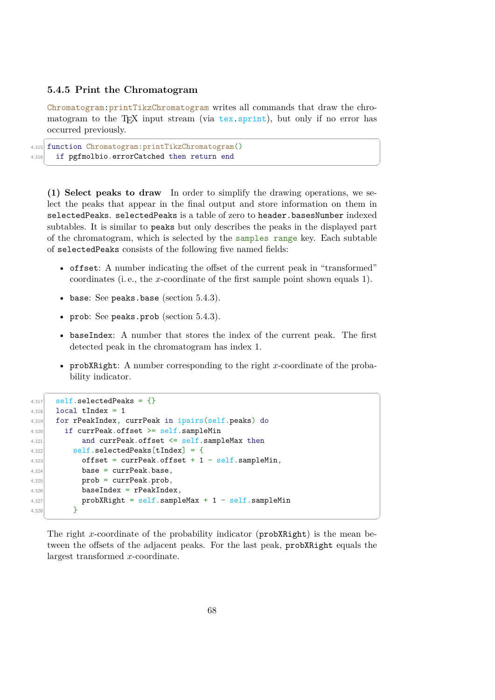### <span id="page-70-0"></span>**5.4.5 Print the Chromatogram**

Chromatogram:printTikzChromatogram writes all commands that draw the chromatogram to the T<sub>EX</sub> input stream (via tex.sprint), but only if no error has occurred previously.

 $\sqrt{2}$   $\sqrt{2}$   $\sqrt{2}$   $\sqrt{2}$   $\sqrt{2}$   $\sqrt{2}$   $\sqrt{2}$   $\sqrt{2}$   $\sqrt{2}$   $\sqrt{2}$   $\sqrt{2}$   $\sqrt{2}$   $\sqrt{2}$   $\sqrt{2}$   $\sqrt{2}$   $\sqrt{2}$   $\sqrt{2}$   $\sqrt{2}$   $\sqrt{2}$   $\sqrt{2}$   $\sqrt{2}$   $\sqrt{2}$   $\sqrt{2}$   $\sqrt{2}$   $\sqrt{2}$   $\sqrt{2}$   $\sqrt{2}$   $\sqrt{2$ 

```
4.315 function Chromatogram:printTikzChromatogram()
4.316 if pgfmolbio.errorCatched then return end
 ✝ ✆
```
**(1) Select peaks to draw** In order to simplify the drawing operations, we select the peaks that appear in the final output and store information on them in selectedPeaks. selectedPeaks is a table of zero to header.basesNumber indexed subtables. It is similar to peaks but only describes the peaks in the displayed part of the chromatogram, which is selected by the samples range key. Each subtable of selectedPeaks consists of the following five named fields:

- offset: A number indicating the offset of the current peak in "transformed" coordinates (i. e., the x-coordinate of the first sample point shown equals 1).
- base: See peaks.base (section  $5.4.3$ ).
- prob: See peaks.prob (section [5.4.3\)](#page-65-0).
- baseIndex: A number that stores the index of the current peak. The first detected peak in the chromatogram has index 1.
- probXRight: A number corresponding to the right x-coordinate of the probability indicator.

✞ ☎

```
4.317 self.selectedPeaks = {}
4.318 local tIndex = 1
4.319 for rPeakIndex, currPeak in ipairs(self.peaks) do
4.320 if currPeak.offset >= self.sampleMin
4.321 and currPeak.offset <= self.sampleMax then
4.322 self.selectedPeaks[tIndex] = {
4.323 offset = currPeak.offset + 1 - self.sampleMin,
4.324 base = currPeak.base,
4.325 prob = currPeak.prob,
4.326 baseIndex = rPeakIndex.
4.327 probXRight = self.sampleMax + 1 - self.sampleMin
4.328 }
```
The right x-coordinate of the probability indicator ( $\text{prob}$ XRight) is the mean between the offsets of the adjacent peaks. For the last peak, probXRight equals the largest transformed x-coordinate.

✝ ✆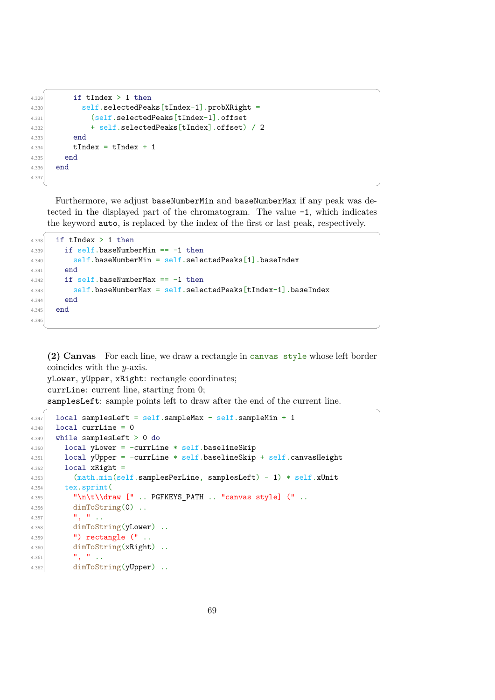```
✞ ☎
4.329 if tIndex > 1 then
4.330 self.selectedPeaks[tIndex-1].probXRight =
4.331 (self.selectedPeaks[tIndex-1].offset
4.332 + self.selectedPeaks[tIndex].offset) / 2
4.333 end
_{4.334} tIndex = tIndex + 1
4.335 end
4.336 end
4.337
```
Furthermore, we adjust baseNumberMin and baseNumberMax if any peak was detected in the displayed part of the chromatogram. The value -1, which indicates the keyword auto, is replaced by the index of the first or last peak, respectively.

✞ ☎

✝ ✆

```
4.338 if tIndex > 1 then
4.339 if self.baseNumberMin == -1 then
4.340 self.baseNumberMin = self.selectedPeaks[1].baseIndex
4.341 end
4.342 if self.baseNumberMax == -1 then
4.343 self.baseNumberMax = self.selectedPeaks[tIndex-1].baseIndex
4.344 end
4.345 end
4.346
```
**(2) Canvas** For each line, we draw a rectangle in canvas style whose left border coincides with the y-axis.

✝ ✆

yLower, yUpper, xRight: rectangle coordinates; currLine: current line, starting from 0; samplesLeft: sample points left to draw after the end of the current line.

```
\overline{\phantom{a}} \overline{\phantom{a}} \overline{\phantom{a}} \overline{\phantom{a}} \overline{\phantom{a}} \overline{\phantom{a}} \overline{\phantom{a}} \overline{\phantom{a}} \overline{\phantom{a}} \overline{\phantom{a}} \overline{\phantom{a}} \overline{\phantom{a}} \overline{\phantom{a}} \overline{\phantom{a}} \overline{\phantom{a}} \overline{\phantom{a}} \overline{\phantom{a}} \overline{\phantom{a}} \overline{\4.347 local samplesLeft = self.sampleMax - self.sampleMin + 1
4.348 local currLine = 0
4.349 while samplesLeft > 0 do
4.350 local yLower = -currLine * self.baselineSkip
4.351 local yUpper = -currLine * self.baselineSkip + self.canvasHeight
4.352 local xRight =
4.353 (math.min(self.samplesPerLine, samplesLeft) - 1) * self.xUnit
4.354 tex.sprint(
4.355 "\n\t\\draw [" .. PGFKEYS_PATH .. "canvas style] (" ..
4.356 dimToString(0) ..
4.357 ", " ..
4.358 dimToString(yLower) ..
4.359 ") rectangle (" ..
4.360 dimToString(xRight)
4.361 \left| \right| \left| \right| \left| \right| \left| \right| \left| \right| \left| \right| \left| \right|4.362 dimToString(yUpper) ..
```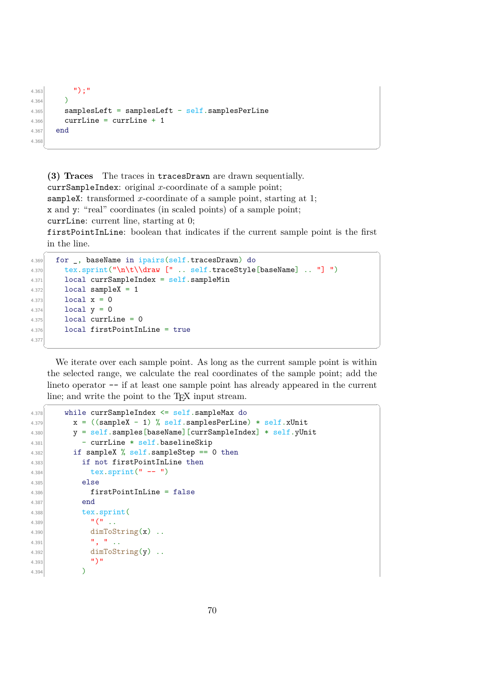```
4.363 \left| \right| \left| \right| \left| \right| \left| \right|4.364 )
4.365 samplesLeft = samplesLeft - self.samplesPerLine
4.366 currLine = currLine + 1
4.367 end
4.36
  ✝ ✆
```
**(3) Traces** The traces in tracesDrawn are drawn sequentially. currSampleIndex: original  $x$ -coordinate of a sample point; sampleX: transformed x-coordinate of a sample point, starting at 1; x and y: "real" coordinates (in scaled points) of a sample point; currLine: current line, starting at 0; firstPointInLine: boolean that indicates if the current sample point is the first in the line.

```
\sqrt{2} \sqrt{2} \sqrt{2} \sqrt{2} \sqrt{2} \sqrt{2} \sqrt{2} \sqrt{2} \sqrt{2} \sqrt{2} \sqrt{2} \sqrt{2} \sqrt{2} \sqrt{2} \sqrt{2} \sqrt{2} \sqrt{2} \sqrt{2} \sqrt{2} \sqrt{2} \sqrt{2} \sqrt{2} \sqrt{2} \sqrt{2} \sqrt{2} \sqrt{2} \sqrt{2} \sqrt{24.369 for , baseName in ipairs(self.tracesDrawn) do
4.370 tex.sprint("\n\t\\draw [" .. self.traceStyle[baseName] .. "] ")
4.371 local currSampleIndex = self.sampleMin
4.372 local sampleX = 1
4.373 \log x = 04.374 \log_2 10^{-1} local y = 04.375 local currLine = 0
4.376 local firstPointInLine = true
4.377
```
We iterate over each sample point. As long as the current sample point is within the selected range, we calculate the real coordinates of the sample point; add the lineto operator  $-$  if at least one sample point has already appeared in the current line; and write the point to the T<sub>E</sub>X input stream.  $\overline{a}$   $\overline{a}$   $\overline{a}$   $\overline{a}$   $\overline{a}$   $\overline{a}$   $\overline{a}$   $\overline{a}$   $\overline{a}$   $\overline{a}$   $\overline{a}$   $\overline{a}$   $\overline{a}$   $\overline{a}$   $\overline{a}$   $\overline{a}$   $\overline{a}$   $\overline{a}$   $\overline{a}$   $\overline{a}$   $\overline{a}$   $\overline{a}$   $\overline{a}$   $\overline{a}$   $\overline{$ 

```
4.378 while currSampleIndex <= self.sampleMax do
4.379 x = ((sampleX - 1) % self.samplesPerLine) * self.xUnit4.380 y = self.samples[baseName][currSampleIndex] * self.yUnit
4.381 - currLine * self.baselineSkip
4.382 if sampleX % self.sampleStep == 0 then
4.383 if not firstPointInLine then
_{4.384} tex.sprint(" -- ")
4.385 else
4.386 firstPointInLine = false
4.387 end
4.388 tex.sprint(
4.389 \sqrt{''} ...
4.390 \dim \text{ToString}(x) .
4.391 \vert , \vert , \vert , \vert , \vert , \vert , \vert , \vert , \vert , \vert , \vert , \vert , \vert , \vert , \vert , \vert , \vert , \vert , \vert , \vert , \vert , \vert , \vert , \vert , \vert , \vert , \vert , \vert , \vert , \vert , \vert 
4.392 dimToString(y) ..
4.393 \left| \begin{array}{ccc} 4.393 & & & 1 \end{array} \right|4.394 )
```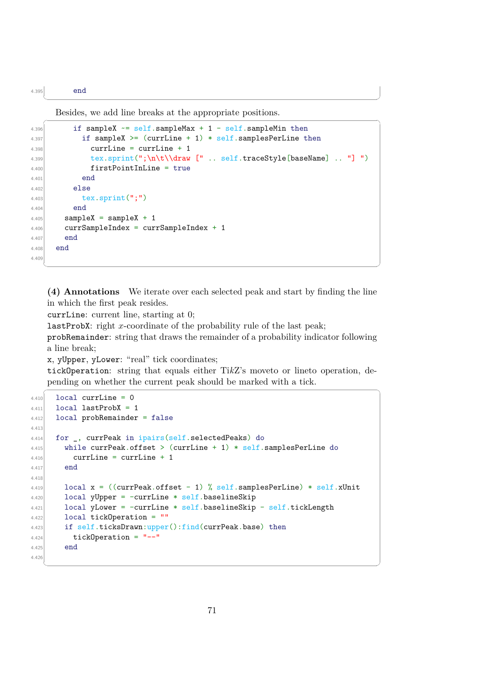4.395 end

Besides, we add line breaks at the appropriate positions.

```
\overline{a} \overline{a} \overline{a} \overline{a} \overline{a} \overline{a} \overline{a} \overline{a} \overline{a} \overline{a} \overline{a} \overline{a} \overline{a} \overline{a} \overline{a} \overline{a} \overline{a} \overline{a} \overline{a} \overline{a} \overline{a} \overline{a} \overline{a} \overline{a} \overline{4.396 if sampleX \sim self.sampleMax + 1 - self.sampleMin then
4.397 if sampleX >= (currLine + 1) * self.samplesPerLine then
4.398 currLine = currLine + 1
4.399 tex.sprint(";\n\t\\draw [" .. self.traceStyle[baseName] .. "] ")
4.400 firstPointInLine = true
4.401 end
4.402 else
4.403 tex.sprint(";")
4.404 end
4.405 sampleX = sampleX + 1
4.406 currSampleIndex = currSampleIndex + 1
4.407 end
4.408 end
4.409
      \overline{\phantom{a}} \overline{\phantom{a}} \overline{\phantom{a}} \overline{\phantom{a}} \overline{\phantom{a}} \overline{\phantom{a}} \overline{\phantom{a}} \overline{\phantom{a}} \overline{\phantom{a}} \overline{\phantom{a}} \overline{\phantom{a}} \overline{\phantom{a}} \overline{\phantom{a}} \overline{\phantom{a}} \overline{\phantom{a}} \overline{\phantom{a}} \overline{\phantom{a}} \overline{\phantom{a}} \overline{\
```
 $\overline{\phantom{a}}$   $\overline{\phantom{a}}$   $\overline{\phantom{a}}$   $\overline{\phantom{a}}$   $\overline{\phantom{a}}$   $\overline{\phantom{a}}$   $\overline{\phantom{a}}$   $\overline{\phantom{a}}$   $\overline{\phantom{a}}$   $\overline{\phantom{a}}$   $\overline{\phantom{a}}$   $\overline{\phantom{a}}$   $\overline{\phantom{a}}$   $\overline{\phantom{a}}$   $\overline{\phantom{a}}$   $\overline{\phantom{a}}$   $\overline{\phantom{a}}$   $\overline{\phantom{a}}$   $\overline{\$ 

**(4) Annotations** We iterate over each selected peak and start by finding the line in which the first peak resides.

currLine: current line, starting at 0;

lastProbX: right x-coordinate of the probability rule of the last peak;

probRemainder: string that draws the remainder of a probability indicator following a line break;

x, yUpper, yLower: "real" tick coordinates;

tickOperation: string that equals either Ti*k*Z's moveto or lineto operation, depending on whether the current peak should be marked with a tick.  $\frac{1}{\sqrt{2}}$ 

```
4.410 local currLine = 0
_{4.411} local lastProbX = 1
4.412 local probRemainder = false
4.413
4.414 for _, currPeak in ipairs(self.selectedPeaks) do
4.415 while currPeak.offset > (currLine + 1) * self.samplesPerLine do
4.416 currLine = currLine + 1
4.417 end
4.418
4.419 local x = ((\text{currPeak.offset} - 1) \% \text{ self.samplesPerLine}) * \text{ self.xUnit}4.420 local yUpper = -currLine * self.baselineSkip
4.421 local yLower = -currLine * self.baselineSkip - self.tickLength
4.422 local tickOperation = ""
4.423 if self.ticksDrawn:upper():find(currPeak.base) then
4.424 tickOperation = "--"
4.425 end
4.426
```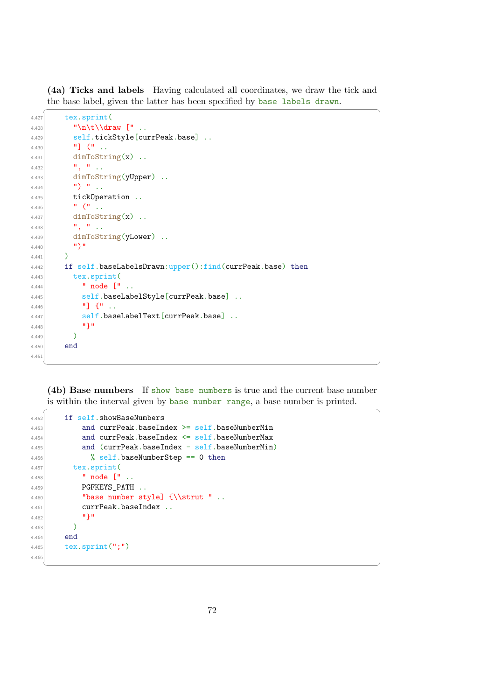**(4a) Ticks and labels** Having calculated all coordinates, we draw the tick and the base label, given the latter has been specified by base labels drawn.

```
✞ ☎
4.427 tex.sprint(
4.428 "\n\t\\draw [" ..
4.429 self.tickStyle[currPeak.base] ..
4.430 \left| \begin{array}{ccc} 1 & 1 \\ 1 & 1 \end{array} \right| (11 ...
4.431 dimToString(x) ..
4.432 \vert ", " ..
4.433 dimToString(yUpper) ..
4.434 \vert " \vert " \vert .
4.435 tickOperation.
4.436 \left| \right| \left| \right| \left| \right| \left| \right| \left| \right| \left| \right| \left| \right| \left| \right| \left| \right| \left| \right| \left| \right| \left| \right| \left| \right| \left| \right| \left| \right| \left| \right| \left| \right| \left| \right| \left| \right| \left| \right| \left| \right| \left| \right| \left| \right| \left| \right|4.437 dimToString(x).
4.438 \begin{array}{ccc} \n & \cdots & \cdots & \cdots \\
 & \cdots & \cdots & \cdots \\
 & \cdots & \cdots & \cdots\n \end{array}4.439 dimToString(yLower) ..
4.440 \left| \right| \left| \right| \left| \right|4.441 )
4.442 if self.baseLabelsDrawn:upper():find(currPeak.base) then
4.443 tex.sprint(
4.444 node [" ..
4.445 self.baseLabelStyle[currPeak.base] ..
4.446 "] {" ..
4.447 self.baseLabelText[currPeak.base] ..
4.448 "}"
4.449 )4.450 end
4.451
```
**(4b) Base numbers** If show base numbers is true and the current base number is within the interval given by base number range, a base number is printed. ✞ ☎

✝ ✆

```
4.452 if self.showBaseNumbers
4.453 and currPeak.baseIndex >= self.baseNumberMin
4.454 and currPeak.baseIndex <= self.baseNumberMax
4.455 and (currPeak.baseIndex - self.baseNumberMin)
4.456 \textdegree Self.baseNumberStep == 0 then
4.457 tex.sprint(
4.458 " node \begin{bmatrix} \cdots \end{bmatrix} ..
4.459 PGFKEYS PATH ..
4.460 "base number style] \{\text{l}}.
4.461 currPeak.baseIndex ..
4.462 \left| \right| \left| \right| \left| \right|4.463 )
4.464 end
4.465 tex.sprint(";")
4.466
```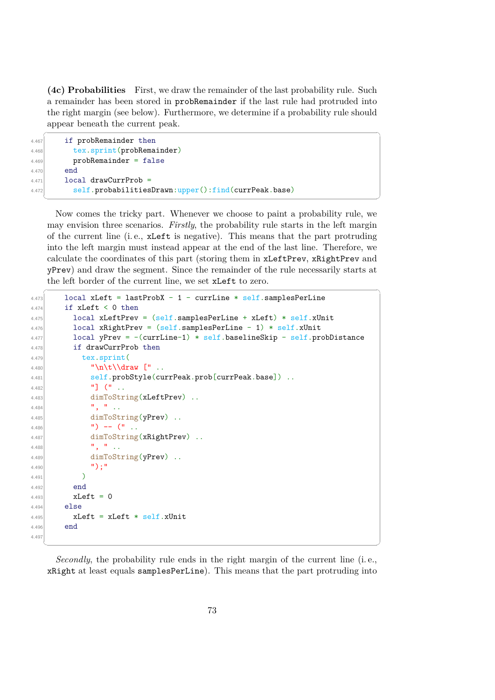**(4c) Probabilities** First, we draw the remainder of the last probability rule. Such a remainder has been stored in probRemainder if the last rule had protruded into the right margin (see below). Furthermore, we determine if a probability rule should appear beneath the current peak.

```
\sqrt{1 - \frac{1}{2}}4.467 if probRemainder then
4.468 tex.sprint(probRemainder)
4.469 probRemainder = false
4.470 end4.471 local drawCurrProb =
4.472 self.probabilitiesDrawn:upper():find(currPeak.base)
 ✝ ✆
```
Now comes the tricky part. Whenever we choose to paint a probability rule, we may envision three scenarios. *Firstly*, the probability rule starts in the left margin of the current line (i. e., xLeft is negative). This means that the part protruding into the left margin must instead appear at the end of the last line. Therefore, we calculate the coordinates of this part (storing them in xLeftPrev, xRightPrev and yPrev) and draw the segment. Since the remainder of the rule necessarily starts at the left border of the current line, we set xLeft to zero.

```
\sqrt{2} \sqrt{2} \sqrt{2} \sqrt{2} \sqrt{2} \sqrt{2} \sqrt{2} \sqrt{2} \sqrt{2} \sqrt{2} \sqrt{2} \sqrt{2} \sqrt{2} \sqrt{2} \sqrt{2} \sqrt{2} \sqrt{2} \sqrt{2} \sqrt{2} \sqrt{2} \sqrt{2} \sqrt{2} \sqrt{2} \sqrt{2} \sqrt{2} \sqrt{2} \sqrt{2} \sqrt{24.473 local xLeft = lastProbX - 1 - currLine * self.samplesPerLine
4.474 if xLeft < 0 then
4.475 local xLeftPrev = (self.sumplesPerLine + xLeft) * self.xUnit4.476 local xRightPrev = (self.samplesPerLine - 1) * self.xUnit
4.477 local yPrev = -(currLine-1) * self.baselineSkip - self.probDistance
4.478 if drawCurrProb then
4.479 tex.sprint(
4.480 "\n\t\\draw [" ..
4.481 self.probStyle(currPeak.prob[currPeak.base]) ...
4.482 \begin{bmatrix} 1 & 0 \\ 0 & 1 \end{bmatrix} \begin{bmatrix} 1 & 0 \\ 0 & 1 \end{bmatrix}4.483 dimToString(xLeftPrev) ..
4.484 \begin{array}{ccc} \n & \cdots & \n & \cdots & \n & \cdots & \n & \cdots & \n & \cdots & \n & \cdots & \n & \cdots & \n & \cdots & \n & \cdots & \n & \cdots & \n & \cdots & \n & \cdots & \n & \cdots & \n & \cdots & \n & \cdots & \n & \cdots & \n & \cdots & \n & \cdots & \n & \cdots & \n & \cdots & \n & \cdots & \n & \cdots & \n & \cdots & \n & \cdots & \n & \cdots & \n & \cdots & \n & \cdots & \n & \cdots & \n & \cdots & \n & \4.485 dimToString(yPrev) ..
4.486 \left| \begin{array}{ccc} 1 \end{array} \right| -- \left| \begin{array}{ccc} 1 \end{array} \right| .
4.487 dimToString(xRightPrev) ..
4.488 \begin{array}{ccc} \n\cdot & \cdot & \cdot \\
\cdot & \cdot & \cdot \\
\cdot & \cdot & \cdot\n\end{array}4.489 dimToString(yPrev) ..
4.490 \left| \begin{array}{ccc} 4.490 & & \end{array} \right|4.491 )
4.492 end
4.493 xLeft = 04.494 else
4.495 xLeft = xLeft * self.xUnit
4.496 end
4.497
```
*Secondly*, the probability rule ends in the right margin of the current line (i. e., xRight at least equals samplesPerLine). This means that the part protruding into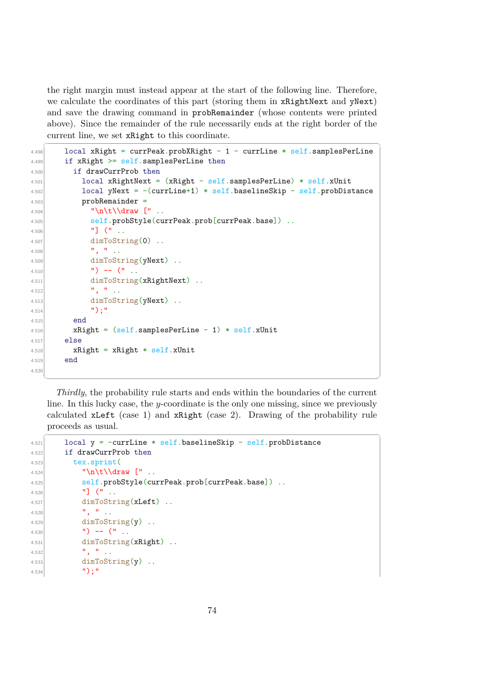the right margin must instead appear at the start of the following line. Therefore, we calculate the coordinates of this part (storing them in xRightNext and yNext) and save the drawing command in probRemainder (whose contents were printed above). Since the remainder of the rule necessarily ends at the right border of the current line, we set xRight to this coordinate.

```
\overline{\phantom{a}} \overline{\phantom{a}} \overline{\phantom{a}} \overline{\phantom{a}} \overline{\phantom{a}} \overline{\phantom{a}} \overline{\phantom{a}} \overline{\phantom{a}} \overline{\phantom{a}} \overline{\phantom{a}} \overline{\phantom{a}} \overline{\phantom{a}} \overline{\phantom{a}} \overline{\phantom{a}} \overline{\phantom{a}} \overline{\phantom{a}} \overline{\phantom{a}} \overline{\phantom{a}} \overline{\4.498 local xRight = currPeak.probXRight - 1 - currLine * self.samplesPerLine
4.499 if xRight \geq self.samplesPerLine then4.500 if drawCurrProb then
4.501 local xRightNext = (xRight - self.samplesPerLine) * self.xUnit
4.502 local yNext = -(currLine+1) * self.baselineSkip - self.probDistance4.503 probRemainder
4.504 \big| "\n\t\\draw [" ..
4.505 self.probStyle(currPeak.prob[currPeak.base]) ...
4.506 \begin{bmatrix} 1 & 1 \end{bmatrix} \begin{bmatrix} 1 & 1 \end{bmatrix}4.507 dimToString(0) ..
4.508 \begin{array}{ccc} \n & \cdots & \cdots & \cdots & \cdots \\
 & \cdots & \cdots & \cdots & \cdots & \cdots \\
 & \cdots & \cdots & \cdots & \cdots & \cdots \\
 & \cdots & \cdots & \cdots & \cdots & \cdots \\
 & \cdots & \cdots & \cdots & \cdots & \cdots \\
 & \cdots & \cdots & \cdots & \cdots & \cdots \\
 & \cdots & \cdots & \cdots & \cdots & \cdots \\
 & \cdots & \cdots & \cdots & \cdots & \cdots \\
 & \cdots & \cdots & \cdots & \cdots & \cdots \\
 & \cdots & \cdots & \cdots & \cdots & \cdots4.509 dimToString(yNext) ..
4.510 \vert ") -- \vert " ...
4.511 dimToString(xRightNext) ..
4.512 \vert , \vert , \vert , \vert , \vert , \vert , \vert , \vert , \vert , \vert , \vert , \vert , \vert , \vert , \vert , \vert , \vert , \vert , \vert , \vert , \vert , \vert , \vert , \vert , \vert , \vert , \vert , \vert , \vert , \vert , \vert 
4.513 dimToString(yNext) ..
4.514 \vert "):"
4.515 end
4.516 xRight = (self.samplesPerLine - 1) * self.xUnit4.517 else
4.518 xRight = xRight * self.xUnit4.519 end
4.520
      ✝ ✆
```
*Thirdly*, the probability rule starts and ends within the boundaries of the current line. In this lucky case, the  $y$ -coordinate is the only one missing, since we previously calculated xLeft (case 1) and xRight (case 2). Drawing of the probability rule proceeds as usual.

 $\hat{a}$   $\hat{b}$   $\hat{c}$   $\hat{d}$   $\hat{d}$   $\hat{d}$   $\hat{d}$   $\hat{d}$   $\hat{d}$   $\hat{d}$   $\hat{d}$   $\hat{d}$   $\hat{d}$   $\hat{d}$   $\hat{d}$   $\hat{d}$   $\hat{d}$   $\hat{d}$   $\hat{d}$   $\hat{d}$   $\hat{d}$   $\hat{d}$   $\hat{d}$   $\hat{d}$   $\hat{d}$   $\hat{d}$   $\hat{d}$   $\hat{d$ 

```
4.521 local y = -currLine * self.baselineSkip - self.probDistance
4.522 if drawCurrProb then
4.523 tex.sprint(
\left| \begin{array}{cc} \n^{4.524} \\ \n^{4.524} \n\end{array} \right| "\n\t\\draw [" ..
4.525 self.probStyle(currPeak.prob[currPeak.base]) ..
4.526 "] (" ..
4.527 dimToString(xLeft) ..
4.528 \begin{array}{ccc} \n & \cdots & \n & \cdots & \n\end{array}4.529 dimToString(y).
4.530 \vert ") -- (" ..
4.531 dimToString(xRight) ..
4.532 ", " ..
4.533 dimToString(y).
4.534 ");"
```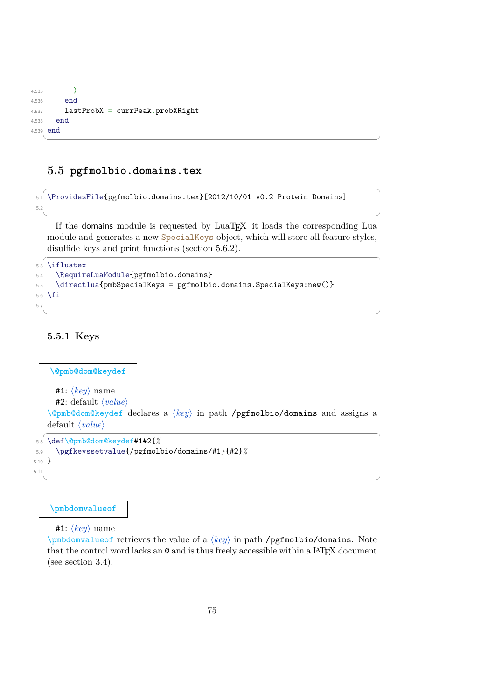```
4.535 )
4.536 end
4.537 lastProbX = currPeak.probXRight
4.538 end
4.539 end
 ✝ ✆
```
# **5.5 pgfmolbio.domains.tex**

```
\sqrt{2} \sqrt{2} \sqrt{2} \sqrt{2} \sqrt{2} \sqrt{2} \sqrt{2} \sqrt{2} \sqrt{2} \sqrt{2} \sqrt{2} \sqrt{2} \sqrt{2} \sqrt{2} \sqrt{2} \sqrt{2} \sqrt{2} \sqrt{2} \sqrt{2} \sqrt{2} \sqrt{2} \sqrt{2} \sqrt{2} \sqrt{2} \sqrt{2} \sqrt{2} \sqrt{2} \sqrt{25.1 \ProvidesFile{pgfmolbio.domains.tex}[2012/10/01 v0.2 Protein Domains]
5.2
```
If the domains module is requested by LuaT<sub>EX</sub> it loads the corresponding Lua module and generates a new SpecialKeys object, which will store all feature styles, disulfide keys and print functions (section [5.6.2\)](#page-100-0).

✝ ✆

✝ ✆

```
\sqrt{2} \sqrt{2} \sqrt{2} \sqrt{2} \sqrt{2} \sqrt{2} \sqrt{2} \sqrt{2} \sqrt{2} \sqrt{2} \sqrt{2} \sqrt{2} \sqrt{2} \sqrt{2} \sqrt{2} \sqrt{2} \sqrt{2} \sqrt{2} \sqrt{2} \sqrt{2} \sqrt{2} \sqrt{2} \sqrt{2} \sqrt{2} \sqrt{2} \sqrt{2} \sqrt{2} \sqrt{25.3 \ifluatex
5.4 \RequireLuaModule{pgfmolbio.domains}
5.5 \directlua{pmbSpecialKeys = pgfmolbio.domains.SpecialKeys:new()}
5.6 \fi
5.7
```
# **5.5.1 Keys**

#### **\@pmb@dom@keydef**

```
#1: \langle key \rangle name
```

```
#2: default \langle value \rangle
```
\@pmb@dom@keydef declares a  $\langle key \rangle$  in path **/pgfmolbio/domains** and assigns a default  $\langle value \rangle$ .  $\sqrt{1 - \frac{1}{2}}$ 

```
5.8 \def\@pmb@dom@keydef#1#2{%
5.9 \pgfkeyssetvalue{/pgfmolbio/domains/#1}{#2}%
5.10 }
5.11
 ✝ ✆
```
#### **\pmbdomvalueof**

**#1**:  $\langle key \rangle$  name

\pmbdomvalueof retrieves the value of a  $\langle key \rangle$  in path **/pgfmolbio/domains**. Note that the control word lacks an  $\mathbb Q$  and is thus freely accessible within a LAT<sub>EX</sub> document (see section [3.4\)](#page-25-0).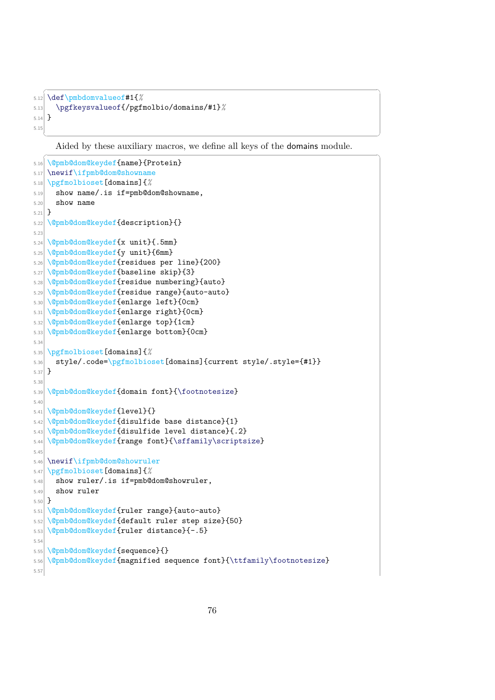```
✞ ☎
5.12 \def\pmbdomvalueof#1{%
5.13 \pgfkeysvalueof{/pgfmolbio/domains/#1}%
5.14 }
5.15
```
Aided by these auxiliary macros, we define all keys of the domains module.

```
\sqrt{2} \sqrt{2} \sqrt{2} \sqrt{2} \sqrt{2} \sqrt{2} \sqrt{2} \sqrt{2} \sqrt{2} \sqrt{2} \sqrt{2} \sqrt{2} \sqrt{2} \sqrt{2} \sqrt{2} \sqrt{2} \sqrt{2} \sqrt{2} \sqrt{2} \sqrt{2} \sqrt{2} \sqrt{2} \sqrt{2} \sqrt{2} \sqrt{2} \sqrt{2} \sqrt{2} \sqrt{25.16 \@pmb@dom@keydef{name}{Protein}
5.17 \newif\ifpmb@dom@showname
5.18 \pgfmolbioset[domains]{%
5.19 show name/.is if=pmb@dom@showname,
5.20 show name
5.21}
5.22 \@pmb@dom@keydef{description}{}
5.23
5.24 \@pmb@dom@keydef{x unit}{.5mm}
5.25 \@pmb@dom@keydef{y unit}{6mm}
5.26 \@pmb@dom@keydef{residues per line}{200}
5.27 \@pmb@dom@keydef{baseline skip}{3}
5.28 \@pmb@dom@keydef{residue numbering}{auto}
5.29 \@pmb@dom@keydef{residue range}{auto-auto}
5.30 \@pmb@dom@keydef{enlarge left}{0cm}
5.31 \@pmb@dom@keydef{enlarge right}{0cm}
5.32 \@pmb@dom@keydef{enlarge top}{1cm}
5.33 \@pmb@dom@keydef{enlarge bottom}{0cm}
5.34
5.35 \pgfmolbioset[domains]{%
5.36 style/.code=\pgfmolbioset[domains]{current style/.style={#1}}
5.37 }
5.38
5.39 \@pmb@dom@keydef{domain font}{\footnotesize}
5.40
5.41 \@pmb@dom@keydef{level}{}
5.42 \@pmb@dom@keydef{disulfide base distance}{1}
5.43 \@pmb@dom@keydef{disulfide level distance}{.2}
5.44 \@pmb@dom@keydef{range font}{\sffamily\scriptsize}
5.45
5.46 \newif\ifpmb@dom@showruler
5.47 \pgfmolbioset[domains]{%
5.48 show ruler/.is if=pmb@dom@showruler,
5.49 show ruler
5.50 }
5.51 \@pmb@dom@keydef{ruler range}{auto-auto}
5.52 \@pmb@dom@keydef{default ruler step size}{50}
5.53 \@pmb@dom@keydef{ruler distance}{-.5}
5.54
5.55 \@pmb@dom@keydef{sequence}{}
5.56 \@pmb@dom@keydef{magnified sequence font}{\ttfamily\footnotesize}
5.57
```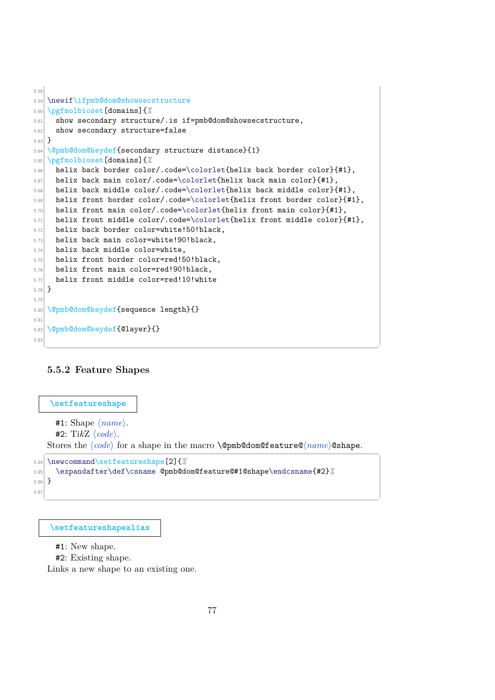```
5.58
5.59 \newif\ifpmb@dom@showsecstructure
5.60 \pgfmolbioset[domains]{%
5.61 show secondary structure/.is if=pmb@dom@showsecstructure,
5.62 show secondary structure=false
5.63 }
5.64 \@pmb@dom@keydef{secondary structure distance}{1}
5.65 \pgfmolbioset[domains]{%
5.66 helix back border color/.code=\colorlet{helix back border color}{#1},
_{5.67} helix back main color/.code=\colorlet{helix back main color}{#1},
5.68 helix back middle color/.code=\colorlet{helix back middle color}{#1},
5.69 helix front border color/.code=\colorlet{helix front border color}{#1},
5.70 helix front main color/.code=\colorlet{helix front main color}{#1},
5.71 helix front middle color/.code=\colorlet{helix front middle color}{#1},
5.72 helix back border color=white!50!black,
5.73 helix back main color=white!90!black,
5.74 helix back middle color=white,
5.75 helix front border color=red!50!black,
5.76 helix front main color=red!90!black,
5.77 helix front middle color=red!10!white
5.78 }
5.79
5.80 \@pmb@dom@keydef{sequence length}{}
5.81
5.82 \@pmb@dom@keydef{@layer}{}
5.83
```
### **5.5.2 Feature Shapes**

```
\setfeatureshape
         #1: Shape \langle name \rangle.
          #2: TikZ \langle code \rangle.
      Stores the \langle code \rangle for a shape in the macro \@pmb@dom@feature@\langle name \rangle@shape.
     \overline{a} \overline{a} \overline{a} \overline{a} \overline{a} \overline{a} \overline{a} \overline{a} \overline{a} \overline{a} \overline{a} \overline{a} \overline{a} \overline{a} \overline{a} \overline{a} \overline{a} \overline{a} \overline{a} \overline{a} \overline{a} \overline{a} \overline{a} \overline{a} \overline{5.84 \newcommand\setfeatureshape[2]{%
5.85 \expandafter\def\csname @pmb@dom@feature@#1@shape\endcsname{#2}%
```
✝ ✆

```
5.86 }
5.87
```
**[\setfeatureshapealias](#page-30-0)**

#1: New shape.

#2: Existing shape.

Links a new shape to an existing one.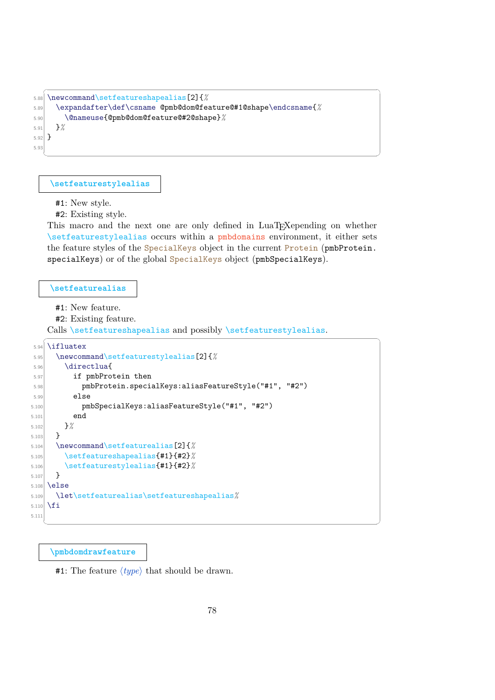```
✞ ☎
5.88 \newcommand\setfeatureshapealias[2]{%
5.89 \expandafter\def\csname @pmb@dom@feature@#1@shape\endcsname{%
5.90 \@nameuse{@pmb@dom@feature@#2@shape}%
5.91 }%
5.92 }
5.93
```
**[\setfeaturestylealias](#page-26-1)**

#1: New style.

#2: Existing style.

This macro and the next one are only defined in LuaT<sub>EX</sub>epending on whether \setfeaturestylealias occurs within a pmbdomains environment, it either sets the feature styles of the SpecialKeys object in the current Protein (pmbProtein. specialKeys) or of the global SpecialKeys object (pmbSpecialKeys).

 $\qquad \qquad \qquad$ 

#### **[\setfeaturealias](#page-30-1)**

#1: New feature.

#2: Existing feature.

Calls \setfeatureshapealias and possibly \setfeaturestylealias.  $\overline{a}$   $\overline{a}$   $\overline{a}$   $\overline{a}$   $\overline{a}$   $\overline{a}$   $\overline{a}$   $\overline{a}$   $\overline{a}$   $\overline{a}$   $\overline{a}$   $\overline{a}$   $\overline{a}$   $\overline{a}$   $\overline{a}$   $\overline{a}$   $\overline{a}$   $\overline{a}$   $\overline{a}$   $\overline{a}$   $\overline{a}$   $\overline{a}$   $\overline{a}$   $\overline{a}$   $\overline{$ 

```
5.94 \ifluatex
5.95 \newcommand\setfeaturestylealias[2]{%
5.96 \directlua{
5.97 if pmbProtein then
5.98 pmbProtein.specialKeys:aliasFeatureStyle("#1", "#2")
5.99 else
5.100 pmbSpecialKeys:aliasFeatureStyle("#1", "#2")
5.101 end
5.102 }%
5.103 }
5.104 \newcommand\setfeaturealias[2]{%
5.105 \setfeatureshapealias{#1}{#2}%
5.106 \setfeaturestylealias{#1}{#2}%
5.107 }
5.108 \else
5.109 \let\setfeaturealias\setfeatureshapealias%
5.110 \fi
5.111
  ✝ ✆
```
**[\pmbdomdrawfeature](#page-38-0)**

**#1:** The feature  $\langle type \rangle$  that should be drawn.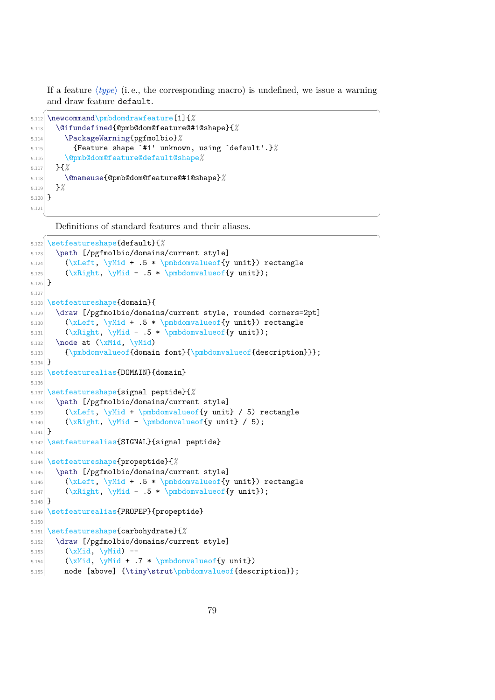If a feature  $\langle type \rangle$  (i.e., the corresponding macro) is undefined, we issue a warning and draw feature default.

✝ ✆

```
✞ ☎
5.112 \newcommand\pmbdomdrawfeature[1]{%
5.113 \@ifundefined{@pmb@dom@feature@#1@shape}{%
5.114 \PackageWarning{pgfmolbio}%
5.115 {Feature shape `#1' unknown, using `default'.}%
5.116 \@pmb@dom@feature@default@shape%
5.117 }{%
5.118 \@nameuse{@pmb@dom@feature@#1@shape}%
5.119 }%
5.120}
5.12
```
Definitions of standard features and their aliases.

```
\sqrt{1 - \frac{1}{2}}5.122 \setfeatureshape{default}{%
5.123 \path [/pgfmolbio/domains/current style]
5.124 (\xLeft, \yMid + .5 * \pmbdomvalueof{y unit}) rectangle
5.125 (\xRight, \yMid - .5 * \pmbdomvalueof{y unit});
5.126 }
5.127
5.128 \setfeatureshape{domain}{
5.129 \draw [/pgfmolbio/domains/current style, rounded corners=2pt]
5.130 (\xLeft, \yMid + .5 * \pmbdomvalueof{y unit}) rectangle
[5.131] (\xRight, \yMid - .5 * \pmbdomvalueof{y unit});
5.132 \node at (\xMid, \yMid)
5.133 {\pmbdomvalueof{domain font}{\pmbdomvalueof{description}}};
5.134 }
5.135 \setfeaturealias{DOMAIN} {domain}
5.136
5.137 \setfeatureshape{signal peptide}{%
5.138 \path [/pgfmolbio/domains/current style]
5.139 (\xLeft, \yMid + \pmbdomvalueof{y unit} / 5) rectangle
5.140 (\xRight, \yMid - \pmbdomvalueof{y unit} / 5);
5.141}
5.142 \setfeaturealias{SIGNAL}{signal peptide}
5.143
5.144 \setfeatureshape{propeptide}{%
5.145 \path [/pgfmolbio/domains/current style]
5.146 (\xLeft, \yMid + .5 * \pmbdomvalueof{y unit}) rectangle
5.147 (\xRight, \yMid - .5 * \pmbdomvalueof{y unit});
5.148 }
5.149 \setfeaturealias{PROPEP}{propeptide}
5.150
5.151 \setfeatureshape{carbohydrate}{%
5.152 \draw [/pgfmolbio/domains/current style]
5.153 (\chiMid, \text{VMid}) --
5.154 (\xMid, \yMid + .7 * \pmbdomvalueof{y unit})
5.155 node [above] {\tiny\strut\pmbdomvalueof{description}};
```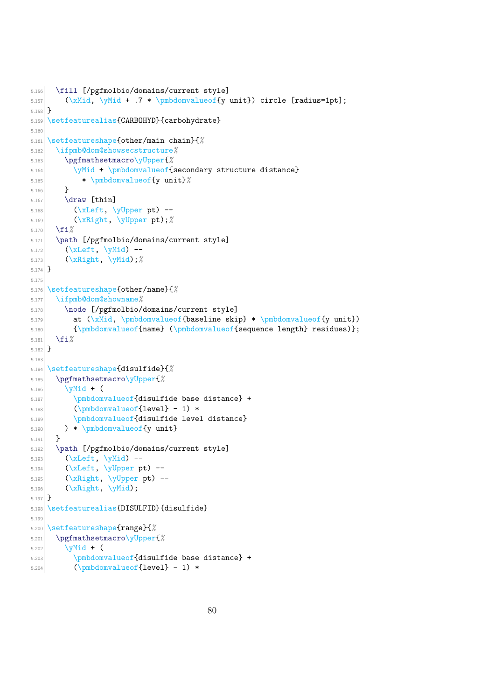```
5.156 \fill [/pgfmolbio/domains/current style]
5.157 (\xMid, \yMid + .7 * \pmbdomvalueof{y unit}) circle [radius=1pt];
5.158 }
5.159 \setfeaturealias{CARBOHYD}{carbohydrate}
5.160
5.161 \setfeatureshape{other/main chain}{%
5.162 \ifpmb@dom@showsecstructure%
5.163 \pgfmathsetmacro\yUpper{%
5.164 \yMid + \pmbdomvalueof{secondary structure distance}
5.165 * \pmbdomvalueof{y unit}%
5.166 }
5.167 \ddot{\text{thin}}5.168 \big(\n\begin{array}{cc}\n\text{NLeft, } \text{VUpper pt}\n\end{array}5.169 (\xRight, \yUpper pt);%
5.170 \fi%
5.171 \path [/pgfmolbio/domains/current style]
5.172 (\xLeft, \yMid) --
5.173 (\xRight, \yMid);%
5.174 }
5.175
5.176 \setfeatureshape{other/name}{%
5.177 \ifpmb@dom@showname%
5.178 \node [/pgfmolbio/domains/current style]
5.179 at (\xMid, \pmbdomvalueof{baseline skip} * \pmbdomvalueof{y unit})
5.180 {\pmbdomvalueof{name} (\pmbdomvalueof{sequence length} residues)};
5.181 \fi%
5.182 }
5.183
5.184 \setfeatureshape{disulfide}{%
5.185 \pgfmathsetmacro\yUpper{%
5.186 \sqrt{Wid + (5.187 \pmbdomvalueof{disulfide base distance} +
5.188 (\pmbdomvalueof{level} - 1) *
5.189 \pmbdomvalueof {disulfide level distance}
5.190 ) * \pmbdomvalueof{y unit}
5.191 }
5.192 \path [/pgfmolbio/domains/current style]
5.193 (\xLeft, \yMid) --
5.194 (\xLeft, \yUpper pt) --
_{5.195} (\xRight, \yUpper pt) --
5.196 (\xRight, \yMid);
5.197 }
5.198 \setfeaturealias{DISULFID}{disulfide}
5.199
5.200 \setfeatureshape{range}{%
5.201 \pgfmathsetmacro\yUpper{%
5.202 \sqrt{yMid + (5.203 \pmbdomvalueof{disulfide base distance} +
5.204 (\pmbdomvalueof{level} - 1) *
```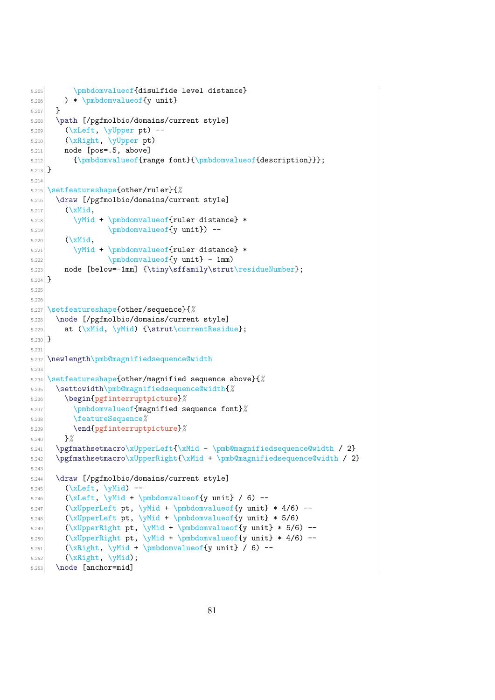```
5.205 \pmbdomvalueof{disulfide level distance}
5.206 ) * \pmbdomvalueof{y unit}
5.207 }
5.208 \path [/pgfmolbio/domains/current style]
5.209 (\xLeft, \yUpper pt) --
5.210 (\xRight, \yUpper pt)
5.211 node [pos=.5, above]
5.212 {\pmb{\onumber \{range font}\{\pmb{\onumber \} \}};5.213}
5.214
5.215 \setfeatureshape{other/ruler}{%
5.216 \draw [/pgfmolbio/domains/current style]
5.217 (\xMid,5.218 \yMid + \pmbdomvalueof{ruler distance} *
5.219 \omega\cup\Omega\text{y unit} --
5.220 (\xMid,
5.221 \yMid + \pmbdomvalueof{ruler distance} *
5.222 \pmb{downvalue of \{y unit\} - 1mm}5.223 node [below=-1mm] {\tiny\sffamily\strut\residueNumber};
5.224}
5.22
5.226
5.227 \setfeatureshape{other/sequence}{%
5.228 \node [/pgfmolbio/domains/current style]
5.229 at (\xMid, \yMid) {\strut\currentResidue};
5.230 }
5.231
5.232 \newlength\pmb@magnifiedsequence@width
5.233
5.234 \setfeatureshape{other/magnified sequence above}{%
5.235 \settowidth\pmb@magnifiedsequence@width{%
5.236 \begin{pgfinterruptpicture}%
5.237 \pmbdomvalueof{magnified sequence font}%
5.238 \featureSequence%
5.239 \end{pgfinterruptpicture}%
5.240 }%
5.241 \pgfmathsetmacro\xUpperLeft{\xMid - \pmb@magnifiedsequence@width / 2}
5.242 \pgfmathsetmacro\xUpperRight{\xMid + \pmb@magnifiedsequence@width / 2}
5.24
5.244 \draw [/pgfmolbio/domains/current style]
5.245 (\xLeft, \yMid) --
5.246 (\xLeft, \yMid + \pmbdomvalueof{y unit} / 6) --
[5.247] (\xUpperLeft pt, \yMid + \pmbdomvalueof{y unit} * 4/6) --
5.248 (\xUpperLeft pt, \yMid + \pmbdomvalueof{y unit} * 5/6)
5.249 (\xUpperRight pt, \yMid + \pmbdomvalueof{y unit} * 5/6) --
5.250 (\xUpperRight pt, \yMid + \pmbdomvalueof{y unit} * 4/6) --
5.251 (xRight, \yMid + \pm\text{cl}(y unit) / 6 --
5.252 (\xRight, \yMid);
5.253 \node [anchor=mid]
```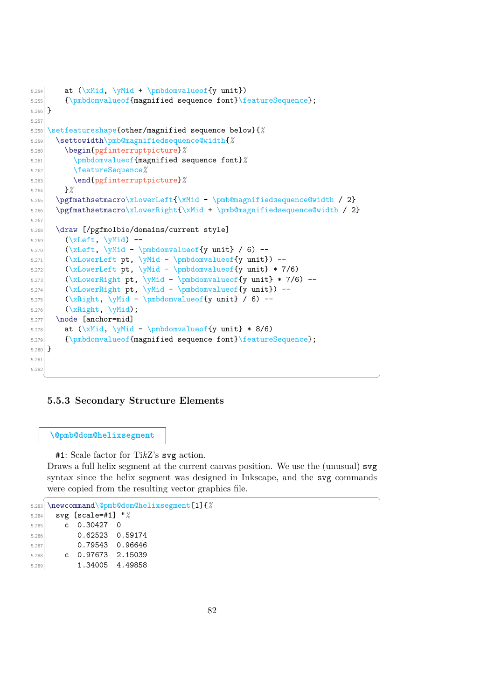```
5.254 at (\xMid, \yMid + \pmbdomvalueof{y unit})
5.255 {\pmbdomvalueof{magnified sequence font}\featureSequence};
5.256 }
5.257
5.258 \setfeatureshape{other/magnified sequence below}{%
5.259 \settowidth\pmb@magnifiedsequence@width{%
5.260 \begin{pgfinterruptpicture}%
5.261 \pmbdomvalueof{magnified sequence font}%
5.262 \featureSequence%
5.263 \end{pgfinterruptpicture}%
5.264 }%
5.265 \pgfmathsetmacro\xLowerLeft{\xMid - \pmb@magnifiedsequence@width / 2}
5.266 \pgfmathsetmacro\xLowerRight{\xMid + \pmb@magnifiedsequence@width / 2}
5.267
5.268 \draw [/pgfmolbio/domains/current style]
5.269 (\xLeft, \yMid) --
5.270 (\chiLeft, \gamma<sup>1</sup> - \gamma<sup>5.270</sup> ) --
[5.271] (\xLowerLeft pt, \yMid - \pmbdomvalueof{y unit}) --
5.272 (\xLowerLeft pt, \yMid - \pmbdomvalueof{y unit} * 7/6)
5.273 (\xLowerRight pt, \yMid - \pmbdomvalueof{y unit} * 7/6) --
5.274 (\xLowerRight pt, \yMid - \pmbdomvalueof{y unit}) --
5.275 (\chiRight, \gamma - \gamma - \gamma5.276 (\xRight, \yMid);5.277 \node [anchor=mid]
5.278 at (\xMid, \ymid - \pm\domvalueof{y unit} * 8/6)5.279 {\pmbdomvalueof{magnified sequence font}\featureSequence};
5.280}
5.281
5.282
   ✝ ✆
```
#### **5.5.3 Secondary Structure Elements**

**\@pmb@dom@helixsegment**

#1: Scale factor for Ti*k*Z's svg action.

Draws a full helix segment at the current canvas position. We use the (unusual) svg syntax since the helix segment was designed in Inkscape, and the svg commands were copied from the resulting vector graphics file.

 $\sqrt{2}$   $\sqrt{2}$   $\sqrt{2}$   $\sqrt{2}$   $\sqrt{2}$   $\sqrt{2}$   $\sqrt{2}$   $\sqrt{2}$   $\sqrt{2}$   $\sqrt{2}$   $\sqrt{2}$   $\sqrt{2}$   $\sqrt{2}$   $\sqrt{2}$   $\sqrt{2}$   $\sqrt{2}$   $\sqrt{2}$   $\sqrt{2}$   $\sqrt{2}$   $\sqrt{2}$   $\sqrt{2}$   $\sqrt{2}$   $\sqrt{2}$   $\sqrt{2}$   $\sqrt{2}$   $\sqrt{2}$   $\sqrt{2}$   $\sqrt{2$ 

```
5.283 \newcommand\@pmb@dom@helixsegment[1]{%
5.284 svg [scale=#1] "%
5.285 c 0.30427 0
5.286 0.62523 0.59174
5.287 0.79543 0.96646
5.288 c 0.97673 2.15039
5.289 1.34005 4.49858
```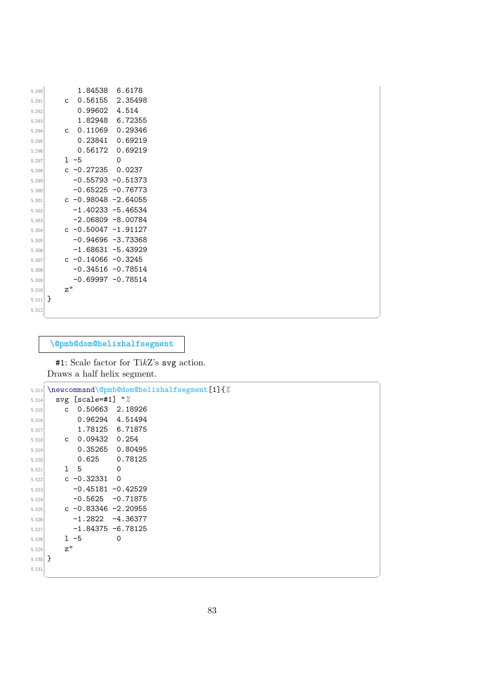| 5.290     |              | 1.84538               | 6.6178               |  |
|-----------|--------------|-----------------------|----------------------|--|
| 5.291     | C            | 0.56155               | 2.35498              |  |
| 5.292     |              | 0.99602               | 4.514                |  |
| 5.293     |              | 1.82948               | 6.72355              |  |
| 5.294     | $\mathsf{C}$ | 0.11069               | 0.29346              |  |
| 5.295     |              | 0.23841               | 0.69219              |  |
| 5.296     |              | 0.56172               | 0.69219              |  |
| 5.297     |              | $1 - 5$               | $\Omega$             |  |
| 5.298     |              | $c -0.27235$          | 0.0237               |  |
| 5.299     |              |                       | $-0.55793 - 0.51373$ |  |
| 5.300     |              |                       | $-0.65225 -0.76773$  |  |
| 5.301     |              | c $-0.98048 -2.64055$ |                      |  |
| 5.302     |              | $-1.40233 - 5.46534$  |                      |  |
| 5.303     |              | $-2.06809 - 8.00784$  |                      |  |
| 5.304     |              | c $-0.50047 -1.91127$ |                      |  |
| 5.305     |              | $-0.94696 - 3.73368$  |                      |  |
| 5.306     |              | $-1.68631 - 5.43929$  |                      |  |
| 5.307     |              | c $-0.14066 - 0.3245$ |                      |  |
| 5.308     |              |                       | $-0.34516 - 0.78514$ |  |
| 5.309     |              |                       | $-0.69997 -0.78514$  |  |
| 5.310     | z''          |                       |                      |  |
| $5.311$ } |              |                       |                      |  |
| 5.312     |              |                       |                      |  |

**\@pmb@dom@helixhalfsegment**

#1: Scale factor for Ti*k*Z's svg action. Draws a half helix segment.

| 5.313     | \newcommand\@pmb@dom@helixhalfsegment[1]{% |                      |                 |  |  |  |  |  |
|-----------|--------------------------------------------|----------------------|-----------------|--|--|--|--|--|
| 5.314     | svg [scale=#1] $\frac{1}{2}$               |                      |                 |  |  |  |  |  |
| 5.315     | $\mathsf{C}$                               |                      | 0.50663 2.18926 |  |  |  |  |  |
| 5.316     |                                            |                      | 0.96294 4.51494 |  |  |  |  |  |
| 5.317     |                                            |                      | 1.78125 6.71875 |  |  |  |  |  |
| 5.318     |                                            | c 0.09432 0.254      |                 |  |  |  |  |  |
| 5.319     |                                            |                      | 0.35265 0.80495 |  |  |  |  |  |
| 5.320     |                                            | 0.625                | 0.78125         |  |  |  |  |  |
| 5.321     |                                            | 1 5                  | $\circ$         |  |  |  |  |  |
| 5.322     |                                            | c -0.32331           | $\mathbf 0$     |  |  |  |  |  |
| 5.323     |                                            | $-0.45181 - 0.42529$ |                 |  |  |  |  |  |
| 5.324     |                                            | $-0.5625 - 0.71875$  |                 |  |  |  |  |  |
| 5.325     |                                            | c −0.83346 −2.20955  |                 |  |  |  |  |  |
| 5.326     |                                            | $-1.2822 -4.36377$   |                 |  |  |  |  |  |
| 5.327     |                                            | -1.84375 -6.78125    |                 |  |  |  |  |  |
| 5.328     |                                            | $1 - 5$              | 0               |  |  |  |  |  |
| 5.329     | z''                                        |                      |                 |  |  |  |  |  |
| $5.330$ } |                                            |                      |                 |  |  |  |  |  |
| 5.331     |                                            |                      |                 |  |  |  |  |  |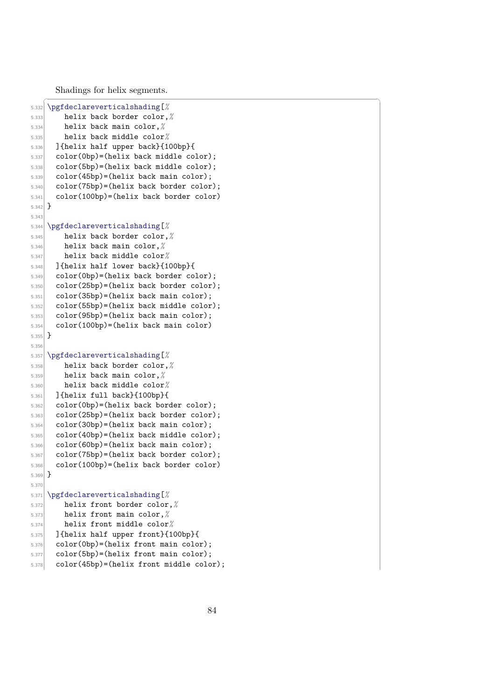Shadings for helix segments.

```
\overline{a}5.332 \pgfdeclareverticalshading
[
%
5.333 helix back border color,
%
5.334 helix back main color,
%
5.335 helix back middle color
%
5.336 ]{helix half upper back}{100bp}{
5.337 color(0bp)=(helix back middle color);
5.338 color(5bp)=(helix back middle color);
5.339 color(45bp)=(helix back main color);
[5.340] color(75bp)=(helix back border color);
[5.341] color(100bp)=(helix back border color)
5.342
   }
5.34
5.344 \pgfdeclareverticalshading
[
%
5.345 helix back border color,
%
5.346 helix back main color,
%
5.347 helix back middle color
%
5.348 ]{helix half lower back}{100bp}{
5.349 color(0bp)=(helix back border color);
5.350 color(25bp)=(helix back border color);
5.351 color(35bp)=(helix back main color);
5.352 color(55bp)=(helix back middle color);
5.355 color(95bp)=(helix back main color);
5.354 color(100bp)=(helix back main color)
5.355
   }
5.356
5.357 \pgfdeclareverticalshading
[
%
5.358 helix back border color,
%
5.359 helix back main color,
%
5.360 helix back middle color
%
5.361 ]{helix full back}{100bp}{
5.362 color(0bp)=(helix back border color);
5.363 color(25bp)=(helix back border color);
5.364 color(30bp)=(helix back main color);
5.365 color(40bp)=(helix back middle color);
5.366 color(60bp)=(helix back main color);
5.367 color(75bp)=(helix back border color);
5.368 color(100bp)=(helix back border color)
5.369
   }
5.37
5.371 \pgfdeclareverticalshading
[
%
5.372 helix front border color,
%
5.373 helix front main color,
%
5.374 helix front middle color
%
5.375 ]{helix half upper front}{100bp}{
5.376 color(0bp)=(helix front main color);
5.377 color(5bp)=(helix front main color);
5.378 color(45bp)=(helix front middle color);
```
 $\mathbf{a}$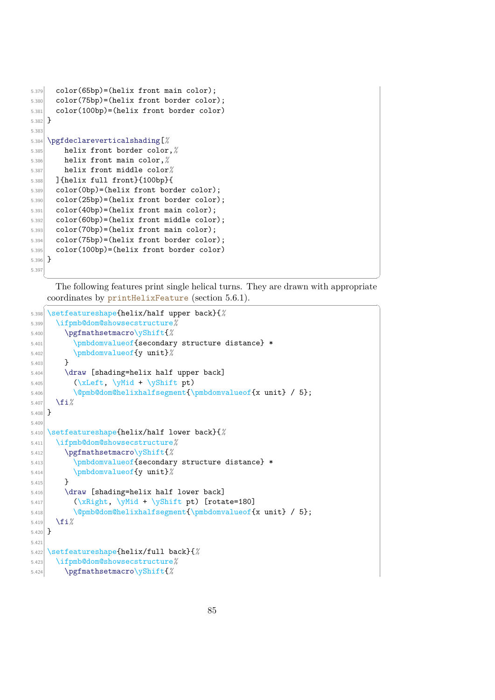```
5.379 color(65bp)=(helix front main color);
5.380 color(75bp)=(helix front border color);
5.381 color(100bp)=(helix front border color)
5.382 }
5.383
5.384 \pgfdeclareverticalshading[%
5.385 helix front border color,%
5.386 helix front main color,%
5.387 helix front middle color%
5.388 ]{helix full front}{100bp}{
5.389 color(0bp)=(helix front border color);
5.390 color(25bp)=(helix front border color);
5.391 color(40bp)=(helix front main color);
5.392 color(60bp)=(helix front middle color);
5.393 color(70bp)=(helix front main color);
5.394 color(75bp)=(helix front border color);
5.395 color(100bp)=(helix front border color)
5.396 }
5.397
```
✝ ✆ The following features print single helical turns. They are drawn with appropriate coordinates by printHelixFeature (section  $5.6.1$ ).

```
5.398 \setfeatureshape{helix/half upper back}{%
5.399 \ifpmb@dom@showsecstructure%
5.400 \pgfmathsetmacro\yShift{%
5.401 \pmbdomvalueof{secondary structure distance} *
5.402 \pmbdomvalueof{y unit}%
5.403 }
5.404 \draw [shading=helix half upper back]
5.405 (\xLeft, \yMid + \yShift pt)
5.406 \@pmb@dom@helixhalfsegment{\pmbdomvalueof{x unit} / 5};
5.407 \fi%
5.408 }
5.40
5.410 \setfeatureshape{helix/half lower back}{%
5.411 \ifpmb@dom@showsecstructure%
5.412 \pgfmathsetmacro\yShift{%
5.413 \pmbdomvalueof{secondary structure distance} *
5.414 \pmbdomvalueof{y unit}%
5.415 }
5.416 \draw [shading=helix half lower back]
5.417 (\xRight, \yMid + \yShift pt) [rotate=180]
5.418 \@pmb@dom@helixhalfsegment{\pmbdomvalueof{x unit} / 5};
5.419 \fi%
5.420}
5.42
5.422 \setfeatureshape{helix/full back}{%
5.423 \ifpmb@dom@showsecstructure%
5.424 \pgfmathsetmacro\yShift{%
```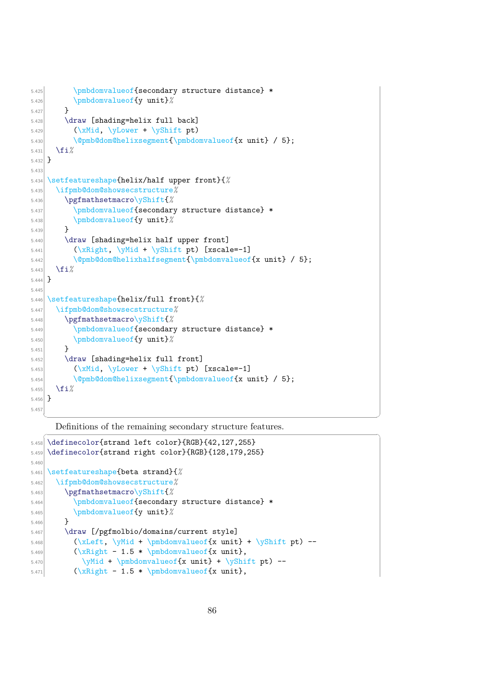```
5.425 \pmbdomvalueof{secondary structure distance} *
5.426 \pmbdomvalueof{y unit}%
5.427 }
5.428 \draw [shading=helix full back]
5.429 (\xMid, \yLower + \yShift pt)
5.430 \@pmb@dom@helixsegment{\pmbdomvalueof{x unit} / 5};
5.431 \fi%
5.432 }
5.433
5.434 \setfeatureshape{helix/half upper front}{%
5.435 \ifpmb@dom@showsecstructure%
5.436 \pgfmathsetmacro\yShift{%
5.437 \pmbdomvalueof{secondary structure distance} *
5.438 \pmbdomvalueof{y unit}%
5.439 }
5.440 \draw [shading=helix half upper front]
[5.441] (\xRight, \yMid + \yShift pt) [xscale=-1]
5.442 \@pmb@dom@helixhalfsegment{\pmbdomvalueof{x unit} / 5};
5.443 \fi%
5.444 }
5.44
5.446 \setfeatureshape{helix/full front}{%
5.447 \ifpmb@dom@showsecstructure%
5.448 \pgfmathsetmacro\yShift{%
5.449 \pmbdomvalueof{secondary structure distance} *
5.450 \pmbdomvalueof{y unit}%
5.451 }
5.452 \draw [shading=helix full front]
5.453 (\chiMid, \text{VLower + } \gtrsim [xscale=-1]
5.454 \@pmb@dom@helixsegment{\pmbdomvalueof{x unit} / 5};
5.455 \fi%
5.456 }
5.457
```
Definitions of the remaining secondary structure features.

```
✞ ☎
5.458 \definecolor{strand left color}{RGB}{42,127,255}
5.459 \definecolor{strand right color}{RGB}{128,179,255}
5.460
5.461 \setfeatureshape{beta strand}{%
5.462 \ifpmb@dom@showsecstructure%
5.463 \pgfmathsetmacro\yShift{%
5.464 \pmbdomvalueof{secondary structure distance} *
5.465 \pmbdomvalueof{y unit}%
5.466 }
5.467 \draw [/pgfmolbio/domains/current style]
5.468 \bigcup_{5.468} \{x \in \mathbb{R} \text{ and } y \in \mathbb{R}\}[5.469] (\xRight - 1.5 * \pmbdomvalueof{x unit},
5.470 \text{yMid + } \text{bomovalue} + \yShift pt) --
[5.471] (\xRight - 1.5 * \pmbdomvalueof{x unit},
```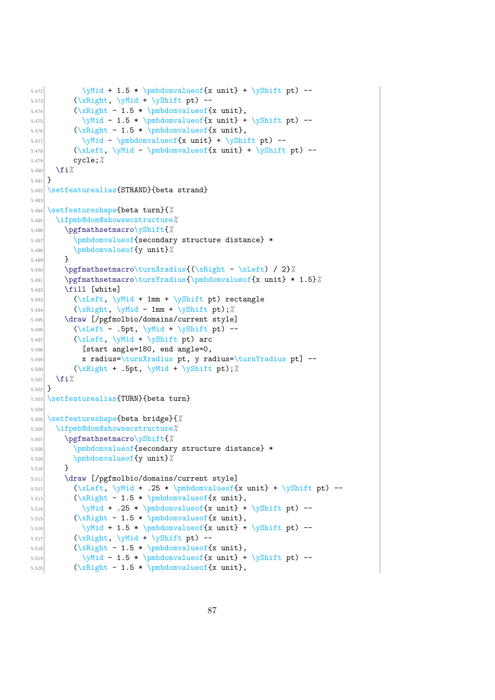```
5.472 \text{Wid} + 1.5 * \pmb{\omega} \quad \text{x unit} + \yShift pt) --5.473 (\xRight, \yMid + \yShift pt) --
_{5.474} (\xRight - 1.5 * \pmbdomvalueof{x unit},
5.475 \text{yMid - 1.5 * } \ph{d} + \yShift pt) --
5.476 (\xRight - 1.5 * \pmbdomvalueof{x unit},
5.477 \text{yMid - \pm\omega\omega\text{[x unit]} + \yShift\ pt) --5.478 (\xLeft, \yMid - \pmbdomvalueof{x unit} + \yShift pt) --
5.479 cycle;%
5.480 \fi%
5.481 }
5.482 \setfeaturealias{STRAND}{beta strand}
5.483
5.484 \setfeatureshape{beta turn}{%
5.485 \ifpmb@dom@showsecstructure%
5.486 \pgfmathsetmacro\yShift{%
5.487 \pmbdomvalueof{secondary structure distance} *
5.488 \pmbdomvalueof{y unit}%
5.489 }
5.490 \pgfmathsetmacro\turnXradius{(\xRight - \xLeft) / 2}%
5.491 \pgfmathsetmacro\turnYradius{\pmbdomvalueof{x unit} * 1.5}%
_{5.492} \fill [white]
5.493 (\chiLeft, \gamma<sup>+</sup> 1mm + \yShift pt) rectangle
5.494 \langle \xi \rangle (\xRight, \yMid - 1mm + \yShift pt);
5.495 \draw [/pgfmolbio/domains/current style]
5.496 (\xLeft - .5pt, \yMid + \yShift pt) --
5.497 (\chiLeft, \gamma<sup>1</sup> (\chiLeft, \gamma<sup>1</sup> + \gamma<sup>5</sup>) arc
5.498 [start angle=180, end angle=0,
5.499 x radius=\turnXradius pt, y radius=\turnYradius pt] --
5.500 (\xRight + .5pt, \yMid + \yShift pt);%
5.501 \fi%
5.502}
5.503 \setfeaturealias{TURN}{beta turn}
5.504
5.505 \setfeatureshape{beta bridge}{%
5.506 \ifpmb@dom@showsecstructure%
5.507 \pgfmathsetmacro\yShift{%
5.508 \pmbdomvalueof{secondary structure distance} *
5.509 \pmbdomvalueof{y unit}%
5.510 }
_{5.511} \draw [/pgfmolbio/domains/current style]
5.512 (\xLeft, \yMid + .25 * \pmb{\in} xunit] + \yShift pt) --5.513 (\chiRight - 1.5 * \pmbdomvalueof{x unit},
5.514 \text{yMid + .25 * } \ph{d} + \text{yShift pt} --
5.515 (\chiRight - 1.5 * \pmbdomvalueof{x unit},
5.516 \text{yMid + 1.5 * } \ph{x unit} + \yShift pt) --5.517 (\langle \Delta, \phi \rangle + \langle \Delta \rangle --
5.518 (\xRight - 1.5 * \pmbdomvalueof{x unit},
5.519 \text{yMid - 1.5 * } \ph{x unit} + \yShift pt) --5.520 (\chiRight - 1.5 * \pmbdomvalueof{x unit},
```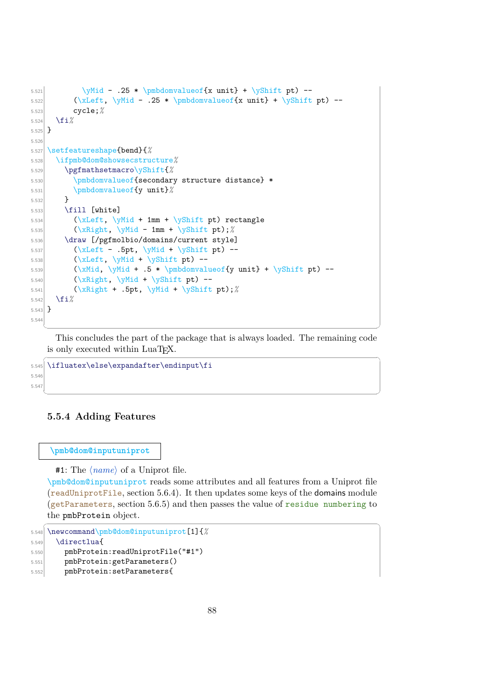```
5.521 \gamma - .25 * \pmbdomvalueof{x unit} + \yShift pt) --
5.522 \chi (\xLeft, \yMid - .25 * \pmbdomvalue of {x unit} + \yShift pt) --
5.523 cycle;%
5.524 \fi%
5.525 }
5.526
5.527 \setfeatureshape{bend}{%
5.528 \ifpmb@dom@showsecstructure%
5.529 \pgfmathsetmacro\yShift{%
5.530 \pmbdomvalueof{secondary structure distance} *
5.531 \pmbdomvalueof{y unit}%
5.532 }
5.533 \fill [white]
5.534 (\chiLeft, \text{wind} + 1mm + \text{Shift pt}) rectangle
5.535 (\xRight, \yMid - 1mm + \yShift pt);%
5.536 \draw [/pgfmolbio/domains/current style]
5.537 (\chiLeft - .5pt, \gamma + \gamma) --
5.538 (\xLeft, \yMid + \yShift pt) --
5.539 (\xMid, \yMid + .5 * \pmb{\omega}uee^{y unit} + \yShift pt) --_{5.540} (\xRight, \yMid + \yShift pt) --
[5.541] (\{xRight + .5pt, \forall \text{Unif } t \};
5.542 \fi%
5.543 }
5.54
```
✝ ✆ This concludes the part of the package that is always loaded. The remaining code is only executed within LuaT<sub>EX</sub>.

✝ ✆

```
\overline{a} \overline{a} \overline{a} \overline{a} \overline{a} \overline{a} \overline{a} \overline{a} \overline{a} \overline{a} \overline{a} \overline{a} \overline{a} \overline{a} \overline{a} \overline{a} \overline{a} \overline{a} \overline{a} \overline{a} \overline{a} \overline{a} \overline{a} \overline{a} \overline{5.545 \ifluatex\else\expandafter\endinput\fi
5.546
5.547
```
# <span id="page-90-0"></span>**5.5.4 Adding Features**

#### **\pmb@dom@inputuniprot**

**#1:** The  $\langle name \rangle$  of a Uniprot file.

\pmb@dom@inputuniprot reads some attributes and all features from a Uniprot file (readUniprotFile, section [5.6.4\)](#page-105-0). It then updates some keys of the domains module (getParameters, section [5.6.5\)](#page-108-0) and then passes the value of residue numbering to the pmbProtein object.

```
\overline{\phantom{a}} \overline{\phantom{a}} \overline{\phantom{a}} \overline{\phantom{a}} \overline{\phantom{a}} \overline{\phantom{a}} \overline{\phantom{a}} \overline{\phantom{a}} \overline{\phantom{a}} \overline{\phantom{a}} \overline{\phantom{a}} \overline{\phantom{a}} \overline{\phantom{a}} \overline{\phantom{a}} \overline{\phantom{a}} \overline{\phantom{a}} \overline{\phantom{a}} \overline{\phantom{a}} \overline{\5.548 \newcommand\pmb@dom@inputuniprot[1]{%
5.549 \directlua{
5.550 pmbProtein:readUniprotFile("#1")
```

```
5.551 pmbProtein:getParameters()
```

```
5.552 pmbProtein:setParameters{
```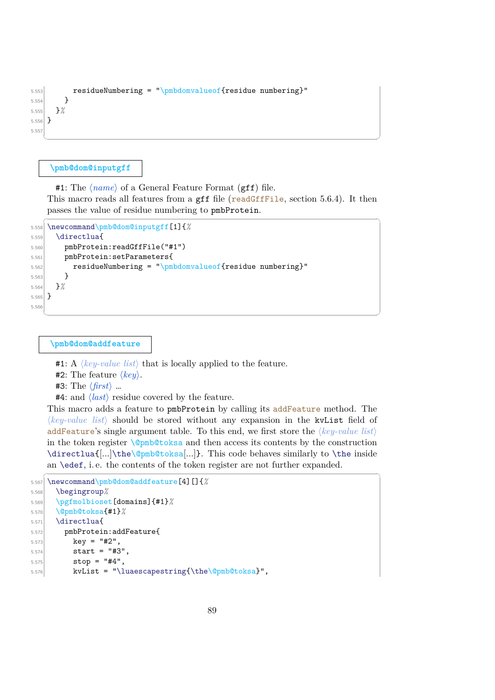```
5.553 residueNumbering = "\pmbdomvalueof{residue numbering}"
5.554 }
5.555 }%
5.556 }
5.557
 ✝ ✆
```
#### **\pmb@dom@inputgff**

#1: The  $\langle name \rangle$  of a General Feature Format (gff) file. This macro reads all features from a gff file (readGffFile, section [5.6.4\)](#page-105-0). It then passes the value of residue numbering to pmbProtein.

```
\sqrt{2} \sqrt{2} \sqrt{2} \sqrt{2} \sqrt{2} \sqrt{2} \sqrt{2} \sqrt{2} \sqrt{2} \sqrt{2} \sqrt{2} \sqrt{2} \sqrt{2} \sqrt{2} \sqrt{2} \sqrt{2} \sqrt{2} \sqrt{2} \sqrt{2} \sqrt{2} \sqrt{2} \sqrt{2} \sqrt{2} \sqrt{2} \sqrt{2} \sqrt{2} \sqrt{2} \sqrt{25.558 \newcommand\pmb@dom@inputgff[1]{%
5.559 \directlua{
5.560 pmbProtein:readGffFile("#1")
5.561 pmbProtein:setParameters{
5.562 residueNumbering = "\pmbdomvalueof{residue numbering}"
5.563 }
5.564 }%
5.565 }
5.566
    ✝ ✆
```
**\pmb@dom@addfeature**

**#1:** A  $\langle key-value \; list \rangle$  that is locally applied to the feature.

- **#2:** The feature  $\langle key \rangle$ .
- $#3:$  The  $\langle first \rangle$  …

**#4:** and  $\langle$ *last* $\rangle$  residue covered by the feature.

This macro adds a feature to pmbProtein by calling its addFeature method. The  $\langle key-value \; list \rangle$  should be stored without any expansion in the kvList field of addFeature's single argument table. To this end, we first store the  $\langle key-value \; list \rangle$ in the token register  $\Q{pmb@toksa}$  and then access its contents by the construction \directlua{[...]\the\@pmb@toksa[...]}. This code behaves similarly to \the inside an \edef, i. e. the contents of the token register are not further expanded.  $\overline{a}$   $\overline{a}$   $\overline{a}$   $\overline{a}$   $\overline{a}$   $\overline{a}$   $\overline{a}$   $\overline{a}$   $\overline{a}$   $\overline{a}$   $\overline{a}$   $\overline{a}$   $\overline{a}$   $\overline{a}$   $\overline{a}$   $\overline{a}$   $\overline{a}$   $\overline{a}$   $\overline{a}$   $\overline{a}$   $\overline{a}$   $\overline{a}$   $\overline{a}$   $\overline{a}$   $\overline{$ 

```
5.567 \newcommand\pmb@dom@addfeature[4][]{%
5.568 \begingroup%
5.569 \pgfmolbioset[domains]{#1}%
5.570 \@pmb@toksa{#1}%
5.571 \directlua{
5.572 pmbProtein:addFeature{
5.573 key = "#2",
5.574 start = "#3".
5.575 stop = "#4",
5.576 kvList = "\luaescapestring{\the\@pmb@toksa}",
```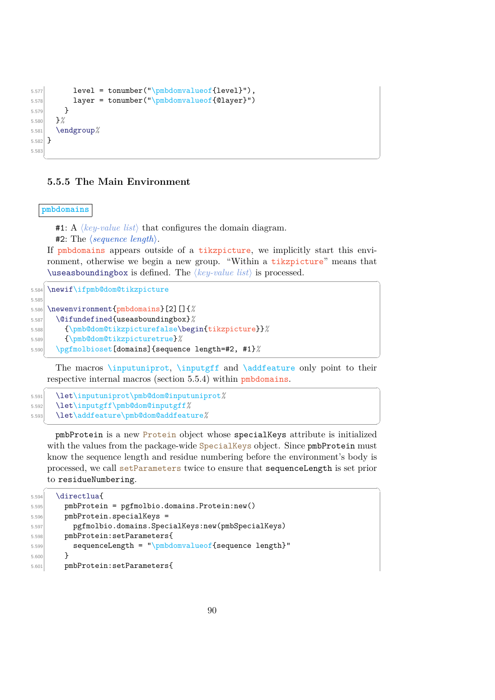```
5.577 level = tonumber("\pmbdomvalueof{level}"),
5.578 layer = tonumber("\pmbdomvalueof{@layer}")
5.579 }
5.580 }%
5.581 \endgroup%
5.582 }
5.583
```
#### **5.5.5 The Main Environment**

**pmbdomains**

 $\#1: A \ \langle key-value \ list \rangle$  that configures the domain diagram.

**#2:** The  $\langle sequence \ length \rangle$ .

If pmbdomains appears outside of a tikzpicture, we implicitly start this environment, otherwise we begin a new group. "Within a tikzpicture" means that  $\langle$ useasboundingbox is defined. The  $\langle key-value \; list \rangle$  is processed.  $\sqrt{2}$   $\sqrt{2}$   $\sqrt{2}$   $\sqrt{2}$   $\sqrt{2}$   $\sqrt{2}$   $\sqrt{2}$   $\sqrt{2}$   $\sqrt{2}$   $\sqrt{2}$   $\sqrt{2}$   $\sqrt{2}$   $\sqrt{2}$   $\sqrt{2}$   $\sqrt{2}$   $\sqrt{2}$   $\sqrt{2}$   $\sqrt{2}$   $\sqrt{2}$   $\sqrt{2}$   $\sqrt{2}$   $\sqrt{2}$   $\sqrt{2}$   $\sqrt{2}$   $\sqrt{2}$   $\sqrt{2}$   $\sqrt{2}$   $\sqrt{2$ 

✝ ✆

5.584 \newif\ifpmb@dom@tikzpicture 5.585

```
5.586 \newenvironment{pmbdomains}[2][]{%
5.587 \@ifundefined{useasboundingbox}%
5.588 {\pmb@dom@tikzpicturefalse\begin{tikzpicture}}%
5.589 {\pmb@dom@tikzpicturetrue}%
5.590 \pgfmolbioset[domains]{sequence length=#2, #1}%
  ✝ ✆
```
The macros *\inputuniprot, \inputgff and \addfeature only point to their* respective internal macros (section [5.5.4\)](#page-90-0) within pmbdomains.

```
\overline{\phantom{a}} \overline{\phantom{a}} \overline{\phantom{a}} \overline{\phantom{a}} \overline{\phantom{a}} \overline{\phantom{a}} \overline{\phantom{a}} \overline{\phantom{a}} \overline{\phantom{a}} \overline{\phantom{a}} \overline{\phantom{a}} \overline{\phantom{a}} \overline{\phantom{a}} \overline{\phantom{a}} \overline{\phantom{a}} \overline{\phantom{a}} \overline{\phantom{a}} \overline{\phantom{a}} \overline{\5.591 \let\inputuniprot\pmb@dom@inputuniprot%
5.592 \let\inputgff\pmb@dom@inputgff%
5.593 \let\addfeature\pmb@dom@addfeature%
      ✝ ✆
```
pmbProtein is a new Protein object whose specialKeys attribute is initialized with the values from the package-wide SpecialKeys object. Since  $\text{pmbProtein}$  must know the sequence length and residue numbering before the environment's body is processed, we call setParameters twice to ensure that sequenceLength is set prior to residueNumbering.

```
\sqrt{2} \sqrt{2} \sqrt{2} \sqrt{2} \sqrt{2} \sqrt{2} \sqrt{2} \sqrt{2} \sqrt{2} \sqrt{2} \sqrt{2} \sqrt{2} \sqrt{2} \sqrt{2} \sqrt{2} \sqrt{2} \sqrt{2} \sqrt{2} \sqrt{2} \sqrt{2} \sqrt{2} \sqrt{2} \sqrt{2} \sqrt{2} \sqrt{2} \sqrt{2} \sqrt{2} \sqrt{25.594 \directlua{
5.595 pmbProtein = pgfmolbio.domains.Protein:new()
5.596 pmbProtein.specialKeys =
5.597 pgfmolbio.domains.SpecialKeys:new(pmbSpecialKeys)
5.598 pmbProtein:setParameters{
5.599 sequenceLength = "\pmbdomvalueof{sequence length}"
5.600 }
5.601 pmbProtein:setParameters{
```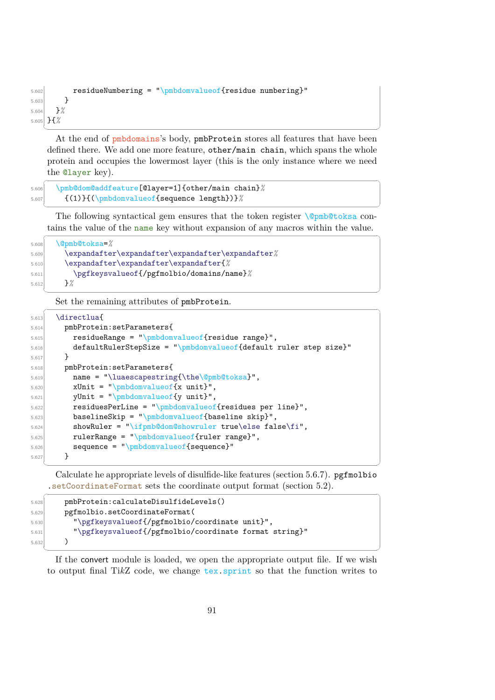```
5.602 residueNumbering = "\pmbdomvalueof{residue numbering}"
5.603 }
5.604 }%
5.605 }{%
 ✝ ✆
```
At the end of pmbdomains's body, pmbProtein stores all features that have been defined there. We add one more feature, other/main chain, which spans the whole protein and occupies the lowermost layer (this is the only instance where we need the @layer key).

 $\overline{\phantom{a}}$   $\overline{\phantom{a}}$   $\overline{\phantom{a}}$   $\overline{\phantom{a}}$   $\overline{\phantom{a}}$   $\overline{\phantom{a}}$   $\overline{\phantom{a}}$   $\overline{\phantom{a}}$   $\overline{\phantom{a}}$   $\overline{\phantom{a}}$   $\overline{\phantom{a}}$   $\overline{\phantom{a}}$   $\overline{\phantom{a}}$   $\overline{\phantom{a}}$   $\overline{\phantom{a}}$   $\overline{\phantom{a}}$   $\overline{\phantom{a}}$   $\overline{\phantom{a}}$   $\overline{\$ 

```
5.606 \pmb@dom@addfeature[@layer=1]{other/main chain}%
5.607 {(1)}{(\pmbdomvalueof{sequence length})}%
 ✝ ✆
```
The following syntactical gem ensures that the token register \@pmb@toksa contains the value of the name key without expansion of any macros within the value.  $\frac{1}{2}$  ,  $\frac{1}{2}$  ,  $\frac{1}{2}$  ,  $\frac{1}{2}$  ,  $\frac{1}{2}$  ,  $\frac{1}{2}$  ,  $\frac{1}{2}$  ,  $\frac{1}{2}$  ,  $\frac{1}{2}$  ,  $\frac{1}{2}$  ,  $\frac{1}{2}$  ,  $\frac{1}{2}$  ,  $\frac{1}{2}$  ,  $\frac{1}{2}$  ,  $\frac{1}{2}$  ,  $\frac{1}{2}$  ,  $\frac{1}{2}$  ,  $\frac{1}{2}$  ,  $\frac{1$ 

✝ ✆

```
5.608 \@pmb@toksa=%
5.609 \expandafter\expandafter\expandafter\expandafter%
5.610 \expandafter\expandafter\expandafter{%
5.611 \pgfkeysvalueof{/pgfmolbio/domains/name}%
5.612 }%
```
Set the remaining attributes of pmbProtein.  $\frac{1}{2}$   $\frac{1}{2}$   $\frac{1}{2}$   $\frac{1}{2}$   $\frac{1}{2}$   $\frac{1}{2}$   $\frac{1}{2}$   $\frac{1}{2}$   $\frac{1}{2}$   $\frac{1}{2}$   $\frac{1}{2}$   $\frac{1}{2}$   $\frac{1}{2}$   $\frac{1}{2}$   $\frac{1}{2}$   $\frac{1}{2}$   $\frac{1}{2}$   $\frac{1}{2}$   $\frac{1}{2}$   $\frac{1}{2}$   $\frac{1}{2}$   $\frac{1}{2}$ 

```
_{5.613} \directlua{
5.614 pmbProtein:setParameters{
5.615 residueRange = "\pmbdomvalueof{residue range}",
5.616 defaultRulerStepSize = "\pmbdomvalueof{default ruler step size}"
5.617 }
5.618 pmbProtein:setParameters{
[5.619] name = "\luaescapestring{\the\@pmb@toksa}",
5.620 xUnit = "\\pmbdomvalueof{x unit}",5.621 yUnit = "\pmbdomvalueof{y unit}",
5.622 residuesPerLine = "\pmbdomvalueof{residues per line}",
5.623 baselineSkip = "\pmbdomvalueof{baseline skip}",
5.624 showRuler = "\ifpmb@dom@showruler true\else false\fi",
5.625 rulerRange = "\pmbdomvalueof{ruler range}",
5.626 sequence = "\pmbdomvalueof{sequence}"
5.627 }
```
✝ ✆ Calculate he appropriate levels of disulfide-like features (section [5.6.7\)](#page-114-0). pgfmolbio .setCoordinateFormat sets the coordinate output format (section [5.2\)](#page-54-0).

```
✞ ☎
5.628 pmbProtein:calculateDisulfideLevels()
5.629 pgfmolbio.setCoordinateFormat(
5.630 "\pgfkeysvalueof{/pgfmolbio/coordinate unit}",
5.631 "\pgfkeysvalueof{/pgfmolbio/coordinate format string}"
5.632 )
 ✝ ✆
```
If the convert module is loaded, we open the appropriate output file. If we wish to output final Ti*k*Z code, we change tex.sprint so that the function writes to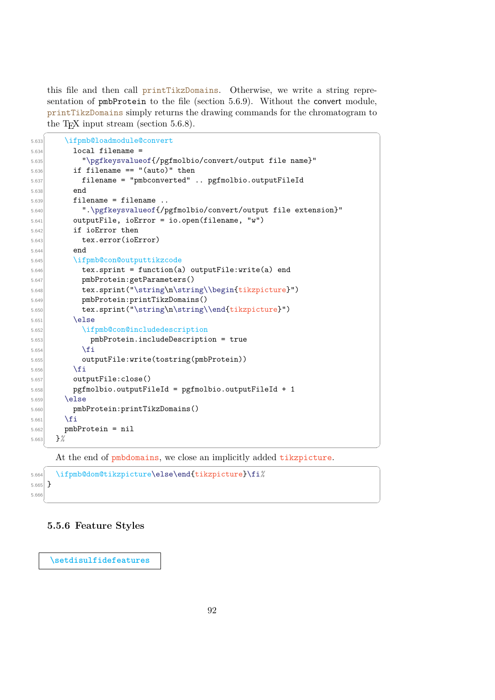this file and then call printTikzDomains. Otherwise, we write a string representation of pmbProtein to the file (section [5.6.9\)](#page-119-0). Without the convert module, printTikzDomains simply returns the drawing commands for the chromatogram to the T<sub>E</sub>X input stream (section  $5.6.8$ ).

```
\sqrt{2} \sqrt{2} \sqrt{2} \sqrt{2} \sqrt{2} \sqrt{2} \sqrt{2} \sqrt{2} \sqrt{2} \sqrt{2} \sqrt{2} \sqrt{2} \sqrt{2} \sqrt{2} \sqrt{2} \sqrt{2} \sqrt{2} \sqrt{2} \sqrt{2} \sqrt{2} \sqrt{2} \sqrt{2} \sqrt{2} \sqrt{2} \sqrt{2} \sqrt{2} \sqrt{2} \sqrt{25.633 \ifpmb@loadmodule@convert
5.634 local filename =
5.635 "\pgfkeysvalueof{/pgfmolbio/convert/output file name}"
5.636 if filename == "(auto)" then
5.637 filename = "pmbconverted" .. pgfmolbio.outputFileId
5.638 end
5.639 filename = filename ..
5.640 ".\pgfkeysvalueof{/pgfmolbio/convert/output file extension}"
5.641 outputFile, ioError = io.open(filename, "w")
5.642 if ioError then
5.643 tex.error(ioError)
5.644 end
5.645 \ifpmb@con@outputtikzcode
5.646 tex.sprint = function(a) outputFile:write(a) end
5.647 pmbProtein:getParameters()
5.648 tex.sprint("\string\n\string\\begin{tikzpicture}")
5.649 pmbProtein:printTikzDomains()
5.650 tex.sprint("\string\n\string\\end{tikzpicture}")
5.651 \else
5.652 \ifpmb@con@includedescription
5.653 pmbProtein.includeDescription = true
5.654 \quad \text{if} \quad \text{if} \quad \text{if} \quad \text{if} \quad \text{if} \quad \text{if} \quad \text{if} \quad \text{if} \quad \text{if} \quad \text{if} \quad \text{if} \quad \text{if} \quad \text{if} \quad \text{if} \quad \text{if} \quad \text{if} \quad \text{if} \quad \text{if} \quad \text{if} \quad \text{if} \quad \text{if} \quad \text{if} \quad \text{if} \quad \text{if} \quad \text{if} \quad \text{if} \quad \text{if} \quad \text{if} \quad \text{if} \quad \text{if} \quad \text{5.655 outputFile:write(tostring(pmbProtein))
5.656 \fi
5.657 outputFile:close()
5.658 pgfmolbio.outputFileId = pgfmolbio.outputFileId + 1
5.659 \else
5.660 pmbProtein:printTikzDomains()
5.661 \overline{f}5.662 pmbProtein = nil
5.663 }%
```
At the end of pmbdomains, we close an implicitly added tikzpicture.

✝ ✆

 $\overline{\phantom{a}}$   $\overline{\phantom{a}}$   $\overline{\phantom{a}}$   $\overline{\phantom{a}}$   $\overline{\phantom{a}}$   $\overline{\phantom{a}}$   $\overline{\phantom{a}}$   $\overline{\phantom{a}}$   $\overline{\phantom{a}}$   $\overline{\phantom{a}}$   $\overline{\phantom{a}}$   $\overline{\phantom{a}}$   $\overline{\phantom{a}}$   $\overline{\phantom{a}}$   $\overline{\phantom{a}}$   $\overline{\phantom{a}}$   $\overline{\phantom{a}}$   $\overline{\phantom{a}}$   $\overline{\$ 

```
\overline{a} \overline{a} \overline{a} \overline{a} \overline{a} \overline{a} \overline{a} \overline{a} \overline{a} \overline{a} \overline{a} \overline{a} \overline{a} \overline{a} \overline{a} \overline{a} \overline{a} \overline{a} \overline{a} \overline{a} \overline{a} \overline{a} \overline{a} \overline{a} \overline{5.664 \ifpmb@dom@tikzpicture\else\end{tikzpicture}\fi%
5.665 }
5.66
```
### **5.5.6 Feature Styles**

**[\setdisulfidefeatures](#page-34-0)**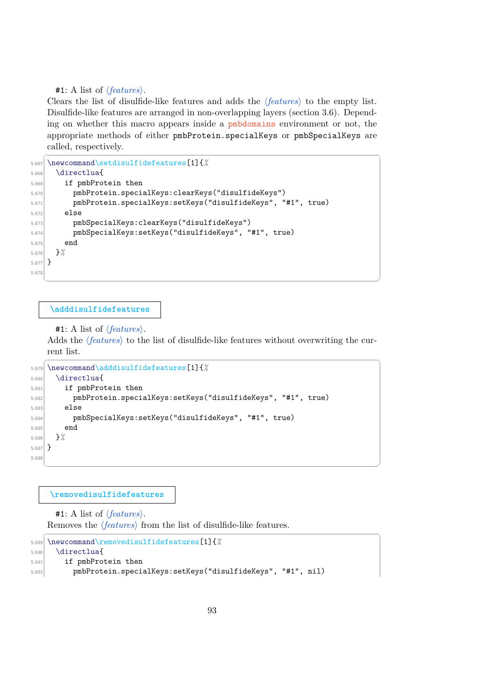#1: A list of  $\langle features \rangle$ .

Clears the list of disulfide-like features and adds the *features* to the empty list. Disulfide-like features are arranged in non-overlapping layers (section [3.6\)](#page-32-0). Depending on whether this macro appears inside a pmbdomains environment or not, the appropriate methods of either pmbProtein.specialKeys or pmbSpecialKeys are called, respectively.

```
✞ ☎
5.667 \newcommand\setdisulfidefeatures[1]{%
5.668 \directlua{
5.669 if pmbProtein then
5.670 pmbProtein.specialKeys:clearKeys("disulfideKeys")
5.671 pmbProtein.specialKeys:setKeys("disulfideKeys", "#1", true)
5.672 else
5.673 pmbSpecialKeys:clearKeys("disulfideKeys")
5.674 pmbSpecialKeys:setKeys("disulfideKeys", "#1", true)
5.675 end
5.676 }%
5.677 }
5.67
  ✝ ✆
```
#### **[\adddisulfidefeatures](#page-34-1)**

```
#1: A list of \langle features \rangle.
```
Adds the *(features)* to the list of disulfide-like features without overwriting the current list.

```
\sqrt{2} \sqrt{2} \sqrt{2} \sqrt{2} \sqrt{2} \sqrt{2} \sqrt{2} \sqrt{2} \sqrt{2} \sqrt{2} \sqrt{2} \sqrt{2} \sqrt{2} \sqrt{2} \sqrt{2} \sqrt{2} \sqrt{2} \sqrt{2} \sqrt{2} \sqrt{2} \sqrt{2} \sqrt{2} \sqrt{2} \sqrt{2} \sqrt{2} \sqrt{2} \sqrt{2} \sqrt{25.679 \newcommand\adddisulfidefeatures[1]{%
5.680 \directlua{
5.681 if pmbProtein then
5.682 pmbProtein.specialKeys:setKeys("disulfideKeys", "#1", true)
5.683 else
5.684 pmbSpecialKeys:setKeys("disulfideKeys", "#1", true)
5.685 end
5.686 }%
5.687 }
5.68
   ✝ ✆
```
**[\removedisulfidefeatures](#page-34-2)**

#1: A list of  $\langle features \rangle$ . Removes the  $\langle features \rangle$  from the list of disulfide-like features. ✞ ☎

```
5.689 \newcommand\removedisulfidefeatures[1]{%
5.690 \directlua{
5.691 if pmbProtein then
5.692 pmbProtein.specialKeys:setKeys("disulfideKeys", "#1", nil)
```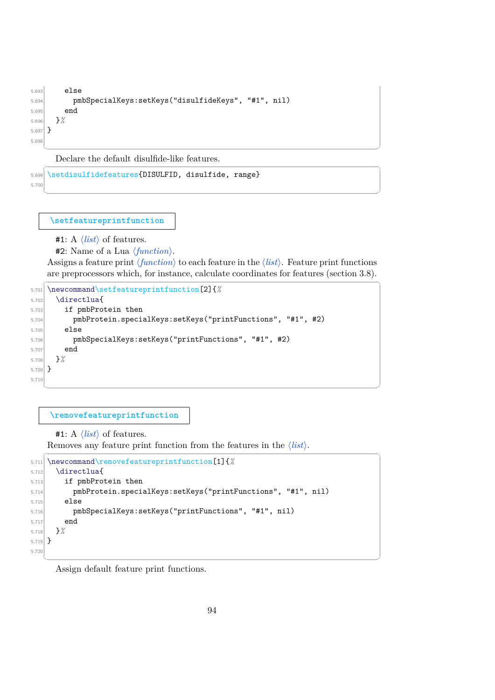```
5.693 else
5.694 pmbSpecialKeys:setKeys("disulfideKeys", "#1", nil)
5.695 end
5.696 }%
5.697 }
5.69
 ✝ ✆
```
Declare the default disulfide-like features.  $\sqrt{2}$   $\sqrt{2}$   $\sqrt{2}$   $\sqrt{2}$   $\sqrt{2}$   $\sqrt{2}$   $\sqrt{2}$   $\sqrt{2}$   $\sqrt{2}$   $\sqrt{2}$   $\sqrt{2}$   $\sqrt{2}$   $\sqrt{2}$   $\sqrt{2}$   $\sqrt{2}$   $\sqrt{2}$   $\sqrt{2}$   $\sqrt{2}$   $\sqrt{2}$   $\sqrt{2}$   $\sqrt{2}$   $\sqrt{2}$   $\sqrt{2}$   $\sqrt{2}$   $\sqrt{2}$   $\sqrt{2}$   $\sqrt{2}$   $\sqrt{2$ 

```
5.699 \setdisulfidefeatures{DISULFID, disulfide, range}
5.70
```
**[\setfeatureprintfunction](#page-38-1)**

**#1:** A  $\langle$ *list* $\rangle$  of features.

**#2:** Name of a Lua  $\langle function \rangle$ .

Assigns a feature print  $\langle function \rangle$  to each feature in the  $\langle list \rangle$ . Feature print functions are preprocessors which, for instance, calculate coordinates for features (section [3.8\)](#page-36-0).

✝ ✆

```
\overline{\phantom{a}} \overline{\phantom{a}} \overline{\phantom{a}} \overline{\phantom{a}} \overline{\phantom{a}} \overline{\phantom{a}} \overline{\phantom{a}} \overline{\phantom{a}} \overline{\phantom{a}} \overline{\phantom{a}} \overline{\phantom{a}} \overline{\phantom{a}} \overline{\phantom{a}} \overline{\phantom{a}} \overline{\phantom{a}} \overline{\phantom{a}} \overline{\phantom{a}} \overline{\phantom{a}} \overline{\5.701 \newcommand\setfeatureprintfunction[2]{%
5.702 \directlua{
5.703 if pmbProtein then
5.704 pmbProtein.specialKeys:setKeys("printFunctions", "#1", #2)
5.705 else
5.706 pmbSpecialKeys:setKeys("printFunctions", "#1", #2)
5.707 end
5.708 }%
5.709 }
5.710
     ✝ ✆
```
#### **[\removefeatureprintfunction](#page-38-2)**

#1: A  $\langle list \rangle$  of features.

```
Removes any feature print function from the features in the \langlelist\rangle.
\overline{a} \overline{a} \overline{a} \overline{a} \overline{a} \overline{a} \overline{a} \overline{a} \overline{a} \overline{a} \overline{a} \overline{a} \overline{a} \overline{a} \overline{a} \overline{a} \overline{a} \overline{a} \overline{a} \overline{a} \overline{a} \overline{a} \overline{a} \overline{a} \overline{
```

```
5.711 \newcommand\removefeatureprintfunction[1]{%
5.712 \directlua{
5.713 if pmbProtein then
5.714 pmbProtein.specialKeys:setKeys("printFunctions", "#1", nil)
5.715 else
5.716 pmbSpecialKeys:setKeys("printFunctions", "#1", nil)
5.717 end
5.718 }%
5.719 }
5.720
```
Assign default feature print functions.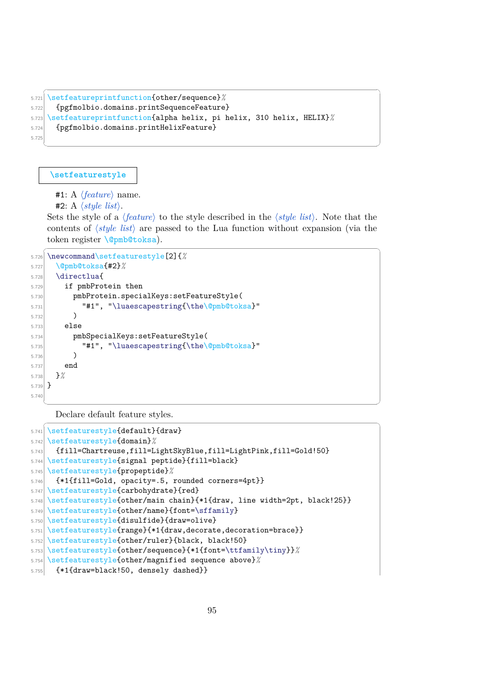```
✞ ☎
5.721 \setfeatureprintfunction{other/sequence}%
5.722 {pgfmolbio.domains.printSequenceFeature}
5.723 \setfeatureprintfunction{alpha helix, pi helix, 310 helix, HELIX}%
5.724 {pgfmolbio.domains.printHelixFeature}
5.725
```
### **[\setfeaturestyle](#page-25-1)**

#1: A  $\langle feature \rangle$  name.

 $#2$ : A  $\langle style \; list \rangle$ .

Sets the style of a  $\langle feature \rangle$  to the style described in the  $\langle style| list \rangle$ . Note that the contents of  $\langle style| list\rangle$  are passed to the Lua function without expansion (via the token register \@pmb@toksa).

 $\sqrt{2}$   $\sqrt{2}$   $\sqrt{2}$   $\sqrt{2}$   $\sqrt{2}$   $\sqrt{2}$   $\sqrt{2}$   $\sqrt{2}$   $\sqrt{2}$   $\sqrt{2}$   $\sqrt{2}$   $\sqrt{2}$   $\sqrt{2}$   $\sqrt{2}$   $\sqrt{2}$   $\sqrt{2}$   $\sqrt{2}$   $\sqrt{2}$   $\sqrt{2}$   $\sqrt{2}$   $\sqrt{2}$   $\sqrt{2}$   $\sqrt{2}$   $\sqrt{2}$   $\sqrt{2}$   $\sqrt{2}$   $\sqrt{2}$   $\sqrt{2$ 

✝ ✆

```
5.726 \newcommand\setfeaturestyle[2]{%
5.727 \@pmb@toksa{#2}%
5.728 \directlua{
5.729 if pmbProtein then
5.730 pmbProtein.specialKeys:setFeatureStyle(
5.731 "#1", "\luaescapestring{\the\@pmb@toksa}"
5.732 )
5.733 else
5.734 pmbSpecialKeys:setFeatureStyle(
5.735 "#1", "\luaescapestring{\the\@pmb@toksa}"
5.736 )
5.737 end
5.738 }%
5.739 }
5.740
  ✝ ✆
```
Declare default feature styles.  $\sqrt{2}$   $\sqrt{2}$   $\sqrt{2}$   $\sqrt{2}$   $\sqrt{2}$   $\sqrt{2}$   $\sqrt{2}$   $\sqrt{2}$   $\sqrt{2}$   $\sqrt{2}$   $\sqrt{2}$   $\sqrt{2}$   $\sqrt{2}$   $\sqrt{2}$   $\sqrt{2}$   $\sqrt{2}$   $\sqrt{2}$   $\sqrt{2}$   $\sqrt{2}$   $\sqrt{2}$   $\sqrt{2}$   $\sqrt{2}$   $\sqrt{2}$   $\sqrt{2}$   $\sqrt{2}$   $\sqrt{2}$   $\sqrt{2}$   $\sqrt{2$ 

```
5.741 \setfeaturestyle{default}{draw}
5.742 \setfeaturestyle{domain}%
5.743 {fill=Chartreuse,fill=LightSkyBlue,fill=LightPink,fill=Gold!50}
5.744 \setfeaturestyle{signal peptide}{fill=black}
5.745 \setfeaturestyle{propeptide}%
5.746 {*1{fill=Gold, opacity=.5, rounded corners=4pt}}
5.747 \setfeaturestyle{carbohydrate}{red}
5.748 \setfeaturestyle{other/main chain}{*1{draw, line width=2pt, black!25}}
5.749 \setfeaturestyle{other/name}{font=\sffamily}
5.750 \setfeaturestyle{disulfide}{draw=olive}
5.751 \setfeaturestyle{range}{*1{draw,decorate,decoration=brace}}
5.752 \setfeaturestyle{other/ruler}{black, black!50}
5.753 \setfeaturestyle{other/sequence}{*1{font=\ttfamily\tiny}}<sup>%</sup>
5.754 \setfeaturestyle{other/magnified sequence above}%
5.755 {*1{draw=black!50, densely dashed}}
```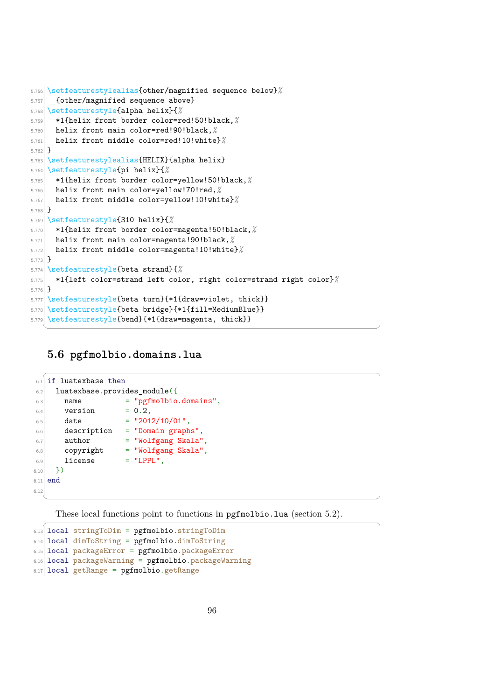```
5.756 \setfeaturestylealias{other/magnified sequence below}<sup>%</sup>
5.757 {other/magnified sequence above}
5.758 \setfeaturestyle{alpha helix}{%
5.759 *1{helix front border color=red!50!black,%
5.760 helix front main color=red!90!black,%
5.761 helix front middle color=red!10!white}%
5.762 }
5.763 \setfeaturestylealias{HELIX}{alpha helix}
5.764 \setfeaturestyle{pi helix}{%
5.765 *1{helix front border color=yellow!50!black,%
5.766 helix front main color=yellow!70!red,%
5.767 helix front middle color=yellow!10!white}%
5.768
5.769 \setfeaturestyle{310 helix}{%
5.770 *1{helix front border color=magenta!50!black,%
5.771 helix front main color=magenta!90!black,%
5.772 helix front middle color=magenta!10!white}%
5.773 }
5.774 \setfeaturestyle{beta strand}{%
5.775 *1{left color=strand left color, right color=strand right color}%
5.776 }
5.777 \setfeaturestyle{beta turn}{*1{draw=violet, thick}}
5.778 \setfeaturestyle{beta bridge}{*1{fill=MediumBlue}}
5.779 \setfeaturestyle{bend}{*1{draw=magenta, thick}}
   ✝ ✆
```
# **5.6 pgfmolbio.domains.lua**

```
61 if luatexbase then
6.2 luatexbase.provides_module({
6.3 name = "pgfmolbio.domains",
6.4 version = 0.2,
6.5 date = "2012/10/01",
6.6 description = "Domain graphs",
6.7 author = "Wolfgang Skala",
6.8 copyright = "Wolfgang Skala",
6.9 license = "LPPL",
6.10 })
6.11 end
6.12
```
These local functions point to functions in pgfmolbio.lua (section [5.2\)](#page-54-0).  $\sqrt{2}$   $\sqrt{2}$   $\sqrt{2}$   $\sqrt{2}$   $\sqrt{2}$   $\sqrt{2}$   $\sqrt{2}$   $\sqrt{2}$   $\sqrt{2}$   $\sqrt{2}$   $\sqrt{2}$   $\sqrt{2}$   $\sqrt{2}$   $\sqrt{2}$   $\sqrt{2}$   $\sqrt{2}$   $\sqrt{2}$   $\sqrt{2}$   $\sqrt{2}$   $\sqrt{2}$   $\sqrt{2}$   $\sqrt{2}$   $\sqrt{2}$   $\sqrt{2}$   $\sqrt{2}$   $\sqrt{2}$   $\sqrt{2}$   $\sqrt{2$ 

✝ ✆

 $\sqrt{2}$   $\sqrt{2}$   $\sqrt{2}$   $\sqrt{2}$   $\sqrt{2}$   $\sqrt{2}$   $\sqrt{2}$   $\sqrt{2}$   $\sqrt{2}$   $\sqrt{2}$   $\sqrt{2}$   $\sqrt{2}$   $\sqrt{2}$   $\sqrt{2}$   $\sqrt{2}$   $\sqrt{2}$   $\sqrt{2}$   $\sqrt{2}$   $\sqrt{2}$   $\sqrt{2}$   $\sqrt{2}$   $\sqrt{2}$   $\sqrt{2}$   $\sqrt{2}$   $\sqrt{2}$   $\sqrt{2}$   $\sqrt{2}$   $\sqrt{2$ 

```
6.13 local stringToDim = pgfmolbio.stringToDim
6.14 local dimToString = pgfmolbio.dimToString
6.15 local packageError = pgfmolbio.packageError
6.16 local packageWarning = pgfmolbio.packageWarning
6.17 local getRange = pgfmolbio.getRange
```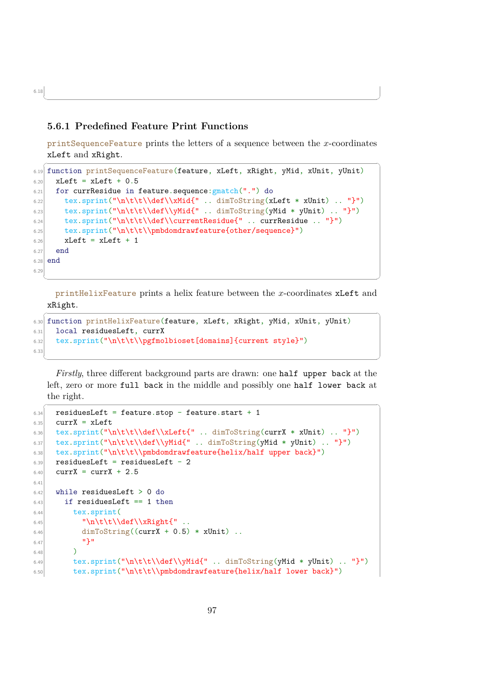#### <span id="page-99-0"></span>**5.6.1 Predefined Feature Print Functions**

printSequenceFeature prints the letters of a sequence between the x-coordinates xLeft and xRight.

✝ ✆

```
\overline{a} \overline{a} \overline{a} \overline{a} \overline{a} \overline{a} \overline{a} \overline{a} \overline{a} \overline{a} \overline{a} \overline{a} \overline{a} \overline{a} \overline{a} \overline{a} \overline{a} \overline{a} \overline{a} \overline{a} \overline{a} \overline{a} \overline{a} \overline{a} \overline{6.19 function printSequenceFeature(feature, xLeft, xRight, yMid, xUnit, yUnit)
6.20 xLeft = xLeft + 0.56.21 for currResidue in feature.sequence: gmatch(".") do
6.22 tex.sprint("\n\t\t\\def\\xMid{" .. dimToString(xLeft * xUnit) .. "}")
6.23 tex.sprint("\n\t\t\\def\\yMid{" .. dimToString(yMid * yUnit) .. "}")
6.24 tex.sprint("\n\t\t\\def\\currentResidue{" .. currResidue .. "}")
6.25 tex.sprint("\n\t\t\\pmbdomdrawfeature{other/sequence}")
6.26 xLeft = xLeft + 1
6.27 end
6.28 end
6.20
```
printHelixFeature prints a helix feature between the x-coordinates xLeft and xRight.  $\overline{\phantom{a}}$ 

✝ ✆

```
6.30 function printHelixFeature(feature, xLeft, xRight, yMid, xUnit, yUnit)
6.31 local residuesLeft, currX
6.32 tex.sprint("\n\t\t\\pgfmolbioset[domains]{current style}")
6.33
```
*Firstly*, three different background parts are drawn: one half upper back at the left, zero or more full back in the middle and possibly one half lower back at the right.

✝ ✆

```
\overline{a} \overline{a} \overline{a} \overline{a} \overline{a} \overline{a} \overline{a} \overline{a} \overline{a} \overline{a} \overline{a} \overline{a} \overline{a} \overline{a} \overline{a} \overline{a} \overline{a} \overline{a} \overline{a} \overline{a} \overline{a} \overline{a} \overline{a} \overline{a} \overline{6.34 residuesLeft = feature.stop - feature.start + 1
6.35 currX = xLeft
6.36 tex.sprint("\n\t\t\\def\\xLeft{" .. dimToString(currX * xUnit) .. "}")
6.37 tex.sprint("\n\t\t\\def\\yMid{" .. dimToString(yMid * yUnit) .. "}")
6.38 tex.sprint("\n\t\t\\pmbdomdrawfeature{helix/half upper back}")
6.39 residuesLeft = residuesLeft - 2
6.40 currX = currX + 2.5
6.41
6.42 while residuesLeft > 0 do
6.43 if residuesLeft == 1 then
6.44 tex.sprint(
              "\n\t\t\\def\\xRight{" ..
6.46 dimToString((currX + 0.5) * xUnit) ..
6.47 \mathbf{1}6.48 )
\text{6.49} tex.sprint("\n\t\t\\def\\yMid{" .. dimToString(yMid * yUnit) .. "}")
6.50 tex.sprint("\n\t\t\\pmbdomdrawfeature{helix/half lower back}")
```
6.18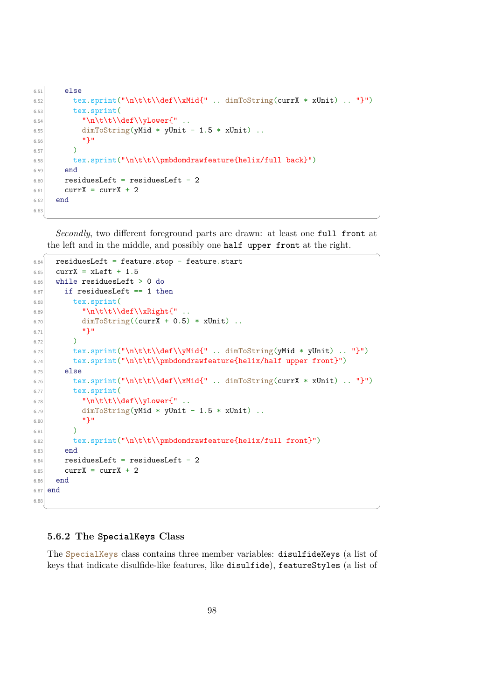```
6.51 else
6.52 tex.sprint("\n\t\t\\def\\xMid{" .. dimToString(currX * xUnit) .. "}")
6.53 tex.sprint(
6.54 "\n\t\t\\def\\yLower{"
6.55 dimToString(yMid * yUnit - 1.5 * xUnit) ..
6.56 '' ''6.57 )
6.58 tex.sprint("\n\t\t\\pmbdomdrawfeature{helix/full back}")
6.59 end
6.60 residuesLeft = residuesLeft - 2
6.61 currX = currX + 2
6.62 end
6.63
```
*Secondly*, two different foreground parts are drawn: at least one full front at the left and in the middle, and possibly one half upper front at the right.

 $\begin{pmatrix} 1 & 0 & 0 \\ 0 & 0 & 0 \\ 0 & 0 & 0 \\ 0 & 0 & 0 \\ 0 & 0 & 0 \\ 0 & 0 & 0 \\ 0 & 0 & 0 \\ 0 & 0 & 0 \\ 0 & 0 & 0 & 0 \\ 0 & 0 & 0 & 0 \\ 0 & 0 & 0 & 0 \\ 0 & 0 & 0 & 0 & 0 \\ 0 & 0 & 0 & 0 & 0 \\ 0 & 0 & 0 & 0 & 0 \\ 0 & 0 & 0 & 0 & 0 & 0 \\ 0 & 0 & 0 & 0 & 0 & 0 \\ 0 & 0 & 0 & 0 & 0 & 0 & 0 \\ 0 &$ 

```
\overline{a} \overline{a} \overline{a} \overline{a} \overline{a} \overline{a} \overline{a} \overline{a} \overline{a} \overline{a} \overline{a} \overline{a} \overline{a} \overline{a} \overline{a} \overline{a} \overline{a} \overline{a} \overline{a} \overline{a} \overline{a} \overline{a} \overline{a} \overline{a} \overline{6.64 residuesLeft = feature.stop - feature.start
6.65 currX = xLeft + 1.5
6.66 while residuesLeft > 0 do
6.67 if residuesLeft == 1 then
6.68 tex.sprint(
6.69 "\n\tt\ldots6.70 dimToString((currX + 0.5) * xUnit) ..
6.71 "}"
6.72 )
6.73 tex.sprint("\n\t\t\\def\\yMid{" .. dimToString(yMid * yUnit) .. "}")
6.74 tex.sprint("\n\t\t\\pmbdomdrawfeature{helix/half upper front}")
6.75 else
6.76 tex.sprint("\n\t\t\\def\\xMid{" .. dimToString(currX * xUnit) .. "}")
6.77 tex.sprint(
6.78 "\n\t\t\\def\\yLower{" ..
6.79 dimToString(yMid * yUnit - 1.5 * xUnit) ..
6.80 \mathbf{P}6.81 )
6.82 tex.sprint("\n\t\t\\pmbdomdrawfeature{helix/full front}")
6.83 end
6.84 residuesLeft = residuesLeft - 2
6.85 currX = currX + 2
6.86 end
6.87 end
6.88
```
#### <span id="page-100-0"></span>**5.6.2 The SpecialKeys Class**

The SpecialKeys class contains three member variables: disulfideKeys (a list of keys that indicate disulfide-like features, like disulfide), featureStyles (a list of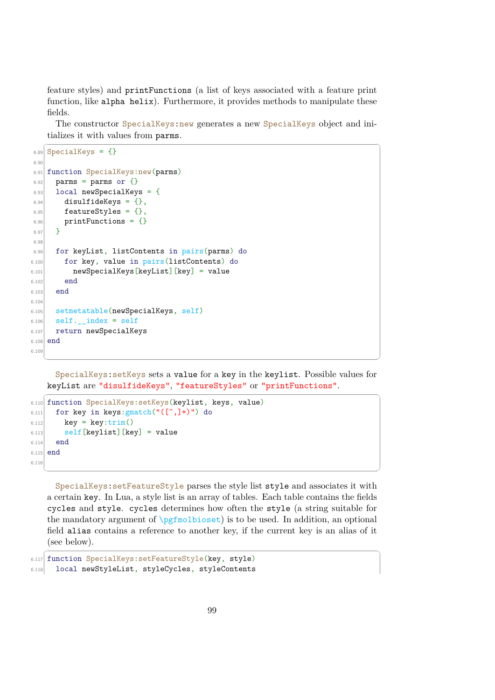feature styles) and printFunctions (a list of keys associated with a feature print function, like alpha helix). Furthermore, it provides methods to manipulate these fields.

The constructor SpecialKeys:new generates a new SpecialKeys object and initializes it with values from parms.

```
\overline{a} \overline{a} \overline{a} \overline{a} \overline{a} \overline{a} \overline{a} \overline{a} \overline{a} \overline{a} \overline{a} \overline{a} \overline{a} \overline{a} \overline{a} \overline{a} \overline{a} \overline{a} \overline{a} \overline{a} \overline{a} \overline{a} \overline{a} \overline{a} \overline{6.89 SpecialKeys = \{\}6.90
6.91 function SpecialKeys:new(parms)
6.92 parms = parms or {}
6.93 local newSpecialKeys = {
6.94 disulfideKeys = {},
6.95 featureStyles = \{\},
6.96 printFunctions = {}
6.97 }
6.98
6.99 for keyList, listContents in pairs(parms) do
6.100 for key, value in pairs(listContents) do
6.101 newSpecialKeys[keyList][key] = value
6.102 end
6.103 end
6.104
6.105 setmetatable(newSpecialKeys, self)
6.106 self. __index = self
6.107 return newSpecialKeys
6.108 end
6.109
    ✝ ✆
```
SpecialKeys:setKeys sets a value for a key in the keylist. Possible values for keyList are "disulfideKeys", "featureStyles" or "printFunctions".

```
\overline{a} \overline{a} \overline{a} \overline{a} \overline{a} \overline{a} \overline{a} \overline{a} \overline{a} \overline{a} \overline{a} \overline{a} \overline{a} \overline{a} \overline{a} \overline{a} \overline{a} \overline{a} \overline{a} \overline{a} \overline{a} \overline{a} \overline{a} \overline{a} \overline{6.110 function SpecialKeys: setKeys(keylist, keys, value)
6.111 for key in keys: gmatch("([\hat{},]+)" ) do
6.112 key = key:trim()
6.113 self [keylist] [key] = value
6.114 end
6.115 end
6.116
```
SpecialKeys:setFeatureStyle parses the style list style and associates it with a certain key. In Lua, a style list is an array of tables. Each table contains the fields cycles and style. cycles determines how often the style (a string suitable for the mandatory argument of  $\text{objset}$  is to be used. In addition, an optional field alias contains a reference to another key, if the current key is an alias of it (see below).

 $\overline{a}$   $\overline{a}$   $\overline{a}$   $\overline{a}$   $\overline{a}$   $\overline{a}$   $\overline{a}$   $\overline{a}$   $\overline{a}$   $\overline{a}$   $\overline{a}$   $\overline{a}$   $\overline{a}$   $\overline{a}$   $\overline{a}$   $\overline{a}$   $\overline{a}$   $\overline{a}$   $\overline{a}$   $\overline{a}$   $\overline{a}$   $\overline{a}$   $\overline{a}$   $\overline{a}$   $\overline{$ 

✝ ✆

6.117 function SpecialKeys:setFeatureStyle(key, style) 6.118 local newStyleList, styleCycles, styleContents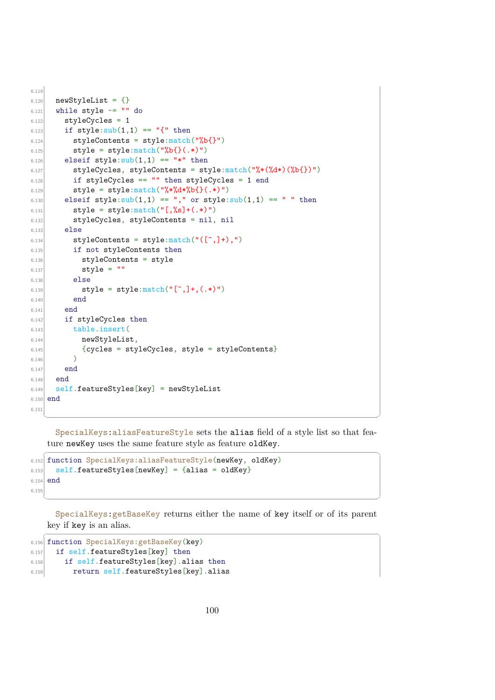```
6.119
6.120 newStyleList = {}
6.121 while style \sim = "" do
6.122 styleCycles = 1
6.123 if style:\text{sub}(1,1) == "{'}" then
6.124 styleContents = style:match("%b{}")
6.125 \vert style = style:match("%b{}(.*)")
6.126 elseif style:sub(1,1) == "*" then
6.127 styleCycles, styleContents = style:\text{match}("\%*(\%d*) (\%b\})")6.128 if styleCycles == "" then styleCycles = 1 end
6.129 style = style:\text{match}("\text{**}\text{**}\text{**}\text{**}\text{**}) (.*)")
6.130 elseif style:sub(1,1) == "," or style:sub(1,1) == " then
6.131 style = style:match("[,%s]+(.*)")
6.132 styleCycles, styleContents = nil, nil
6.133 else
6.134 styleContents = style:match("(\lceil^{\hat{}}\rceil, \rceil+),")
6.135 if not styleContents then
6.136 styleContents = style
6.137 style = 106.138 else
6.139 style = style:\text{match}("[^*,]^+, (.*)")6.140 end
6.141 end
6.142 if styleCycles then
6.143 table.insert(
6.144 newStyleList,
6.145 {cycles = styleCycles, style = styleContents}
6.146 )
6.147 end
6.148 end
6.149 self.featureStyles[key] = newStyleList
6.150 end
6.151
```
SpecialKeys:aliasFeatureStyle sets the alias field of a style list so that feature newKey uses the same feature style as feature oldKey.  $\overline{a}$   $\overline{a}$   $\overline{a}$   $\overline{a}$   $\overline{a}$   $\overline{a}$   $\overline{a}$   $\overline{a}$   $\overline{a}$   $\overline{a}$   $\overline{a}$   $\overline{a}$   $\overline{a}$   $\overline{a}$   $\overline{a}$   $\overline{a}$   $\overline{a}$   $\overline{a}$   $\overline{a}$   $\overline{a}$   $\overline{a}$   $\overline{a}$   $\overline{a}$   $\overline{a}$   $\overline{$ 

✝ ✆

```
6.152 function SpecialKeys:aliasFeatureStyle(newKey, oldKey)
6.153 self.featureStyles[newKey] = {alias = oldKey}
6.154 end
6.155
```
SpecialKeys:getBaseKey returns either the name of key itself or of its parent key if key is an alias.

✝ ✆

 $\overline{a}$   $\overline{a}$   $\overline{a}$   $\overline{a}$   $\overline{a}$   $\overline{a}$   $\overline{a}$   $\overline{a}$   $\overline{a}$   $\overline{a}$   $\overline{a}$   $\overline{a}$   $\overline{a}$   $\overline{a}$   $\overline{a}$   $\overline{a}$   $\overline{a}$   $\overline{a}$   $\overline{a}$   $\overline{a}$   $\overline{a}$   $\overline{a}$   $\overline{a}$   $\overline{a}$   $\overline{$ 

```
6.156 function SpecialKeys:getBaseKey(key)
6.157 if self.featureStyles[key] then
6.158 if self.featureStyles[key].alias then
6.159 return self.featureStyles[key].alias
```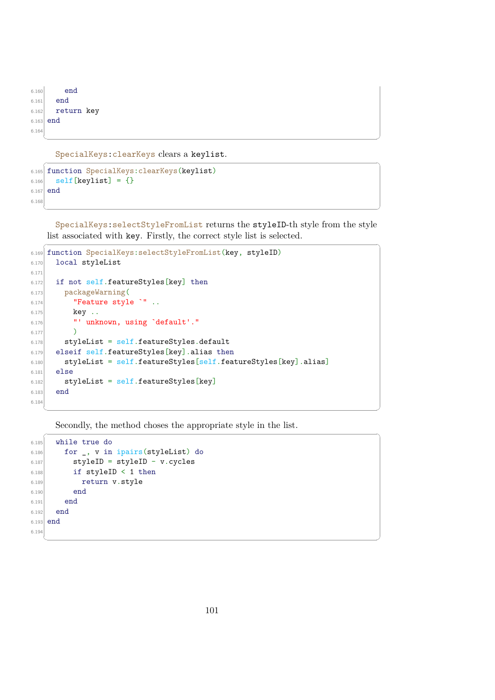```
6.160 end
6.161 end
6.162 return key
6.163 end
6.164
 ✝ ✆
```
SpecialKeys:clearKeys clears a keylist.

```
6.165 function SpecialKeys:clearKeys(keylist)
6.166 self[keylist] = {}
6.167 end
6.168
```
SpecialKeys:selectStyleFromList returns the styleID-th style from the style list associated with key. Firstly, the correct style list is selected.  $\overline{a}$   $\overline{a}$   $\overline{a}$   $\overline{a}$   $\overline{a}$   $\overline{a}$   $\overline{a}$   $\overline{a}$   $\overline{a}$   $\overline{a}$   $\overline{a}$   $\overline{a}$   $\overline{a}$   $\overline{a}$   $\overline{a}$   $\overline{a}$   $\overline{a}$   $\overline{a}$   $\overline{a}$   $\overline{a}$   $\overline{a}$   $\overline{a}$   $\overline{a}$   $\overline{a}$   $\overline{$ 

✝ ✆

✝ ✆

 $\overline{a}$   $\overline{a}$   $\overline{a}$   $\overline{a}$   $\overline{a}$   $\overline{a}$   $\overline{a}$   $\overline{a}$   $\overline{a}$   $\overline{a}$   $\overline{a}$   $\overline{a}$   $\overline{a}$   $\overline{a}$   $\overline{a}$   $\overline{a}$   $\overline{a}$   $\overline{a}$   $\overline{a}$   $\overline{a}$   $\overline{a}$   $\overline{a}$   $\overline{a}$   $\overline{a}$   $\overline{$ 

```
6.169 function SpecialKeys:selectStyleFromList(key, styleID)
6.170 local styleList
6.171
6.172 if not self.featureStyles[key] then
6.173 packageWarning(
6.174 "Feature style `" ..
6.175 key ..
6.176 "' unknown, using `default'."
6.177 )
6.178 styleList = self.featureStyles.default
6.179 elseif self.featureStyles[key].alias then
6.180 styleList = self.featureStyles[self.featureStyles[key].alias]
6.181 else
6.182 styleList = self.featureStyles[key]
6.183 end
6.184
```
Secondly, the method choses the appropriate style in the list.  $\overline{a}$   $\overline{a}$   $\overline{a}$   $\overline{a}$   $\overline{a}$   $\overline{a}$   $\overline{a}$   $\overline{a}$   $\overline{a}$   $\overline{a}$   $\overline{a}$   $\overline{a}$   $\overline{a}$   $\overline{a}$   $\overline{a}$   $\overline{a}$   $\overline{a}$   $\overline{a}$   $\overline{a}$   $\overline{a}$   $\overline{a}$   $\overline{a}$   $\overline{a}$   $\overline{a}$   $\overline{$ 

```
6.185 while true do
6.186 for \Box, v in ipairs(styleList) do
6.187 styleID = styleID - v.cycles
6.188 if styleID < 1 then
6.189 return v.style
6.190 end
6.191 end
6.192 end
6.193 end
6.194
```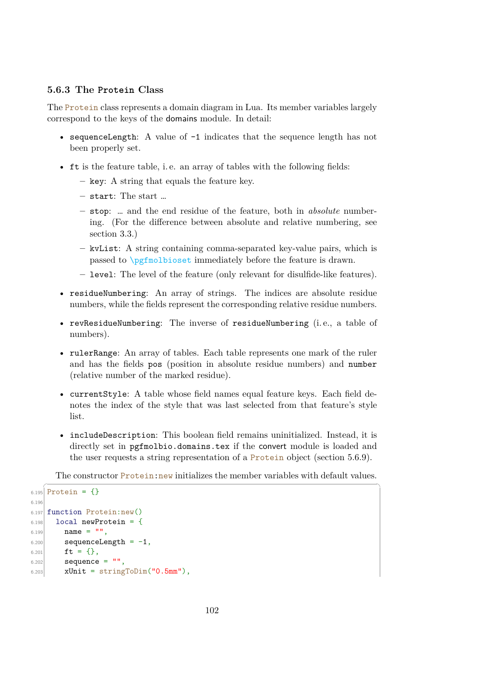### <span id="page-104-0"></span>**5.6.3 The Protein Class**

The Protein class represents a domain diagram in Lua. Its member variables largely correspond to the keys of the domains module. In detail:

- sequenceLength: A value of  $-1$  indicates that the sequence length has not been properly set.
- ft is the feature table, i. e. an array of tables with the following fields:
	- **–** key: A string that equals the feature key.
	- **–** start: The start …
	- **–** stop: … and the end residue of the feature, both in *absolute* numbering. (For the difference between absolute and relative numbering, see section [3.3.](#page-20-0))
	- **–** kvList: A string containing comma-separated key-value pairs, which is passed to \pgfmolbioset immediately before the feature is drawn.
	- **–** level: The level of the feature (only relevant for disulfide-like features).
- residueNumbering: An array of strings. The indices are absolute residue numbers, while the fields represent the corresponding relative residue numbers.
- revResidueNumbering: The inverse of residueNumbering (i. e., a table of numbers).
- rulerRange: An array of tables. Each table represents one mark of the ruler and has the fields pos (position in absolute residue numbers) and number (relative number of the marked residue).
- currentStyle: A table whose field names equal feature keys. Each field denotes the index of the style that was last selected from that feature's style list.
- includeDescription: This boolean field remains uninitialized. Instead, it is directly set in pgfmolbio.domains.tex if the convert module is loaded and the user requests a string representation of a Protein object (section [5.6.9\)](#page-119-0).

The constructor Protein:new initializes the member variables with default values.

```
\sqrt{2} \sqrt{2} \sqrt{2} \sqrt{2} \sqrt{2} \sqrt{2} \sqrt{2} \sqrt{2} \sqrt{2} \sqrt{2} \sqrt{2} \sqrt{2} \sqrt{2} \sqrt{2} \sqrt{2} \sqrt{2} \sqrt{2} \sqrt{2} \sqrt{2} \sqrt{2} \sqrt{2} \sqrt{2} \sqrt{2} \sqrt{2} \sqrt{2} \sqrt{2} \sqrt{2} \sqrt{26.195 Protein = {}
6.196
6.197 function Protein:new()
6.198 local newProtein = {
6.199 name = "",
6.200 sequenceLength = -1,
f(t) = \{\},6.202 sequence = 11,
6.203 xUnit = stringToDim("0.5mm"),
```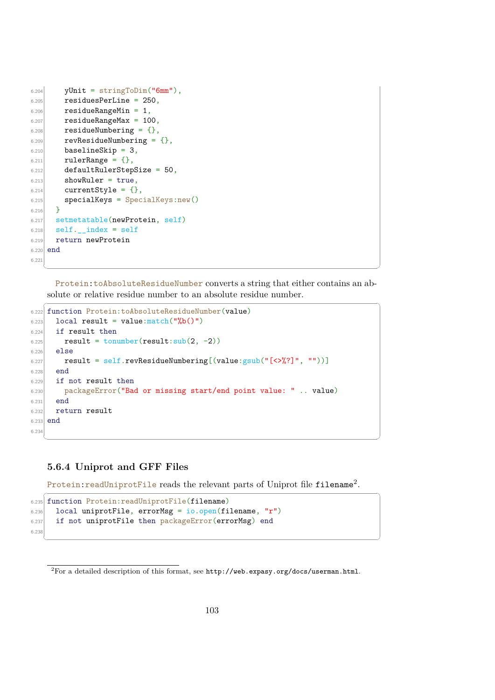```
6.204 yUnit = stringToDim("6mm"),
6.205 residuesPerLine = 250.
6.206 residueRangeMin = 1,
6.207 residueRangeMax = 100,
6.208 residueNumbering = \{\},
6.209 revResidueNumbering = \{\},
6.210 baselineSkip = 3,
6.211 rulerRange = {},
6.212 defaultRulerStepSize = 50,
6.213 showRuler = true,
6.214 currentStyle = {},
6.215 s specialKeys = SpecialKeys:new()
6.216 }
6.217 setmetatable(newProtein, self)
6.218 self.<sub>__</sub>index = self
6.219 return newProtein
6.220 end
6.221
  ✝ ✆
```
Protein:toAbsoluteResidueNumber converts a string that either contains an absolute or relative residue number to an absolute residue number.

```
\sqrt{2} \sqrt{2} \sqrt{2} \sqrt{2} \sqrt{2} \sqrt{2} \sqrt{2} \sqrt{2} \sqrt{2} \sqrt{2} \sqrt{2} \sqrt{2} \sqrt{2} \sqrt{2} \sqrt{2} \sqrt{2} \sqrt{2} \sqrt{2} \sqrt{2} \sqrt{2} \sqrt{2} \sqrt{2} \sqrt{2} \sqrt{2} \sqrt{2} \sqrt{2} \sqrt{2} \sqrt{26.222 function Protein:toAbsoluteResidueNumber(value)
6.223 local result = value: match("%b()")
6.224 if result then
6.225 result = tonumber(result:sub(2, -2))
6.226 else
6.227 result = self.revResidueNumbering [(value:gsub("<&%?]", ""))]6.228 end
6.229 if not result then
6.230 packageError("Bad or missing start/end point value: " .. value)
6.231 end
6.232 return result
6.233 end
6.234
```
#### <span id="page-105-0"></span>**5.6.4 Uniprot and GFF Files**

Protein:readUniprotFile reads the relevant parts of Uniprot file <code>filename $^2.$  $^2.$  $^2.$ </code>

✝ ✆

```
\sqrt{2} \sqrt{2} \sqrt{2} \sqrt{2} \sqrt{2} \sqrt{2} \sqrt{2} \sqrt{2} \sqrt{2} \sqrt{2} \sqrt{2} \sqrt{2} \sqrt{2} \sqrt{2} \sqrt{2} \sqrt{2} \sqrt{2} \sqrt{2} \sqrt{2} \sqrt{2} \sqrt{2} \sqrt{2} \sqrt{2} \sqrt{2} \sqrt{2} \sqrt{2} \sqrt{2} \sqrt{26.235 function Protein:readUniprotFile(filename)
6.236 local uniprotFile, errorMsg = io.open(filename, "r")
6.237 if not uniprotFile then packageError(errorMsg) end
6.23
```
<span id="page-105-1"></span> $2F$ or a detailed description of this format, see <http://web.expasy.org/docs/userman.html>.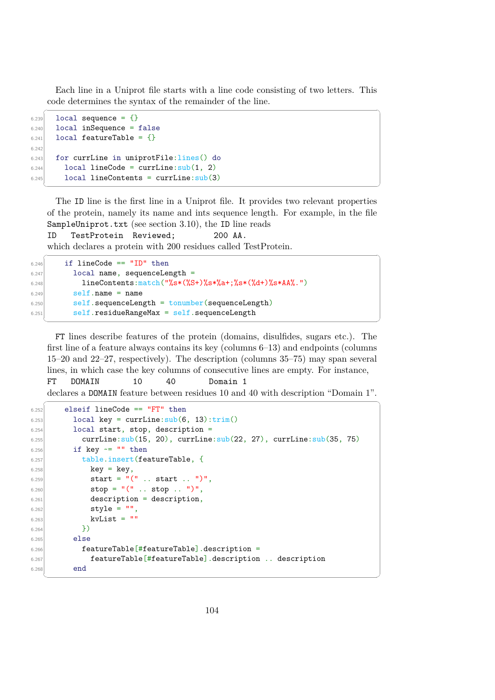Each line in a Uniprot file starts with a line code consisting of two letters. This code determines the syntax of the remainder of the line.

```
\sqrt{2} \sqrt{2} \sqrt{2} \sqrt{2} \sqrt{2} \sqrt{2} \sqrt{2} \sqrt{2} \sqrt{2} \sqrt{2} \sqrt{2} \sqrt{2} \sqrt{2} \sqrt{2} \sqrt{2} \sqrt{2} \sqrt{2} \sqrt{2} \sqrt{2} \sqrt{2} \sqrt{2} \sqrt{2} \sqrt{2} \sqrt{2} \sqrt{2} \sqrt{2} \sqrt{2} \sqrt{26.239 local sequence = {}
6.240 local inSequence = false
6.241 local featureTable = {}
6.24
6.243 for currLine in uniprotFile:lines() do
6.244 local lineCode = currLine:sub(1, 2)
6.245 local lineContents = currLine:sub(3)✝ ✆
```
The ID line is the first line in a Uniprot file. It provides two relevant properties of the protein, namely its name and ints sequence length. For example, in the file SampleUniprot.txt (see section [3.10\)](#page-45-0), the ID line reads

ID TestProtein Reviewed; 200 AA.

which declares a protein with 200 residues called TestProtein.

```
\sqrt{2} \sqrt{2} \sqrt{2} \sqrt{2} \sqrt{2} \sqrt{2} \sqrt{2} \sqrt{2} \sqrt{2} \sqrt{2} \sqrt{2} \sqrt{2} \sqrt{2} \sqrt{2} \sqrt{2} \sqrt{2} \sqrt{2} \sqrt{2} \sqrt{2} \sqrt{2} \sqrt{2} \sqrt{2} \sqrt{2} \sqrt{2} \sqrt{2} \sqrt{2} \sqrt{2} \sqrt{26.246 if lineCode == "ID" then
6.247 local name, sequenceLength =
6.248 lineContents:match("%s*(%S+)%s*%a+;%s*(%d+)%s*AA%.")
6.249 self.name = name
6.250 self.sequenceLength = tonumber(sequenceLength)
6.251 self.residueRangeMax = self.sequenceLength
   ✝ ✆
```
FT lines describe features of the protein (domains, disulfides, sugars etc.). The first line of a feature always contains its key (columns 6–13) and endpoints (columns 15–20 and 22–27, respectively). The description (columns 35–75) may span several lines, in which case the key columns of consecutive lines are empty. For instance,

FT DOMAIN 10 40 Domain 1 declares a DOMAIN feature between residues 10 and 40 with description "Domain 1".  $\sqrt{2}$   $\sqrt{2}$   $\sqrt{2}$   $\sqrt{2}$   $\sqrt{2}$   $\sqrt{2}$   $\sqrt{2}$   $\sqrt{2}$   $\sqrt{2}$   $\sqrt{2}$   $\sqrt{2}$   $\sqrt{2}$   $\sqrt{2}$   $\sqrt{2}$   $\sqrt{2}$   $\sqrt{2}$   $\sqrt{2}$   $\sqrt{2}$   $\sqrt{2}$   $\sqrt{2}$   $\sqrt{2}$   $\sqrt{2}$   $\sqrt{2}$   $\sqrt{2}$   $\sqrt{2}$   $\sqrt{2}$   $\sqrt{2}$   $\sqrt{2$ 

```
6.252 elseif lineCode == "FT" then
6.253 local key = currLine:sub(6, 13):trim()6.254 local start, stop, description =
6.255 currLine:sub(15, 20), currLine:sub(22, 27), currLine:sub(35, 75)
6.256 if key \sim= "" then
6.257 table.insert(featureTable, {
key = key,
6.259 start = "(" ... start ... ")"6.260 \vert stop = "(" .. stop .. ")",
6.261 description = description,
6.262 \mathsf{style} = \mathsf{""}.
6.263 kvList = ""
6.264 })
6.265 else
6.266 featureTable [#featureTable]. description =
6.267 featureTable[#featureTable].description .. description
6.268 end
```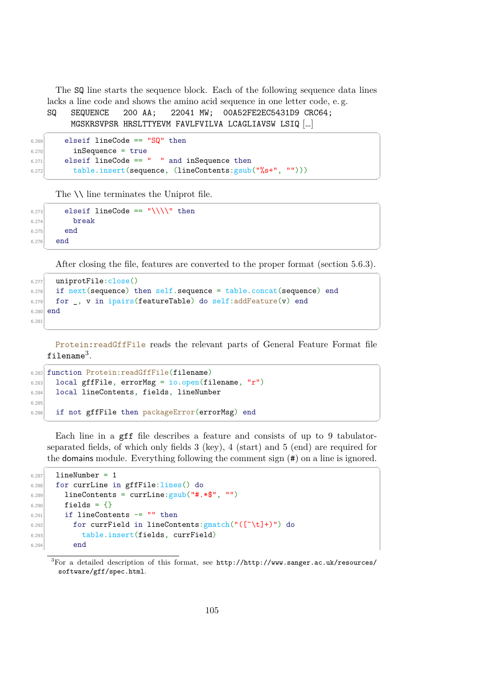The SQ line starts the sequence block. Each of the following sequence data lines lacks a line code and shows the amino acid sequence in one letter code, e. g.

```
SQ SEQUENCE 200 AA; 22041 MW; 00A52FE2EC5431D9 CRC64;
    MGSKRSVPSR HRSLTTYEVM FAVLFVILVA LCAGLIAVSW LSIQ […]
```

```
\overline{\phantom{a}} \overline{\phantom{a}} \overline{\phantom{a}} \overline{\phantom{a}} \overline{\phantom{a}} \overline{\phantom{a}} \overline{\phantom{a}} \overline{\phantom{a}} \overline{\phantom{a}} \overline{\phantom{a}} \overline{\phantom{a}} \overline{\phantom{a}} \overline{\phantom{a}} \overline{\phantom{a}} \overline{\phantom{a}} \overline{\phantom{a}} \overline{\phantom{a}} \overline{\phantom{a}} \overline{\6.269 elseif lineCode == "SQ" then
6.270 inSequence = true
6.271 elseif lineCode == " " and inSequence then
6.272 table.insert(sequence, (lineContents:gsub("%s+", "")))
     ✝ ✆
```
The  $\setminus \setminus$  line terminates the Uniprot file.

```
\sqrt{2} \sqrt{2} \sqrt{2} \sqrt{2} \sqrt{2} \sqrt{2} \sqrt{2} \sqrt{2} \sqrt{2} \sqrt{2} \sqrt{2} \sqrt{2} \sqrt{2} \sqrt{2} \sqrt{2} \sqrt{2} \sqrt{2} \sqrt{2} \sqrt{2} \sqrt{2} \sqrt{2} \sqrt{2} \sqrt{2} \sqrt{2} \sqrt{2} \sqrt{2} \sqrt{2} \sqrt{26.273 elseif lineCode == "\\\\" then
6.274 break
6.275 end
6.276 end
    ✝ ✆
```
After closing the file, features are converted to the proper format (section [5.6.3\)](#page-104-0).  $\overline{a}$   $\overline{a}$   $\overline{a}$   $\overline{a}$   $\overline{a}$   $\overline{a}$   $\overline{a}$   $\overline{a}$   $\overline{a}$   $\overline{a}$   $\overline{a}$   $\overline{a}$   $\overline{a}$   $\overline{a}$   $\overline{a}$   $\overline{a}$   $\overline{a}$   $\overline{a}$   $\overline{a}$   $\overline{a}$   $\overline{a}$   $\overline{a}$   $\overline{a}$   $\overline{a}$   $\overline{$ 

```
6.277 uniprotFile:close()
6.278 if next(sequence) then self.sequence = table.concat(sequence) end
6.279 for \Box, v in ipairs(featureTable) do self: addFeature(v) end
6.280 end
6.281
```
Protein: readGffFile reads the relevant parts of General Feature Format file filename $^3.$  $^3.$  $^3.$ 

✝ ✆

```
✞ ☎
6.282 function Protein:readGffFile(filename)
6.283 local gffFile, errorMsg = io.open(filename, "r")
6.284 local lineContents, fields, lineNumber
6.285
6.286 if not gffFile then packageError(errorMsg) end
```
Each line in a gff file describes a feature and consists of up to 9 tabulatorseparated fields, of which only fields 3 (key), 4 (start) and 5 (end) are required for the domains module. Everything following the comment sign (#) on a line is ignored.

 $\overline{a}$   $\overline{a}$   $\overline{a}$   $\overline{a}$   $\overline{a}$   $\overline{a}$   $\overline{a}$   $\overline{a}$   $\overline{a}$   $\overline{a}$   $\overline{a}$   $\overline{a}$   $\overline{a}$   $\overline{a}$   $\overline{a}$   $\overline{a}$   $\overline{a}$   $\overline{a}$   $\overline{a}$   $\overline{a}$   $\overline{a}$   $\overline{a}$   $\overline{a}$   $\overline{a}$   $\overline{$ 

```
6.287 lineNumber = 1
6.288 for currLine in gffFile:lines() do
6.289 lineContents = currLine: gsub("#.*$", "")6.290 fields = {}
6.291 if lineContents \sim= "" then
6.292 for currField in lineContents: gmatch("([\hat{\ } \hat{ } \cdot \hat{ } ]+)") do
6.293 table.insert(fields, currField)
6.294 end
```
<span id="page-107-0"></span> $3$ For a detailed description of this format, see [http://http://www.sanger.ac.uk/resources/](http://http://www.sanger.ac.uk/resources/software/gff/spec.html) [software/gff/spec.html](http://http://www.sanger.ac.uk/resources/software/gff/spec.html).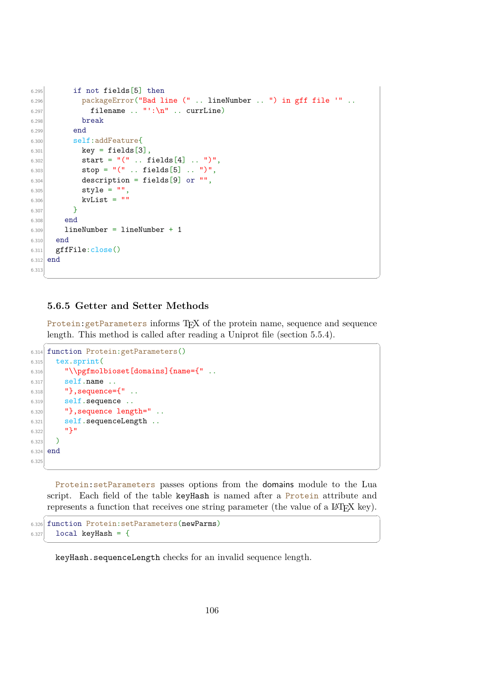```
6.295 if not fields [5] then
6.296 packageError("Bad line (" .. lineNumber .. ") in gff file '" ..
6.297 filename .. "':\n" .. currLine)
6.298 break
6.299 end
6.300 self:addFeature{
6.301 key = fields[3],
6.302 start = "(" .. fields[4] .. ")",
6.303 \sup = "(" ... fields [5] ...")".6.304 description = fields [9] or "",
6.305 \vert style = "",
6.306 kvList = ""6.307 }
6.308 end
6.309 lineNumber = lineNumber + 1
6.310 end
6.311 gffFile:close()
6.312 end
6.313
```
# **5.6.5 Getter and Setter Methods**

Protein: getParameters informs TEX of the protein name, sequence and sequence length. This method is called after reading a Uniprot file (section [5.5.4\)](#page-90-0).  $\overline{a}$   $\overline{a}$   $\overline{a}$   $\overline{a}$   $\overline{a}$   $\overline{a}$   $\overline{a}$   $\overline{a}$   $\overline{a}$   $\overline{a}$   $\overline{a}$   $\overline{a}$   $\overline{a}$   $\overline{a}$   $\overline{a}$   $\overline{a}$   $\overline{a}$   $\overline{a}$   $\overline{a}$   $\overline{a}$   $\overline{a}$   $\overline{a}$   $\overline{a}$   $\overline{a}$   $\overline{$ 

✝ ✆

```
6.314 function Protein:getParameters()
6.315 tex.sprint (
6.316 "\\pgfmolbioset[domains]{name={"...
6.317 self.name ..
6.318 \vert "}, sequence={" ..
6.319 self.sequence ..
6.320 '', sequence length="..
6.321 self.sequenceLength ..
6.322 "}"
6.323 )
6.324 end
6.325
```
Protein:setParameters passes options from the domains module to the Lua script. Each field of the table keyHash is named after a Protein attribute and represents a function that receives one string parameter (the value of a  $\Delta T_{\rm F} X$  key).

✝ ✆

✝ ✆

```
\overline{\phantom{a}} \overline{\phantom{a}} \overline{\phantom{a}} \overline{\phantom{a}} \overline{\phantom{a}} \overline{\phantom{a}} \overline{\phantom{a}} \overline{\phantom{a}} \overline{\phantom{a}} \overline{\phantom{a}} \overline{\phantom{a}} \overline{\phantom{a}} \overline{\phantom{a}} \overline{\phantom{a}} \overline{\phantom{a}} \overline{\phantom{a}} \overline{\phantom{a}} \overline{\phantom{a}} \overline{\6.326 function Protein:setParameters(newParms)
6.327 local keyHash = {
```
keyHash.sequenceLength checks for an invalid sequence length.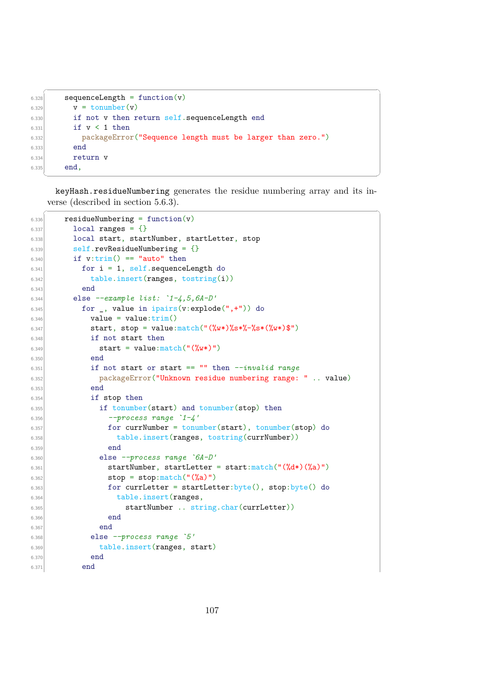```
6.328 sequenceLength = function(v)
\begin{bmatrix} 6.329 \\ v = \text{tounber}(v) \end{bmatrix}6.330 if not v then return self.sequenceLength end
6.331 if v < 1 then
6.332 packageError("Sequence length must be larger than zero.")
6.333 end
6.334 return v
6.335 end,
```
keyHash.residueNumbering generates the residue numbering array and its inverse (described in section [5.6.3\)](#page-104-0).

✝ ✆

✞ ☎

```
\overline{a} \overline{a} \overline{a} \overline{a} \overline{a} \overline{a} \overline{a} \overline{a} \overline{a} \overline{a} \overline{a} \overline{a} \overline{a} \overline{a} \overline{a} \overline{a} \overline{a} \overline{a} \overline{a} \overline{a} \overline{a} \overline{a} \overline{a} \overline{a} \overline{6.336 residueNumbering = function(v)
6.337 local ranges = {}
6.338 local start, startNumber, startLetter, stop
6.339 self.revResidueNumbering = {}6.340 if v:trim() == "auto" then
6.341 for i = 1, self.sequenceLength do
\vert 6.342 table.insert(ranges, tostring(i))
6.343 end
6.344 else --example list: `1-4,5,6A-D'
6.345 \vert for \vert, value in ipairs(v:explode(",+")) do
6.346 value = value:\text{trim}()6.347 start, stop = value: match("(\%w*)\%s*\%-\%s*(\%w*)\$")6.348 if not start then
6.349 start = value:match("(\%w*)")6.350 end
6.351 if not start or start == "" then --invalid range
6.352 packageError("Unknown residue numbering range: " .. value)
6.353 end
6.354 if stop then
6.355 if tonumber(start) and tonumber(stop) then
6.356 --process range `1-4'
6.357 for currNumber = tonumber(start), tonumber(stop) do
6.358 table.insert(ranges, tostring(currNumber))
6.359 end
6.360 else --process range `6A-D'
6.361 startNumber, startLetter = start:match("(\sqrt{d*})(\sqrt{a})")6.362 \vert stop = stop: match("(\%a)")
6.363 for currLetter = startLetter:byte(), stop:byte() do
6.364 table.insert(ranges,
6.365 startNumber .. string.char(currLetter))
6.366 end
6.367 end
6.368 else --process range `5'
6.369 table.insert(ranges, start)
6.370 end
6.371 end
```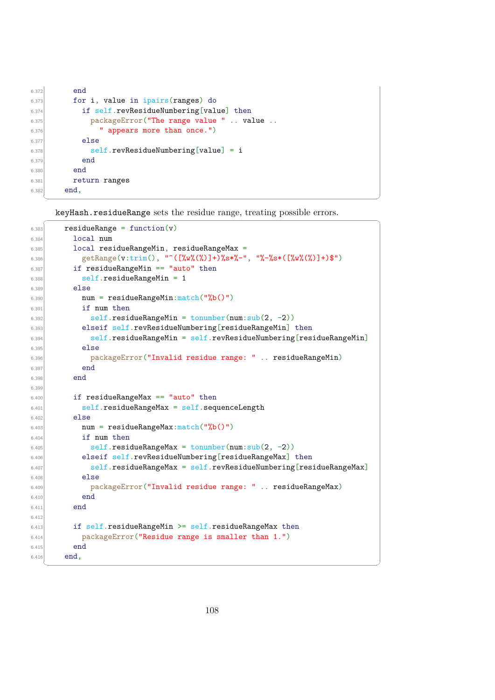```
6.372 end
6.373 for i, value in ipairs (ranges) do
6.374 if self.revResidueNumbering[value] then
6.375 packageError("The range value " .. value ..
6.376 " appears more than once.")
6.377 else
6.378 self.revResidueNumbering [value] = i
6.379 end
6.380 end
6.381 return ranges
6.382 end,
```
keyHash.residueRange sets the residue range, treating possible errors.

✝ ✆

 $\frac{1}{2}$  ,  $\frac{1}{2}$  ,  $\frac{1}{2}$  ,  $\frac{1}{2}$  ,  $\frac{1}{2}$  ,  $\frac{1}{2}$  ,  $\frac{1}{2}$  ,  $\frac{1}{2}$  ,  $\frac{1}{2}$  ,  $\frac{1}{2}$  ,  $\frac{1}{2}$  ,  $\frac{1}{2}$  ,  $\frac{1}{2}$  ,  $\frac{1}{2}$  ,  $\frac{1}{2}$  ,  $\frac{1}{2}$  ,  $\frac{1}{2}$  ,  $\frac{1}{2}$  ,  $\frac{1$ 

```
6.383 residueRange = function(v)6.384 local num
6.385 local residueRangeMin, residueRangeMax =
6.386 getRange(v:trim(), "^([%w%(%)]+)%s*%-", "%-%s*([%w%(%)]+)$")
6.387 if residueRangeMin == "auto" then
6.388 self.residueRangeMin = 1
6.389 else
6.390 num = residueRangeMin: match("%b()")
6.391 if num then
6.392 self.residueRangeMin = tonumber(num:sub(2, -2))
6.393 elseif self.revResidueNumbering[residueRangeMin] then
6.394 self.residueRangeMin = self.revResidueNumbering[residueRangeMin]
6.395 else
6.396 packageError("Invalid residue range: " .. residueRangeMin)
6.397 end
6.398 end
6.399
6.400 if residueRangeMax == "auto" then
6.401 self.residueRangeMax = self.sequenceLength
6.402 else
6.403 num = residueRangeMax:match("%b()")
6.404 if num then
6.405 \text{self}.\text{residueRangeMax} = \text{tonumber}(\text{num:sub}(2, -2))6.406 elseif self.revResidueNumbering[residueRangeMax] then
6.407 self.residueRangeMax = self.revResidueNumbering[residueRangeMax]
6.408 else
6.409 packageError("Invalid residue range: " .. residueRangeMax)
6.410 end
6.411 end
6.416.413 if self.residueRangeMin >= self.residueRangeMax then
6.414 packageError("Residue range is smaller than 1.")
6.415 end
6.416 end,
  ✝ ✆
```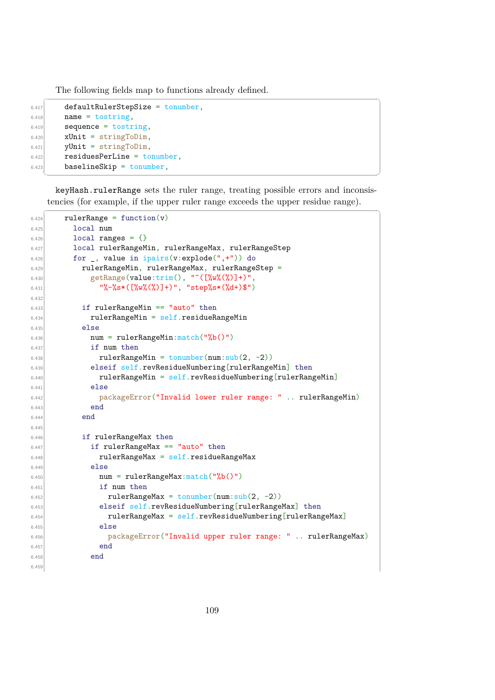The following fields map to functions already defined.

```
\sqrt{2} \sqrt{2} \sqrt{2} \sqrt{2} \sqrt{2} \sqrt{2} \sqrt{2} \sqrt{2} \sqrt{2} \sqrt{2} \sqrt{2} \sqrt{2} \sqrt{2} \sqrt{2} \sqrt{2} \sqrt{2} \sqrt{2} \sqrt{2} \sqrt{2} \sqrt{2} \sqrt{2} \sqrt{2} \sqrt{2} \sqrt{2} \sqrt{2} \sqrt{2} \sqrt{2} \sqrt{26.417 defaultRulerStepSize = tonumber.
6.418 name = tostring.
6.419 sequence = tostring,
6.420 xUnit = stringToDim,
6.421 yUnit = stringToDim,
6.422 residuesPerLine = tonumber,
6.423 baselineSkip = tonumber,
```
keyHash.rulerRange sets the ruler range, treating possible errors and inconsistencies (for example, if the upper ruler range exceeds the upper residue range).

```
\overline{a} \overline{a} \overline{a} \overline{a} \overline{a} \overline{a} \overline{a} \overline{a} \overline{a} \overline{a} \overline{a} \overline{a} \overline{a} \overline{a} \overline{a} \overline{a} \overline{a} \overline{a} \overline{a} \overline{a} \overline{a} \overline{a} \overline{a} \overline{a} \overline{6.424 rulerRange = function(v)
6.425 local num
6.426 local ranges = {}
6.427 local rulerRangeMin, rulerRangeMax, rulerRangeStep
6.428 for _, value in ipairs(v:explode(",+")) do
6.429 rulerRangeMin, rulerRangeMax, rulerRangeStep =
6.430 getRange(value:trim(), \lceil (\lceil%w%(%)]+)",
6.431 \| \% - \% s * (\frac{y}{w} \% \%) \] + \}", "step\% s * (\frac{y}{d} +) \")
6.43
6.433 if rulerRangeMin == "auto" then
6.434 rulerRangeMin = self.residueRangeMin
6.435 else
6.436 num = rulerRangeMin:match("%b()")
6.437 if num then
6.438 rulerRangeMin = tonumber(num:sub(2, -2))
6.439 elseif self.revResidueNumbering[rulerRangeMin] then
6.440 rulerRangeMin = self.revResidueNumbering[rulerRangeMin]
6.441 else
6.442 packageError("Invalid lower ruler range: " .. rulerRangeMin)
6.443 end
6.444 end
6.445
6.446 if rulerRangeMax then
6.447 if rulerRangeMax == "auto" then
6.448 rulerRangeMax = self.residueRangeMax
6.449 else
6.450 num = rulerRangeMax:match("%b()")6.451 if num then
6.452 rulerRangeMax = tonumber(num:sub(2, -2))
6.453 elseif self.revResidueNumbering[rulerRangeMax] then
6.454 rulerRangeMax = self.revResidueNumbering[rulerRangeMax]
6.455 else
6.456 packageError("Invalid upper ruler range: " .. rulerRangeMax)
6.457 end
6.458 end
6.459
```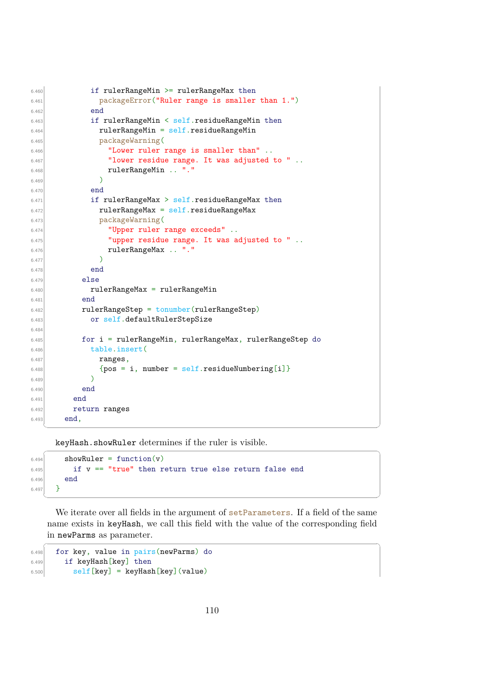```
6.460 if rulerRangeMin >= rulerRangeMax then
\sigma<sub>6.461</sub> packageError("Ruler range is smaller than 1.")
6.462 end
6.463 if rulerRangeMin < self.residueRangeMin then
6.464 rulerRangeMin = self.residueRangeMin
6.465 packageWarning(
6.466 "Lower ruler range is smaller than" ..
6.467 "lower residue range. It was adjusted to " ..
6.468 rulerRangeMin .. "."
6.469 )
6.470 end
6.471 if rulerRangeMax > self.residueRangeMax then
6.472 rulerRangeMax = self.residueRangeMax
6.473 packageWarning(
6.474 "Upper ruler range exceeds" ..
6.475 "upper residue range. It was adjusted to " ..
6.476 rulerRangeMax .. "."
6.477 )
6.478 end
6.479 else
6.480 rulerRangeMax = rulerRangeMin
6.481 end
6.482 rulerRangeStep = tonumber(rulerRangeStep)
6.483 or self.defaultRulerStepSize
6.484
6.485 for i = rulerRangeMin, rulerRangeMax, rulerRangeStep do
6.486 table.insert(
6.487 ranges,
_{6.488} {pos = i, number = self.residueNumbering[i]}
6.489
6.490 end
6.491 end
6.492 return ranges
6.493 end,
```
keyHash.showRuler determines if the ruler is visible.

```
\overline{\phantom{a}} \overline{\phantom{a}} \overline{\phantom{a}} \overline{\phantom{a}} \overline{\phantom{a}} \overline{\phantom{a}} \overline{\phantom{a}} \overline{\phantom{a}} \overline{\phantom{a}} \overline{\phantom{a}} \overline{\phantom{a}} \overline{\phantom{a}} \overline{\phantom{a}} \overline{\phantom{a}} \overline{\phantom{a}} \overline{\phantom{a}} \overline{\phantom{a}} \overline{\phantom{a}} \overline{\6.494 showRuler = function(v)
6.495 if v == "true" then return true else return false end
6.496 end
6.497 }
```
We iterate over all fields in the argument of setParameters. If a field of the same name exists in keyHash, we call this field with the value of the corresponding field in newParms as parameter.

✞ ☎

✝ ✆

```
6.498 for key, value in pairs(newParms) do
6.499 if keyHash[key] then
6.500 self [key] = keyHash [key] (value)
```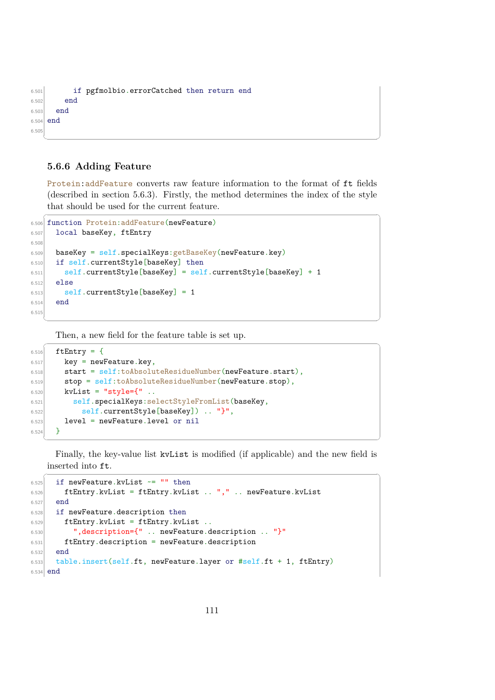```
6.501 if pgfmolbio.errorCatched then return end
6.502 end
6.503 end
6.504 end
6.50
 ✝ ✆
```
# **5.6.6 Adding Feature**

Protein:addFeature converts raw feature information to the format of ft fields (described in section [5.6.3\)](#page-104-0). Firstly, the method determines the index of the style that should be used for the current feature.

✝ ✆

```
✞ ☎
6.506 function Protein:addFeature(newFeature)
6.507 local baseKey, ftEntry
6.508
6.509 baseKey = self.specialKeys: getBaseKey(newFeature.key)
6.510 if self.currentStyle[baseKey] then
6.511 \qquad \qquad self.currentStyle[baseKey] = self.currentStyle[baseKey] + 1
6.512 else
6.513 self.currentStyle[baseKey] = 1
6.514 end
6.51
```
Then, a new field for the feature table is set up.  $\overline{a}$   $\overline{a}$   $\overline{a}$   $\overline{a}$   $\overline{a}$   $\overline{a}$   $\overline{a}$   $\overline{a}$   $\overline{a}$   $\overline{a}$   $\overline{a}$   $\overline{a}$   $\overline{a}$   $\overline{a}$   $\overline{a}$   $\overline{a}$   $\overline{a}$   $\overline{a}$   $\overline{a}$   $\overline{a}$   $\overline{a}$   $\overline{a}$   $\overline{a}$   $\overline{a}$   $\overline{$ 

```
6.516 ftEntry = {
6.517 key = newFeature.key,
6.518 start = self:toAbsoluteResidueNumber(newFeature.start),
6.519 stop = self:toAbsoluteResidueNumber(newFeature.stop),
6.520 kvList = "style={"..
6.521 self.specialKeys:selectStyleFromList(baseKey,
6.522 self.currentStyle[baseKey]) .. "}",
6.523 level = newFeature.level or nil
6.524 }
```
Finally, the key-value list kvList is modified (if applicable) and the new field is inserted into ft.  $\sqrt{2}$   $\sqrt{2}$   $\sqrt{2}$   $\sqrt{2}$   $\sqrt{2}$   $\sqrt{2}$   $\sqrt{2}$   $\sqrt{2}$   $\sqrt{2}$   $\sqrt{2}$   $\sqrt{2}$   $\sqrt{2}$   $\sqrt{2}$   $\sqrt{2}$   $\sqrt{2}$   $\sqrt{2}$   $\sqrt{2}$   $\sqrt{2}$   $\sqrt{2}$   $\sqrt{2}$   $\sqrt{2}$   $\sqrt{2}$   $\sqrt{2}$   $\sqrt{2}$   $\sqrt{2}$   $\sqrt{2}$   $\sqrt{2}$   $\sqrt{2$ 

```
6.525 if newFeature.kvList \sim= "" then
6.526 ftEntry.kvList = ftEntry.kvList .. "," .. newFeature.kvList
6.527 end
6.528 if newFeature.description then
6.529 ftEntry.kvList = ftEntry.kvList
6.530 ",description={" .. newFeature.description .. "}"
\epsilon<sub>6.531</sub> ftEntry.description = newFeature.description
6.532 end
6.533 table.insert(self.ft, newFeature.layer or #self.ft + 1, ftEntry)
6.534 end
```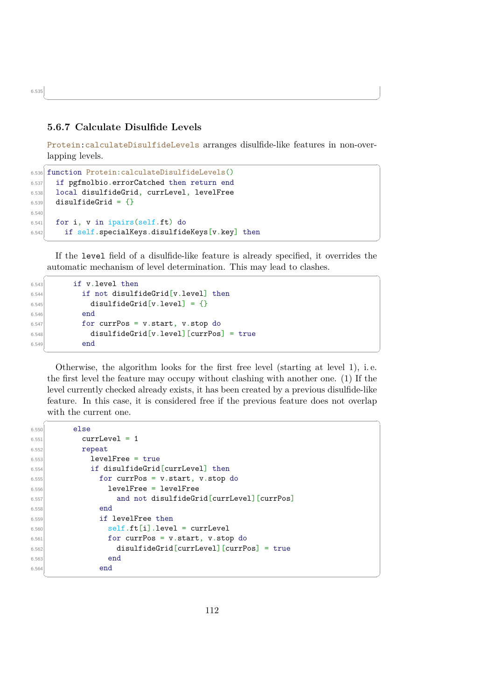# **5.6.7 Calculate Disulfide Levels**

Protein:calculateDisulfideLevels arranges disulfide-like features in non-overlapping levels.

 $\sqrt{2}$   $\sqrt{2}$   $\sqrt{2}$   $\sqrt{2}$   $\sqrt{2}$   $\sqrt{2}$   $\sqrt{2}$   $\sqrt{2}$   $\sqrt{2}$   $\sqrt{2}$   $\sqrt{2}$   $\sqrt{2}$   $\sqrt{2}$   $\sqrt{2}$   $\sqrt{2}$   $\sqrt{2}$   $\sqrt{2}$   $\sqrt{2}$   $\sqrt{2}$   $\sqrt{2}$   $\sqrt{2}$   $\sqrt{2}$   $\sqrt{2}$   $\sqrt{2}$   $\sqrt{2}$   $\sqrt{2}$   $\sqrt{2}$   $\sqrt{2$ 

 $\overline{\phantom{a}}$   $\overline{\phantom{a}}$   $\overline{\phantom{a}}$   $\overline{\phantom{a}}$   $\overline{\phantom{a}}$   $\overline{\phantom{a}}$   $\overline{\phantom{a}}$   $\overline{\phantom{a}}$   $\overline{\phantom{a}}$   $\overline{\phantom{a}}$   $\overline{\phantom{a}}$   $\overline{\phantom{a}}$   $\overline{\phantom{a}}$   $\overline{\phantom{a}}$   $\overline{\phantom{a}}$   $\overline{\phantom{a}}$   $\overline{\phantom{a}}$   $\overline{\phantom{a}}$   $\overline{\$ 

```
6.536 function Protein:calculateDisulfideLevels()
6.537 if pgfmolbio.errorCatched then return end
6.538 local disulfideGrid, currLevel, levelFree
6.539 disulfideGrid = {}
6.540
6.541 for i, v in ipairs(self.ft) do
6.542 if self.specialKeys.disulfideKeys[v.key] then
  ✝ ✆
```
If the level field of a disulfide-like feature is already specified, it overrides the automatic mechanism of level determination. This may lead to clashes.  $\overline{a}$   $\overline{a}$   $\overline{a}$   $\overline{a}$   $\overline{a}$   $\overline{a}$   $\overline{a}$   $\overline{a}$   $\overline{a}$   $\overline{a}$   $\overline{a}$   $\overline{a}$   $\overline{a}$   $\overline{a}$   $\overline{a}$   $\overline{a}$   $\overline{a}$   $\overline{a}$   $\overline{a}$   $\overline{a}$   $\overline{a}$   $\overline{a}$   $\overline{a}$   $\overline{a}$   $\overline{$ 

```
6.543 if v.level then
6.544 if not disulfideGrid[v.level] then
6.545 disulfideGrid[v.level] = {}
6.546 end
6.547 for currPos = v.start, v.stop do
6.548 disulfideGrid[v.level][currPos] = true
6.549 end
```
Otherwise, the algorithm looks for the first free level (starting at level 1), i. e. the first level the feature may occupy without clashing with another one. (1) If the level currently checked already exists, it has been created by a previous disulfide-like feature. In this case, it is considered free if the previous feature does not overlap with the current one.

 $\sqrt{2}$   $\sqrt{2}$   $\sqrt{2}$   $\sqrt{2}$   $\sqrt{2}$   $\sqrt{2}$   $\sqrt{2}$   $\sqrt{2}$   $\sqrt{2}$   $\sqrt{2}$   $\sqrt{2}$   $\sqrt{2}$   $\sqrt{2}$   $\sqrt{2}$   $\sqrt{2}$   $\sqrt{2}$   $\sqrt{2}$   $\sqrt{2}$   $\sqrt{2}$   $\sqrt{2}$   $\sqrt{2}$   $\sqrt{2}$   $\sqrt{2}$   $\sqrt{2}$   $\sqrt{2}$   $\sqrt{2}$   $\sqrt{2}$   $\sqrt{2$ 

✝ ✆

```
6.550 else
6.551 currLevel = 1
6.552 repeat
6.553 levelFree = true
6.554 if disulfideGrid[currLevel] then
6.555 for currPos = v.start, v.stop do
6.556 levelFree = levelFree
6.557 and not disulfideGrid[currLevel][currPos]
6.558 end
6.559 if levelFree then
6.560 self.ft[i].level = currLevel
6.561 for currPos = v.start, v.stop do
6.562 disulfideGrid[currLevel][currPos] = true
6.563 end
6.564 end
```
6.535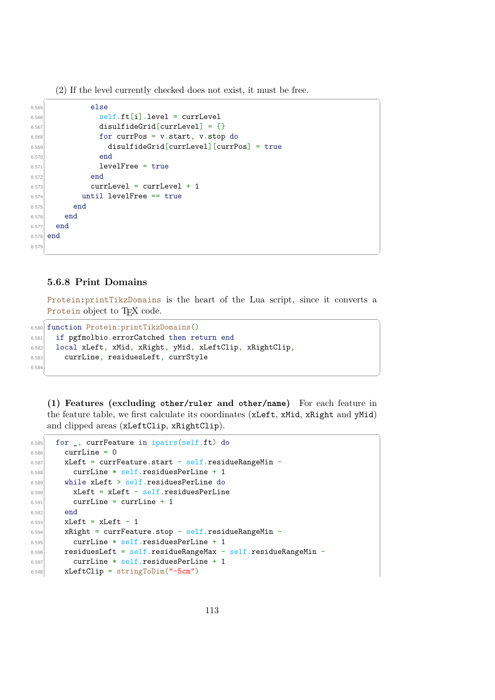(2) If the level currently checked does not exist, it must be free.

```
\overline{a} \overline{a} \overline{a} \overline{a} \overline{a} \overline{a} \overline{a} \overline{a} \overline{a} \overline{a} \overline{a} \overline{a} \overline{a} \overline{a} \overline{a} \overline{a} \overline{a} \overline{a} \overline{a} \overline{a} \overline{a} \overline{a} \overline{a} \overline{a} \overline{6.565 else
6.566 self.ft[i].level = currLevel
6.567 disulfideGrid[currLevel] = {}
6.568 for currPos = v.start, v.stop do
6.569 disulfideGrid[currLevel][currPos] = true
6.570 end
6.571 levelFree = true
6.572 end
6.573 currLevel = currLevel + 1
6.574 until levelFree == true
6.575 end
6.576 end
6.577 end
6.578 end
6.579
```
#### **5.6.8 Print Domains**

Protein:printTikzDomains is the heart of the Lua script, since it converts a Protein object to T<sub>E</sub>X code.  $\overline{a}$   $\overline{a}$   $\overline{a}$   $\overline{a}$   $\overline{a}$   $\overline{a}$   $\overline{a}$   $\overline{a}$   $\overline{a}$   $\overline{a}$   $\overline{a}$   $\overline{a}$   $\overline{a}$   $\overline{a}$   $\overline{a}$   $\overline{a}$   $\overline{a}$   $\overline{a}$   $\overline{a}$   $\overline{a}$   $\overline{a}$   $\overline{a}$   $\overline{a}$   $\overline{a}$   $\overline{$ 

✝ ✆

```
6.580 function Protein:printTikzDomains()
6.581 if pgfmolbio.errorCatched then return end
6.582 local xLeft, xMid, xRight, yMid, xLeftClip, xRightClip,
6.583 currLine, residuesLeft, currStyle
6.584
```
**(1) Features (excluding other/ruler and other/name)** For each feature in the feature table, we first calculate its coordinates (xLeft, xMid, xRight and yMid) and clipped areas (xLeftClip, xRightClip).  $\sqrt{2}$   $\sqrt{2}$   $\sqrt{2}$   $\sqrt{2}$   $\sqrt{2}$   $\sqrt{2}$   $\sqrt{2}$   $\sqrt{2}$   $\sqrt{2}$   $\sqrt{2}$   $\sqrt{2}$   $\sqrt{2}$   $\sqrt{2}$   $\sqrt{2}$   $\sqrt{2}$   $\sqrt{2}$   $\sqrt{2}$   $\sqrt{2}$   $\sqrt{2}$   $\sqrt{2}$   $\sqrt{2}$   $\sqrt{2}$   $\sqrt{2}$   $\sqrt{2}$   $\sqrt{2}$   $\sqrt{2}$   $\sqrt{2}$   $\sqrt{2$ 

```
6.585 for _, currFeature in ipairs(self.ft) do
6.586 currLine = 0
6.587 xLeft = currFeature.start - self.residueRangeMin -
6.588 currLine * self.residuesPerLine + 1
6.589 while xLeft > self.residuesPerLine do
6.590 xLeft = xLeft - self.residuesPerLine
6.591 currLine = currLine + 1
6.592 end
6.593 xLeft = xLeft - 1
6.594 xRight = currFeature.stop - self.residueRangeMin -
6.595 currLine * self.residuesPerLine + 1
6.596 residuesLeft = self.residueRangeMax - self.residueRangeMin -
6.597 currLine * self.residuesPerLine + 1
6.598 xLeftClip = stringToDim("-5cm")
```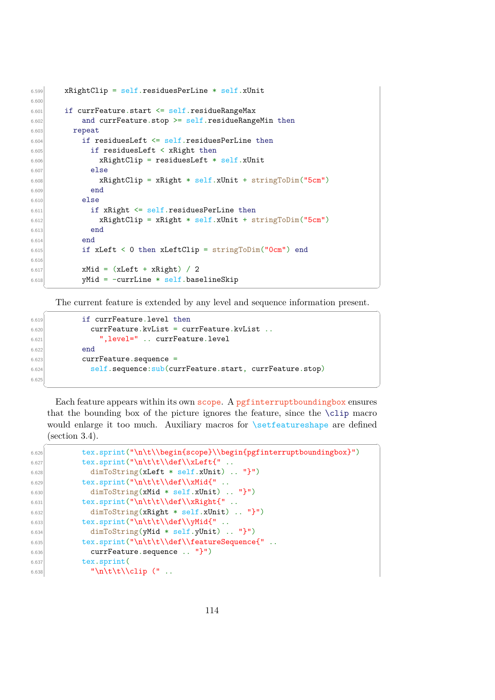```
6.599 xRightClip = self.residuesPerLine * self.xUnit
6.60
6.601 if currFeature.start <= self.residueRangeMax
6.602 and currFeature.stop >= self.residueRangeMin then
6.603 repeat
6.604 if residuesLeft \le self.residuesPerLine then
6.605 if residuesLeft < xRight then
6.606 xRightClip = residuesLeft * self.xUnit
6.607 else
6.608 xRightClip = xRight * self.xUnit + stringToDim("5cm")6.609 end
6.610 else
6.611 if xRight <= self.residuesPerLine then
6.612 xRightClip = xRight * self.xUnit + stringToDim("5cm")
6.613 end
6.614 end
6.615 if xLeft < 0 then xLeftClip = stringToDim("0cm") end
6.61
6.617 xMid = (xLeft + xRight) / 2
6.618 yMid = -currLine * self.baselineSkip
  ✝ ✆
```
The current feature is extended by any level and sequence information present.  $\sqrt{2}$   $\sqrt{2}$   $\sqrt{2}$   $\sqrt{2}$   $\sqrt{2}$   $\sqrt{2}$   $\sqrt{2}$   $\sqrt{2}$   $\sqrt{2}$   $\sqrt{2}$   $\sqrt{2}$   $\sqrt{2}$   $\sqrt{2}$   $\sqrt{2}$   $\sqrt{2}$   $\sqrt{2}$   $\sqrt{2}$   $\sqrt{2}$   $\sqrt{2}$   $\sqrt{2}$   $\sqrt{2}$   $\sqrt{2}$   $\sqrt{2}$   $\sqrt{2}$   $\sqrt{2}$   $\sqrt{2}$   $\sqrt{2}$   $\sqrt{2$ 

```
6.619 if currFeature.level then
\begin{array}{rcl} 6.620 & \text{currFeature.kvList} = \text{currFeature.kvList} \end{array}6.621 ",level=" .. currFeature.level
6.622 end
6.623 currFeature.sequence =
6.624 self.sequence:sub(currFeature.start, currFeature.stop)
6.62
```
Each feature appears within its own scope. A pgfinterruptboundingbox ensures that the bounding box of the picture ignores the feature, since the \clip macro would enlarge it too much. Auxiliary macros for \setfeatureshape are defined (section [3.4\)](#page-25-0).

| 6.626 | tex.sprint("\n\t\\begin{scope}\\begin{pgfinterruptboundingbox}") |
|-------|------------------------------------------------------------------|
| 6.627 | tex.sprint("\n\t\t\\def\\xLeft{"                                 |
| 6.628 | $dimToString(xLeft * self.xUnit)  "}")$                          |
| 6.629 | tex.sprint("\n\t\t\\def\\xMid{"                                  |
| 6.630 | $dimToString(xMid * self.xUnit)  "}")$                           |
| 6.631 | tex.sprint("\n\t\t\\def\\xRight{"                                |
| 6.632 | $dimToString(xRight * self.xUnit)  "}'')$                        |
| 6.633 | tex.sprint("\n\t\t\\def\\yMid{"                                  |
| 6.634 | $dimToString(yMid * self.yUnit)  "}")$                           |
| 6.635 | tex.sprint("\n\t\t\\def\\featureSequence{"                       |
| 6.636 | $currFeature.\nsequence \n "}")$                                 |
| 6.637 | tex.sprint(                                                      |
| 6.638 | "\n\t\t\\clip $(''.$                                             |
|       |                                                                  |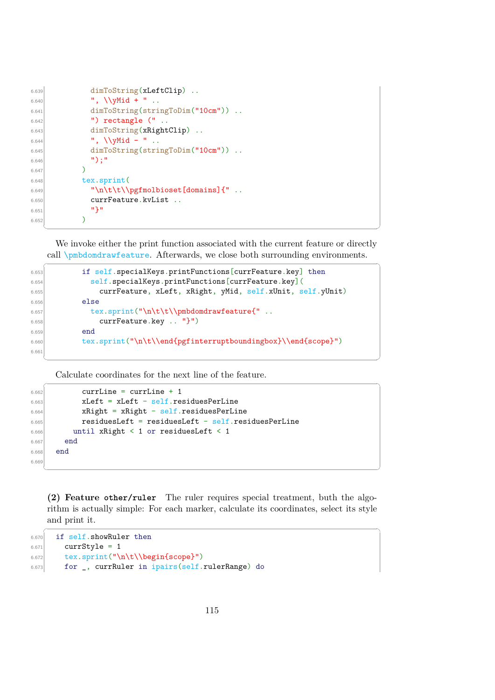```
6.639 dimToString(xLeftClip) ..
6.640 \blacksquare, \\vMid + " ..
6.641 dimToString(stringToDim("10cm")) ..
6.642 ") rectangle (" ..
6.643 dimToString(xRightClip) ..
6.644 \blacksquare, \\yMid - " ..
6.645 dimToString(stringToDim("10cm")) ..
6.646 \vert ");"
6.647 )
6.648 tex.sprint(
\left| \begin{array}{c} \n \text{``\n \end{array} \right| \left| \begin{array}{c} \n \text{``\n \end{array} \right|6.650 currFeature.kvList ..
6.651 '' ''6.652 )
```
We invoke either the print function associated with the current feature or directly call \pmbdomdrawfeature. Afterwards, we close both surrounding environments.

✝ ✆

✝ ✆

```
\overline{a} \overline{a} \overline{a} \overline{a} \overline{a} \overline{a} \overline{a} \overline{a} \overline{a} \overline{a} \overline{a} \overline{a} \overline{a} \overline{a} \overline{a} \overline{a} \overline{a} \overline{a} \overline{a} \overline{a} \overline{a} \overline{a} \overline{a} \overline{a} \overline{6.653 if self.specialKeys.printFunctions[currFeature.key] then
6.654 self.specialKeys.printFunctions[currFeature.key](
6.655 currFeature, xLeft, xRight, yMid, self.xUnit, self.yUnit)
6.656 else
6.657 tex.sprint("\n\t\t\\pmbdomdrawfeature{" ..
6.658 currFeature.key .. "}")
6.659 end
6.660 tex.sprint("\n\t\\end{pgfinterruptboundingbox}\\end{scope}")
6.661
```
Calculate coordinates for the next line of the feature.

```
✞ ☎
6.662 currLine = currLine + 1
6.663 xLeft = xLeft - self.residuesPerLine
6.664 xRight = xRight - self.residuesPerLine
6.665 residuesLeft = residuesLeft - self.residuesPerLine
6.666 until xRight < 1 or residuesLeft < 1
6.667 end
6.668 end
6.66
```
**(2) Feature other/ruler** The ruler requires special treatment, buth the algorithm is actually simple: For each marker, calculate its coordinates, select its style and print it.

✞ ☎

```
6.670 if self.showRuler then
6.671 currStyle = 1
6.672 tex.sprint("\n\t\\begin{scope}")
6.673 for _, currRuler in ipairs(self.rulerRange) do
```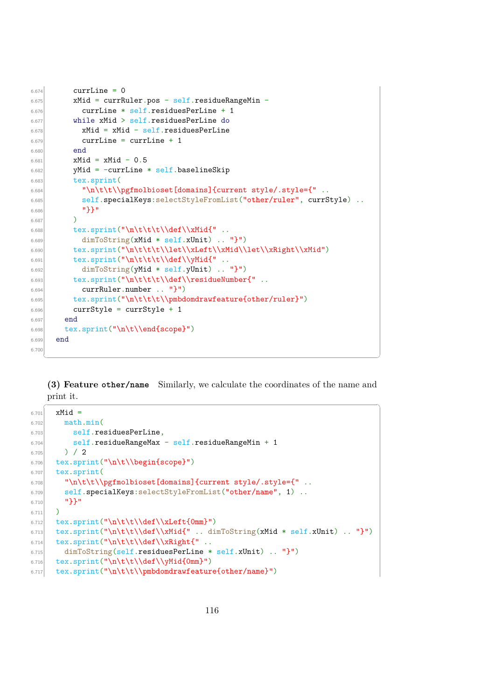```
6.674 currLine = 0
6.675 xMid = currRuler.pos - self.residueRangeMin -
6.676 currLine * self.residuesPerLine + 1
6.677 while xMid > self.residuesPerLine do
6.678 xMid = xMid - self.residuesPerLine
6.679 currLine = currLine + 1
6.680 end
6.681 xMid = xMid - 0.56.682 yMid = -currLine * self.baselineSkip
6.683 tex.sprint(
6.684 "\n\t\t\\pgfmolbioset[domains]{current style/.style={" ..
6.685 self.specialKeys:selectStyleFromList("other/ruler", currStyle) ..
6.686 "}}"
6.687 )
6.688 tex.sprint("\n\t\t\t\\def\\xMid{" ..
6.689 dimToString(xMid * self.xUnit) .. "}")
\label{thm:conv} $$\text{C} $$\text{C} $$\text{C} $$\int ("\nt\t\t\let\xLeft\\xMid\left\}\xRight\xMid" \, \text{C} $$6.691 tex.sprint("\n\t\t\t\\def\\yMid{" ..
6.692 dimToString(yMid * self.yUnit) .. "}")
\left\{\cos\theta\right\} tex.sprint("\n\t\t\t\\def\\residueNumber{"..
6.694 currRuler.number .. "}")
\begin{array}{c|c} 6.695 & \text{text\_sprint}(\texttt\t\t\t\mathbb\pmb{\phi} ) \end{array}6.696 currStyle = currStyle + 1
6.697 end
6.698 tex.sprint("\n\t\\end{scope}")
6.699 end
6.70
```
**(3) Feature other/name** Similarly, we calculate the coordinates of the name and print it.

 $\frac{1}{\sqrt{2}}$   $\frac{1}{\sqrt{2}}$   $\frac{1}{\sqrt{2}}$   $\frac{1}{\sqrt{2}}$   $\frac{1}{\sqrt{2}}$   $\frac{1}{\sqrt{2}}$   $\frac{1}{\sqrt{2}}$   $\frac{1}{\sqrt{2}}$   $\frac{1}{\sqrt{2}}$   $\frac{1}{\sqrt{2}}$   $\frac{1}{\sqrt{2}}$   $\frac{1}{\sqrt{2}}$   $\frac{1}{\sqrt{2}}$   $\frac{1}{\sqrt{2}}$   $\frac{1}{\sqrt{2}}$   $\frac{1}{\sqrt{2}}$   $\frac{1}{\sqrt{2}}$ 

```
6.701 xMid =6.702 math.min(
6.703 self.residuesPerLine,
6.704 self.residueRangeMax - self.residueRangeMin + 1
6.705 ) / 2
6.706 tex.sprint("\n\t\\begin{scope}")
6.707 tex.sprint(
6.708 "\n\t\t\\pgfmolbioset[domains]{current style/.style={"..
6.709 self.specialKeys:selectStyleFromList("other/name", 1) ..
6.710 "}}"
6.711 )
6.712 tex.sprint("\n\t\t\\def\\xLeft{0mm}")
6.713 tex.sprint("\n\t\t\\def\\xMid{" .. dimToString(xMid * self.xUnit) .. "}")
6.714 tex.sprint("\n\t\t\\def\\xRight{" ..
6.715 dimToString(self.residuesPerLine * self.xUnit) .. "}")
6.716 tex.sprint("\n\t\t\\def\\yMid{0mm}")
6.717 tex.sprint("\n\t\t\\pmbdomdrawfeature{other/name}")
```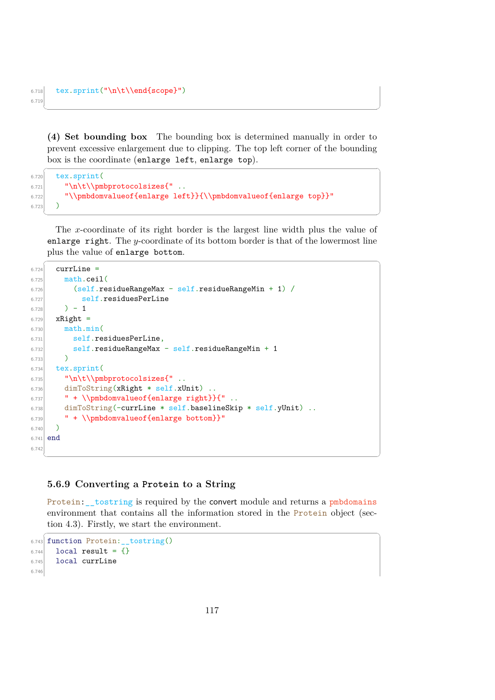```
6.718 tex.sprint("\n\t\\end{scope}")
6.719
```
**(4) Set bounding box** The bounding box is determined manually in order to prevent excessive enlargement due to clipping. The top left corner of the bounding box is the coordinate (enlarge left, enlarge top).

 $\sqrt{2}$   $\sqrt{2}$   $\sqrt{2}$   $\sqrt{2}$   $\sqrt{2}$   $\sqrt{2}$   $\sqrt{2}$   $\sqrt{2}$   $\sqrt{2}$   $\sqrt{2}$   $\sqrt{2}$   $\sqrt{2}$   $\sqrt{2}$   $\sqrt{2}$   $\sqrt{2}$   $\sqrt{2}$   $\sqrt{2}$   $\sqrt{2}$   $\sqrt{2}$   $\sqrt{2}$   $\sqrt{2}$   $\sqrt{2}$   $\sqrt{2}$   $\sqrt{2}$   $\sqrt{2}$   $\sqrt{2}$   $\sqrt{2}$   $\sqrt{2$ 

✝ ✆

```
6.720 tex.sprint(
6.721 "\n\t\\pmbprotocolsizes{"..
6.722 "\\pmbdomvalueof{enlarge left}}{\\pmbdomvalueof{enlarge top}}"
6.723 )
```
The x-coordinate of its right border is the largest line width plus the value of enlarge right. The y-coordinate of its bottom border is that of the lowermost line plus the value of enlarge bottom.

✝ ✆

```
\sqrt{2} \sqrt{2} \sqrt{2} \sqrt{2} \sqrt{2} \sqrt{2} \sqrt{2} \sqrt{2} \sqrt{2} \sqrt{2} \sqrt{2} \sqrt{2} \sqrt{2} \sqrt{2} \sqrt{2} \sqrt{2} \sqrt{2} \sqrt{2} \sqrt{2} \sqrt{2} \sqrt{2} \sqrt{2} \sqrt{2} \sqrt{2} \sqrt{2} \sqrt{2} \sqrt{2} \sqrt{26.724 currLine =
6.725 math.ceil(
\overline{6.726} (self.residueRangeMax - self.residueRangeMin + 1) /
6.727 self.residuesPerLine
6.728 ) - 1
6.729 xRight =
6.730 math.min(
6.731 self.residuesPerLine,
6.732 self.residueRangeMax - self.residueRangeMin + 1
6.733 )
6.734 tex.sprint(
6.735 "\n\t\\pmbprotocolsizes{"..
6.736 dimToString(xRight * self.xUnit) ..
6.737 " + \\pmbdomvalueof{enlarge right}}{"..
6.738 dimToString(-currLine * self.baselineSkip * self.yUnit) ..
6.739 " + \\pmbdomvalueof{enlarge bottom}}"
6.740 \big)6.741 end
6.742
   ✝ ✆
```
# **5.6.9 Converting a Protein to a String**

Protein: \_\_tostring is required by the convert module and returns a pmbdomains environment that contains all the information stored in the Protein object (section [4.3\)](#page-48-0). Firstly, we start the environment.

 $\overline{a}$   $\overline{a}$   $\overline{a}$   $\overline{a}$   $\overline{a}$   $\overline{a}$   $\overline{a}$   $\overline{a}$   $\overline{a}$   $\overline{a}$   $\overline{a}$   $\overline{a}$   $\overline{a}$   $\overline{a}$   $\overline{a}$   $\overline{a}$   $\overline{a}$   $\overline{a}$   $\overline{a}$   $\overline{a}$   $\overline{a}$   $\overline{a}$   $\overline{a}$   $\overline{a}$   $\overline{$ 

```
6.743 function Protein:__tostring()
6.744 local result = {}
6.745 local currLine
6.746
```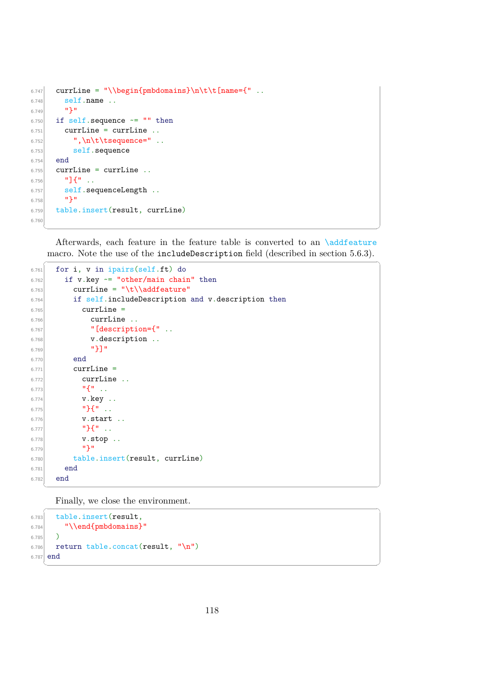```
6.747 currLine = "\\begin{pmbdomains}\n\t\t[name={"...
6.748 self.name ..
6.749 \mathbf{12}6.750 if self.sequence \sim= "" then
6.751 currLine = currLine ..
6.752 \mathbb{R} ", \n\t\tsequence=" ..
6.753 self.sequence
6.754 end
6.755 currLine = currLine ..
6.756 "]\{".
6.757 self.sequenceLength ..
6.758 "}"
6.759 table.insert(result, currLine)
6.760
```
Afterwards, each feature in the feature table is converted to an \addfeature macro. Note the use of the includeDescription field (described in section [5.6.3\)](#page-104-0).

✝ ✆

```
\dddot{\hspace{1cm}} \dddot{\hspace{1cm}} \dddot{\hspace{1cm}} \dddot{\hspace{1cm}} \ddot{\hspace{1cm}} \ddot{\hspace{1cm}} \ddot{\hspace{1cm}} \dddot{\hspace{1cm}} \ddot{\hspace{1cm}} \ddot{\hspace{1cm}} \ddot{\hspace{1cm}} \ddot{\hspace{1cm}} \ddot{\hspace{1cm}} \ddot{\hspace{1cm}} \ddot{\hspace{1cm}} \ddot{\hspace{1cm}} \ddot{\hspace{1cm}} 
6.761 for i, v in ipairs(self.ft) do
6.762 if v.key \sim= "other/main chain" then
6.763 currLine = "\t\\addfeature"
6.764 if self.includeDescription and v.description then
6.765 currLine =
6.766 currLine ..
6.767 "[description={" . .6.768 v.description ..
6.769 "}
6.770 end
6.771 currLine =
6.772 currLine ..
6.773 "6.774 v.key.6.775 " " "6.776 v.start ..
6.777 " "6.778 v.stop..
6.779 ''}
6.780 table.insert(result, currLine)
6.781 end
6.782 end
```
Finally, we close the environment.

```
\overline{\phantom{a}} \overline{\phantom{a}} \overline{\phantom{a}} \overline{\phantom{a}} \overline{\phantom{a}} \overline{\phantom{a}} \overline{\phantom{a}} \overline{\phantom{a}} \overline{\phantom{a}} \overline{\phantom{a}} \overline{\phantom{a}} \overline{\phantom{a}} \overline{\phantom{a}} \overline{\phantom{a}} \overline{\phantom{a}} \overline{\phantom{a}} \overline{\phantom{a}} \overline{\phantom{a}} \overline{\6.783 table.insert(result,
6.784 "\\end{pmbdomains}"
6.785 \big)6.786 return table.concat(result, "\n")
6.787 end
      ✝ ✆
```